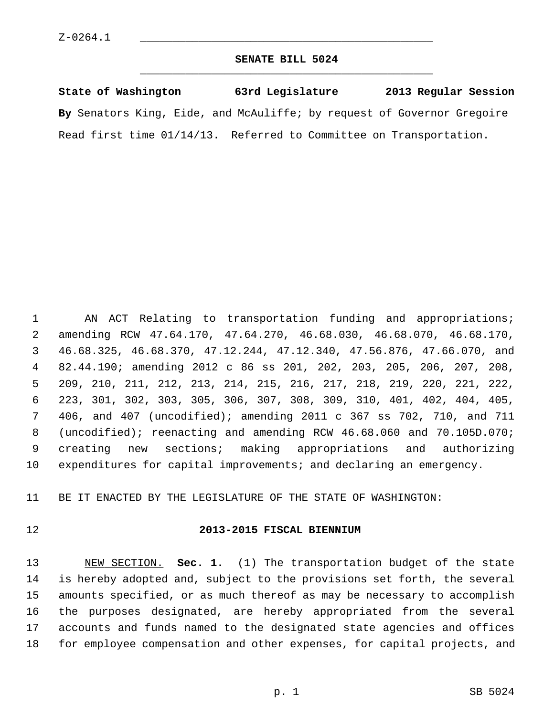#### **SENATE BILL 5024** \_\_\_\_\_\_\_\_\_\_\_\_\_\_\_\_\_\_\_\_\_\_\_\_\_\_\_\_\_\_\_\_\_\_\_\_\_\_\_\_\_\_\_\_\_

**State of Washington 63rd Legislature 2013 Regular Session By** Senators King, Eide, and McAuliffe; by request of Governor Gregoire Read first time 01/14/13. Referred to Committee on Transportation.

 1 AN ACT Relating to transportation funding and appropriations; 2 amending RCW 47.64.170, 47.64.270, 46.68.030, 46.68.070, 46.68.170, 3 46.68.325, 46.68.370, 47.12.244, 47.12.340, 47.56.876, 47.66.070, and 4 82.44.190; amending 2012 c 86 ss 201, 202, 203, 205, 206, 207, 208, 5 209, 210, 211, 212, 213, 214, 215, 216, 217, 218, 219, 220, 221, 222, 6 223, 301, 302, 303, 305, 306, 307, 308, 309, 310, 401, 402, 404, 405, 7 406, and 407 (uncodified); amending 2011 c 367 ss 702, 710, and 711 8 (uncodified); reenacting and amending RCW 46.68.060 and 70.105D.070; 9 creating new sections; making appropriations and authorizing 10 expenditures for capital improvements; and declaring an emergency.

11 BE IT ENACTED BY THE LEGISLATURE OF THE STATE OF WASHINGTON:

#### 12 **2013-2015 FISCAL BIENNIUM**

13 NEW SECTION. **Sec. 1.** (1) The transportation budget of the state 14 is hereby adopted and, subject to the provisions set forth, the several 15 amounts specified, or as much thereof as may be necessary to accomplish 16 the purposes designated, are hereby appropriated from the several 17 accounts and funds named to the designated state agencies and offices 18 for employee compensation and other expenses, for capital projects, and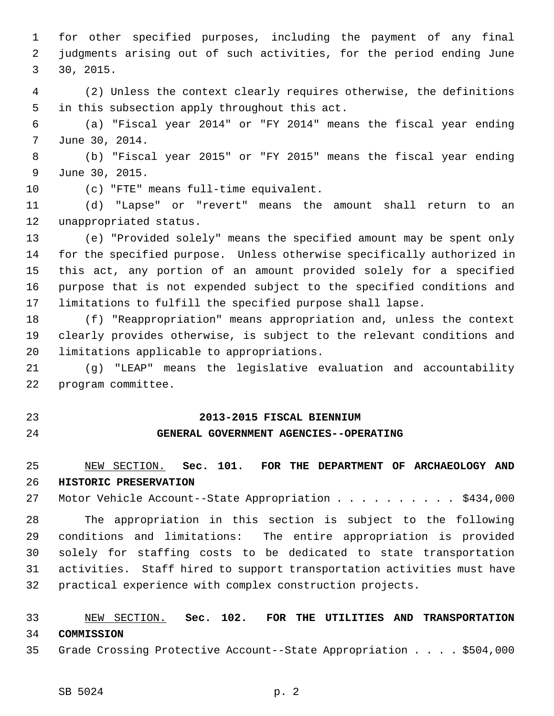1 for other specified purposes, including the payment of any final 2 judgments arising out of such activities, for the period ending June 3 30, 2015.

 4 (2) Unless the context clearly requires otherwise, the definitions 5 in this subsection apply throughout this act.

 6 (a) "Fiscal year 2014" or "FY 2014" means the fiscal year ending 7 June 30, 2014.

 8 (b) "Fiscal year 2015" or "FY 2015" means the fiscal year ending 9 June 30, 2015.

10 (c) "FTE" means full-time equivalent.

11 (d) "Lapse" or "revert" means the amount shall return to an 12 unappropriated status.

13 (e) "Provided solely" means the specified amount may be spent only 14 for the specified purpose. Unless otherwise specifically authorized in 15 this act, any portion of an amount provided solely for a specified 16 purpose that is not expended subject to the specified conditions and 17 limitations to fulfill the specified purpose shall lapse.

18 (f) "Reappropriation" means appropriation and, unless the context 19 clearly provides otherwise, is subject to the relevant conditions and 20 limitations applicable to appropriations.

21 (g) "LEAP" means the legislative evaluation and accountability 22 program committee.

#### 23 **2013-2015 FISCAL BIENNIUM**

#### 24 **GENERAL GOVERNMENT AGENCIES--OPERATING**

### 25 NEW SECTION. **Sec. 101. FOR THE DEPARTMENT OF ARCHAEOLOGY AND** 26 **HISTORIC PRESERVATION**

27 Motor Vehicle Account--State Appropriation . . . . . . . . . \$434,000

28 The appropriation in this section is subject to the following 29 conditions and limitations: The entire appropriation is provided 30 solely for staffing costs to be dedicated to state transportation 31 activities. Staff hired to support transportation activities must have 32 practical experience with complex construction projects.

### 33 NEW SECTION. **Sec. 102. FOR THE UTILITIES AND TRANSPORTATION** 34 **COMMISSION**

35 Grade Crossing Protective Account--State Appropriation . . . . \$504,000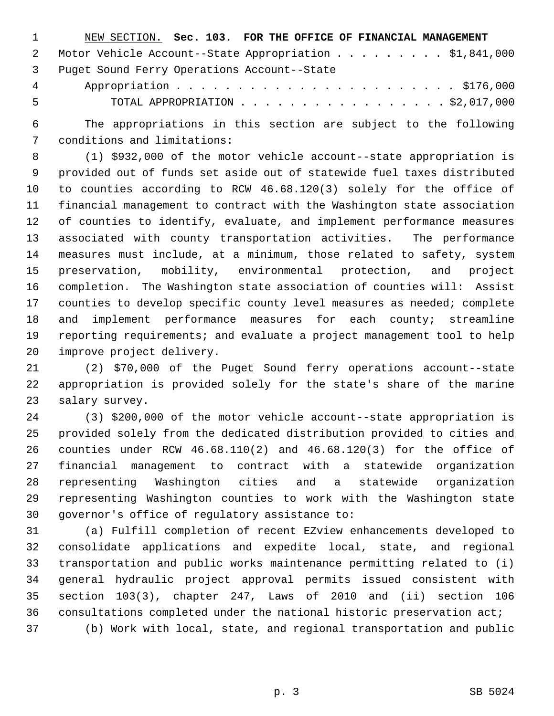| $\sim$ 1 | NEW SECTION. Sec. 103. FOR THE OFFICE OF FINANCIAL MANAGEMENT |  |
|----------|---------------------------------------------------------------|--|
|          | 2 Motor Vehicle Account--State Appropriation \$1,841,000      |  |
|          | 3 Puget Sound Ferry Operations Account--State                 |  |
|          |                                                               |  |

5 TOTAL APPROPRIATION . . . . . . . . . . . . . . . . . \$2,017,000

 6 The appropriations in this section are subject to the following 7 conditions and limitations:

 8 (1) \$932,000 of the motor vehicle account--state appropriation is 9 provided out of funds set aside out of statewide fuel taxes distributed 10 to counties according to RCW 46.68.120(3) solely for the office of 11 financial management to contract with the Washington state association 12 of counties to identify, evaluate, and implement performance measures 13 associated with county transportation activities. The performance 14 measures must include, at a minimum, those related to safety, system 15 preservation, mobility, environmental protection, and project 16 completion. The Washington state association of counties will: Assist 17 counties to develop specific county level measures as needed; complete 18 and implement performance measures for each county; streamline 19 reporting requirements; and evaluate a project management tool to help 20 improve project delivery.

21 (2) \$70,000 of the Puget Sound ferry operations account--state 22 appropriation is provided solely for the state's share of the marine 23 salary survey.

24 (3) \$200,000 of the motor vehicle account--state appropriation is 25 provided solely from the dedicated distribution provided to cities and 26 counties under RCW 46.68.110(2) and 46.68.120(3) for the office of 27 financial management to contract with a statewide organization 28 representing Washington cities and a statewide organization 29 representing Washington counties to work with the Washington state 30 governor's office of regulatory assistance to:

31 (a) Fulfill completion of recent EZview enhancements developed to 32 consolidate applications and expedite local, state, and regional 33 transportation and public works maintenance permitting related to (i) 34 general hydraulic project approval permits issued consistent with 35 section 103(3), chapter 247, Laws of 2010 and (ii) section 106 36 consultations completed under the national historic preservation act; 37 (b) Work with local, state, and regional transportation and public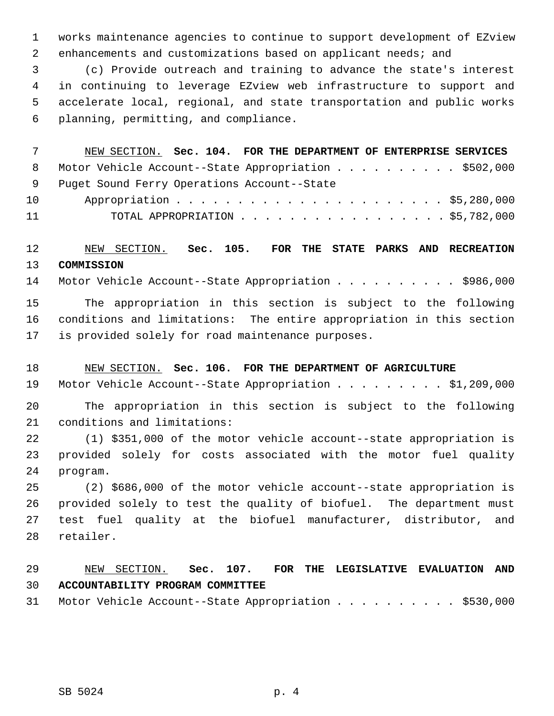1 works maintenance agencies to continue to support development of EZview 2 enhancements and customizations based on applicant needs; and

 3 (c) Provide outreach and training to advance the state's interest 4 in continuing to leverage EZview web infrastructure to support and 5 accelerate local, regional, and state transportation and public works 6 planning, permitting, and compliance.

 7 NEW SECTION. **Sec. 104. FOR THE DEPARTMENT OF ENTERPRISE SERVICES** 8 Motor Vehicle Account--State Appropriation . . . . . . . . . . \$502,000 9 Puget Sound Ferry Operations Account--State 10 Appropriation . . . . . . . . . . . . . . . . . . . . . . \$5,280,000 11 TOTAL APPROPRIATION . . . . . . . . . . . . . . . . . \$5,782,000

# 12 NEW SECTION. **Sec. 105. FOR THE STATE PARKS AND RECREATION** 13 **COMMISSION**

14 Motor Vehicle Account--State Appropriation . . . . . . . . . . \$986,000

15 The appropriation in this section is subject to the following 16 conditions and limitations: The entire appropriation in this section 17 is provided solely for road maintenance purposes.

#### 18 NEW SECTION. **Sec. 106. FOR THE DEPARTMENT OF AGRICULTURE**

19 Motor Vehicle Account--State Appropriation . . . . . . . . \$1,209,000

20 The appropriation in this section is subject to the following 21 conditions and limitations:

22 (1) \$351,000 of the motor vehicle account--state appropriation is 23 provided solely for costs associated with the motor fuel quality 24 program.

25 (2) \$686,000 of the motor vehicle account--state appropriation is 26 provided solely to test the quality of biofuel. The department must 27 test fuel quality at the biofuel manufacturer, distributor, and 28 retailer.

# 29 NEW SECTION. **Sec. 107. FOR THE LEGISLATIVE EVALUATION AND** 30 **ACCOUNTABILITY PROGRAM COMMITTEE**

31 Motor Vehicle Account--State Appropriation . . . . . . . . . . \$530,000

SB 5024 p. 4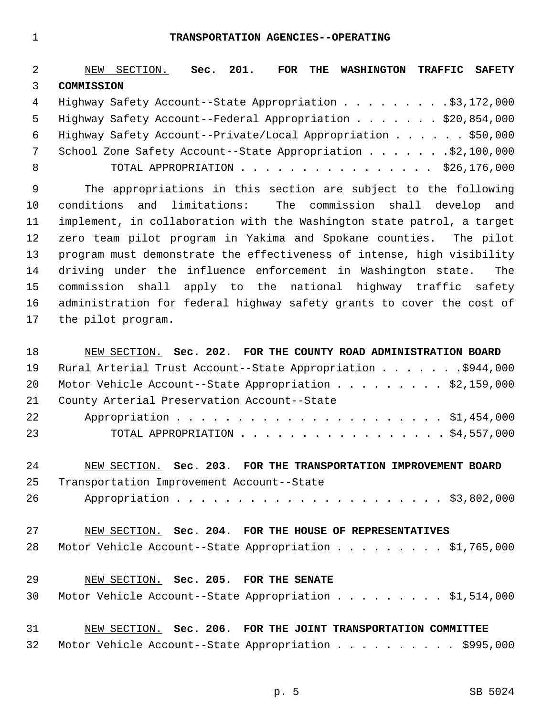1 **TRANSPORTATION AGENCIES--OPERATING**

| $\overline{a}$ | NEW SECTION. Sec. 201.<br>FOR THE WASHINGTON<br>TRAFFIC SAFETY         |
|----------------|------------------------------------------------------------------------|
| 3              | COMMISSION                                                             |
| $\overline{4}$ | Highway Safety Account--State Appropriation \$3,172,000                |
| 5              | Highway Safety Account--Federal Appropriation \$20,854,000             |
| 6              | Highway Safety Account--Private/Local Appropriation \$50,000           |
| 7              |                                                                        |
| 8              | TOTAL APPROPRIATION $\ldots$ , \$26,176,000                            |
| 9              | The appropriations in this section are subject to the following        |
| 10             | limitations:<br>conditions<br>and<br>The commission shall develop and  |
| 11             | implement, in collaboration with the Washington state patrol, a target |
| 12             | zero team pilot program in Yakima and Spokane counties. The pilot      |
| 13             | program must demonstrate the effectiveness of intense, high visibility |
| 14             | driving under the influence enforcement in Washington state.<br>The    |
| 15             | commission shall<br>apply to the national highway traffic safety       |
| 16             | administration for federal highway safety grants to cover the cost of  |
| 17             | the pilot program.                                                     |
|                |                                                                        |
| 18             | NEW SECTION. Sec. 202. FOR THE COUNTY ROAD ADMINISTRATION BOARD        |
| 19             | Rural Arterial Trust Account--State Appropriation \$944,000            |
| 20             | Motor Vehicle Account--State Appropriation \$2,159,000                 |
| 21             | County Arterial Preservation Account--State                            |
| 22             |                                                                        |
| 23             | TOTAL APPROPRIATION $\ldots$ , \$4,557,000                             |
|                |                                                                        |
| 24             | NEW SECTION. Sec. 203. FOR THE TRANSPORTATION IMPROVEMENT BOARD        |
| 25             | Transportation Improvement Account--State                              |
| 26             |                                                                        |
|                |                                                                        |
| 27             | NEW SECTION. Sec. 204. FOR THE HOUSE OF REPRESENTATIVES                |
| 28             | Motor Vehicle Account--State Appropriation \$1,765,000                 |
|                |                                                                        |
| 29             | NEW SECTION. Sec. 205. FOR THE SENATE                                  |
| 30             | Motor Vehicle Account--State Appropriation \$1,514,000                 |
|                |                                                                        |
| 31             | NEW SECTION. Sec. 206. FOR THE JOINT TRANSPORTATION COMMITTEE          |
| 32             | Motor Vehicle Account--State Appropriation \$995,000                   |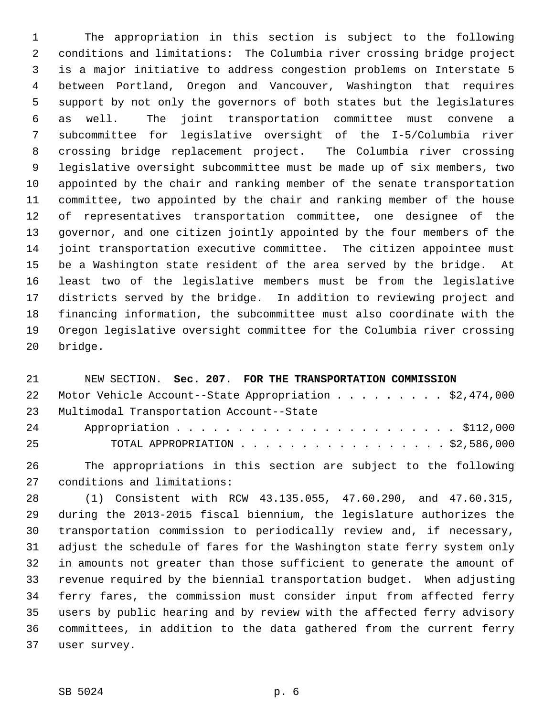1 The appropriation in this section is subject to the following 2 conditions and limitations: The Columbia river crossing bridge project 3 is a major initiative to address congestion problems on Interstate 5 4 between Portland, Oregon and Vancouver, Washington that requires 5 support by not only the governors of both states but the legislatures 6 as well. The joint transportation committee must convene a 7 subcommittee for legislative oversight of the I-5/Columbia river 8 crossing bridge replacement project. The Columbia river crossing 9 legislative oversight subcommittee must be made up of six members, two 10 appointed by the chair and ranking member of the senate transportation 11 committee, two appointed by the chair and ranking member of the house 12 of representatives transportation committee, one designee of the 13 governor, and one citizen jointly appointed by the four members of the 14 joint transportation executive committee. The citizen appointee must 15 be a Washington state resident of the area served by the bridge. At 16 least two of the legislative members must be from the legislative 17 districts served by the bridge. In addition to reviewing project and 18 financing information, the subcommittee must also coordinate with the 19 Oregon legislative oversight committee for the Columbia river crossing 20 bridge.

| 21               | NEW SECTION. Sec. 207. FOR THE TRANSPORTATION COMMISSION                   |
|------------------|----------------------------------------------------------------------------|
| 22               | Motor Vehicle Account--State Appropriation \$2,474,000                     |
| 23               | Multimodal Transportation Account--State                                   |
| 24               |                                                                            |
| 25               | TOTAL APPROPRIATION \$2,586,000                                            |
| $\cap$ $\subset$ | omba and described in the distinction of the second state of the Callactic |

26 The appropriations in this section are subject to the following 27 conditions and limitations:

28 (1) Consistent with RCW 43.135.055, 47.60.290, and 47.60.315, 29 during the 2013-2015 fiscal biennium, the legislature authorizes the 30 transportation commission to periodically review and, if necessary, 31 adjust the schedule of fares for the Washington state ferry system only 32 in amounts not greater than those sufficient to generate the amount of 33 revenue required by the biennial transportation budget. When adjusting 34 ferry fares, the commission must consider input from affected ferry 35 users by public hearing and by review with the affected ferry advisory 36 committees, in addition to the data gathered from the current ferry 37 user survey.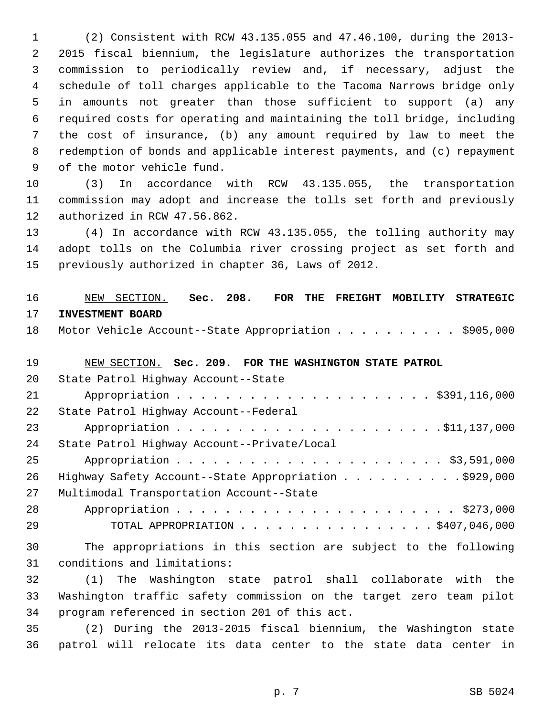1 (2) Consistent with RCW 43.135.055 and 47.46.100, during the 2013- 2 2015 fiscal biennium, the legislature authorizes the transportation 3 commission to periodically review and, if necessary, adjust the 4 schedule of toll charges applicable to the Tacoma Narrows bridge only 5 in amounts not greater than those sufficient to support (a) any 6 required costs for operating and maintaining the toll bridge, including 7 the cost of insurance, (b) any amount required by law to meet the 8 redemption of bonds and applicable interest payments, and (c) repayment 9 of the motor vehicle fund.

10 (3) In accordance with RCW 43.135.055, the transportation 11 commission may adopt and increase the tolls set forth and previously 12 authorized in RCW 47.56.862.

13 (4) In accordance with RCW 43.135.055, the tolling authority may 14 adopt tolls on the Columbia river crossing project as set forth and 15 previously authorized in chapter 36, Laws of 2012.

# 16 NEW SECTION. **Sec. 208. FOR THE FREIGHT MOBILITY STRATEGIC** 17 **INVESTMENT BOARD**

18 Motor Vehicle Account--State Appropriation . . . . . . . . . \$905,000

#### 19 NEW SECTION. **Sec. 209. FOR THE WASHINGTON STATE PATROL**

| 20 | State Patrol Highway Account--State                   |
|----|-------------------------------------------------------|
| 21 |                                                       |
| 22 | State Patrol Highway Account--Federal                 |
| 23 |                                                       |
| 24 | State Patrol Highway Account--Private/Local           |
| 25 |                                                       |
| 26 | Highway Safety Account--State Appropriation \$929,000 |
| 27 | Multimodal Transportation Account--State              |
| 28 |                                                       |
| 29 | TOTAL APPROPRIATION \$407,046,000                     |

30 The appropriations in this section are subject to the following 31 conditions and limitations:

32 (1) The Washington state patrol shall collaborate with the 33 Washington traffic safety commission on the target zero team pilot 34 program referenced in section 201 of this act.

35 (2) During the 2013-2015 fiscal biennium, the Washington state 36 patrol will relocate its data center to the state data center in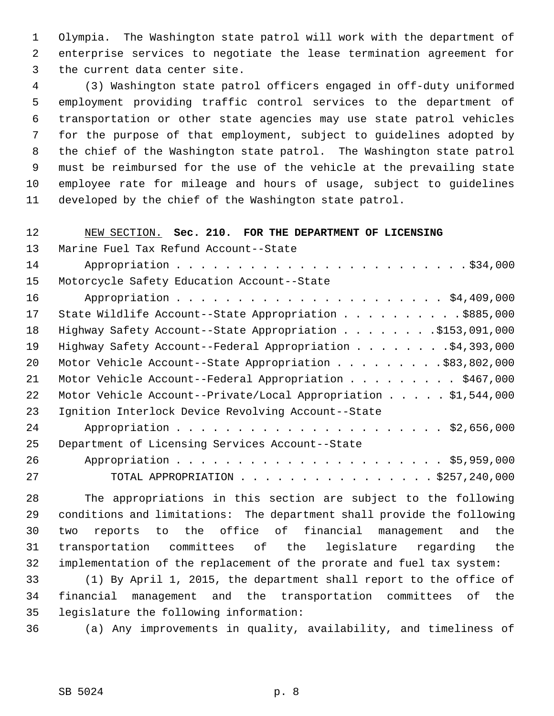1 Olympia. The Washington state patrol will work with the department of 2 enterprise services to negotiate the lease termination agreement for 3 the current data center site.

 4 (3) Washington state patrol officers engaged in off-duty uniformed 5 employment providing traffic control services to the department of 6 transportation or other state agencies may use state patrol vehicles 7 for the purpose of that employment, subject to guidelines adopted by 8 the chief of the Washington state patrol. The Washington state patrol 9 must be reimbursed for the use of the vehicle at the prevailing state 10 employee rate for mileage and hours of usage, subject to guidelines 11 developed by the chief of the Washington state patrol.

#### 12 NEW SECTION. **Sec. 210. FOR THE DEPARTMENT OF LICENSING**

13 Marine Fuel Tax Refund Account--State 14 Appropriation . . . . . . . . . . . . . . . . . . . . . . . . \$34,000 15 Motorcycle Safety Education Account--State 16 Appropriation . . . . . . . . . . . . . . . . . . . . . . \$4,409,000 17 State Wildlife Account--State Appropriation . . . . . . . . . . \$885,000 18 Highway Safety Account--State Appropriation . . . . . . . . \$153,091,000 19 Highway Safety Account--Federal Appropriation . . . . . . . .\$4,393,000 20 Motor Vehicle Account--State Appropriation . . . . . . . . . \$83,802,000 21 Motor Vehicle Account--Federal Appropriation . . . . . . . . \$467,000 22 Motor Vehicle Account--Private/Local Appropriation . . . . . \$1,544,000 23 Ignition Interlock Device Revolving Account--State 24 Appropriation . . . . . . . . . . . . . . . . . . . . . . \$2,656,000 25 Department of Licensing Services Account--State 26 Appropriation . . . . . . . . . . . . . . . . . . . . . . \$5,959,000 27 TOTAL APPROPRIATION . . . . . . . . . . . . . . . . \$257,240,000

28 The appropriations in this section are subject to the following 29 conditions and limitations: The department shall provide the following 30 two reports to the office of financial management and the 31 transportation committees of the legislature regarding the 32 implementation of the replacement of the prorate and fuel tax system:

33 (1) By April 1, 2015, the department shall report to the office of 34 financial management and the transportation committees of the 35 legislature the following information:

36 (a) Any improvements in quality, availability, and timeliness of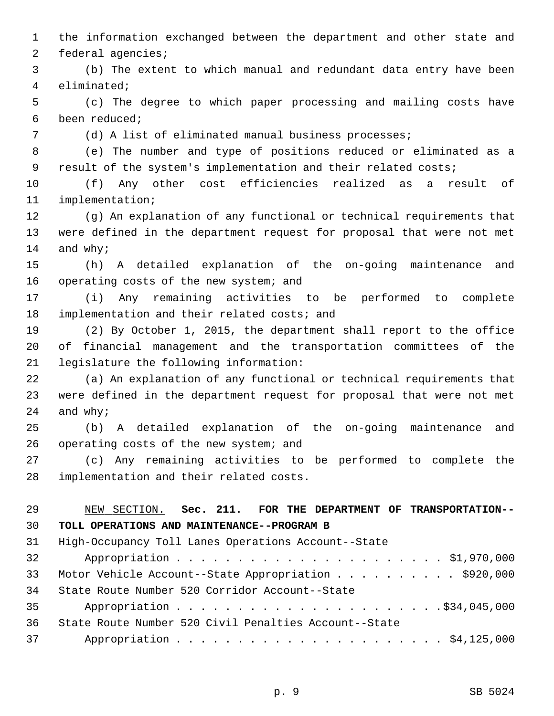1 the information exchanged between the department and other state and 2 federal agencies;

 3 (b) The extent to which manual and redundant data entry have been 4 eliminated;

 5 (c) The degree to which paper processing and mailing costs have 6 been reduced;

7 (d) A list of eliminated manual business processes;

 8 (e) The number and type of positions reduced or eliminated as a 9 result of the system's implementation and their related costs;

10 (f) Any other cost efficiencies realized as a result of 11 implementation;

12 (g) An explanation of any functional or technical requirements that 13 were defined in the department request for proposal that were not met 14 and why;

15 (h) A detailed explanation of the on-going maintenance and 16 operating costs of the new system; and

17 (i) Any remaining activities to be performed to complete 18 implementation and their related costs; and

19 (2) By October 1, 2015, the department shall report to the office 20 of financial management and the transportation committees of the 21 legislature the following information:

22 (a) An explanation of any functional or technical requirements that 23 were defined in the department request for proposal that were not met 24 and why;

25 (b) A detailed explanation of the on-going maintenance and 26 operating costs of the new system; and

27 (c) Any remaining activities to be performed to complete the 28 implementation and their related costs.

# 29 NEW SECTION. **Sec. 211. FOR THE DEPARTMENT OF TRANSPORTATION--** 30 **TOLL OPERATIONS AND MAINTENANCE--PROGRAM B** 31 High-Occupancy Toll Lanes Operations Account--State 32 Appropriation . . . . . . . . . . . . . . . . . . . . . . \$1,970,000 33 Motor Vehicle Account--State Appropriation . . . . . . . . . . \$920,000 34 State Route Number 520 Corridor Account--State 35 Appropriation . . . . . . . . . . . . . . . . . . . . . .\$34,045,000 36 State Route Number 520 Civil Penalties Account--State 37 Appropriation . . . . . . . . . . . . . . . . . . . . . . \$4,125,000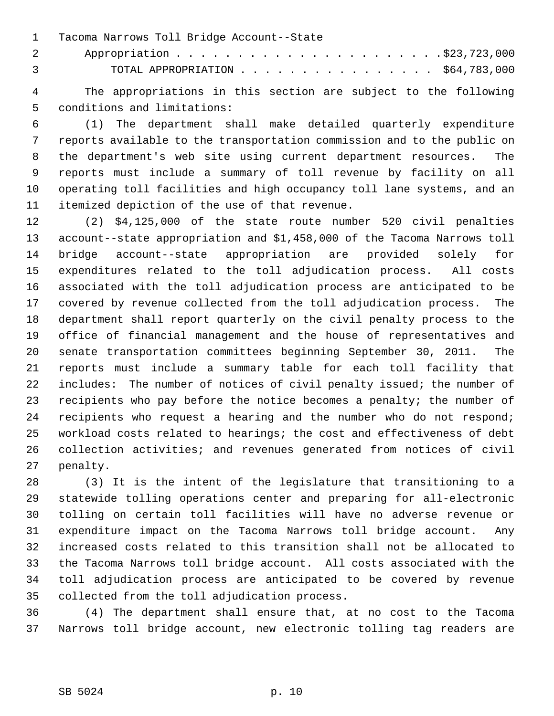1 Tacoma Narrows Toll Bridge Account--State

 2 Appropriation . . . . . . . . . . . . . . . . . . . . . .\$23,723,000 3 TOTAL APPROPRIATION . . . . . . . . . . . . . . . . \$64,783,000

 4 The appropriations in this section are subject to the following 5 conditions and limitations:

 6 (1) The department shall make detailed quarterly expenditure 7 reports available to the transportation commission and to the public on 8 the department's web site using current department resources. The 9 reports must include a summary of toll revenue by facility on all 10 operating toll facilities and high occupancy toll lane systems, and an 11 itemized depiction of the use of that revenue.

12 (2) \$4,125,000 of the state route number 520 civil penalties 13 account--state appropriation and \$1,458,000 of the Tacoma Narrows toll 14 bridge account--state appropriation are provided solely for 15 expenditures related to the toll adjudication process. All costs 16 associated with the toll adjudication process are anticipated to be 17 covered by revenue collected from the toll adjudication process. The 18 department shall report quarterly on the civil penalty process to the 19 office of financial management and the house of representatives and 20 senate transportation committees beginning September 30, 2011. The 21 reports must include a summary table for each toll facility that 22 includes: The number of notices of civil penalty issued; the number of 23 recipients who pay before the notice becomes a penalty; the number of 24 recipients who request a hearing and the number who do not respond; 25 workload costs related to hearings; the cost and effectiveness of debt 26 collection activities; and revenues generated from notices of civil 27 penalty.

28 (3) It is the intent of the legislature that transitioning to a 29 statewide tolling operations center and preparing for all-electronic 30 tolling on certain toll facilities will have no adverse revenue or 31 expenditure impact on the Tacoma Narrows toll bridge account. Any 32 increased costs related to this transition shall not be allocated to 33 the Tacoma Narrows toll bridge account. All costs associated with the 34 toll adjudication process are anticipated to be covered by revenue 35 collected from the toll adjudication process.

36 (4) The department shall ensure that, at no cost to the Tacoma 37 Narrows toll bridge account, new electronic tolling tag readers are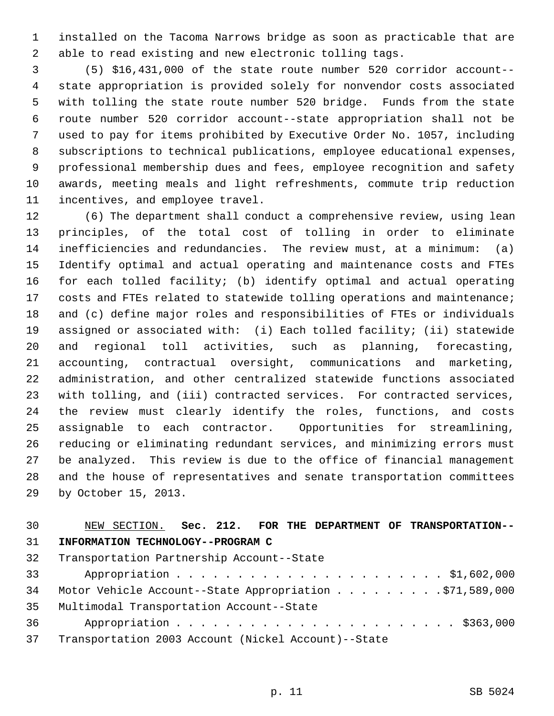1 installed on the Tacoma Narrows bridge as soon as practicable that are 2 able to read existing and new electronic tolling tags.

 3 (5) \$16,431,000 of the state route number 520 corridor account-- 4 state appropriation is provided solely for nonvendor costs associated 5 with tolling the state route number 520 bridge. Funds from the state 6 route number 520 corridor account--state appropriation shall not be 7 used to pay for items prohibited by Executive Order No. 1057, including 8 subscriptions to technical publications, employee educational expenses, 9 professional membership dues and fees, employee recognition and safety 10 awards, meeting meals and light refreshments, commute trip reduction 11 incentives, and employee travel.

12 (6) The department shall conduct a comprehensive review, using lean 13 principles, of the total cost of tolling in order to eliminate 14 inefficiencies and redundancies. The review must, at a minimum: (a) 15 Identify optimal and actual operating and maintenance costs and FTEs 16 for each tolled facility; (b) identify optimal and actual operating 17 costs and FTEs related to statewide tolling operations and maintenance; 18 and (c) define major roles and responsibilities of FTEs or individuals 19 assigned or associated with: (i) Each tolled facility; (ii) statewide 20 and regional toll activities, such as planning, forecasting, 21 accounting, contractual oversight, communications and marketing, 22 administration, and other centralized statewide functions associated 23 with tolling, and (iii) contracted services. For contracted services, 24 the review must clearly identify the roles, functions, and costs 25 assignable to each contractor. Opportunities for streamlining, 26 reducing or eliminating redundant services, and minimizing errors must 27 be analyzed. This review is due to the office of financial management 28 and the house of representatives and senate transportation committees 29 by October 15, 2013.

# 30 NEW SECTION. **Sec. 212. FOR THE DEPARTMENT OF TRANSPORTATION--** 31 **INFORMATION TECHNOLOGY--PROGRAM C** 32 Transportation Partnership Account--State

33 Appropriation . . . . . . . . . . . . . . . . . . . . . . \$1,602,000 34 Motor Vehicle Account--State Appropriation . . . . . . . . . \$71,589,000 35 Multimodal Transportation Account--State 36 Appropriation . . . . . . . . . . . . . . . . . . . . . . . \$363,000 37 Transportation 2003 Account (Nickel Account)--State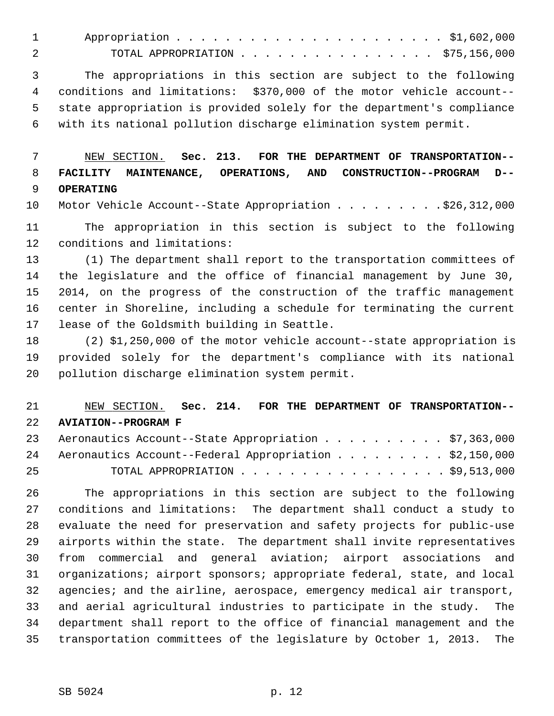1 Appropriation . . . . . . . . . . . . . . . . . . . . . . \$1,602,000 2 TOTAL APPROPRIATION . . . . . . . . . . . . . . . . \$75,156,000

 3 The appropriations in this section are subject to the following 4 conditions and limitations: \$370,000 of the motor vehicle account-- 5 state appropriation is provided solely for the department's compliance 6 with its national pollution discharge elimination system permit.

 7 NEW SECTION. **Sec. 213. FOR THE DEPARTMENT OF TRANSPORTATION--** 8 **FACILITY MAINTENANCE, OPERATIONS, AND CONSTRUCTION--PROGRAM D--** 9 **OPERATING**

10 Motor Vehicle Account--State Appropriation . . . . . . . . . \$26,312,000

11 The appropriation in this section is subject to the following 12 conditions and limitations:

13 (1) The department shall report to the transportation committees of 14 the legislature and the office of financial management by June 30, 15 2014, on the progress of the construction of the traffic management 16 center in Shoreline, including a schedule for terminating the current 17 lease of the Goldsmith building in Seattle.

18 (2) \$1,250,000 of the motor vehicle account--state appropriation is 19 provided solely for the department's compliance with its national 20 pollution discharge elimination system permit.

# 21 NEW SECTION. **Sec. 214. FOR THE DEPARTMENT OF TRANSPORTATION--** 22 **AVIATION--PROGRAM F**

|    | 23 Aeronautics Account--State Appropriation \$7,363,000   |  |
|----|-----------------------------------------------------------|--|
|    | 24 Aeronautics Account--Federal Appropriation \$2,150,000 |  |
| 25 | TOTAL APPROPRIATION $\ldots$ , \$9,513,000                |  |

26 The appropriations in this section are subject to the following 27 conditions and limitations: The department shall conduct a study to 28 evaluate the need for preservation and safety projects for public-use 29 airports within the state. The department shall invite representatives 30 from commercial and general aviation; airport associations and 31 organizations; airport sponsors; appropriate federal, state, and local 32 agencies; and the airline, aerospace, emergency medical air transport, 33 and aerial agricultural industries to participate in the study. The 34 department shall report to the office of financial management and the 35 transportation committees of the legislature by October 1, 2013. The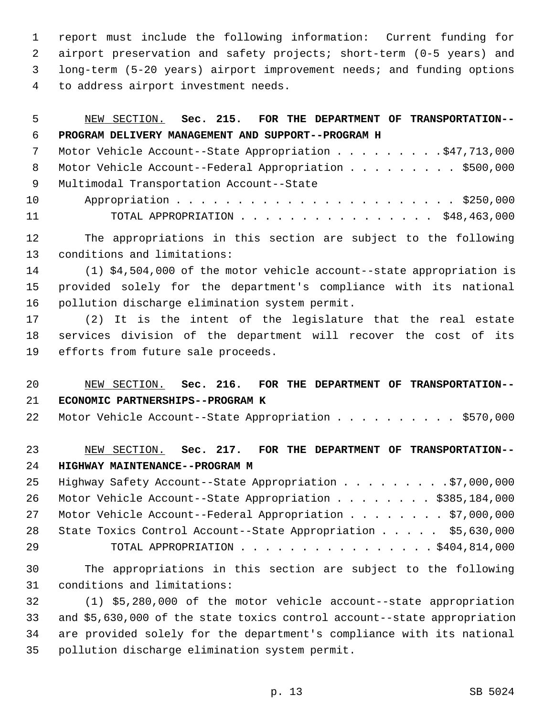1 report must include the following information: Current funding for 2 airport preservation and safety projects; short-term (0-5 years) and 3 long-term (5-20 years) airport improvement needs; and funding options 4 to address airport investment needs.

| 5  | Sec. 215. FOR THE DEPARTMENT OF TRANSPORTATION--<br>NEW SECTION.         |
|----|--------------------------------------------------------------------------|
| 6  | PROGRAM DELIVERY MANAGEMENT AND SUPPORT--PROGRAM H                       |
| 7  | Motor Vehicle Account--State Appropriation \$47,713,000                  |
| 8  | Motor Vehicle Account--Federal Appropriation \$500,000                   |
| 9  | Multimodal Transportation Account--State                                 |
| 10 |                                                                          |
| 11 | TOTAL APPROPRIATION \$48,463,000                                         |
| 12 | The appropriations in this section are subject to the following          |
| 13 | conditions and limitations:                                              |
| 14 | (1) \$4,504,000 of the motor vehicle account--state appropriation is     |
| 15 | provided solely for the department's compliance with its national        |
| 16 | pollution discharge elimination system permit.                           |
| 17 | (2) It is the intent of the legislature that the real estate             |
| 18 | services division of the department will recover the cost of its         |
| 19 | efforts from future sale proceeds.                                       |
|    |                                                                          |
| 20 | NEW SECTION. Sec. 216. FOR THE DEPARTMENT OF TRANSPORTATION--            |
| 21 | ECONOMIC PARTNERSHIPS--PROGRAM K                                         |
| 22 | Motor Vehicle Account--State Appropriation \$570,000                     |
| 23 | NEW SECTION. Sec. 217. FOR THE DEPARTMENT OF TRANSPORTATION--            |
| 24 | HIGHWAY MAINTENANCE--PROGRAM M                                           |
| 25 | Highway Safety Account--State Appropriation \$7,000,000                  |
| 26 | Motor Vehicle Account--State Appropriation \$385,184,000                 |
| 27 | Motor Vehicle Account--Federal Appropriation \$7,000,000                 |
| 28 | State Toxics Control Account--State Appropriation \$5,630,000            |
| 29 | TOTAL APPROPRIATION \$404,814,000                                        |
| 30 | The appropriations in this section are subject to the following          |
| 31 | conditions and limitations:                                              |
| 32 | (1) \$5,280,000 of the motor vehicle account--state appropriation        |
| 33 | and \$5,630,000 of the state toxics control account--state appropriation |
| 34 | are provided solely for the department's compliance with its national    |
| 35 | pollution discharge elimination system permit.                           |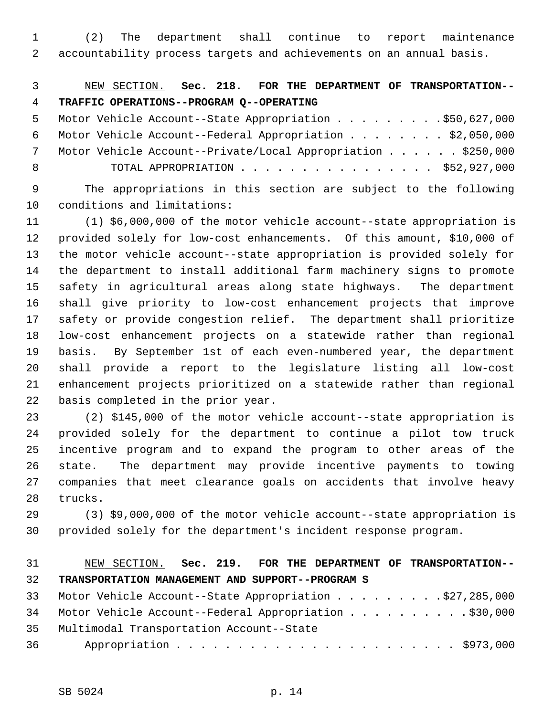1 (2) The department shall continue to report maintenance 2 accountability process targets and achievements on an annual basis.

 3 NEW SECTION. **Sec. 218. FOR THE DEPARTMENT OF TRANSPORTATION--** 4 **TRAFFIC OPERATIONS--PROGRAM Q--OPERATING**

5 Motor Vehicle Account--State Appropriation . . . . . . . . . \$50,627,000 6 Motor Vehicle Account--Federal Appropriation . . . . . . . . \$2,050,000 7 Motor Vehicle Account--Private/Local Appropriation . . . . . \$250,000 8 TOTAL APPROPRIATION . . . . . . . . . . . . . . . . \$52,927,000

 9 The appropriations in this section are subject to the following 10 conditions and limitations:

11 (1) \$6,000,000 of the motor vehicle account--state appropriation is 12 provided solely for low-cost enhancements. Of this amount, \$10,000 of 13 the motor vehicle account--state appropriation is provided solely for 14 the department to install additional farm machinery signs to promote 15 safety in agricultural areas along state highways. The department 16 shall give priority to low-cost enhancement projects that improve 17 safety or provide congestion relief. The department shall prioritize 18 low-cost enhancement projects on a statewide rather than regional 19 basis. By September 1st of each even-numbered year, the department 20 shall provide a report to the legislature listing all low-cost 21 enhancement projects prioritized on a statewide rather than regional 22 basis completed in the prior year.

23 (2) \$145,000 of the motor vehicle account--state appropriation is 24 provided solely for the department to continue a pilot tow truck 25 incentive program and to expand the program to other areas of the 26 state. The department may provide incentive payments to towing 27 companies that meet clearance goals on accidents that involve heavy 28 trucks.

29 (3) \$9,000,000 of the motor vehicle account--state appropriation is 30 provided solely for the department's incident response program.

# 31 NEW SECTION. **Sec. 219. FOR THE DEPARTMENT OF TRANSPORTATION--** 32 **TRANSPORTATION MANAGEMENT AND SUPPORT--PROGRAM S** 33 Motor Vehicle Account--State Appropriation . . . . . . . . .\$27,285,000

|      | 34 Motor Vehicle Account--Federal Appropriation \$30,000 |
|------|----------------------------------------------------------|
|      | 35 Multimodal Transportation Account--State              |
| 36 — |                                                          |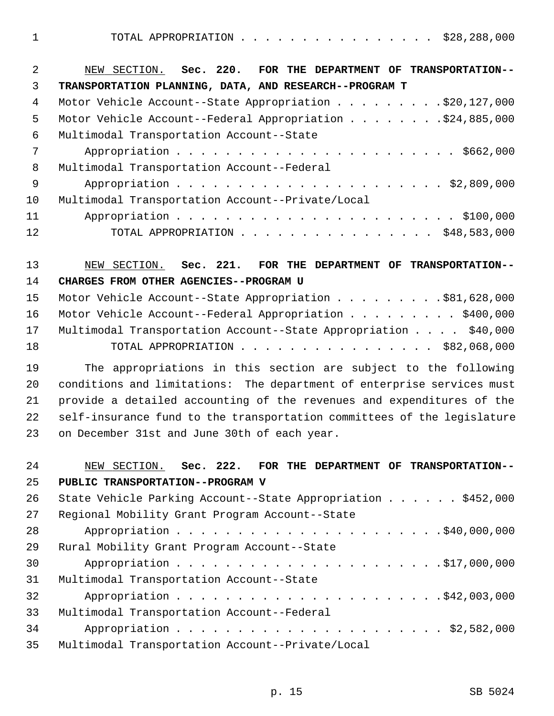1 TOTAL APPROPRIATION . . . . . . . . . . . . . . . . \$28,288,000

| $\mathfrak{D}$  | NEW SECTION. Sec. 220. FOR THE DEPARTMENT OF TRANSPORTATION-- |
|-----------------|---------------------------------------------------------------|
| 3               | TRANSPORTATION PLANNING, DATA, AND RESEARCH--PROGRAM T        |
| 4               | Motor Vehicle Account--State Appropriation \$20,127,000       |
| 5               | Motor Vehicle Account--Federal Appropriation \$24,885,000     |
| 6               | Multimodal Transportation Account--State                      |
| 7               |                                                               |
| 8               | Multimodal Transportation Account--Federal                    |
| - 9             |                                                               |
| 10 <sup>°</sup> | Multimodal Transportation Account--Private/Local              |
| 11              |                                                               |
| 12 <sub>2</sub> | TOTAL APPROPRIATION \$48,583,000                              |

13 NEW SECTION. **Sec. 221. FOR THE DEPARTMENT OF TRANSPORTATION--** 14 **CHARGES FROM OTHER AGENCIES--PROGRAM U**

|    | 15 Motor Vehicle Account--State Appropriation \$81,628,000         |  |
|----|--------------------------------------------------------------------|--|
|    | 16 Motor Vehicle Account--Federal Appropriation \$400,000          |  |
|    | 17 Multimodal Transportation Account--State Appropriation \$40,000 |  |
| 18 | TOTAL APPROPRIATION $\ldots$ , \$82,068,000                        |  |

19 The appropriations in this section are subject to the following 20 conditions and limitations: The department of enterprise services must 21 provide a detailed accounting of the revenues and expenditures of the 22 self-insurance fund to the transportation committees of the legislature 23 on December 31st and June 30th of each year.

| 24 | NEW SECTION. Sec. 222. FOR THE DEPARTMENT OF TRANSPORTATION--                  |
|----|--------------------------------------------------------------------------------|
| 25 | PUBLIC TRANSPORTATION--PROGRAM V                                               |
| 26 | State Vehicle Parking Account--State Appropriation $\ldots \ldots$ , \$452,000 |
| 27 | Regional Mobility Grant Program Account--State                                 |
| 28 |                                                                                |
| 29 | Rural Mobility Grant Program Account--State                                    |
| 30 |                                                                                |
| 31 | Multimodal Transportation Account--State                                       |
| 32 |                                                                                |
| 33 | Multimodal Transportation Account--Federal                                     |
| 34 |                                                                                |
| 35 | Multimodal Transportation Account--Private/Local                               |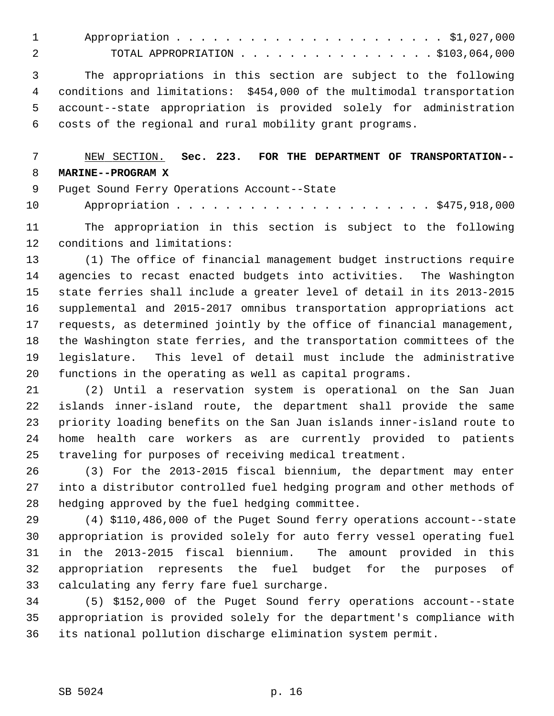| TOTAL APPROPRIATION $\ldots$ , \$103,064,000 |
|----------------------------------------------|

 3 The appropriations in this section are subject to the following 4 conditions and limitations: \$454,000 of the multimodal transportation 5 account--state appropriation is provided solely for administration 6 costs of the regional and rural mobility grant programs.

# 7 NEW SECTION. **Sec. 223. FOR THE DEPARTMENT OF TRANSPORTATION--** 8 **MARINE--PROGRAM X**

9 Puget Sound Ferry Operations Account--State

10 Appropriation . . . . . . . . . . . . . . . . . . . . . \$475,918,000

11 The appropriation in this section is subject to the following 12 conditions and limitations:

13 (1) The office of financial management budget instructions require 14 agencies to recast enacted budgets into activities. The Washington 15 state ferries shall include a greater level of detail in its 2013-2015 16 supplemental and 2015-2017 omnibus transportation appropriations act 17 requests, as determined jointly by the office of financial management, 18 the Washington state ferries, and the transportation committees of the 19 legislature. This level of detail must include the administrative 20 functions in the operating as well as capital programs.

21 (2) Until a reservation system is operational on the San Juan 22 islands inner-island route, the department shall provide the same 23 priority loading benefits on the San Juan islands inner-island route to 24 home health care workers as are currently provided to patients 25 traveling for purposes of receiving medical treatment.

26 (3) For the 2013-2015 fiscal biennium, the department may enter 27 into a distributor controlled fuel hedging program and other methods of 28 hedging approved by the fuel hedging committee.

29 (4) \$110,486,000 of the Puget Sound ferry operations account--state 30 appropriation is provided solely for auto ferry vessel operating fuel 31 in the 2013-2015 fiscal biennium. The amount provided in this 32 appropriation represents the fuel budget for the purposes of 33 calculating any ferry fare fuel surcharge.

34 (5) \$152,000 of the Puget Sound ferry operations account--state 35 appropriation is provided solely for the department's compliance with 36 its national pollution discharge elimination system permit.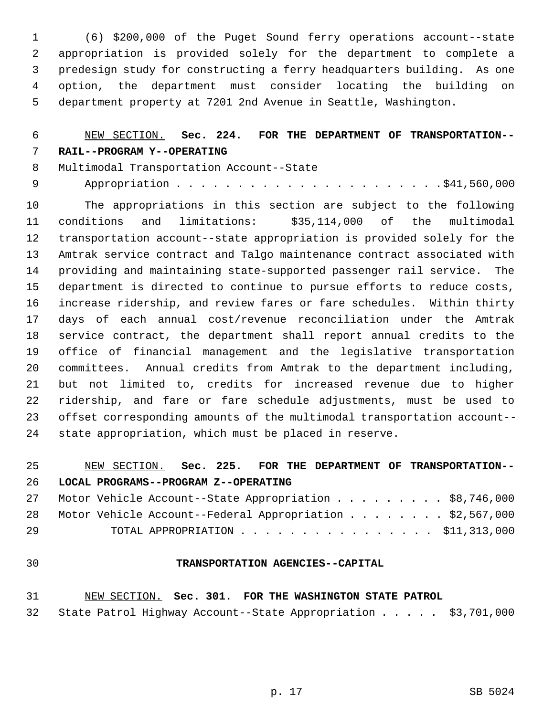1 (6) \$200,000 of the Puget Sound ferry operations account--state 2 appropriation is provided solely for the department to complete a 3 predesign study for constructing a ferry headquarters building. As one 4 option, the department must consider locating the building on 5 department property at 7201 2nd Avenue in Seattle, Washington.

### 6 NEW SECTION. **Sec. 224. FOR THE DEPARTMENT OF TRANSPORTATION--** 7 **RAIL--PROGRAM Y--OPERATING**

- 8 Multimodal Transportation Account--State
- 9 Appropriation . . . . . . . . . . . . . . . . . . . . . .\$41,560,000

10 The appropriations in this section are subject to the following 11 conditions and limitations: \$35,114,000 of the multimodal 12 transportation account--state appropriation is provided solely for the 13 Amtrak service contract and Talgo maintenance contract associated with 14 providing and maintaining state-supported passenger rail service. The 15 department is directed to continue to pursue efforts to reduce costs, 16 increase ridership, and review fares or fare schedules. Within thirty 17 days of each annual cost/revenue reconciliation under the Amtrak 18 service contract, the department shall report annual credits to the 19 office of financial management and the legislative transportation 20 committees. Annual credits from Amtrak to the department including, 21 but not limited to, credits for increased revenue due to higher 22 ridership, and fare or fare schedule adjustments, must be used to 23 offset corresponding amounts of the multimodal transportation account-- 24 state appropriation, which must be placed in reserve.

### 25 NEW SECTION. **Sec. 225. FOR THE DEPARTMENT OF TRANSPORTATION--** 26 **LOCAL PROGRAMS--PROGRAM Z--OPERATING**

|    |  | 27 Motor Vehicle Account--State Appropriation \$8,746,000   |  |  |  |  |  |  |  |  |
|----|--|-------------------------------------------------------------|--|--|--|--|--|--|--|--|
|    |  | 28 Motor Vehicle Account--Federal Appropriation \$2,567,000 |  |  |  |  |  |  |  |  |
| 29 |  | TOTAL APPROPRIATION $\ldots$ , \$11,313,000                 |  |  |  |  |  |  |  |  |

#### 30 **TRANSPORTATION AGENCIES--CAPITAL**

#### 31 NEW SECTION. **Sec. 301. FOR THE WASHINGTON STATE PATROL**

32 State Patrol Highway Account--State Appropriation . . . . . \$3,701,000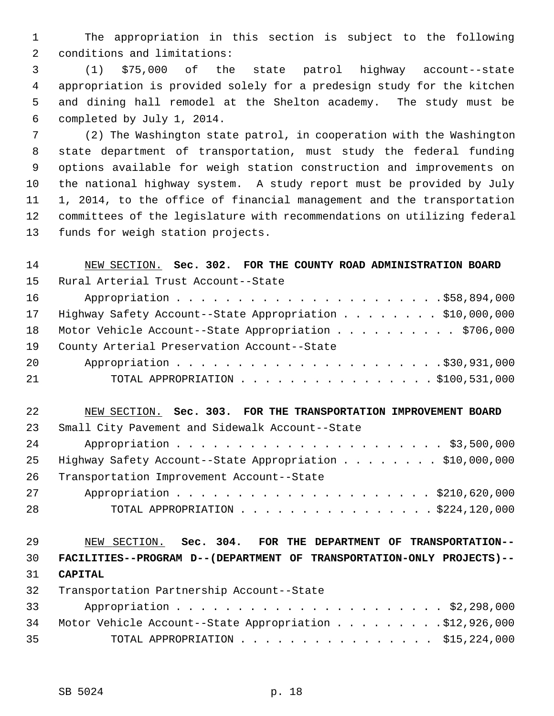1 The appropriation in this section is subject to the following 2 conditions and limitations:

 3 (1) \$75,000 of the state patrol highway account--state 4 appropriation is provided solely for a predesign study for the kitchen 5 and dining hall remodel at the Shelton academy. The study must be 6 completed by July 1, 2014.

 7 (2) The Washington state patrol, in cooperation with the Washington 8 state department of transportation, must study the federal funding 9 options available for weigh station construction and improvements on 10 the national highway system. A study report must be provided by July 11 1, 2014, to the office of financial management and the transportation 12 committees of the legislature with recommendations on utilizing federal 13 funds for weigh station projects.

| 14 | NEW SECTION. Sec. 302. FOR THE COUNTY ROAD ADMINISTRATION BOARD       |
|----|-----------------------------------------------------------------------|
| 15 | Rural Arterial Trust Account--State                                   |
| 16 |                                                                       |
| 17 | Highway Safety Account--State Appropriation \$10,000,000              |
| 18 | Motor Vehicle Account--State Appropriation \$706,000                  |
| 19 | County Arterial Preservation Account--State                           |
| 20 |                                                                       |
| 21 | TOTAL APPROPRIATION $\ldots$ , \$100,531,000                          |
|    |                                                                       |
| 22 | NEW SECTION. Sec. 303. FOR THE TRANSPORTATION IMPROVEMENT BOARD       |
| 23 | Small City Pavement and Sidewalk Account--State                       |
| 24 |                                                                       |
| 25 | Highway Safety Account--State Appropriation \$10,000,000              |
| 26 | Transportation Improvement Account--State                             |
| 27 |                                                                       |
| 28 | TOTAL APPROPRIATION $\ldots$ , \$224,120,000                          |
|    |                                                                       |
| 29 | NEW SECTION. Sec. 304. FOR THE DEPARTMENT OF TRANSPORTATION--         |
| 30 | FACILITIES--PROGRAM D--(DEPARTMENT OF TRANSPORTATION-ONLY PROJECTS)-- |
| 31 | <b>CAPITAL</b>                                                        |
| 32 | Transportation Partnership Account--State                             |
| 33 |                                                                       |
| 34 | Motor Vehicle Account--State Appropriation \$12,926,000               |
| 35 | TOTAL APPROPRIATION \$15,224,000                                      |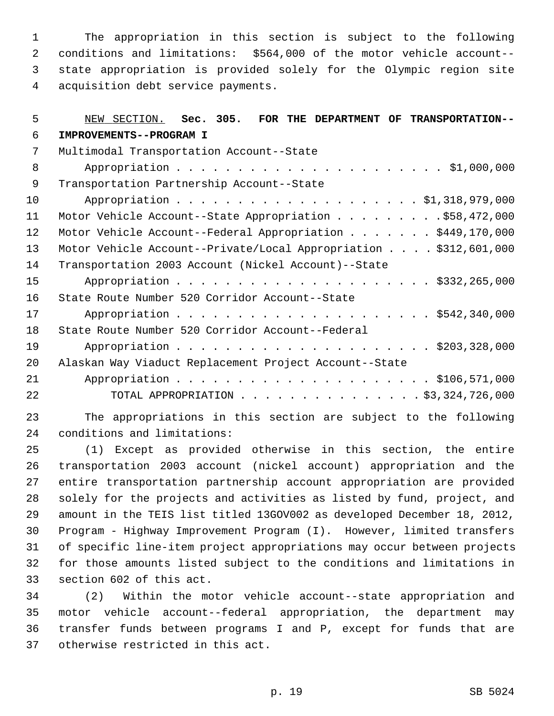1 The appropriation in this section is subject to the following 2 conditions and limitations: \$564,000 of the motor vehicle account-- 3 state appropriation is provided solely for the Olympic region site 4 acquisition debt service payments.

| 5  | NEW SECTION. Sec. 305. FOR THE DEPARTMENT OF TRANSPORTATION--    |
|----|------------------------------------------------------------------|
| 6  | IMPROVEMENTS--PROGRAM I                                          |
| 7  | Multimodal Transportation Account--State                         |
| 8  |                                                                  |
| 9  | Transportation Partnership Account--State                        |
| 10 |                                                                  |
| 11 | Motor Vehicle Account--State Appropriation \$58,472,000          |
| 12 | Motor Vehicle Account--Federal Appropriation \$449,170,000       |
| 13 | Motor Vehicle Account--Private/Local Appropriation \$312,601,000 |
| 14 | Transportation 2003 Account (Nickel Account)--State              |
| 15 |                                                                  |
| 16 | State Route Number 520 Corridor Account--State                   |
| 17 |                                                                  |
| 18 | State Route Number 520 Corridor Account--Federal                 |
| 19 |                                                                  |
| 20 | Alaskan Way Viaduct Replacement Project Account--State           |
| 21 |                                                                  |
| 22 | TOTAL APPROPRIATION \$3,324,726,000                              |
|    |                                                                  |

23 The appropriations in this section are subject to the following 24 conditions and limitations:

25 (1) Except as provided otherwise in this section, the entire 26 transportation 2003 account (nickel account) appropriation and the 27 entire transportation partnership account appropriation are provided 28 solely for the projects and activities as listed by fund, project, and 29 amount in the TEIS list titled 13GOV002 as developed December 18, 2012, 30 Program - Highway Improvement Program (I). However, limited transfers 31 of specific line-item project appropriations may occur between projects 32 for those amounts listed subject to the conditions and limitations in 33 section 602 of this act.

34 (2) Within the motor vehicle account--state appropriation and 35 motor vehicle account--federal appropriation, the department may 36 transfer funds between programs I and P, except for funds that are 37 otherwise restricted in this act.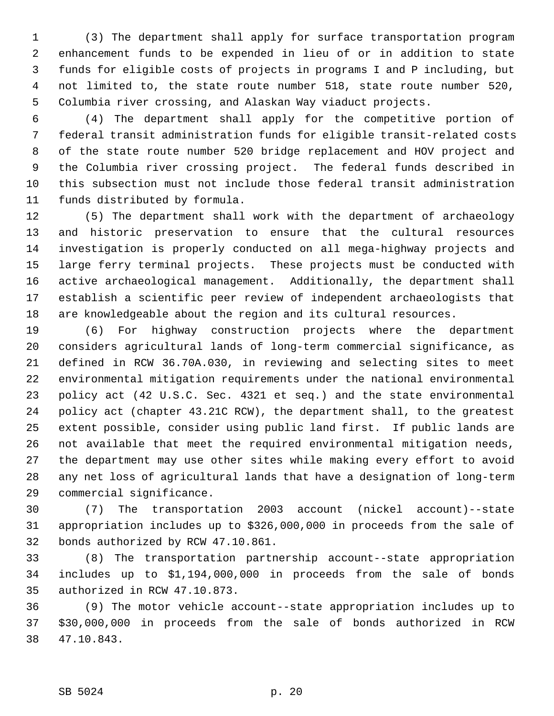1 (3) The department shall apply for surface transportation program 2 enhancement funds to be expended in lieu of or in addition to state 3 funds for eligible costs of projects in programs I and P including, but 4 not limited to, the state route number 518, state route number 520, 5 Columbia river crossing, and Alaskan Way viaduct projects.

 6 (4) The department shall apply for the competitive portion of 7 federal transit administration funds for eligible transit-related costs 8 of the state route number 520 bridge replacement and HOV project and 9 the Columbia river crossing project. The federal funds described in 10 this subsection must not include those federal transit administration 11 funds distributed by formula.

12 (5) The department shall work with the department of archaeology 13 and historic preservation to ensure that the cultural resources 14 investigation is properly conducted on all mega-highway projects and 15 large ferry terminal projects. These projects must be conducted with 16 active archaeological management. Additionally, the department shall 17 establish a scientific peer review of independent archaeologists that 18 are knowledgeable about the region and its cultural resources.

19 (6) For highway construction projects where the department 20 considers agricultural lands of long-term commercial significance, as 21 defined in RCW 36.70A.030, in reviewing and selecting sites to meet 22 environmental mitigation requirements under the national environmental 23 policy act (42 U.S.C. Sec. 4321 et seq.) and the state environmental 24 policy act (chapter 43.21C RCW), the department shall, to the greatest 25 extent possible, consider using public land first. If public lands are 26 not available that meet the required environmental mitigation needs, 27 the department may use other sites while making every effort to avoid 28 any net loss of agricultural lands that have a designation of long-term 29 commercial significance.

30 (7) The transportation 2003 account (nickel account)--state 31 appropriation includes up to \$326,000,000 in proceeds from the sale of 32 bonds authorized by RCW 47.10.861.

33 (8) The transportation partnership account--state appropriation 34 includes up to \$1,194,000,000 in proceeds from the sale of bonds 35 authorized in RCW 47.10.873.

36 (9) The motor vehicle account--state appropriation includes up to 37 \$30,000,000 in proceeds from the sale of bonds authorized in RCW 38 47.10.843.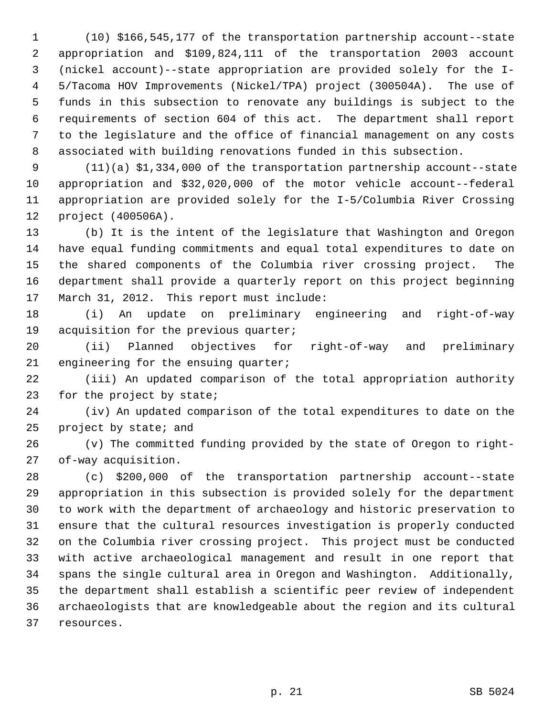1 (10) \$166,545,177 of the transportation partnership account--state 2 appropriation and \$109,824,111 of the transportation 2003 account 3 (nickel account)--state appropriation are provided solely for the I- 4 5/Tacoma HOV Improvements (Nickel/TPA) project (300504A). The use of 5 funds in this subsection to renovate any buildings is subject to the 6 requirements of section 604 of this act. The department shall report 7 to the legislature and the office of financial management on any costs 8 associated with building renovations funded in this subsection.

 9 (11)(a) \$1,334,000 of the transportation partnership account--state 10 appropriation and \$32,020,000 of the motor vehicle account--federal 11 appropriation are provided solely for the I-5/Columbia River Crossing 12 project (400506A).

13 (b) It is the intent of the legislature that Washington and Oregon 14 have equal funding commitments and equal total expenditures to date on 15 the shared components of the Columbia river crossing project. The 16 department shall provide a quarterly report on this project beginning 17 March 31, 2012. This report must include:

18 (i) An update on preliminary engineering and right-of-way 19 acquisition for the previous quarter;

20 (ii) Planned objectives for right-of-way and preliminary 21 engineering for the ensuing quarter;

22 (iii) An updated comparison of the total appropriation authority 23 for the project by state;

24 (iv) An updated comparison of the total expenditures to date on the 25 project by state; and

26 (v) The committed funding provided by the state of Oregon to right-27 of-way acquisition.

28 (c) \$200,000 of the transportation partnership account--state 29 appropriation in this subsection is provided solely for the department 30 to work with the department of archaeology and historic preservation to 31 ensure that the cultural resources investigation is properly conducted 32 on the Columbia river crossing project. This project must be conducted 33 with active archaeological management and result in one report that 34 spans the single cultural area in Oregon and Washington. Additionally, 35 the department shall establish a scientific peer review of independent 36 archaeologists that are knowledgeable about the region and its cultural 37 resources.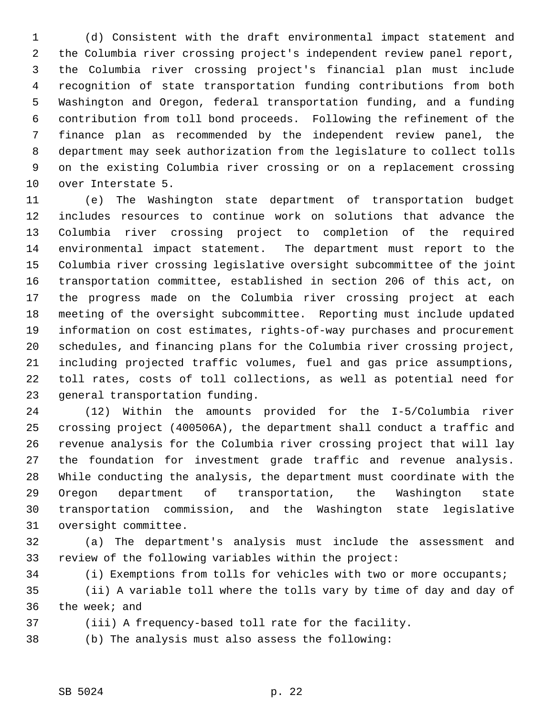1 (d) Consistent with the draft environmental impact statement and 2 the Columbia river crossing project's independent review panel report, 3 the Columbia river crossing project's financial plan must include 4 recognition of state transportation funding contributions from both 5 Washington and Oregon, federal transportation funding, and a funding 6 contribution from toll bond proceeds. Following the refinement of the 7 finance plan as recommended by the independent review panel, the 8 department may seek authorization from the legislature to collect tolls 9 on the existing Columbia river crossing or on a replacement crossing 10 over Interstate 5.

11 (e) The Washington state department of transportation budget 12 includes resources to continue work on solutions that advance the 13 Columbia river crossing project to completion of the required 14 environmental impact statement. The department must report to the 15 Columbia river crossing legislative oversight subcommittee of the joint 16 transportation committee, established in section 206 of this act, on 17 the progress made on the Columbia river crossing project at each 18 meeting of the oversight subcommittee. Reporting must include updated 19 information on cost estimates, rights-of-way purchases and procurement 20 schedules, and financing plans for the Columbia river crossing project, 21 including projected traffic volumes, fuel and gas price assumptions, 22 toll rates, costs of toll collections, as well as potential need for 23 general transportation funding.

24 (12) Within the amounts provided for the I-5/Columbia river 25 crossing project (400506A), the department shall conduct a traffic and 26 revenue analysis for the Columbia river crossing project that will lay 27 the foundation for investment grade traffic and revenue analysis. 28 While conducting the analysis, the department must coordinate with the 29 Oregon department of transportation, the Washington state 30 transportation commission, and the Washington state legislative 31 oversight committee.

32 (a) The department's analysis must include the assessment and 33 review of the following variables within the project:

34 (i) Exemptions from tolls for vehicles with two or more occupants;

35 (ii) A variable toll where the tolls vary by time of day and day of 36 the week; and

37 (iii) A frequency-based toll rate for the facility.

38 (b) The analysis must also assess the following:

#### SB 5024 p. 22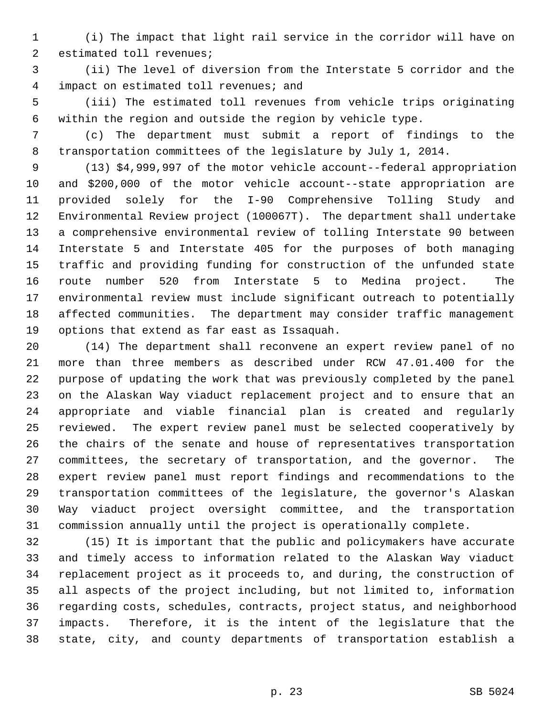1 (i) The impact that light rail service in the corridor will have on 2 estimated toll revenues;

 3 (ii) The level of diversion from the Interstate 5 corridor and the 4 impact on estimated toll revenues; and

 5 (iii) The estimated toll revenues from vehicle trips originating 6 within the region and outside the region by vehicle type.

 7 (c) The department must submit a report of findings to the 8 transportation committees of the legislature by July 1, 2014.

 9 (13) \$4,999,997 of the motor vehicle account--federal appropriation 10 and \$200,000 of the motor vehicle account--state appropriation are 11 provided solely for the I-90 Comprehensive Tolling Study and 12 Environmental Review project (100067T). The department shall undertake 13 a comprehensive environmental review of tolling Interstate 90 between 14 Interstate 5 and Interstate 405 for the purposes of both managing 15 traffic and providing funding for construction of the unfunded state 16 route number 520 from Interstate 5 to Medina project. The 17 environmental review must include significant outreach to potentially 18 affected communities. The department may consider traffic management 19 options that extend as far east as Issaquah.

20 (14) The department shall reconvene an expert review panel of no 21 more than three members as described under RCW 47.01.400 for the 22 purpose of updating the work that was previously completed by the panel 23 on the Alaskan Way viaduct replacement project and to ensure that an 24 appropriate and viable financial plan is created and regularly 25 reviewed. The expert review panel must be selected cooperatively by 26 the chairs of the senate and house of representatives transportation 27 committees, the secretary of transportation, and the governor. The 28 expert review panel must report findings and recommendations to the 29 transportation committees of the legislature, the governor's Alaskan 30 Way viaduct project oversight committee, and the transportation 31 commission annually until the project is operationally complete.

32 (15) It is important that the public and policymakers have accurate 33 and timely access to information related to the Alaskan Way viaduct 34 replacement project as it proceeds to, and during, the construction of 35 all aspects of the project including, but not limited to, information 36 regarding costs, schedules, contracts, project status, and neighborhood 37 impacts. Therefore, it is the intent of the legislature that the 38 state, city, and county departments of transportation establish a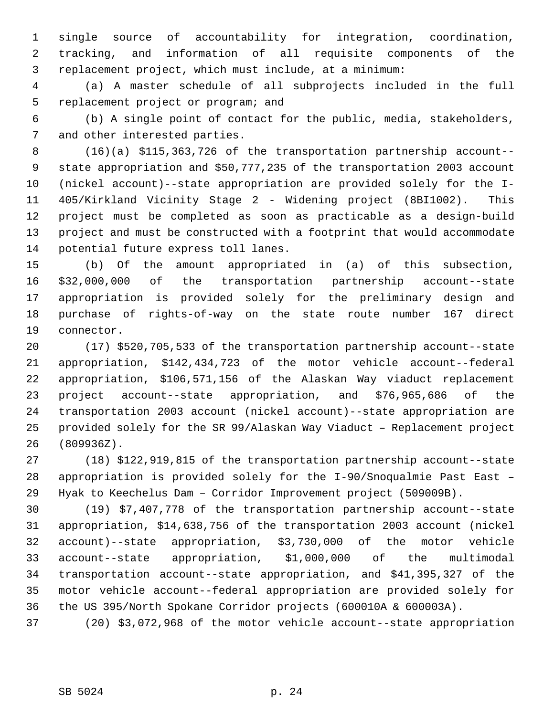1 single source of accountability for integration, coordination, 2 tracking, and information of all requisite components of the 3 replacement project, which must include, at a minimum:

 4 (a) A master schedule of all subprojects included in the full 5 replacement project or program; and

 6 (b) A single point of contact for the public, media, stakeholders, 7 and other interested parties.

 8 (16)(a) \$115,363,726 of the transportation partnership account-- 9 state appropriation and \$50,777,235 of the transportation 2003 account 10 (nickel account)--state appropriation are provided solely for the I-11 405/Kirkland Vicinity Stage 2 - Widening project (8BI1002). This 12 project must be completed as soon as practicable as a design-build 13 project and must be constructed with a footprint that would accommodate 14 potential future express toll lanes.

15 (b) Of the amount appropriated in (a) of this subsection, 16 \$32,000,000 of the transportation partnership account--state 17 appropriation is provided solely for the preliminary design and 18 purchase of rights-of-way on the state route number 167 direct 19 connector.

20 (17) \$520,705,533 of the transportation partnership account--state 21 appropriation, \$142,434,723 of the motor vehicle account--federal 22 appropriation, \$106,571,156 of the Alaskan Way viaduct replacement 23 project account--state appropriation, and \$76,965,686 of the 24 transportation 2003 account (nickel account)--state appropriation are 25 provided solely for the SR 99/Alaskan Way Viaduct – Replacement project 26 (809936Z).

27 (18) \$122,919,815 of the transportation partnership account--state 28 appropriation is provided solely for the I-90/Snoqualmie Past East – 29 Hyak to Keechelus Dam – Corridor Improvement project (509009B).

30 (19) \$7,407,778 of the transportation partnership account--state 31 appropriation, \$14,638,756 of the transportation 2003 account (nickel 32 account)--state appropriation, \$3,730,000 of the motor vehicle 33 account--state appropriation, \$1,000,000 of the multimodal 34 transportation account--state appropriation, and \$41,395,327 of the 35 motor vehicle account--federal appropriation are provided solely for 36 the US 395/North Spokane Corridor projects (600010A & 600003A).

37 (20) \$3,072,968 of the motor vehicle account--state appropriation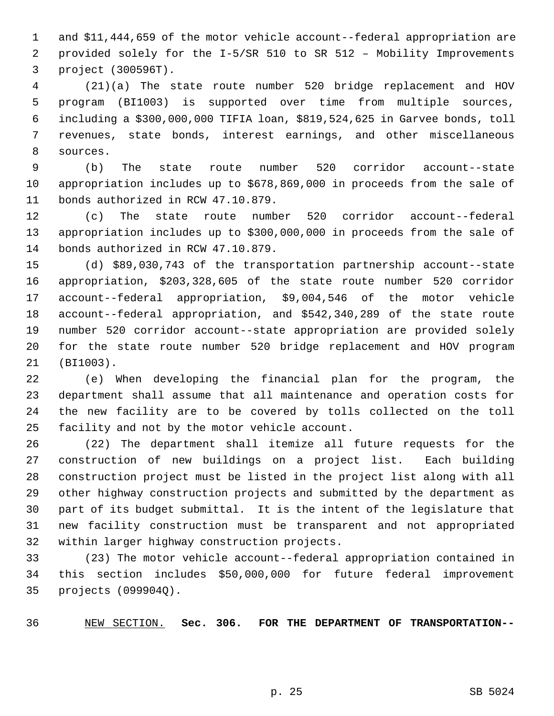1 and \$11,444,659 of the motor vehicle account--federal appropriation are 2 provided solely for the I-5/SR 510 to SR 512 – Mobility Improvements 3 project (300596T).

 4 (21)(a) The state route number 520 bridge replacement and HOV 5 program (BI1003) is supported over time from multiple sources, 6 including a \$300,000,000 TIFIA loan, \$819,524,625 in Garvee bonds, toll 7 revenues, state bonds, interest earnings, and other miscellaneous 8 sources.

 9 (b) The state route number 520 corridor account--state 10 appropriation includes up to \$678,869,000 in proceeds from the sale of 11 bonds authorized in RCW 47.10.879.

12 (c) The state route number 520 corridor account--federal 13 appropriation includes up to \$300,000,000 in proceeds from the sale of 14 bonds authorized in RCW 47.10.879.

15 (d) \$89,030,743 of the transportation partnership account--state 16 appropriation, \$203,328,605 of the state route number 520 corridor 17 account--federal appropriation, \$9,004,546 of the motor vehicle 18 account--federal appropriation, and \$542,340,289 of the state route 19 number 520 corridor account--state appropriation are provided solely 20 for the state route number 520 bridge replacement and HOV program 21 (BI1003).

22 (e) When developing the financial plan for the program, the 23 department shall assume that all maintenance and operation costs for 24 the new facility are to be covered by tolls collected on the toll 25 facility and not by the motor vehicle account.

26 (22) The department shall itemize all future requests for the 27 construction of new buildings on a project list. Each building 28 construction project must be listed in the project list along with all 29 other highway construction projects and submitted by the department as 30 part of its budget submittal. It is the intent of the legislature that 31 new facility construction must be transparent and not appropriated 32 within larger highway construction projects.

33 (23) The motor vehicle account--federal appropriation contained in 34 this section includes \$50,000,000 for future federal improvement 35 projects (099904Q).

36 NEW SECTION. **Sec. 306. FOR THE DEPARTMENT OF TRANSPORTATION--**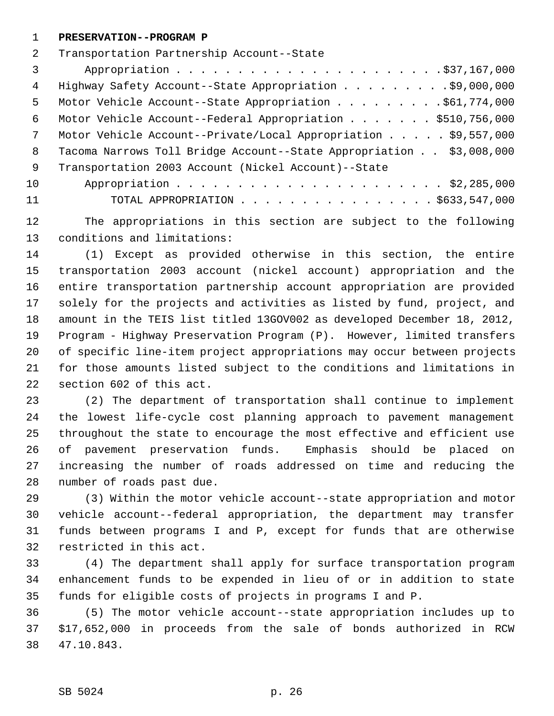1 **PRESERVATION--PROGRAM P**

2 Transportation Partnership Account--State

 3 Appropriation . . . . . . . . . . . . . . . . . . . . . .\$37,167,000 4 Highway Safety Account--State Appropriation . . . . . . . . .\$9,000,000 5 Motor Vehicle Account--State Appropriation . . . . . . . . \$61,774,000 6 Motor Vehicle Account--Federal Appropriation . . . . . . . \$510,756,000 7 Motor Vehicle Account--Private/Local Appropriation . . . . . \$9,557,000 8 Tacoma Narrows Toll Bridge Account--State Appropriation . . \$3,008,000 9 Transportation 2003 Account (Nickel Account)--State 10 Appropriation . . . . . . . . . . . . . . . . . . . . . . \$2,285,000

11 TOTAL APPROPRIATION . . . . . . . . . . . . . . . . \$633,547,000

12 The appropriations in this section are subject to the following 13 conditions and limitations:

14 (1) Except as provided otherwise in this section, the entire 15 transportation 2003 account (nickel account) appropriation and the 16 entire transportation partnership account appropriation are provided 17 solely for the projects and activities as listed by fund, project, and 18 amount in the TEIS list titled 13GOV002 as developed December 18, 2012, 19 Program - Highway Preservation Program (P). However, limited transfers 20 of specific line-item project appropriations may occur between projects 21 for those amounts listed subject to the conditions and limitations in 22 section 602 of this act.

23 (2) The department of transportation shall continue to implement 24 the lowest life-cycle cost planning approach to pavement management 25 throughout the state to encourage the most effective and efficient use 26 of pavement preservation funds. Emphasis should be placed on 27 increasing the number of roads addressed on time and reducing the 28 number of roads past due.

29 (3) Within the motor vehicle account--state appropriation and motor 30 vehicle account--federal appropriation, the department may transfer 31 funds between programs I and P, except for funds that are otherwise 32 restricted in this act.

33 (4) The department shall apply for surface transportation program 34 enhancement funds to be expended in lieu of or in addition to state 35 funds for eligible costs of projects in programs I and P.

36 (5) The motor vehicle account--state appropriation includes up to 37 \$17,652,000 in proceeds from the sale of bonds authorized in RCW 38 47.10.843.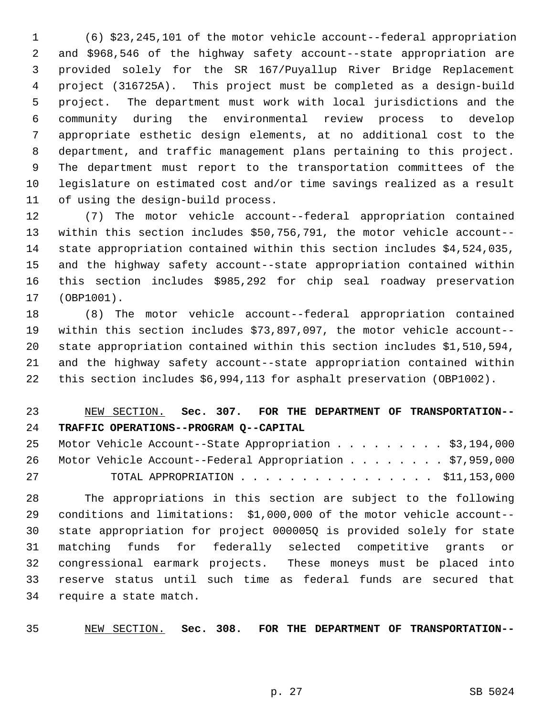1 (6) \$23,245,101 of the motor vehicle account--federal appropriation 2 and \$968,546 of the highway safety account--state appropriation are 3 provided solely for the SR 167/Puyallup River Bridge Replacement 4 project (316725A). This project must be completed as a design-build 5 project. The department must work with local jurisdictions and the 6 community during the environmental review process to develop 7 appropriate esthetic design elements, at no additional cost to the 8 department, and traffic management plans pertaining to this project. 9 The department must report to the transportation committees of the 10 legislature on estimated cost and/or time savings realized as a result 11 of using the design-build process.

12 (7) The motor vehicle account--federal appropriation contained 13 within this section includes \$50,756,791, the motor vehicle account-- 14 state appropriation contained within this section includes \$4,524,035, 15 and the highway safety account--state appropriation contained within 16 this section includes \$985,292 for chip seal roadway preservation 17 (OBP1001).

18 (8) The motor vehicle account--federal appropriation contained 19 within this section includes \$73,897,097, the motor vehicle account-- 20 state appropriation contained within this section includes \$1,510,594, 21 and the highway safety account--state appropriation contained within 22 this section includes \$6,994,113 for asphalt preservation (OBP1002).

23 NEW SECTION. **Sec. 307. FOR THE DEPARTMENT OF TRANSPORTATION--** 24 **TRAFFIC OPERATIONS--PROGRAM Q--CAPITAL**

|    | 25 Motor Vehicle Account--State Appropriation \$3,194,000   |  |
|----|-------------------------------------------------------------|--|
|    | 26 Motor Vehicle Account--Federal Appropriation \$7,959,000 |  |
| 27 |                                                             |  |

28 The appropriations in this section are subject to the following 29 conditions and limitations: \$1,000,000 of the motor vehicle account-- 30 state appropriation for project 000005Q is provided solely for state 31 matching funds for federally selected competitive grants or 32 congressional earmark projects. These moneys must be placed into 33 reserve status until such time as federal funds are secured that 34 require a state match.

35 NEW SECTION. **Sec. 308. FOR THE DEPARTMENT OF TRANSPORTATION--**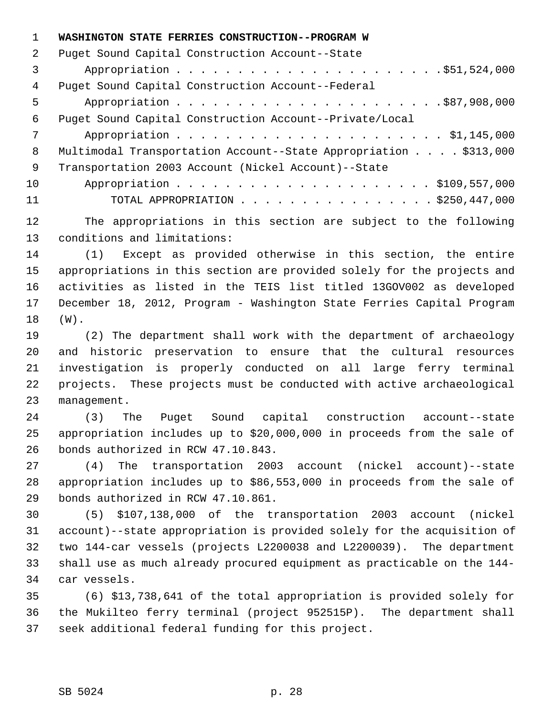1 **WASHINGTON STATE FERRIES CONSTRUCTION--PROGRAM W** 2 Puget Sound Capital Construction Account--State 3 Appropriation . . . . . . . . . . . . . . . . . . . . . .\$51,524,000 4 Puget Sound Capital Construction Account--Federal 5 Appropriation . . . . . . . . . . . . . . . . . . . . . .\$87,908,000 6 Puget Sound Capital Construction Account--Private/Local 7 Appropriation . . . . . . . . . . . . . . . . . . . . . . \$1,145,000 8 Multimodal Transportation Account--State Appropriation . . . . \$313,000 9 Transportation 2003 Account (Nickel Account)--State 10 Appropriation . . . . . . . . . . . . . . . . . . . . . \$109,557,000 11 TOTAL APPROPRIATION . . . . . . . . . . . . . . . . \$250,447,000

12 The appropriations in this section are subject to the following 13 conditions and limitations:

14 (1) Except as provided otherwise in this section, the entire 15 appropriations in this section are provided solely for the projects and 16 activities as listed in the TEIS list titled 13GOV002 as developed 17 December 18, 2012, Program - Washington State Ferries Capital Program 18 (W).

19 (2) The department shall work with the department of archaeology 20 and historic preservation to ensure that the cultural resources 21 investigation is properly conducted on all large ferry terminal 22 projects. These projects must be conducted with active archaeological 23 management.

24 (3) The Puget Sound capital construction account--state 25 appropriation includes up to \$20,000,000 in proceeds from the sale of 26 bonds authorized in RCW 47.10.843.

27 (4) The transportation 2003 account (nickel account)--state 28 appropriation includes up to \$86,553,000 in proceeds from the sale of 29 bonds authorized in RCW 47.10.861.

30 (5) \$107,138,000 of the transportation 2003 account (nickel 31 account)--state appropriation is provided solely for the acquisition of 32 two 144-car vessels (projects L2200038 and L2200039). The department 33 shall use as much already procured equipment as practicable on the 144- 34 car vessels.

35 (6) \$13,738,641 of the total appropriation is provided solely for 36 the Mukilteo ferry terminal (project 952515P). The department shall 37 seek additional federal funding for this project.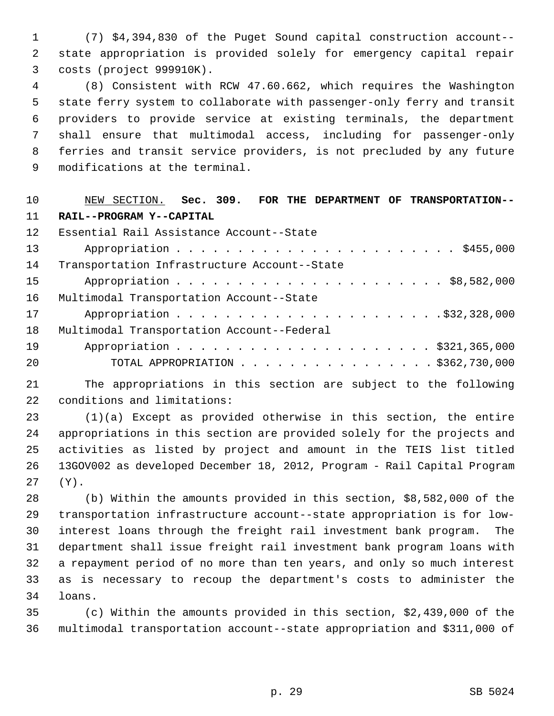1 (7) \$4,394,830 of the Puget Sound capital construction account-- 2 state appropriation is provided solely for emergency capital repair 3 costs (project 999910K).

 4 (8) Consistent with RCW 47.60.662, which requires the Washington 5 state ferry system to collaborate with passenger-only ferry and transit 6 providers to provide service at existing terminals, the department 7 shall ensure that multimodal access, including for passenger-only 8 ferries and transit service providers, is not precluded by any future 9 modifications at the terminal.

| 10 | NEW SECTION. Sec. 309. FOR THE DEPARTMENT OF TRANSPORTATION-- |
|----|---------------------------------------------------------------|
| 11 | RAIL--PROGRAM Y--CAPITAL                                      |
| 12 | Essential Rail Assistance Account--State                      |
| 13 |                                                               |
| 14 | Transportation Infrastructure Account--State                  |
| 15 |                                                               |
| 16 | Multimodal Transportation Account--State                      |
| 17 |                                                               |
| 18 | Multimodal Transportation Account--Federal                    |
| 19 |                                                               |
| 20 | TOTAL APPROPRIATION $\ldots$ , \$362,730,000                  |
|    |                                                               |

21 The appropriations in this section are subject to the following 22 conditions and limitations:

23 (1)(a) Except as provided otherwise in this section, the entire 24 appropriations in this section are provided solely for the projects and 25 activities as listed by project and amount in the TEIS list titled 26 13GOV002 as developed December 18, 2012, Program - Rail Capital Program 27 (Y).

28 (b) Within the amounts provided in this section, \$8,582,000 of the 29 transportation infrastructure account--state appropriation is for low-30 interest loans through the freight rail investment bank program. The 31 department shall issue freight rail investment bank program loans with 32 a repayment period of no more than ten years, and only so much interest 33 as is necessary to recoup the department's costs to administer the 34 loans.

35 (c) Within the amounts provided in this section, \$2,439,000 of the 36 multimodal transportation account--state appropriation and \$311,000 of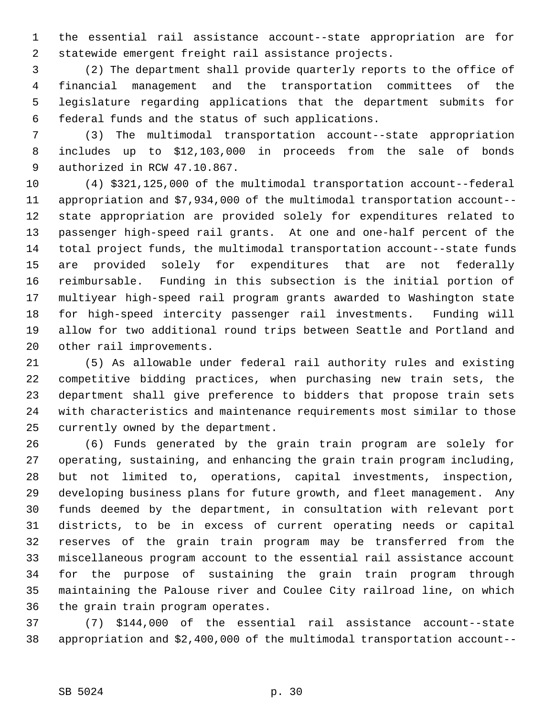1 the essential rail assistance account--state appropriation are for 2 statewide emergent freight rail assistance projects.

 3 (2) The department shall provide quarterly reports to the office of 4 financial management and the transportation committees of the 5 legislature regarding applications that the department submits for 6 federal funds and the status of such applications.

 7 (3) The multimodal transportation account--state appropriation 8 includes up to \$12,103,000 in proceeds from the sale of bonds 9 authorized in RCW 47.10.867.

10 (4) \$321,125,000 of the multimodal transportation account--federal 11 appropriation and \$7,934,000 of the multimodal transportation account-- 12 state appropriation are provided solely for expenditures related to 13 passenger high-speed rail grants. At one and one-half percent of the 14 total project funds, the multimodal transportation account--state funds 15 are provided solely for expenditures that are not federally 16 reimbursable. Funding in this subsection is the initial portion of 17 multiyear high-speed rail program grants awarded to Washington state 18 for high-speed intercity passenger rail investments. Funding will 19 allow for two additional round trips between Seattle and Portland and 20 other rail improvements.

21 (5) As allowable under federal rail authority rules and existing 22 competitive bidding practices, when purchasing new train sets, the 23 department shall give preference to bidders that propose train sets 24 with characteristics and maintenance requirements most similar to those 25 currently owned by the department.

26 (6) Funds generated by the grain train program are solely for 27 operating, sustaining, and enhancing the grain train program including, 28 but not limited to, operations, capital investments, inspection, 29 developing business plans for future growth, and fleet management. Any 30 funds deemed by the department, in consultation with relevant port 31 districts, to be in excess of current operating needs or capital 32 reserves of the grain train program may be transferred from the 33 miscellaneous program account to the essential rail assistance account 34 for the purpose of sustaining the grain train program through 35 maintaining the Palouse river and Coulee City railroad line, on which 36 the grain train program operates.

37 (7) \$144,000 of the essential rail assistance account--state 38 appropriation and \$2,400,000 of the multimodal transportation account--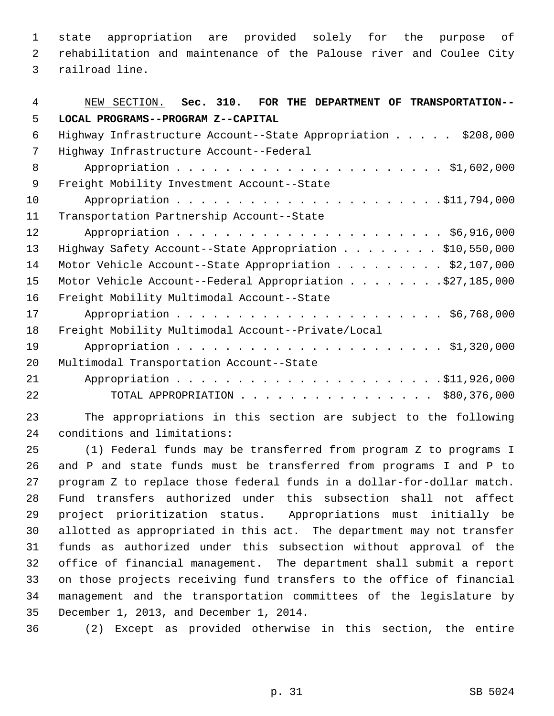1 state appropriation are provided solely for the purpose of 2 rehabilitation and maintenance of the Palouse river and Coulee City 3 railroad line.

| 4  | NEW SECTION. Sec. 310.<br>FOR THE DEPARTMENT OF TRANSPORTATION-- |
|----|------------------------------------------------------------------|
| 5  | LOCAL PROGRAMS--PROGRAM Z--CAPITAL                               |
| 6  | Highway Infrastructure Account--State Appropriation \$208,000    |
| 7  | Highway Infrastructure Account--Federal                          |
| 8  |                                                                  |
| 9  | Freight Mobility Investment Account--State                       |
| 10 |                                                                  |
| 11 | Transportation Partnership Account--State                        |
| 12 |                                                                  |
| 13 | Highway Safety Account--State Appropriation \$10,550,000         |
| 14 | Motor Vehicle Account--State Appropriation \$2,107,000           |
| 15 | Motor Vehicle Account--Federal Appropriation \$27,185,000        |
| 16 | Freight Mobility Multimodal Account--State                       |
| 17 |                                                                  |
| 18 | Freight Mobility Multimodal Account--Private/Local               |
| 19 |                                                                  |
| 20 | Multimodal Transportation Account--State                         |
| 21 |                                                                  |
| 22 | TOTAL APPROPRIATION $\ldots$ \$80,376,000                        |
|    |                                                                  |

23 The appropriations in this section are subject to the following 24 conditions and limitations:

25 (1) Federal funds may be transferred from program Z to programs I 26 and P and state funds must be transferred from programs I and P to 27 program Z to replace those federal funds in a dollar-for-dollar match. 28 Fund transfers authorized under this subsection shall not affect 29 project prioritization status. Appropriations must initially be 30 allotted as appropriated in this act. The department may not transfer 31 funds as authorized under this subsection without approval of the 32 office of financial management. The department shall submit a report 33 on those projects receiving fund transfers to the office of financial 34 management and the transportation committees of the legislature by 35 December 1, 2013, and December 1, 2014.

36 (2) Except as provided otherwise in this section, the entire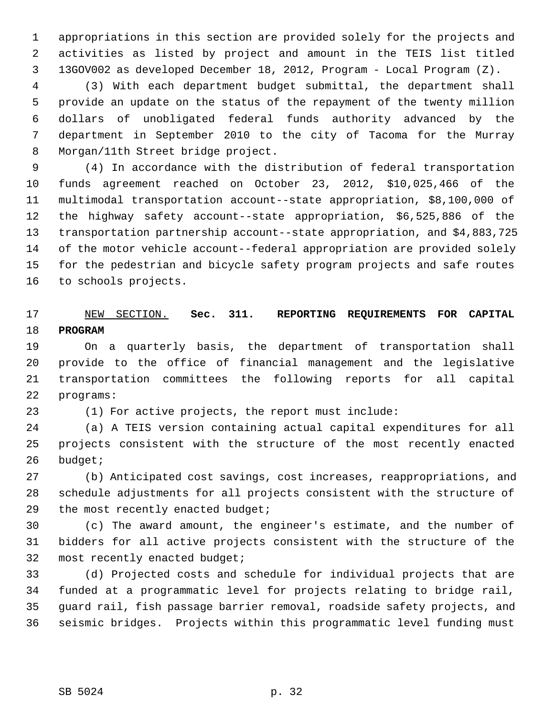1 appropriations in this section are provided solely for the projects and 2 activities as listed by project and amount in the TEIS list titled 3 13GOV002 as developed December 18, 2012, Program - Local Program (Z).

 4 (3) With each department budget submittal, the department shall 5 provide an update on the status of the repayment of the twenty million 6 dollars of unobligated federal funds authority advanced by the 7 department in September 2010 to the city of Tacoma for the Murray 8 Morgan/11th Street bridge project.

 9 (4) In accordance with the distribution of federal transportation 10 funds agreement reached on October 23, 2012, \$10,025,466 of the 11 multimodal transportation account--state appropriation, \$8,100,000 of 12 the highway safety account--state appropriation, \$6,525,886 of the 13 transportation partnership account--state appropriation, and \$4,883,725 14 of the motor vehicle account--federal appropriation are provided solely 15 for the pedestrian and bicycle safety program projects and safe routes 16 to schools projects.

### 17 NEW SECTION. **Sec. 311. REPORTING REQUIREMENTS FOR CAPITAL** 18 **PROGRAM**

19 On a quarterly basis, the department of transportation shall 20 provide to the office of financial management and the legislative 21 transportation committees the following reports for all capital 22 programs:

23 (1) For active projects, the report must include:

24 (a) A TEIS version containing actual capital expenditures for all 25 projects consistent with the structure of the most recently enacted 26 budget;

27 (b) Anticipated cost savings, cost increases, reappropriations, and 28 schedule adjustments for all projects consistent with the structure of 29 the most recently enacted budget;

30 (c) The award amount, the engineer's estimate, and the number of 31 bidders for all active projects consistent with the structure of the 32 most recently enacted budget;

33 (d) Projected costs and schedule for individual projects that are 34 funded at a programmatic level for projects relating to bridge rail, 35 guard rail, fish passage barrier removal, roadside safety projects, and 36 seismic bridges. Projects within this programmatic level funding must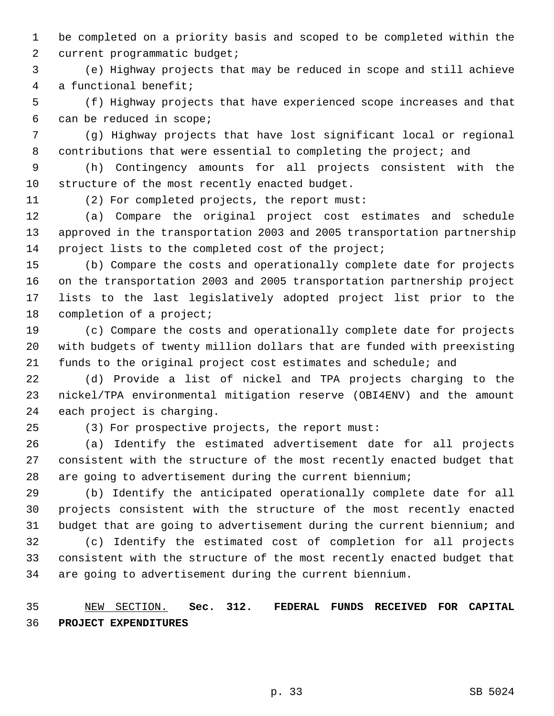1 be completed on a priority basis and scoped to be completed within the 2 current programmatic budget;

 3 (e) Highway projects that may be reduced in scope and still achieve 4 a functional benefit;

 5 (f) Highway projects that have experienced scope increases and that 6 can be reduced in scope;

 7 (g) Highway projects that have lost significant local or regional 8 contributions that were essential to completing the project; and

 9 (h) Contingency amounts for all projects consistent with the 10 structure of the most recently enacted budget.

11 (2) For completed projects, the report must:

12 (a) Compare the original project cost estimates and schedule 13 approved in the transportation 2003 and 2005 transportation partnership 14 project lists to the completed cost of the project;

15 (b) Compare the costs and operationally complete date for projects 16 on the transportation 2003 and 2005 transportation partnership project 17 lists to the last legislatively adopted project list prior to the 18 completion of a project;

19 (c) Compare the costs and operationally complete date for projects 20 with budgets of twenty million dollars that are funded with preexisting 21 funds to the original project cost estimates and schedule; and

22 (d) Provide a list of nickel and TPA projects charging to the 23 nickel/TPA environmental mitigation reserve (OBI4ENV) and the amount 24 each project is charging.

25 (3) For prospective projects, the report must:

26 (a) Identify the estimated advertisement date for all projects 27 consistent with the structure of the most recently enacted budget that 28 are going to advertisement during the current biennium;

29 (b) Identify the anticipated operationally complete date for all 30 projects consistent with the structure of the most recently enacted 31 budget that are going to advertisement during the current biennium; and

32 (c) Identify the estimated cost of completion for all projects 33 consistent with the structure of the most recently enacted budget that 34 are going to advertisement during the current biennium.

35 NEW SECTION. **Sec. 312. FEDERAL FUNDS RECEIVED FOR CAPITAL** 36 **PROJECT EXPENDITURES**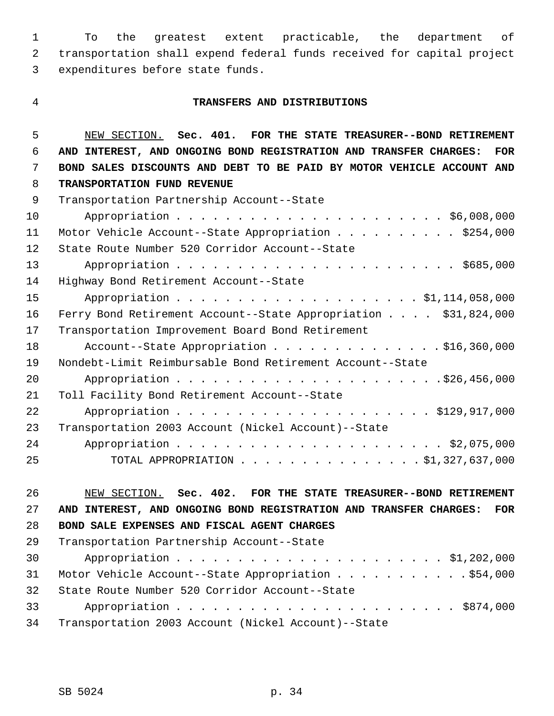1 To the greatest extent practicable, the department of 2 transportation shall expend federal funds received for capital project 3 expenditures before state funds.

#### 4 **TRANSFERS AND DISTRIBUTIONS**

 5 NEW SECTION. **Sec. 401. FOR THE STATE TREASURER--BOND RETIREMENT** 6 **AND INTEREST, AND ONGOING BOND REGISTRATION AND TRANSFER CHARGES: FOR** 7 **BOND SALES DISCOUNTS AND DEBT TO BE PAID BY MOTOR VEHICLE ACCOUNT AND** 8 **TRANSPORTATION FUND REVENUE** 9 Transportation Partnership Account--State 10 Appropriation . . . . . . . . . . . . . . . . . . . . . . \$6,008,000 11 Motor Vehicle Account--State Appropriation . . . . . . . . . . \$254,000 12 State Route Number 520 Corridor Account--State 13 Appropriation . . . . . . . . . . . . . . . . . . . . . . . \$685,000 14 Highway Bond Retirement Account--State 15 Appropriation . . . . . . . . . . . . . . . . . . \$1,114,058,000 16 Ferry Bond Retirement Account--State Appropriation . . . . \$31,824,000 17 Transportation Improvement Board Bond Retirement 18 Account--State Appropriation . . . . . . . . . . . . \$16,360,000 19 Nondebt-Limit Reimbursable Bond Retirement Account--State 20 Appropriation . . . . . . . . . . . . . . . . . . . . . .\$26,456,000 21 Toll Facility Bond Retirement Account--State 22 Appropriation . . . . . . . . . . . . . . . . . . . . . \$129,917,000 23 Transportation 2003 Account (Nickel Account)--State 24 Appropriation . . . . . . . . . . . . . . . . . . . . . . \$2,075,000 25 TOTAL APPROPRIATION . . . . . . . . . . . . . . . \$1,327,637,000

26 NEW SECTION. **Sec. 402. FOR THE STATE TREASURER--BOND RETIREMENT** 27 **AND INTEREST, AND ONGOING BOND REGISTRATION AND TRANSFER CHARGES: FOR** 28 **BOND SALE EXPENSES AND FISCAL AGENT CHARGES**

| 29 | Transportation Partnership Account--State           |
|----|-----------------------------------------------------|
| 30 |                                                     |
| 31 | Motor Vehicle Account--State Appropriation \$54,000 |
| 32 | State Route Number 520 Corridor Account--State      |
| 33 |                                                     |
| 34 | Transportation 2003 Account (Nickel Account)--State |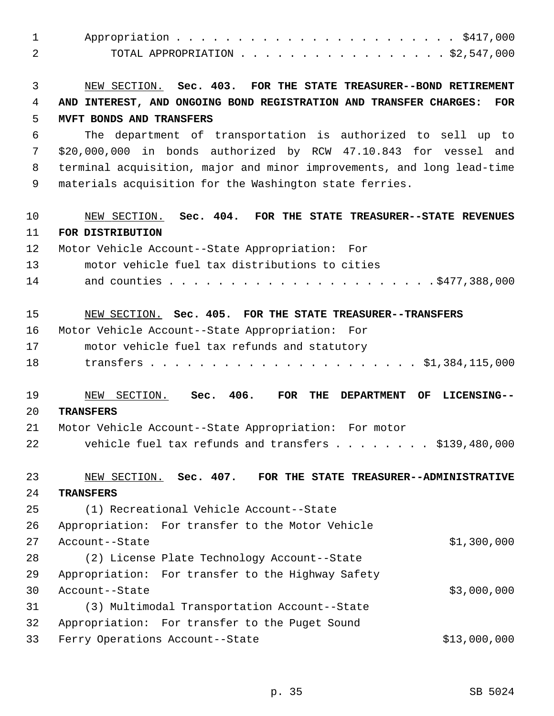| $\mathbf{1}$ |                                                                                 |
|--------------|---------------------------------------------------------------------------------|
| 2            | TOTAL APPROPRIATION $\ldots$ \$2,547,000                                        |
| 3            | NEW SECTION. Sec. 403. FOR THE STATE TREASURER--BOND RETIREMENT                 |
| 4            | AND INTEREST, AND ONGOING BOND REGISTRATION AND TRANSFER CHARGES:<br><b>FOR</b> |
| 5            | MVFT BONDS AND TRANSFERS                                                        |
| 6            | The department of transportation is authorized to sell up to                    |
| 7            | \$20,000,000 in bonds authorized by RCW 47.10.843 for vessel<br>and             |
| 8            | terminal acquisition, major and minor improvements, and long lead-time          |
| 9            | materials acquisition for the Washington state ferries.                         |
| 10           | NEW SECTION. Sec. 404. FOR THE STATE TREASURER--STATE REVENUES                  |
| 11           | FOR DISTRIBUTION                                                                |
| 12           | Motor Vehicle Account--State Appropriation: For                                 |
| 13           | motor vehicle fuel tax distributions to cities                                  |
| 14           |                                                                                 |
|              |                                                                                 |
| 15           | NEW SECTION. Sec. 405. FOR THE STATE TREASURER--TRANSFERS                       |
| 16           | Motor Vehicle Account--State Appropriation: For                                 |
| 17           | motor vehicle fuel tax refunds and statutory                                    |
| 18           |                                                                                 |
| 19           | NEW SECTION. Sec. 406.<br>FOR<br>THE<br><b>DEPARTMENT</b><br>OF<br>LICENSING--  |
| 20           | <b>TRANSFERS</b>                                                                |
| 21           | Motor Vehicle Account--State Appropriation: For motor                           |
| 22           | vehicle fuel tax refunds and transfers $\ldots$ \$139,480,000                   |
| 23           | NEW SECTION. Sec. 407. FOR THE STATE TREASURER--ADMINISTRATIVE                  |
| 24           | <b>TRANSFERS</b>                                                                |
| 25           | (1) Recreational Vehicle Account--State                                         |
| 26           | Appropriation: For transfer to the Motor Vehicle                                |
| 27           | \$1,300,000<br>Account--State                                                   |
| 28           | (2) License Plate Technology Account--State                                     |
| 29           | Appropriation: For transfer to the Highway Safety                               |
| 30           | \$3,000,000<br>Account--State                                                   |
| 31           | (3) Multimodal Transportation Account--State                                    |
| 32           | Appropriation: For transfer to the Puget Sound                                  |
| 33           | \$13,000,000<br>Ferry Operations Account--State                                 |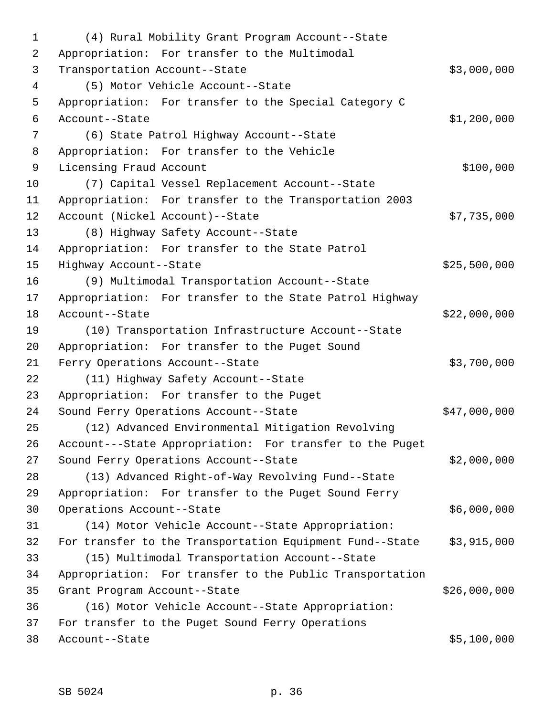1 (4) Rural Mobility Grant Program Account--State 2 Appropriation: For transfer to the Multimodal 3 Transportation Account--State \$3,000,000 4 (5) Motor Vehicle Account--State 5 Appropriation: For transfer to the Special Category C 6 Account--State \$1,200,000 7 (6) State Patrol Highway Account--State 8 Appropriation: For transfer to the Vehicle 9 Licensing Fraud Account **\$100,000** 10 (7) Capital Vessel Replacement Account--State 11 Appropriation: For transfer to the Transportation 2003 12 Account (Nickel Account)--State \$7,735,000 13 (8) Highway Safety Account--State 14 Appropriation: For transfer to the State Patrol 15 Highway Account--State \$25,500,000 16 (9) Multimodal Transportation Account--State 17 Appropriation: For transfer to the State Patrol Highway 18 Account--State \$22,000,000 19 (10) Transportation Infrastructure Account--State 20 Appropriation: For transfer to the Puget Sound 21 Ferry Operations Account--State \$3,700,000 22 (11) Highway Safety Account--State 23 Appropriation: For transfer to the Puget 24 Sound Ferry Operations Account--State \$47,000,000 25 (12) Advanced Environmental Mitigation Revolving 26 Account---State Appropriation: For transfer to the Puget 27 Sound Ferry Operations Account--State \$2,000,000 28 (13) Advanced Right-of-Way Revolving Fund--State 29 Appropriation: For transfer to the Puget Sound Ferry 30 Operations Account--State \$6,000,000 31 (14) Motor Vehicle Account--State Appropriation: 32 For transfer to the Transportation Equipment Fund--State \$3,915,000 33 (15) Multimodal Transportation Account--State 34 Appropriation: For transfer to the Public Transportation 35 Grant Program Account--State \$26,000,000 36 (16) Motor Vehicle Account--State Appropriation: 37 For transfer to the Puget Sound Ferry Operations 38 Account--State \$5,100,000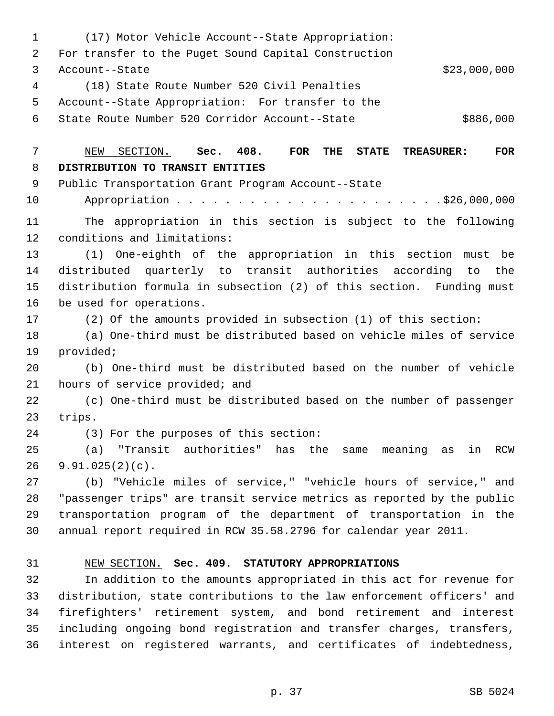1 (17) Motor Vehicle Account--State Appropriation: 2 For transfer to the Puget Sound Capital Construction 3 Account--State \$23,000,000 4 (18) State Route Number 520 Civil Penalties 5 Account--State Appropriation: For transfer to the 6 State Route Number 520 Corridor Account--State \$886,000 7 NEW SECTION. **Sec. 408. FOR THE STATE TREASURER: FOR** 8 **DISTRIBUTION TO TRANSIT ENTITIES** 9 Public Transportation Grant Program Account--State 10 Appropriation . . . . . . . . . . . . . . . . . . . . . .\$26,000,000 11 The appropriation in this section is subject to the following 12 conditions and limitations: 13 (1) One-eighth of the appropriation in this section must be 14 distributed quarterly to transit authorities according to the 15 distribution formula in subsection (2) of this section. Funding must 16 be used for operations. 17 (2) Of the amounts provided in subsection (1) of this section: 18 (a) One-third must be distributed based on vehicle miles of service 19 provided; 20 (b) One-third must be distributed based on the number of vehicle 21 hours of service provided; and 22 (c) One-third must be distributed based on the number of passenger 23 trips. 24 (3) For the purposes of this section: 25 (a) "Transit authorities" has the same meaning as in RCW 26 9.91.025(2)(c). 27 (b) "Vehicle miles of service," "vehicle hours of service," and 28 "passenger trips" are transit service metrics as reported by the public 29 transportation program of the department of transportation in the 30 annual report required in RCW 35.58.2796 for calendar year 2011. 31 NEW SECTION. **Sec. 409. STATUTORY APPROPRIATIONS** 32 In addition to the amounts appropriated in this act for revenue for 33 distribution, state contributions to the law enforcement officers' and 34 firefighters' retirement system, and bond retirement and interest 35 including ongoing bond registration and transfer charges, transfers, 36 interest on registered warrants, and certificates of indebtedness,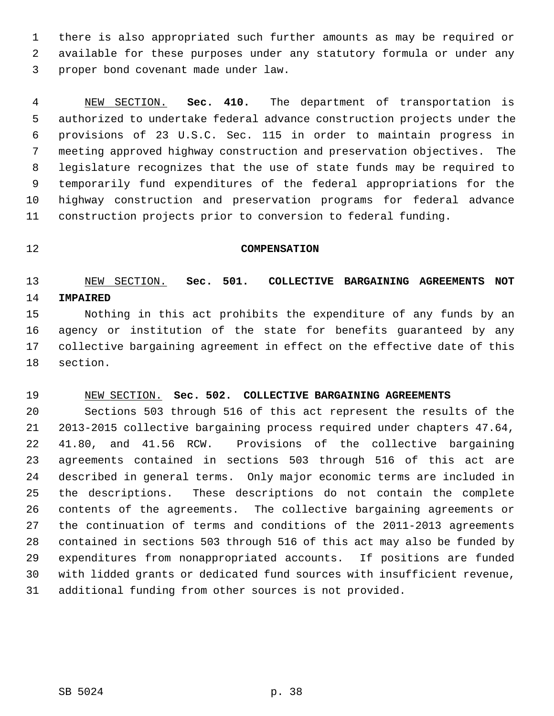1 there is also appropriated such further amounts as may be required or 2 available for these purposes under any statutory formula or under any 3 proper bond covenant made under law.

 4 NEW SECTION. **Sec. 410.** The department of transportation is 5 authorized to undertake federal advance construction projects under the 6 provisions of 23 U.S.C. Sec. 115 in order to maintain progress in 7 meeting approved highway construction and preservation objectives. The 8 legislature recognizes that the use of state funds may be required to 9 temporarily fund expenditures of the federal appropriations for the 10 highway construction and preservation programs for federal advance 11 construction projects prior to conversion to federal funding.

### 12 **COMPENSATION**

# 13 NEW SECTION. **Sec. 501. COLLECTIVE BARGAINING AGREEMENTS NOT** 14 **IMPAIRED**

15 Nothing in this act prohibits the expenditure of any funds by an 16 agency or institution of the state for benefits guaranteed by any 17 collective bargaining agreement in effect on the effective date of this 18 section.

### 19 NEW SECTION. **Sec. 502. COLLECTIVE BARGAINING AGREEMENTS**

20 Sections 503 through 516 of this act represent the results of the 21 2013-2015 collective bargaining process required under chapters 47.64, 22 41.80, and 41.56 RCW. Provisions of the collective bargaining 23 agreements contained in sections 503 through 516 of this act are 24 described in general terms. Only major economic terms are included in 25 the descriptions. These descriptions do not contain the complete 26 contents of the agreements. The collective bargaining agreements or 27 the continuation of terms and conditions of the 2011-2013 agreements 28 contained in sections 503 through 516 of this act may also be funded by 29 expenditures from nonappropriated accounts. If positions are funded 30 with lidded grants or dedicated fund sources with insufficient revenue, 31 additional funding from other sources is not provided.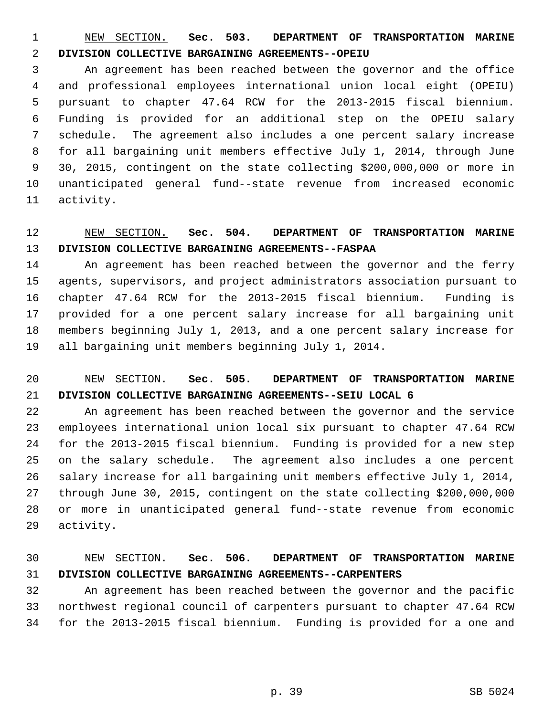1 NEW SECTION. **Sec. 503. DEPARTMENT OF TRANSPORTATION MARINE** 2 **DIVISION COLLECTIVE BARGAINING AGREEMENTS--OPEIU**

 3 An agreement has been reached between the governor and the office 4 and professional employees international union local eight (OPEIU) 5 pursuant to chapter 47.64 RCW for the 2013-2015 fiscal biennium. 6 Funding is provided for an additional step on the OPEIU salary 7 schedule. The agreement also includes a one percent salary increase 8 for all bargaining unit members effective July 1, 2014, through June 9 30, 2015, contingent on the state collecting \$200,000,000 or more in 10 unanticipated general fund--state revenue from increased economic 11 activity.

# 12 NEW SECTION. **Sec. 504. DEPARTMENT OF TRANSPORTATION MARINE** 13 **DIVISION COLLECTIVE BARGAINING AGREEMENTS--FASPAA**

14 An agreement has been reached between the governor and the ferry 15 agents, supervisors, and project administrators association pursuant to 16 chapter 47.64 RCW for the 2013-2015 fiscal biennium. Funding is 17 provided for a one percent salary increase for all bargaining unit 18 members beginning July 1, 2013, and a one percent salary increase for 19 all bargaining unit members beginning July 1, 2014.

# 20 NEW SECTION. **Sec. 505. DEPARTMENT OF TRANSPORTATION MARINE** 21 **DIVISION COLLECTIVE BARGAINING AGREEMENTS--SEIU LOCAL 6**

22 An agreement has been reached between the governor and the service 23 employees international union local six pursuant to chapter 47.64 RCW 24 for the 2013-2015 fiscal biennium. Funding is provided for a new step 25 on the salary schedule. The agreement also includes a one percent 26 salary increase for all bargaining unit members effective July 1, 2014, 27 through June 30, 2015, contingent on the state collecting \$200,000,000 28 or more in unanticipated general fund--state revenue from economic 29 activity.

### 30 NEW SECTION. **Sec. 506. DEPARTMENT OF TRANSPORTATION MARINE** 31 **DIVISION COLLECTIVE BARGAINING AGREEMENTS--CARPENTERS**

32 An agreement has been reached between the governor and the pacific 33 northwest regional council of carpenters pursuant to chapter 47.64 RCW 34 for the 2013-2015 fiscal biennium. Funding is provided for a one and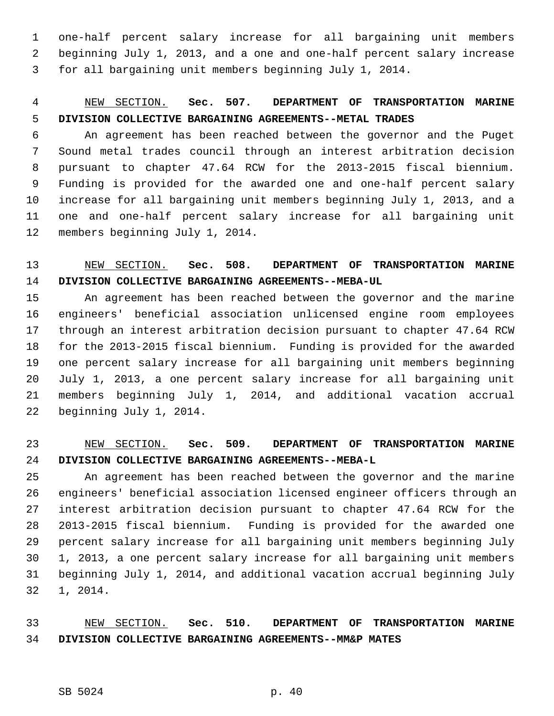1 one-half percent salary increase for all bargaining unit members 2 beginning July 1, 2013, and a one and one-half percent salary increase 3 for all bargaining unit members beginning July 1, 2014.

# 4 NEW SECTION. **Sec. 507. DEPARTMENT OF TRANSPORTATION MARINE** 5 **DIVISION COLLECTIVE BARGAINING AGREEMENTS--METAL TRADES**

 6 An agreement has been reached between the governor and the Puget 7 Sound metal trades council through an interest arbitration decision 8 pursuant to chapter 47.64 RCW for the 2013-2015 fiscal biennium. 9 Funding is provided for the awarded one and one-half percent salary 10 increase for all bargaining unit members beginning July 1, 2013, and a 11 one and one-half percent salary increase for all bargaining unit 12 members beginning July 1, 2014.

# 13 NEW SECTION. **Sec. 508. DEPARTMENT OF TRANSPORTATION MARINE** 14 **DIVISION COLLECTIVE BARGAINING AGREEMENTS--MEBA-UL**

15 An agreement has been reached between the governor and the marine 16 engineers' beneficial association unlicensed engine room employees 17 through an interest arbitration decision pursuant to chapter 47.64 RCW 18 for the 2013-2015 fiscal biennium. Funding is provided for the awarded 19 one percent salary increase for all bargaining unit members beginning 20 July 1, 2013, a one percent salary increase for all bargaining unit 21 members beginning July 1, 2014, and additional vacation accrual 22 beginning July 1, 2014.

### 23 NEW SECTION. **Sec. 509. DEPARTMENT OF TRANSPORTATION MARINE** 24 **DIVISION COLLECTIVE BARGAINING AGREEMENTS--MEBA-L**

25 An agreement has been reached between the governor and the marine 26 engineers' beneficial association licensed engineer officers through an 27 interest arbitration decision pursuant to chapter 47.64 RCW for the 28 2013-2015 fiscal biennium. Funding is provided for the awarded one 29 percent salary increase for all bargaining unit members beginning July 30 1, 2013, a one percent salary increase for all bargaining unit members 31 beginning July 1, 2014, and additional vacation accrual beginning July 32 1, 2014.

33 NEW SECTION. **Sec. 510. DEPARTMENT OF TRANSPORTATION MARINE** 34 **DIVISION COLLECTIVE BARGAINING AGREEMENTS--MM&P MATES**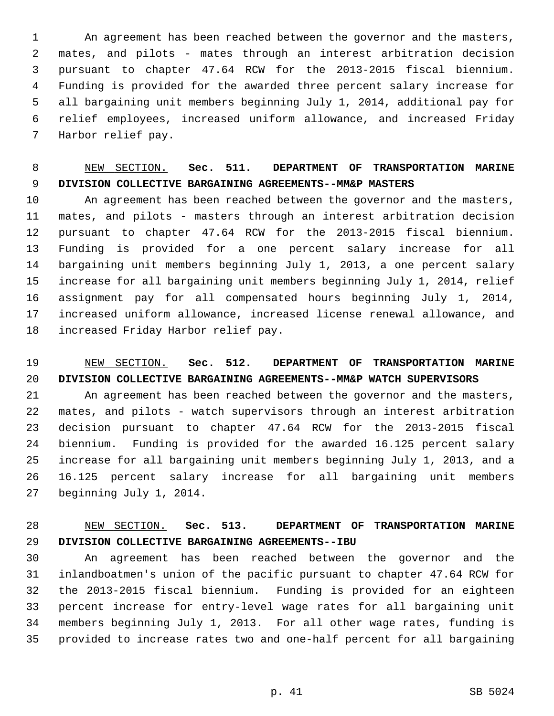1 An agreement has been reached between the governor and the masters, 2 mates, and pilots - mates through an interest arbitration decision 3 pursuant to chapter 47.64 RCW for the 2013-2015 fiscal biennium. 4 Funding is provided for the awarded three percent salary increase for 5 all bargaining unit members beginning July 1, 2014, additional pay for 6 relief employees, increased uniform allowance, and increased Friday 7 Harbor relief pay.

# 8 NEW SECTION. **Sec. 511. DEPARTMENT OF TRANSPORTATION MARINE** 9 **DIVISION COLLECTIVE BARGAINING AGREEMENTS--MM&P MASTERS**

10 An agreement has been reached between the governor and the masters, 11 mates, and pilots - masters through an interest arbitration decision 12 pursuant to chapter 47.64 RCW for the 2013-2015 fiscal biennium. 13 Funding is provided for a one percent salary increase for all 14 bargaining unit members beginning July 1, 2013, a one percent salary 15 increase for all bargaining unit members beginning July 1, 2014, relief 16 assignment pay for all compensated hours beginning July 1, 2014, 17 increased uniform allowance, increased license renewal allowance, and 18 increased Friday Harbor relief pay.

# 19 NEW SECTION. **Sec. 512. DEPARTMENT OF TRANSPORTATION MARINE** 20 **DIVISION COLLECTIVE BARGAINING AGREEMENTS--MM&P WATCH SUPERVISORS**

21 An agreement has been reached between the governor and the masters, 22 mates, and pilots - watch supervisors through an interest arbitration 23 decision pursuant to chapter 47.64 RCW for the 2013-2015 fiscal 24 biennium. Funding is provided for the awarded 16.125 percent salary 25 increase for all bargaining unit members beginning July 1, 2013, and a 26 16.125 percent salary increase for all bargaining unit members 27 beginning July 1, 2014.

# 28 NEW SECTION. **Sec. 513. DEPARTMENT OF TRANSPORTATION MARINE** 29 **DIVISION COLLECTIVE BARGAINING AGREEMENTS--IBU**

30 An agreement has been reached between the governor and the 31 inlandboatmen's union of the pacific pursuant to chapter 47.64 RCW for 32 the 2013-2015 fiscal biennium. Funding is provided for an eighteen 33 percent increase for entry-level wage rates for all bargaining unit 34 members beginning July 1, 2013. For all other wage rates, funding is 35 provided to increase rates two and one-half percent for all bargaining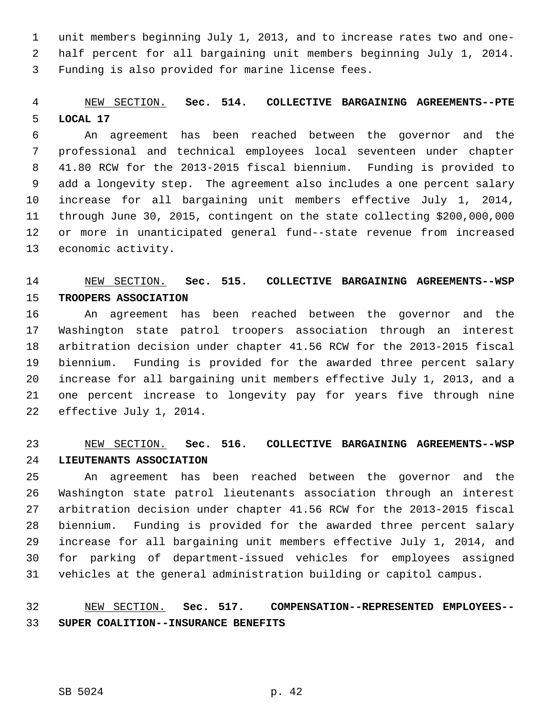1 unit members beginning July 1, 2013, and to increase rates two and one- 2 half percent for all bargaining unit members beginning July 1, 2014. 3 Funding is also provided for marine license fees.

## 4 NEW SECTION. **Sec. 514. COLLECTIVE BARGAINING AGREEMENTS--PTE** 5 **LOCAL 17**

 6 An agreement has been reached between the governor and the 7 professional and technical employees local seventeen under chapter 8 41.80 RCW for the 2013-2015 fiscal biennium. Funding is provided to 9 add a longevity step. The agreement also includes a one percent salary 10 increase for all bargaining unit members effective July 1, 2014, 11 through June 30, 2015, contingent on the state collecting \$200,000,000 12 or more in unanticipated general fund--state revenue from increased 13 economic activity.

### 14 NEW SECTION. **Sec. 515. COLLECTIVE BARGAINING AGREEMENTS--WSP** 15 **TROOPERS ASSOCIATION**

16 An agreement has been reached between the governor and the 17 Washington state patrol troopers association through an interest 18 arbitration decision under chapter 41.56 RCW for the 2013-2015 fiscal 19 biennium. Funding is provided for the awarded three percent salary 20 increase for all bargaining unit members effective July 1, 2013, and a 21 one percent increase to longevity pay for years five through nine 22 effective July 1, 2014.

## 23 NEW SECTION. **Sec. 516. COLLECTIVE BARGAINING AGREEMENTS--WSP** 24 **LIEUTENANTS ASSOCIATION**

25 An agreement has been reached between the governor and the 26 Washington state patrol lieutenants association through an interest 27 arbitration decision under chapter 41.56 RCW for the 2013-2015 fiscal 28 biennium. Funding is provided for the awarded three percent salary 29 increase for all bargaining unit members effective July 1, 2014, and 30 for parking of department-issued vehicles for employees assigned 31 vehicles at the general administration building or capitol campus.

# 32 NEW SECTION. **Sec. 517. COMPENSATION--REPRESENTED EMPLOYEES--** 33 **SUPER COALITION--INSURANCE BENEFITS**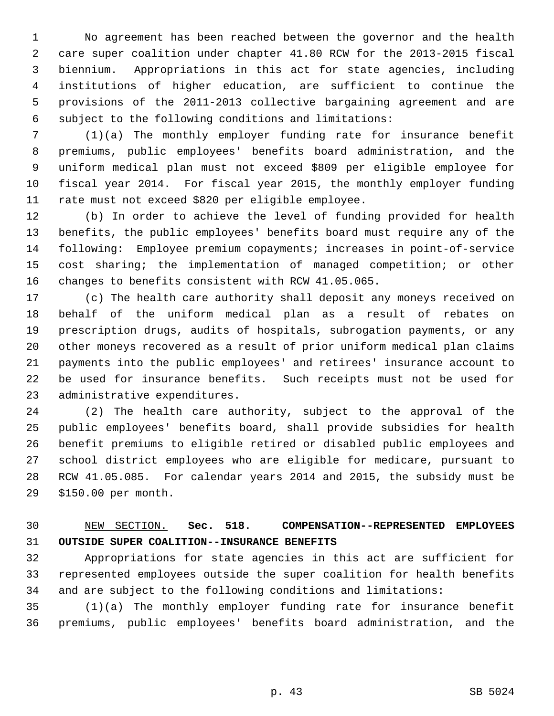1 No agreement has been reached between the governor and the health 2 care super coalition under chapter 41.80 RCW for the 2013-2015 fiscal 3 biennium. Appropriations in this act for state agencies, including 4 institutions of higher education, are sufficient to continue the 5 provisions of the 2011-2013 collective bargaining agreement and are 6 subject to the following conditions and limitations:

 7 (1)(a) The monthly employer funding rate for insurance benefit 8 premiums, public employees' benefits board administration, and the 9 uniform medical plan must not exceed \$809 per eligible employee for 10 fiscal year 2014. For fiscal year 2015, the monthly employer funding 11 rate must not exceed \$820 per eligible employee.

12 (b) In order to achieve the level of funding provided for health 13 benefits, the public employees' benefits board must require any of the 14 following: Employee premium copayments; increases in point-of-service 15 cost sharing; the implementation of managed competition; or other 16 changes to benefits consistent with RCW 41.05.065.

17 (c) The health care authority shall deposit any moneys received on 18 behalf of the uniform medical plan as a result of rebates on 19 prescription drugs, audits of hospitals, subrogation payments, or any 20 other moneys recovered as a result of prior uniform medical plan claims 21 payments into the public employees' and retirees' insurance account to 22 be used for insurance benefits. Such receipts must not be used for 23 administrative expenditures.

24 (2) The health care authority, subject to the approval of the 25 public employees' benefits board, shall provide subsidies for health 26 benefit premiums to eligible retired or disabled public employees and 27 school district employees who are eligible for medicare, pursuant to 28 RCW 41.05.085. For calendar years 2014 and 2015, the subsidy must be 29 \$150.00 per month.

# 30 NEW SECTION. **Sec. 518. COMPENSATION--REPRESENTED EMPLOYEES** 31 **OUTSIDE SUPER COALITION--INSURANCE BENEFITS**

32 Appropriations for state agencies in this act are sufficient for 33 represented employees outside the super coalition for health benefits 34 and are subject to the following conditions and limitations:

35 (1)(a) The monthly employer funding rate for insurance benefit 36 premiums, public employees' benefits board administration, and the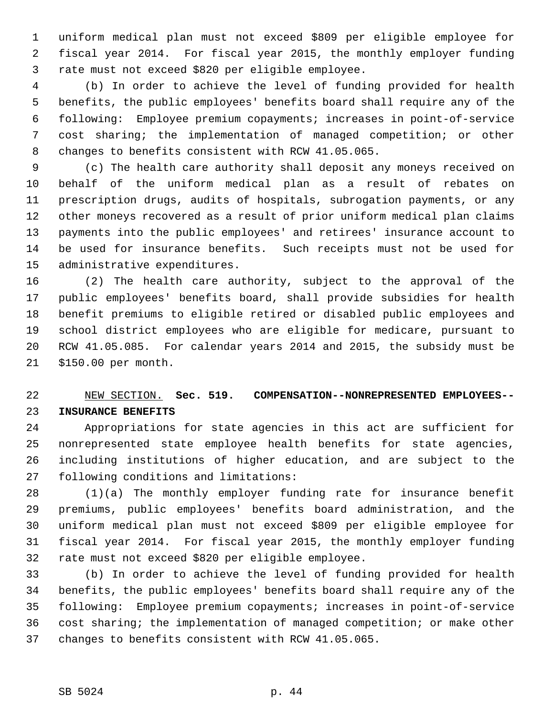1 uniform medical plan must not exceed \$809 per eligible employee for 2 fiscal year 2014. For fiscal year 2015, the monthly employer funding 3 rate must not exceed \$820 per eligible employee.

 4 (b) In order to achieve the level of funding provided for health 5 benefits, the public employees' benefits board shall require any of the 6 following: Employee premium copayments; increases in point-of-service 7 cost sharing; the implementation of managed competition; or other 8 changes to benefits consistent with RCW 41.05.065.

 9 (c) The health care authority shall deposit any moneys received on 10 behalf of the uniform medical plan as a result of rebates on 11 prescription drugs, audits of hospitals, subrogation payments, or any 12 other moneys recovered as a result of prior uniform medical plan claims 13 payments into the public employees' and retirees' insurance account to 14 be used for insurance benefits. Such receipts must not be used for 15 administrative expenditures.

16 (2) The health care authority, subject to the approval of the 17 public employees' benefits board, shall provide subsidies for health 18 benefit premiums to eligible retired or disabled public employees and 19 school district employees who are eligible for medicare, pursuant to 20 RCW 41.05.085. For calendar years 2014 and 2015, the subsidy must be 21 \$150.00 per month.

# 22 NEW SECTION. **Sec. 519. COMPENSATION--NONREPRESENTED EMPLOYEES--** 23 **INSURANCE BENEFITS**

24 Appropriations for state agencies in this act are sufficient for 25 nonrepresented state employee health benefits for state agencies, 26 including institutions of higher education, and are subject to the 27 following conditions and limitations:

28 (1)(a) The monthly employer funding rate for insurance benefit 29 premiums, public employees' benefits board administration, and the 30 uniform medical plan must not exceed \$809 per eligible employee for 31 fiscal year 2014. For fiscal year 2015, the monthly employer funding 32 rate must not exceed \$820 per eligible employee.

33 (b) In order to achieve the level of funding provided for health 34 benefits, the public employees' benefits board shall require any of the 35 following: Employee premium copayments; increases in point-of-service 36 cost sharing; the implementation of managed competition; or make other 37 changes to benefits consistent with RCW 41.05.065.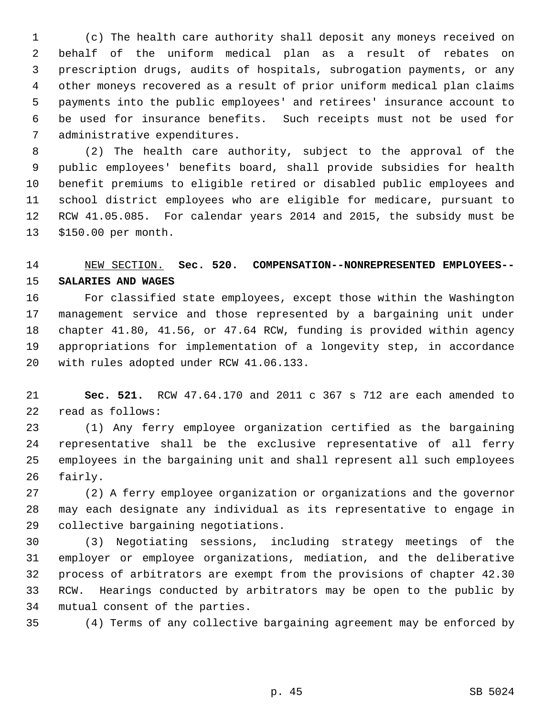1 (c) The health care authority shall deposit any moneys received on 2 behalf of the uniform medical plan as a result of rebates on 3 prescription drugs, audits of hospitals, subrogation payments, or any 4 other moneys recovered as a result of prior uniform medical plan claims 5 payments into the public employees' and retirees' insurance account to 6 be used for insurance benefits. Such receipts must not be used for 7 administrative expenditures.

 8 (2) The health care authority, subject to the approval of the 9 public employees' benefits board, shall provide subsidies for health 10 benefit premiums to eligible retired or disabled public employees and 11 school district employees who are eligible for medicare, pursuant to 12 RCW 41.05.085. For calendar years 2014 and 2015, the subsidy must be 13 \$150.00 per month.

# 14 NEW SECTION. **Sec. 520. COMPENSATION--NONREPRESENTED EMPLOYEES--** 15 **SALARIES AND WAGES**

16 For classified state employees, except those within the Washington 17 management service and those represented by a bargaining unit under 18 chapter 41.80, 41.56, or 47.64 RCW, funding is provided within agency 19 appropriations for implementation of a longevity step, in accordance 20 with rules adopted under RCW 41.06.133.

21 **Sec. 521.** RCW 47.64.170 and 2011 c 367 s 712 are each amended to 22 read as follows:

23 (1) Any ferry employee organization certified as the bargaining 24 representative shall be the exclusive representative of all ferry 25 employees in the bargaining unit and shall represent all such employees 26 fairly.

27 (2) A ferry employee organization or organizations and the governor 28 may each designate any individual as its representative to engage in 29 collective bargaining negotiations.

30 (3) Negotiating sessions, including strategy meetings of the 31 employer or employee organizations, mediation, and the deliberative 32 process of arbitrators are exempt from the provisions of chapter 42.30 33 RCW. Hearings conducted by arbitrators may be open to the public by 34 mutual consent of the parties.

35 (4) Terms of any collective bargaining agreement may be enforced by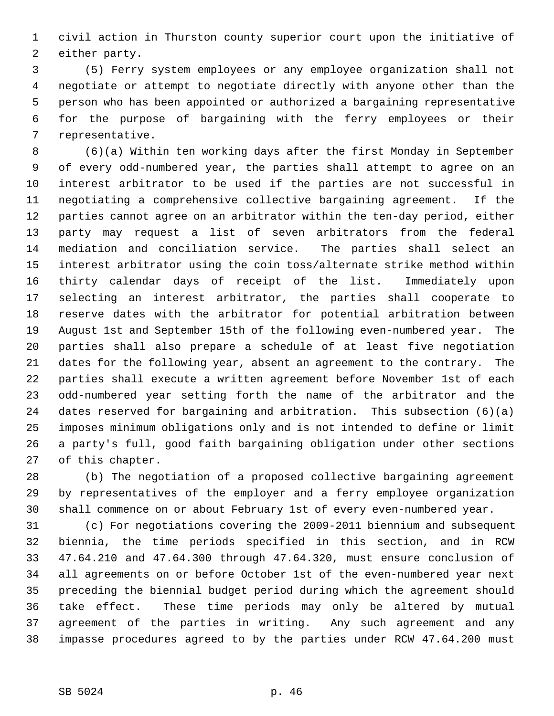1 civil action in Thurston county superior court upon the initiative of 2 either party.

 3 (5) Ferry system employees or any employee organization shall not 4 negotiate or attempt to negotiate directly with anyone other than the 5 person who has been appointed or authorized a bargaining representative 6 for the purpose of bargaining with the ferry employees or their 7 representative.

 8 (6)(a) Within ten working days after the first Monday in September 9 of every odd-numbered year, the parties shall attempt to agree on an 10 interest arbitrator to be used if the parties are not successful in 11 negotiating a comprehensive collective bargaining agreement. If the 12 parties cannot agree on an arbitrator within the ten-day period, either 13 party may request a list of seven arbitrators from the federal 14 mediation and conciliation service. The parties shall select an 15 interest arbitrator using the coin toss/alternate strike method within 16 thirty calendar days of receipt of the list. Immediately upon 17 selecting an interest arbitrator, the parties shall cooperate to 18 reserve dates with the arbitrator for potential arbitration between 19 August 1st and September 15th of the following even-numbered year. The 20 parties shall also prepare a schedule of at least five negotiation 21 dates for the following year, absent an agreement to the contrary. The 22 parties shall execute a written agreement before November 1st of each 23 odd-numbered year setting forth the name of the arbitrator and the 24 dates reserved for bargaining and arbitration. This subsection (6)(a) 25 imposes minimum obligations only and is not intended to define or limit 26 a party's full, good faith bargaining obligation under other sections 27 of this chapter.

28 (b) The negotiation of a proposed collective bargaining agreement 29 by representatives of the employer and a ferry employee organization 30 shall commence on or about February 1st of every even-numbered year.

31 (c) For negotiations covering the 2009-2011 biennium and subsequent 32 biennia, the time periods specified in this section, and in RCW 33 47.64.210 and 47.64.300 through 47.64.320, must ensure conclusion of 34 all agreements on or before October 1st of the even-numbered year next 35 preceding the biennial budget period during which the agreement should 36 take effect. These time periods may only be altered by mutual 37 agreement of the parties in writing. Any such agreement and any 38 impasse procedures agreed to by the parties under RCW 47.64.200 must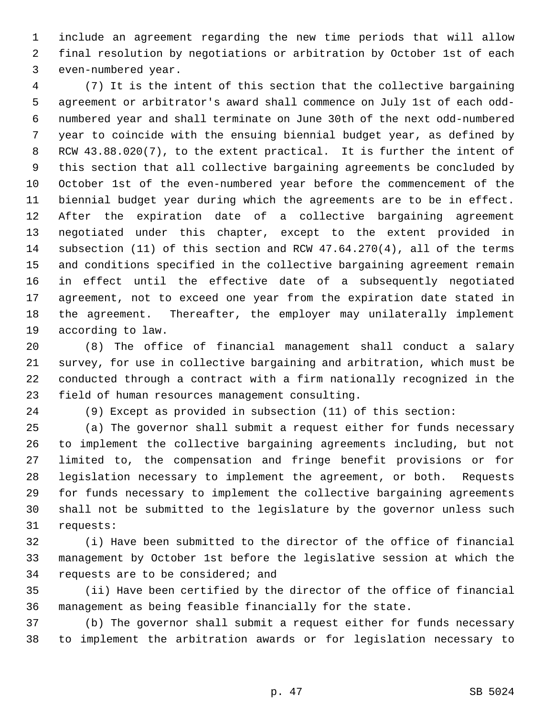1 include an agreement regarding the new time periods that will allow 2 final resolution by negotiations or arbitration by October 1st of each 3 even-numbered year.

 4 (7) It is the intent of this section that the collective bargaining 5 agreement or arbitrator's award shall commence on July 1st of each odd- 6 numbered year and shall terminate on June 30th of the next odd-numbered 7 year to coincide with the ensuing biennial budget year, as defined by 8 RCW 43.88.020(7), to the extent practical. It is further the intent of 9 this section that all collective bargaining agreements be concluded by 10 October 1st of the even-numbered year before the commencement of the 11 biennial budget year during which the agreements are to be in effect. 12 After the expiration date of a collective bargaining agreement 13 negotiated under this chapter, except to the extent provided in 14 subsection (11) of this section and RCW 47.64.270(4), all of the terms 15 and conditions specified in the collective bargaining agreement remain 16 in effect until the effective date of a subsequently negotiated 17 agreement, not to exceed one year from the expiration date stated in 18 the agreement. Thereafter, the employer may unilaterally implement 19 according to law.

20 (8) The office of financial management shall conduct a salary 21 survey, for use in collective bargaining and arbitration, which must be 22 conducted through a contract with a firm nationally recognized in the 23 field of human resources management consulting.

24 (9) Except as provided in subsection (11) of this section:

25 (a) The governor shall submit a request either for funds necessary 26 to implement the collective bargaining agreements including, but not 27 limited to, the compensation and fringe benefit provisions or for 28 legislation necessary to implement the agreement, or both. Requests 29 for funds necessary to implement the collective bargaining agreements 30 shall not be submitted to the legislature by the governor unless such 31 requests:

32 (i) Have been submitted to the director of the office of financial 33 management by October 1st before the legislative session at which the 34 requests are to be considered; and

35 (ii) Have been certified by the director of the office of financial 36 management as being feasible financially for the state.

37 (b) The governor shall submit a request either for funds necessary 38 to implement the arbitration awards or for legislation necessary to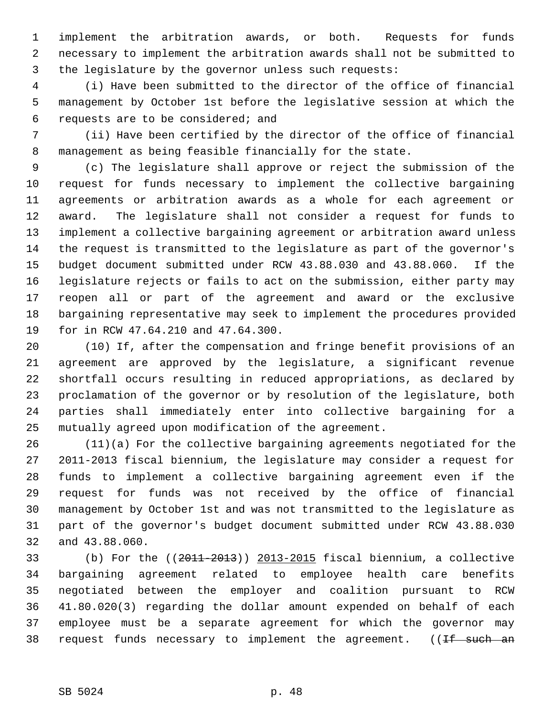1 implement the arbitration awards, or both. Requests for funds 2 necessary to implement the arbitration awards shall not be submitted to 3 the legislature by the governor unless such requests:

 4 (i) Have been submitted to the director of the office of financial 5 management by October 1st before the legislative session at which the 6 requests are to be considered; and

 7 (ii) Have been certified by the director of the office of financial 8 management as being feasible financially for the state.

 9 (c) The legislature shall approve or reject the submission of the 10 request for funds necessary to implement the collective bargaining 11 agreements or arbitration awards as a whole for each agreement or 12 award. The legislature shall not consider a request for funds to 13 implement a collective bargaining agreement or arbitration award unless 14 the request is transmitted to the legislature as part of the governor's 15 budget document submitted under RCW 43.88.030 and 43.88.060. If the 16 legislature rejects or fails to act on the submission, either party may 17 reopen all or part of the agreement and award or the exclusive 18 bargaining representative may seek to implement the procedures provided 19 for in RCW 47.64.210 and 47.64.300.

20 (10) If, after the compensation and fringe benefit provisions of an 21 agreement are approved by the legislature, a significant revenue 22 shortfall occurs resulting in reduced appropriations, as declared by 23 proclamation of the governor or by resolution of the legislature, both 24 parties shall immediately enter into collective bargaining for a 25 mutually agreed upon modification of the agreement.

26 (11)(a) For the collective bargaining agreements negotiated for the 27 2011-2013 fiscal biennium, the legislature may consider a request for 28 funds to implement a collective bargaining agreement even if the 29 request for funds was not received by the office of financial 30 management by October 1st and was not transmitted to the legislature as 31 part of the governor's budget document submitted under RCW 43.88.030 32 and 43.88.060.

33 (b) For the ((2011-2013)) 2013-2015 fiscal biennium, a collective 34 bargaining agreement related to employee health care benefits 35 negotiated between the employer and coalition pursuant to RCW 36 41.80.020(3) regarding the dollar amount expended on behalf of each 37 employee must be a separate agreement for which the governor may 38 request funds necessary to implement the agreement. ((If such an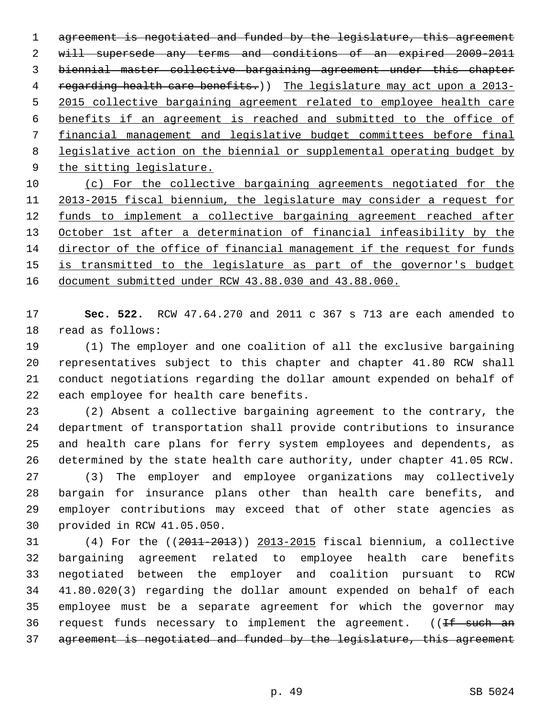agreement is negotiated and funded by the legislature, this agreement will supersede any terms and conditions of an expired 2009-2011 biennial master collective bargaining agreement under this chapter 4 regarding health care benefits.) The legislature may act upon a 2013- 2015 collective bargaining agreement related to employee health care benefits if an agreement is reached and submitted to the office of financial management and legislative budget committees before final legislative action on the biennial or supplemental operating budget by the sitting legislature. (c) For the collective bargaining agreements negotiated for the 2013-2015 fiscal biennium, the legislature may consider a request for funds to implement a collective bargaining agreement reached after October 1st after a determination of financial infeasibility by the

14 director of the office of financial management if the request for funds 15 is transmitted to the legislature as part of the governor's budget 16 document submitted under RCW 43.88.030 and 43.88.060.

17 **Sec. 522.** RCW 47.64.270 and 2011 c 367 s 713 are each amended to 18 read as follows:

19 (1) The employer and one coalition of all the exclusive bargaining 20 representatives subject to this chapter and chapter 41.80 RCW shall 21 conduct negotiations regarding the dollar amount expended on behalf of 22 each employee for health care benefits.

23 (2) Absent a collective bargaining agreement to the contrary, the 24 department of transportation shall provide contributions to insurance 25 and health care plans for ferry system employees and dependents, as 26 determined by the state health care authority, under chapter 41.05 RCW.

27 (3) The employer and employee organizations may collectively 28 bargain for insurance plans other than health care benefits, and 29 employer contributions may exceed that of other state agencies as 30 provided in RCW 41.05.050.

31 (4) For the ((2011-2013)) 2013-2015 fiscal biennium, a collective 32 bargaining agreement related to employee health care benefits 33 negotiated between the employer and coalition pursuant to RCW 34 41.80.020(3) regarding the dollar amount expended on behalf of each 35 employee must be a separate agreement for which the governor may 36 request funds necessary to implement the agreement. ((If such an 37 agreement is negotiated and funded by the legislature, this agreement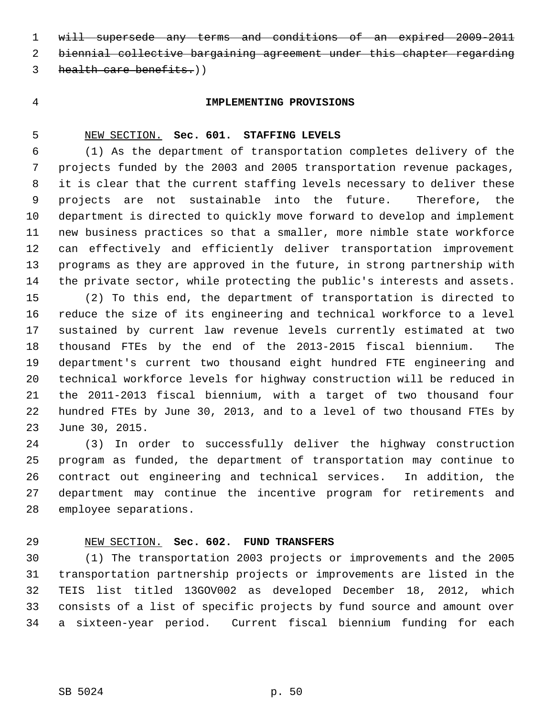1 will supersede any terms and conditions of an expired 2009-2011

2 biennial collective bargaining agreement under this chapter regarding

- 3 health care benefits.)
- 

### 4 **IMPLEMENTING PROVISIONS**

#### 5 NEW SECTION. **Sec. 601. STAFFING LEVELS**

 6 (1) As the department of transportation completes delivery of the 7 projects funded by the 2003 and 2005 transportation revenue packages, 8 it is clear that the current staffing levels necessary to deliver these 9 projects are not sustainable into the future. Therefore, the 10 department is directed to quickly move forward to develop and implement 11 new business practices so that a smaller, more nimble state workforce 12 can effectively and efficiently deliver transportation improvement 13 programs as they are approved in the future, in strong partnership with 14 the private sector, while protecting the public's interests and assets.

15 (2) To this end, the department of transportation is directed to 16 reduce the size of its engineering and technical workforce to a level 17 sustained by current law revenue levels currently estimated at two 18 thousand FTEs by the end of the 2013-2015 fiscal biennium. The 19 department's current two thousand eight hundred FTE engineering and 20 technical workforce levels for highway construction will be reduced in 21 the 2011-2013 fiscal biennium, with a target of two thousand four 22 hundred FTEs by June 30, 2013, and to a level of two thousand FTEs by 23 June 30, 2015.

24 (3) In order to successfully deliver the highway construction 25 program as funded, the department of transportation may continue to 26 contract out engineering and technical services. In addition, the 27 department may continue the incentive program for retirements and 28 employee separations.

### 29 NEW SECTION. **Sec. 602. FUND TRANSFERS**

30 (1) The transportation 2003 projects or improvements and the 2005 31 transportation partnership projects or improvements are listed in the 32 TEIS list titled 13GOV002 as developed December 18, 2012, which 33 consists of a list of specific projects by fund source and amount over 34 a sixteen-year period. Current fiscal biennium funding for each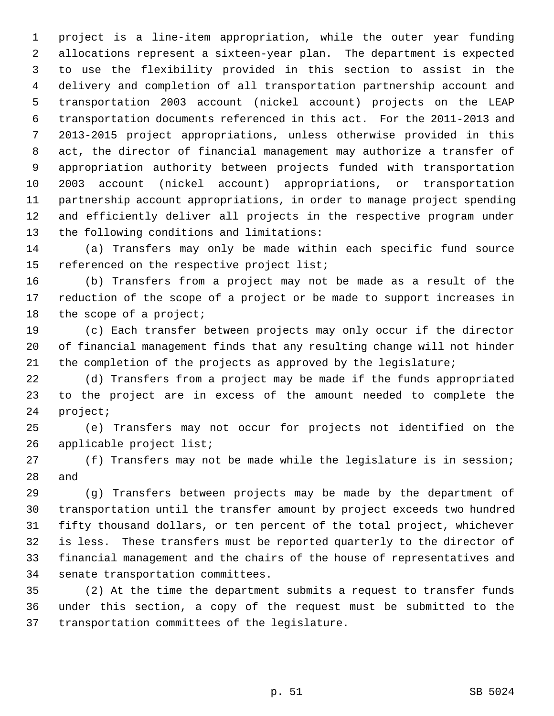1 project is a line-item appropriation, while the outer year funding 2 allocations represent a sixteen-year plan. The department is expected 3 to use the flexibility provided in this section to assist in the 4 delivery and completion of all transportation partnership account and 5 transportation 2003 account (nickel account) projects on the LEAP 6 transportation documents referenced in this act. For the 2011-2013 and 7 2013-2015 project appropriations, unless otherwise provided in this 8 act, the director of financial management may authorize a transfer of 9 appropriation authority between projects funded with transportation 10 2003 account (nickel account) appropriations, or transportation 11 partnership account appropriations, in order to manage project spending 12 and efficiently deliver all projects in the respective program under 13 the following conditions and limitations:

14 (a) Transfers may only be made within each specific fund source 15 referenced on the respective project list;

16 (b) Transfers from a project may not be made as a result of the 17 reduction of the scope of a project or be made to support increases in 18 the scope of a project;

19 (c) Each transfer between projects may only occur if the director 20 of financial management finds that any resulting change will not hinder 21 the completion of the projects as approved by the legislature;

22 (d) Transfers from a project may be made if the funds appropriated 23 to the project are in excess of the amount needed to complete the 24 project;

25 (e) Transfers may not occur for projects not identified on the 26 applicable project list;

27 (f) Transfers may not be made while the legislature is in session; 28 and

29 (g) Transfers between projects may be made by the department of 30 transportation until the transfer amount by project exceeds two hundred 31 fifty thousand dollars, or ten percent of the total project, whichever 32 is less. These transfers must be reported quarterly to the director of 33 financial management and the chairs of the house of representatives and 34 senate transportation committees.

35 (2) At the time the department submits a request to transfer funds 36 under this section, a copy of the request must be submitted to the 37 transportation committees of the legislature.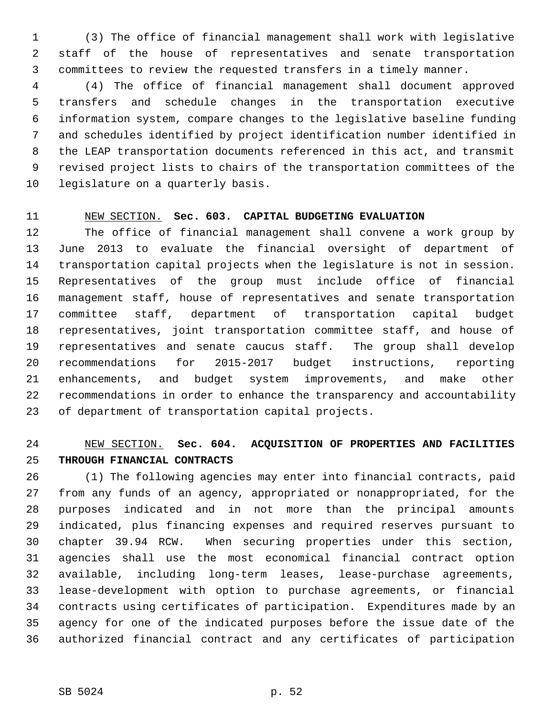1 (3) The office of financial management shall work with legislative 2 staff of the house of representatives and senate transportation 3 committees to review the requested transfers in a timely manner.

 4 (4) The office of financial management shall document approved 5 transfers and schedule changes in the transportation executive 6 information system, compare changes to the legislative baseline funding 7 and schedules identified by project identification number identified in 8 the LEAP transportation documents referenced in this act, and transmit 9 revised project lists to chairs of the transportation committees of the 10 legislature on a quarterly basis.

### 11 NEW SECTION. **Sec. 603. CAPITAL BUDGETING EVALUATION**

12 The office of financial management shall convene a work group by 13 June 2013 to evaluate the financial oversight of department of 14 transportation capital projects when the legislature is not in session. 15 Representatives of the group must include office of financial 16 management staff, house of representatives and senate transportation 17 committee staff, department of transportation capital budget 18 representatives, joint transportation committee staff, and house of 19 representatives and senate caucus staff. The group shall develop 20 recommendations for 2015-2017 budget instructions, reporting 21 enhancements, and budget system improvements, and make other 22 recommendations in order to enhance the transparency and accountability 23 of department of transportation capital projects.

# 24 NEW SECTION. **Sec. 604. ACQUISITION OF PROPERTIES AND FACILITIES** 25 **THROUGH FINANCIAL CONTRACTS**

26 (1) The following agencies may enter into financial contracts, paid 27 from any funds of an agency, appropriated or nonappropriated, for the 28 purposes indicated and in not more than the principal amounts 29 indicated, plus financing expenses and required reserves pursuant to 30 chapter 39.94 RCW. When securing properties under this section, 31 agencies shall use the most economical financial contract option 32 available, including long-term leases, lease-purchase agreements, 33 lease-development with option to purchase agreements, or financial 34 contracts using certificates of participation. Expenditures made by an 35 agency for one of the indicated purposes before the issue date of the 36 authorized financial contract and any certificates of participation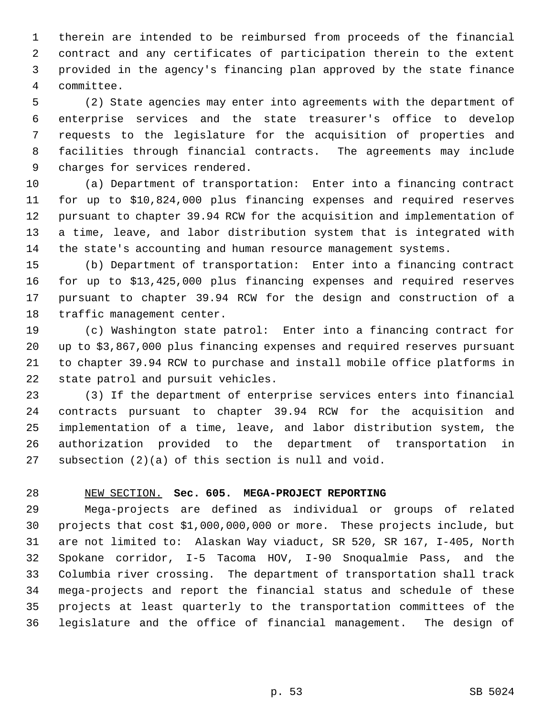1 therein are intended to be reimbursed from proceeds of the financial 2 contract and any certificates of participation therein to the extent 3 provided in the agency's financing plan approved by the state finance 4 committee.

 5 (2) State agencies may enter into agreements with the department of 6 enterprise services and the state treasurer's office to develop 7 requests to the legislature for the acquisition of properties and 8 facilities through financial contracts. The agreements may include 9 charges for services rendered.

10 (a) Department of transportation: Enter into a financing contract 11 for up to \$10,824,000 plus financing expenses and required reserves 12 pursuant to chapter 39.94 RCW for the acquisition and implementation of 13 a time, leave, and labor distribution system that is integrated with 14 the state's accounting and human resource management systems.

15 (b) Department of transportation: Enter into a financing contract 16 for up to \$13,425,000 plus financing expenses and required reserves 17 pursuant to chapter 39.94 RCW for the design and construction of a 18 traffic management center.

19 (c) Washington state patrol: Enter into a financing contract for 20 up to \$3,867,000 plus financing expenses and required reserves pursuant 21 to chapter 39.94 RCW to purchase and install mobile office platforms in 22 state patrol and pursuit vehicles.

23 (3) If the department of enterprise services enters into financial 24 contracts pursuant to chapter 39.94 RCW for the acquisition and 25 implementation of a time, leave, and labor distribution system, the 26 authorization provided to the department of transportation in 27 subsection (2)(a) of this section is null and void.

### 28 NEW SECTION. **Sec. 605. MEGA-PROJECT REPORTING**

29 Mega-projects are defined as individual or groups of related 30 projects that cost \$1,000,000,000 or more. These projects include, but 31 are not limited to: Alaskan Way viaduct, SR 520, SR 167, I-405, North 32 Spokane corridor, I-5 Tacoma HOV, I-90 Snoqualmie Pass, and the 33 Columbia river crossing. The department of transportation shall track 34 mega-projects and report the financial status and schedule of these 35 projects at least quarterly to the transportation committees of the 36 legislature and the office of financial management. The design of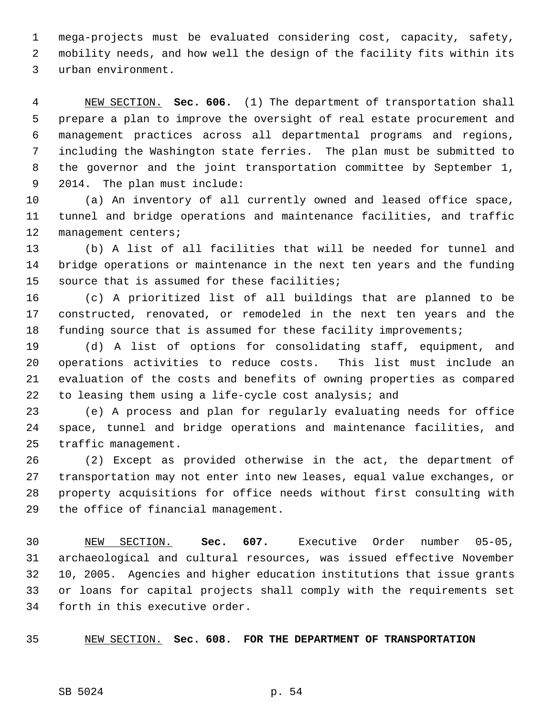1 mega-projects must be evaluated considering cost, capacity, safety, 2 mobility needs, and how well the design of the facility fits within its 3 urban environment.

 4 NEW SECTION. **Sec. 606.** (1) The department of transportation shall 5 prepare a plan to improve the oversight of real estate procurement and 6 management practices across all departmental programs and regions, 7 including the Washington state ferries. The plan must be submitted to 8 the governor and the joint transportation committee by September 1, 9 2014. The plan must include:

10 (a) An inventory of all currently owned and leased office space, 11 tunnel and bridge operations and maintenance facilities, and traffic 12 management centers;

13 (b) A list of all facilities that will be needed for tunnel and 14 bridge operations or maintenance in the next ten years and the funding 15 source that is assumed for these facilities;

16 (c) A prioritized list of all buildings that are planned to be 17 constructed, renovated, or remodeled in the next ten years and the 18 funding source that is assumed for these facility improvements;

19 (d) A list of options for consolidating staff, equipment, and 20 operations activities to reduce costs. This list must include an 21 evaluation of the costs and benefits of owning properties as compared 22 to leasing them using a life-cycle cost analysis; and

23 (e) A process and plan for regularly evaluating needs for office 24 space, tunnel and bridge operations and maintenance facilities, and 25 traffic management.

26 (2) Except as provided otherwise in the act, the department of 27 transportation may not enter into new leases, equal value exchanges, or 28 property acquisitions for office needs without first consulting with 29 the office of financial management.

30 NEW SECTION. **Sec. 607.** Executive Order number 05-05, 31 archaeological and cultural resources, was issued effective November 32 10, 2005. Agencies and higher education institutions that issue grants 33 or loans for capital projects shall comply with the requirements set 34 forth in this executive order.

35 NEW SECTION. **Sec. 608. FOR THE DEPARTMENT OF TRANSPORTATION**

SB 5024 p. 54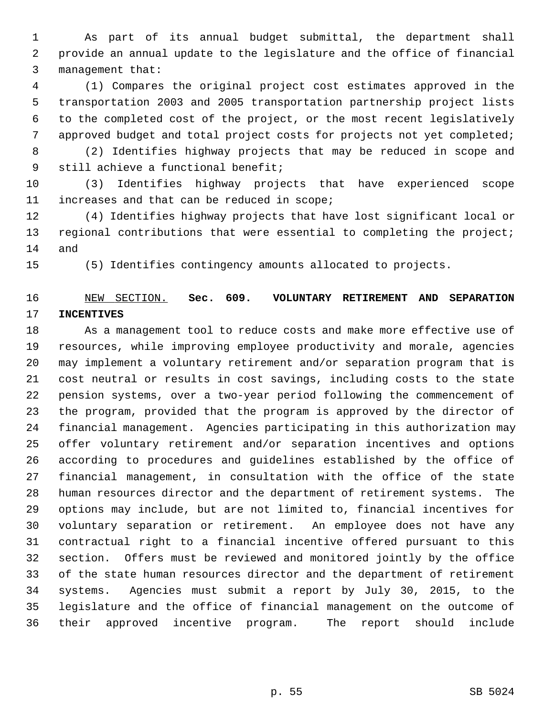1 As part of its annual budget submittal, the department shall 2 provide an annual update to the legislature and the office of financial 3 management that:

 4 (1) Compares the original project cost estimates approved in the 5 transportation 2003 and 2005 transportation partnership project lists 6 to the completed cost of the project, or the most recent legislatively 7 approved budget and total project costs for projects not yet completed;

 8 (2) Identifies highway projects that may be reduced in scope and 9 still achieve a functional benefit;

10 (3) Identifies highway projects that have experienced scope 11 increases and that can be reduced in scope;

12 (4) Identifies highway projects that have lost significant local or 13 regional contributions that were essential to completing the project; 14 and

15 (5) Identifies contingency amounts allocated to projects.

# 16 NEW SECTION. **Sec. 609. VOLUNTARY RETIREMENT AND SEPARATION** 17 **INCENTIVES**

18 As a management tool to reduce costs and make more effective use of 19 resources, while improving employee productivity and morale, agencies 20 may implement a voluntary retirement and/or separation program that is 21 cost neutral or results in cost savings, including costs to the state 22 pension systems, over a two-year period following the commencement of 23 the program, provided that the program is approved by the director of 24 financial management. Agencies participating in this authorization may 25 offer voluntary retirement and/or separation incentives and options 26 according to procedures and guidelines established by the office of 27 financial management, in consultation with the office of the state 28 human resources director and the department of retirement systems. The 29 options may include, but are not limited to, financial incentives for 30 voluntary separation or retirement. An employee does not have any 31 contractual right to a financial incentive offered pursuant to this 32 section. Offers must be reviewed and monitored jointly by the office 33 of the state human resources director and the department of retirement 34 systems. Agencies must submit a report by July 30, 2015, to the 35 legislature and the office of financial management on the outcome of 36 their approved incentive program. The report should include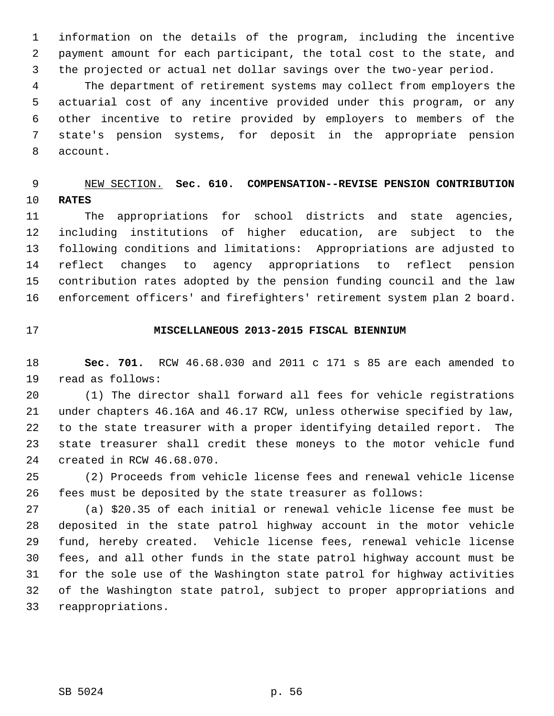1 information on the details of the program, including the incentive 2 payment amount for each participant, the total cost to the state, and 3 the projected or actual net dollar savings over the two-year period.

 4 The department of retirement systems may collect from employers the 5 actuarial cost of any incentive provided under this program, or any 6 other incentive to retire provided by employers to members of the 7 state's pension systems, for deposit in the appropriate pension 8 account.

# 9 NEW SECTION. **Sec. 610. COMPENSATION--REVISE PENSION CONTRIBUTION** 10 **RATES**

11 The appropriations for school districts and state agencies, 12 including institutions of higher education, are subject to the 13 following conditions and limitations: Appropriations are adjusted to 14 reflect changes to agency appropriations to reflect pension 15 contribution rates adopted by the pension funding council and the law 16 enforcement officers' and firefighters' retirement system plan 2 board.

### 17 **MISCELLANEOUS 2013-2015 FISCAL BIENNIUM**

18 **Sec. 701.** RCW 46.68.030 and 2011 c 171 s 85 are each amended to 19 read as follows:

20 (1) The director shall forward all fees for vehicle registrations 21 under chapters 46.16A and 46.17 RCW, unless otherwise specified by law, 22 to the state treasurer with a proper identifying detailed report. The 23 state treasurer shall credit these moneys to the motor vehicle fund 24 created in RCW 46.68.070.

25 (2) Proceeds from vehicle license fees and renewal vehicle license 26 fees must be deposited by the state treasurer as follows:

27 (a) \$20.35 of each initial or renewal vehicle license fee must be 28 deposited in the state patrol highway account in the motor vehicle 29 fund, hereby created. Vehicle license fees, renewal vehicle license 30 fees, and all other funds in the state patrol highway account must be 31 for the sole use of the Washington state patrol for highway activities 32 of the Washington state patrol, subject to proper appropriations and 33 reappropriations.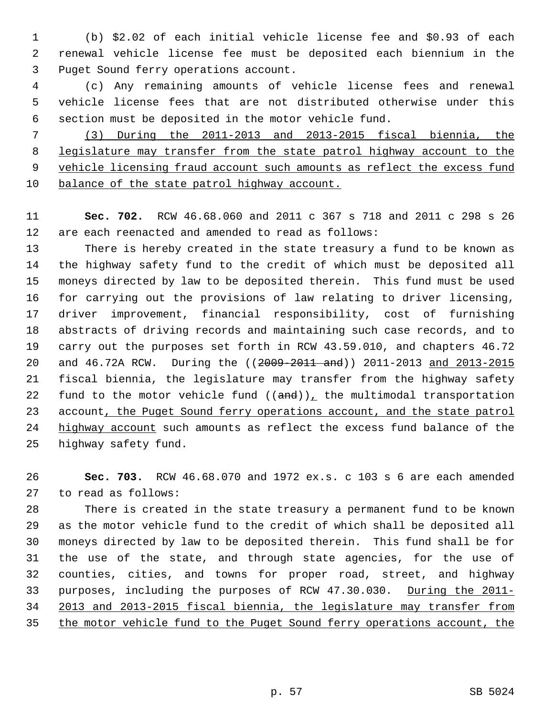1 (b) \$2.02 of each initial vehicle license fee and \$0.93 of each 2 renewal vehicle license fee must be deposited each biennium in the 3 Puget Sound ferry operations account.

 4 (c) Any remaining amounts of vehicle license fees and renewal 5 vehicle license fees that are not distributed otherwise under this 6 section must be deposited in the motor vehicle fund.

 (3) During the 2011-2013 and 2013-2015 fiscal biennia, the legislature may transfer from the state patrol highway account to the vehicle licensing fraud account such amounts as reflect the excess fund balance of the state patrol highway account.

11 **Sec. 702.** RCW 46.68.060 and 2011 c 367 s 718 and 2011 c 298 s 26 12 are each reenacted and amended to read as follows:

13 There is hereby created in the state treasury a fund to be known as 14 the highway safety fund to the credit of which must be deposited all 15 moneys directed by law to be deposited therein. This fund must be used 16 for carrying out the provisions of law relating to driver licensing, 17 driver improvement, financial responsibility, cost of furnishing 18 abstracts of driving records and maintaining such case records, and to 19 carry out the purposes set forth in RCW 43.59.010, and chapters 46.72 20 and 46.72A RCW. During the ((2009-2011 and)) 2011-2013 and 2013-2015 21 fiscal biennia, the legislature may transfer from the highway safety 22 fund to the motor vehicle fund  $((and))_L$  the multimodal transportation 23 account, the Puget Sound ferry operations account, and the state patrol 24 highway account such amounts as reflect the excess fund balance of the 25 highway safety fund.

26 **Sec. 703.** RCW 46.68.070 and 1972 ex.s. c 103 s 6 are each amended 27 to read as follows:

28 There is created in the state treasury a permanent fund to be known 29 as the motor vehicle fund to the credit of which shall be deposited all 30 moneys directed by law to be deposited therein. This fund shall be for 31 the use of the state, and through state agencies, for the use of 32 counties, cities, and towns for proper road, street, and highway 33 purposes, including the purposes of RCW 47.30.030. During the 2011- 34 2013 and 2013-2015 fiscal biennia, the legislature may transfer from 35 the motor vehicle fund to the Puget Sound ferry operations account, the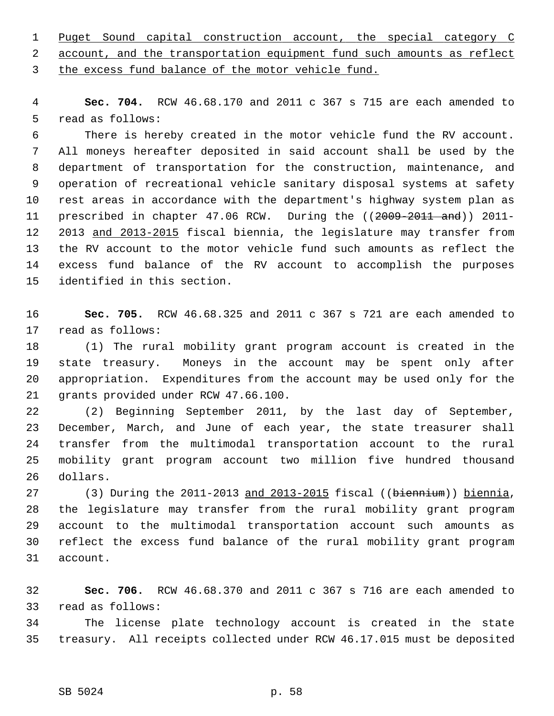1 Puget Sound capital construction account, the special category C 2 account, and the transportation equipment fund such amounts as reflect 3 the excess fund balance of the motor vehicle fund.

 4 **Sec. 704.** RCW 46.68.170 and 2011 c 367 s 715 are each amended to 5 read as follows:

 6 There is hereby created in the motor vehicle fund the RV account. 7 All moneys hereafter deposited in said account shall be used by the 8 department of transportation for the construction, maintenance, and 9 operation of recreational vehicle sanitary disposal systems at safety 10 rest areas in accordance with the department's highway system plan as 11 prescribed in chapter 47.06 RCW. During the ((2009-2011 and)) 2011-12 2013 and 2013-2015 fiscal biennia, the legislature may transfer from 13 the RV account to the motor vehicle fund such amounts as reflect the 14 excess fund balance of the RV account to accomplish the purposes 15 identified in this section.

16 **Sec. 705.** RCW 46.68.325 and 2011 c 367 s 721 are each amended to 17 read as follows:

18 (1) The rural mobility grant program account is created in the 19 state treasury. Moneys in the account may be spent only after 20 appropriation. Expenditures from the account may be used only for the 21 grants provided under RCW 47.66.100.

22 (2) Beginning September 2011, by the last day of September, 23 December, March, and June of each year, the state treasurer shall 24 transfer from the multimodal transportation account to the rural 25 mobility grant program account two million five hundred thousand 26 dollars.

27 (3) During the 2011-2013 and 2013-2015 fiscal ((biennium)) biennia, 28 the legislature may transfer from the rural mobility grant program 29 account to the multimodal transportation account such amounts as 30 reflect the excess fund balance of the rural mobility grant program 31 account.

32 **Sec. 706.** RCW 46.68.370 and 2011 c 367 s 716 are each amended to 33 read as follows:

34 The license plate technology account is created in the state 35 treasury. All receipts collected under RCW 46.17.015 must be deposited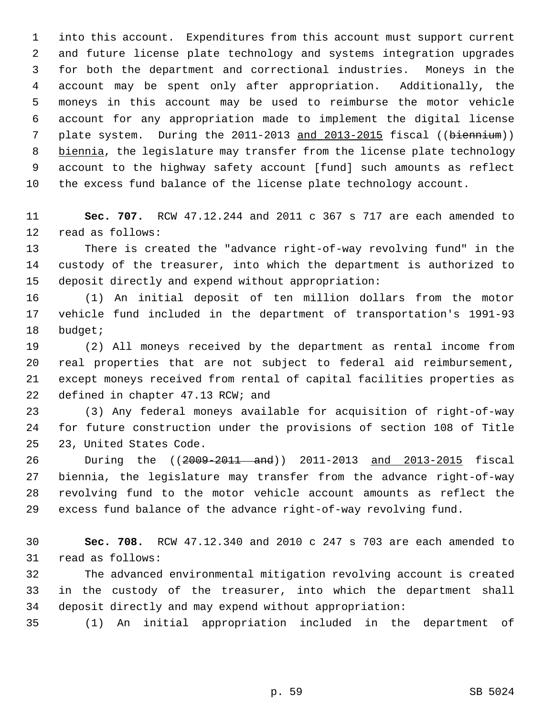1 into this account. Expenditures from this account must support current 2 and future license plate technology and systems integration upgrades 3 for both the department and correctional industries. Moneys in the 4 account may be spent only after appropriation. Additionally, the 5 moneys in this account may be used to reimburse the motor vehicle 6 account for any appropriation made to implement the digital license 7 plate system. During the 2011-2013 and 2013-2015 fiscal ((biennium)) 8 biennia, the legislature may transfer from the license plate technology 9 account to the highway safety account [fund] such amounts as reflect 10 the excess fund balance of the license plate technology account.

11 **Sec. 707.** RCW 47.12.244 and 2011 c 367 s 717 are each amended to 12 read as follows:

13 There is created the "advance right-of-way revolving fund" in the 14 custody of the treasurer, into which the department is authorized to 15 deposit directly and expend without appropriation:

16 (1) An initial deposit of ten million dollars from the motor 17 vehicle fund included in the department of transportation's 1991-93 18 budget;

19 (2) All moneys received by the department as rental income from 20 real properties that are not subject to federal aid reimbursement, 21 except moneys received from rental of capital facilities properties as 22 defined in chapter 47.13 RCW; and

23 (3) Any federal moneys available for acquisition of right-of-way 24 for future construction under the provisions of section 108 of Title 25 23, United States Code.

26 During the ((2009-2011 and)) 2011-2013 and 2013-2015 fiscal 27 biennia, the legislature may transfer from the advance right-of-way 28 revolving fund to the motor vehicle account amounts as reflect the 29 excess fund balance of the advance right-of-way revolving fund.

30 **Sec. 708.** RCW 47.12.340 and 2010 c 247 s 703 are each amended to 31 read as follows:

32 The advanced environmental mitigation revolving account is created 33 in the custody of the treasurer, into which the department shall 34 deposit directly and may expend without appropriation:

35 (1) An initial appropriation included in the department of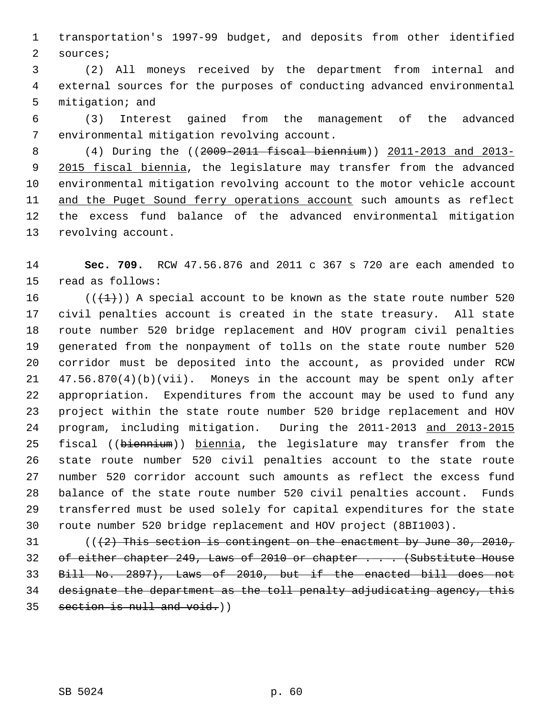1 transportation's 1997-99 budget, and deposits from other identified 2 sources;

 3 (2) All moneys received by the department from internal and 4 external sources for the purposes of conducting advanced environmental 5 mitigation; and

 6 (3) Interest gained from the management of the advanced 7 environmental mitigation revolving account.

 8 (4) During the ((2009-2011 fiscal biennium)) 2011-2013 and 2013- 9 2015 fiscal biennia, the legislature may transfer from the advanced 10 environmental mitigation revolving account to the motor vehicle account 11 and the Puget Sound ferry operations account such amounts as reflect 12 the excess fund balance of the advanced environmental mitigation 13 revolving account.

14 **Sec. 709.** RCW 47.56.876 and 2011 c 367 s 720 are each amended to 15 read as follows:

16 ( $(\frac{1}{1})$ ) A special account to be known as the state route number 520 17 civil penalties account is created in the state treasury. All state 18 route number 520 bridge replacement and HOV program civil penalties 19 generated from the nonpayment of tolls on the state route number 520 20 corridor must be deposited into the account, as provided under RCW 21 47.56.870(4)(b)(vii). Moneys in the account may be spent only after 22 appropriation. Expenditures from the account may be used to fund any 23 project within the state route number 520 bridge replacement and HOV 24 program, including mitigation. During the 2011-2013 and 2013-2015 25 fiscal ((biennium)) biennia, the legislature may transfer from the 26 state route number 520 civil penalties account to the state route 27 number 520 corridor account such amounts as reflect the excess fund 28 balance of the state route number 520 civil penalties account. Funds 29 transferred must be used solely for capital expenditures for the state 30 route number 520 bridge replacement and HOV project (8BI1003).

 $31$  (( $\{2\}$ ) This section is contingent on the enactment by June 30, 2010, 32 of either chapter 249, Laws of 2010 or chapter . . . (Substitute House 33 Bill No. 2897), Laws of 2010, but if the enacted bill does not 34 designate the department as the toll penalty adjudicating agency, this 35 section is null and void.))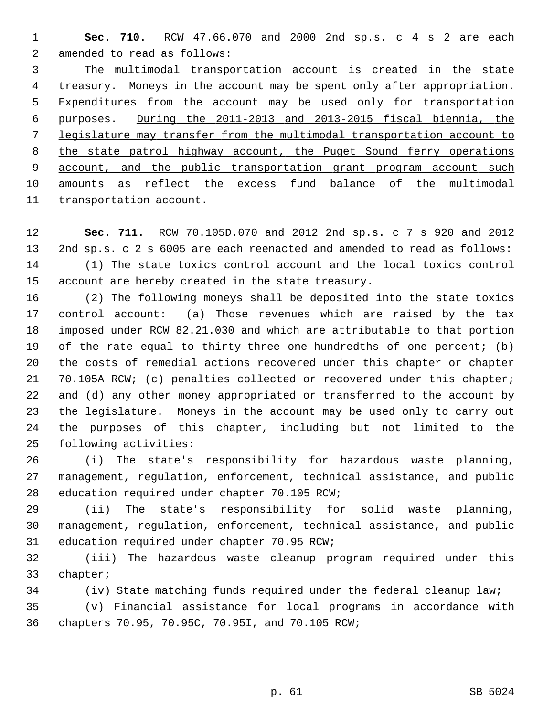1 **Sec. 710.** RCW 47.66.070 and 2000 2nd sp.s. c 4 s 2 are each 2 amended to read as follows:

 3 The multimodal transportation account is created in the state 4 treasury. Moneys in the account may be spent only after appropriation. 5 Expenditures from the account may be used only for transportation 6 purposes. During the 2011-2013 and 2013-2015 fiscal biennia, the 7 legislature may transfer from the multimodal transportation account to 8 the state patrol highway account, the Puget Sound ferry operations 9 account, and the public transportation grant program account such 10 amounts as reflect the excess fund balance of the multimodal 11 transportation account.

12 **Sec. 711.** RCW 70.105D.070 and 2012 2nd sp.s. c 7 s 920 and 2012 13 2nd sp.s. c 2 s 6005 are each reenacted and amended to read as follows: 14 (1) The state toxics control account and the local toxics control 15 account are hereby created in the state treasury.

16 (2) The following moneys shall be deposited into the state toxics 17 control account: (a) Those revenues which are raised by the tax 18 imposed under RCW 82.21.030 and which are attributable to that portion 19 of the rate equal to thirty-three one-hundredths of one percent; (b) 20 the costs of remedial actions recovered under this chapter or chapter 21 70.105A RCW; (c) penalties collected or recovered under this chapter; 22 and (d) any other money appropriated or transferred to the account by 23 the legislature. Moneys in the account may be used only to carry out 24 the purposes of this chapter, including but not limited to the 25 following activities:

26 (i) The state's responsibility for hazardous waste planning, 27 management, regulation, enforcement, technical assistance, and public 28 education required under chapter 70.105 RCW;

29 (ii) The state's responsibility for solid waste planning, 30 management, regulation, enforcement, technical assistance, and public 31 education required under chapter 70.95 RCW;

32 (iii) The hazardous waste cleanup program required under this 33 chapter;

34 (iv) State matching funds required under the federal cleanup law;

35 (v) Financial assistance for local programs in accordance with 36 chapters 70.95, 70.95C, 70.95I, and 70.105 RCW;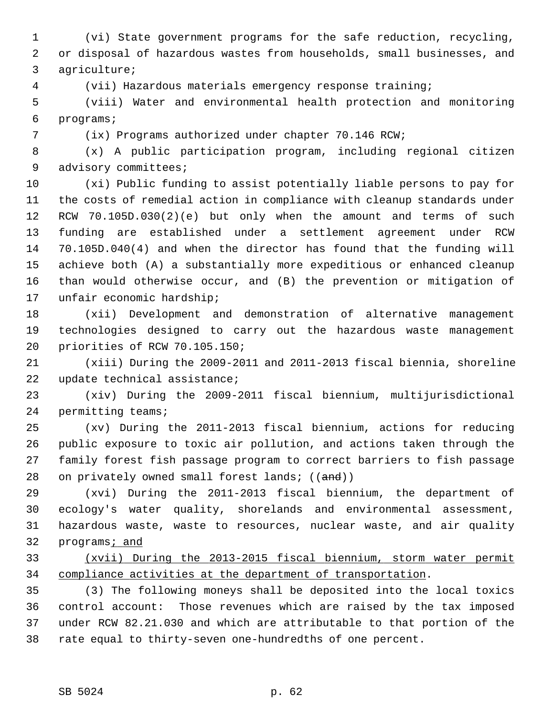1 (vi) State government programs for the safe reduction, recycling, 2 or disposal of hazardous wastes from households, small businesses, and 3 agriculture;

4 (vii) Hazardous materials emergency response training;

 5 (viii) Water and environmental health protection and monitoring 6 programs;

7 (ix) Programs authorized under chapter 70.146 RCW;

 8 (x) A public participation program, including regional citizen 9 advisory committees;

10 (xi) Public funding to assist potentially liable persons to pay for 11 the costs of remedial action in compliance with cleanup standards under 12 RCW 70.105D.030(2)(e) but only when the amount and terms of such 13 funding are established under a settlement agreement under RCW 14 70.105D.040(4) and when the director has found that the funding will 15 achieve both (A) a substantially more expeditious or enhanced cleanup 16 than would otherwise occur, and (B) the prevention or mitigation of 17 unfair economic hardship;

18 (xii) Development and demonstration of alternative management 19 technologies designed to carry out the hazardous waste management 20 priorities of RCW 70.105.150;

21 (xiii) During the 2009-2011 and 2011-2013 fiscal biennia, shoreline 22 update technical assistance;

23 (xiv) During the 2009-2011 fiscal biennium, multijurisdictional 24 permitting teams;

25 (xv) During the 2011-2013 fiscal biennium, actions for reducing 26 public exposure to toxic air pollution, and actions taken through the 27 family forest fish passage program to correct barriers to fish passage 28 on privately owned small forest lands;  $((and))$ 

29 (xvi) During the 2011-2013 fiscal biennium, the department of 30 ecology's water quality, shorelands and environmental assessment, 31 hazardous waste, waste to resources, nuclear waste, and air quality 32 programs; and

33 (xvii) During the 2013-2015 fiscal biennium, storm water permit 34 compliance activities at the department of transportation.

35 (3) The following moneys shall be deposited into the local toxics 36 control account: Those revenues which are raised by the tax imposed 37 under RCW 82.21.030 and which are attributable to that portion of the 38 rate equal to thirty-seven one-hundredths of one percent.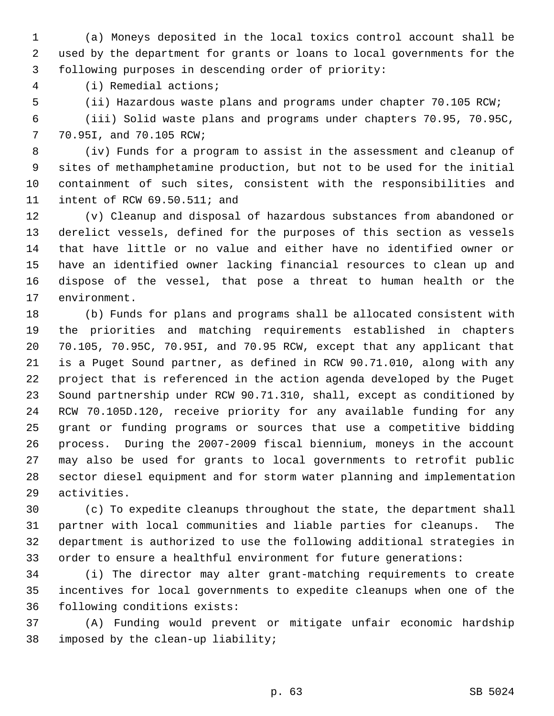1 (a) Moneys deposited in the local toxics control account shall be 2 used by the department for grants or loans to local governments for the 3 following purposes in descending order of priority:

4 (i) Remedial actions;

5 (ii) Hazardous waste plans and programs under chapter 70.105 RCW;

 6 (iii) Solid waste plans and programs under chapters 70.95, 70.95C, 7 70.95I, and 70.105 RCW;

 8 (iv) Funds for a program to assist in the assessment and cleanup of 9 sites of methamphetamine production, but not to be used for the initial 10 containment of such sites, consistent with the responsibilities and 11 intent of RCW 69.50.511; and

12 (v) Cleanup and disposal of hazardous substances from abandoned or 13 derelict vessels, defined for the purposes of this section as vessels 14 that have little or no value and either have no identified owner or 15 have an identified owner lacking financial resources to clean up and 16 dispose of the vessel, that pose a threat to human health or the 17 environment.

18 (b) Funds for plans and programs shall be allocated consistent with 19 the priorities and matching requirements established in chapters 20 70.105, 70.95C, 70.95I, and 70.95 RCW, except that any applicant that 21 is a Puget Sound partner, as defined in RCW 90.71.010, along with any 22 project that is referenced in the action agenda developed by the Puget 23 Sound partnership under RCW 90.71.310, shall, except as conditioned by 24 RCW 70.105D.120, receive priority for any available funding for any 25 grant or funding programs or sources that use a competitive bidding 26 process. During the 2007-2009 fiscal biennium, moneys in the account 27 may also be used for grants to local governments to retrofit public 28 sector diesel equipment and for storm water planning and implementation 29 activities.

30 (c) To expedite cleanups throughout the state, the department shall 31 partner with local communities and liable parties for cleanups. The 32 department is authorized to use the following additional strategies in 33 order to ensure a healthful environment for future generations:

34 (i) The director may alter grant-matching requirements to create 35 incentives for local governments to expedite cleanups when one of the 36 following conditions exists:

37 (A) Funding would prevent or mitigate unfair economic hardship 38 imposed by the clean-up liability;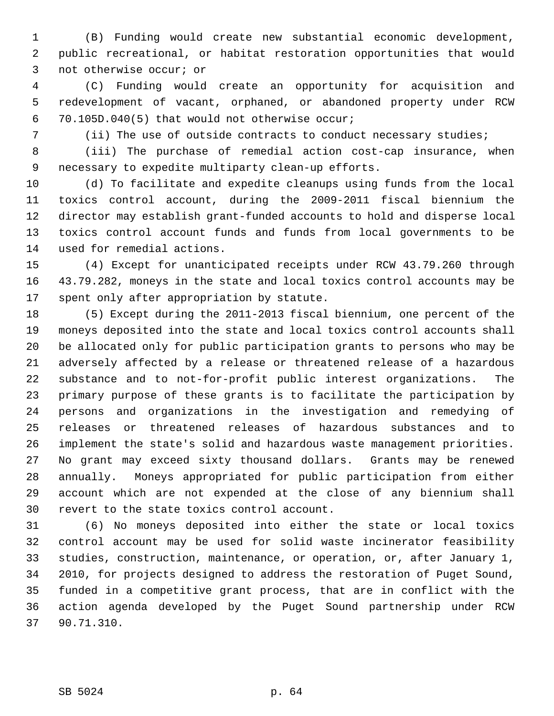1 (B) Funding would create new substantial economic development, 2 public recreational, or habitat restoration opportunities that would 3 not otherwise occur; or

 4 (C) Funding would create an opportunity for acquisition and 5 redevelopment of vacant, orphaned, or abandoned property under RCW 6 70.105D.040(5) that would not otherwise occur;

7 (ii) The use of outside contracts to conduct necessary studies;

 8 (iii) The purchase of remedial action cost-cap insurance, when 9 necessary to expedite multiparty clean-up efforts.

10 (d) To facilitate and expedite cleanups using funds from the local 11 toxics control account, during the 2009-2011 fiscal biennium the 12 director may establish grant-funded accounts to hold and disperse local 13 toxics control account funds and funds from local governments to be 14 used for remedial actions.

15 (4) Except for unanticipated receipts under RCW 43.79.260 through 16 43.79.282, moneys in the state and local toxics control accounts may be 17 spent only after appropriation by statute.

18 (5) Except during the 2011-2013 fiscal biennium, one percent of the 19 moneys deposited into the state and local toxics control accounts shall 20 be allocated only for public participation grants to persons who may be 21 adversely affected by a release or threatened release of a hazardous 22 substance and to not-for-profit public interest organizations. The 23 primary purpose of these grants is to facilitate the participation by 24 persons and organizations in the investigation and remedying of 25 releases or threatened releases of hazardous substances and to 26 implement the state's solid and hazardous waste management priorities. 27 No grant may exceed sixty thousand dollars. Grants may be renewed 28 annually. Moneys appropriated for public participation from either 29 account which are not expended at the close of any biennium shall 30 revert to the state toxics control account.

31 (6) No moneys deposited into either the state or local toxics 32 control account may be used for solid waste incinerator feasibility 33 studies, construction, maintenance, or operation, or, after January 1, 34 2010, for projects designed to address the restoration of Puget Sound, 35 funded in a competitive grant process, that are in conflict with the 36 action agenda developed by the Puget Sound partnership under RCW 37 90.71.310.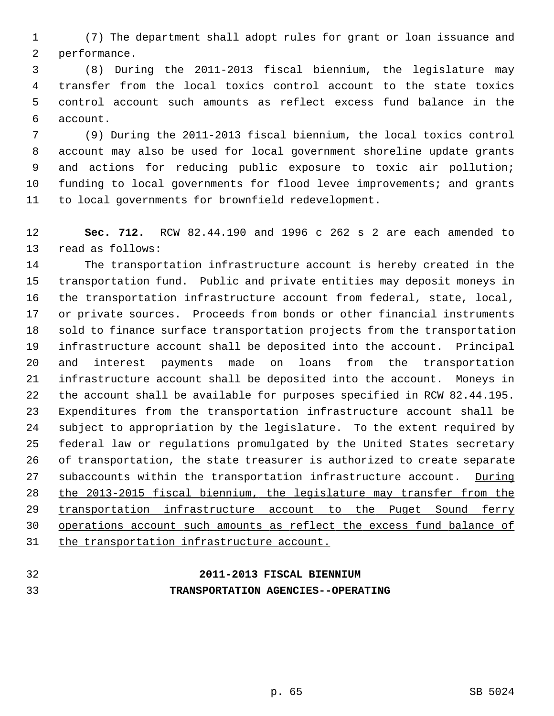1 (7) The department shall adopt rules for grant or loan issuance and 2 performance.

 3 (8) During the 2011-2013 fiscal biennium, the legislature may 4 transfer from the local toxics control account to the state toxics 5 control account such amounts as reflect excess fund balance in the 6 account.

 7 (9) During the 2011-2013 fiscal biennium, the local toxics control 8 account may also be used for local government shoreline update grants 9 and actions for reducing public exposure to toxic air pollution; 10 funding to local governments for flood levee improvements; and grants 11 to local governments for brownfield redevelopment.

12 **Sec. 712.** RCW 82.44.190 and 1996 c 262 s 2 are each amended to 13 read as follows:

14 The transportation infrastructure account is hereby created in the 15 transportation fund. Public and private entities may deposit moneys in 16 the transportation infrastructure account from federal, state, local, 17 or private sources. Proceeds from bonds or other financial instruments 18 sold to finance surface transportation projects from the transportation 19 infrastructure account shall be deposited into the account. Principal 20 and interest payments made on loans from the transportation 21 infrastructure account shall be deposited into the account. Moneys in 22 the account shall be available for purposes specified in RCW 82.44.195. 23 Expenditures from the transportation infrastructure account shall be 24 subject to appropriation by the legislature. To the extent required by 25 federal law or regulations promulgated by the United States secretary 26 of transportation, the state treasurer is authorized to create separate 27 subaccounts within the transportation infrastructure account. During 28 the 2013-2015 fiscal biennium, the legislature may transfer from the 29 transportation infrastructure account to the Puget Sound ferry 30 operations account such amounts as reflect the excess fund balance of 31 the transportation infrastructure account.

# 32 **2011-2013 FISCAL BIENNIUM** 33 **TRANSPORTATION AGENCIES--OPERATING**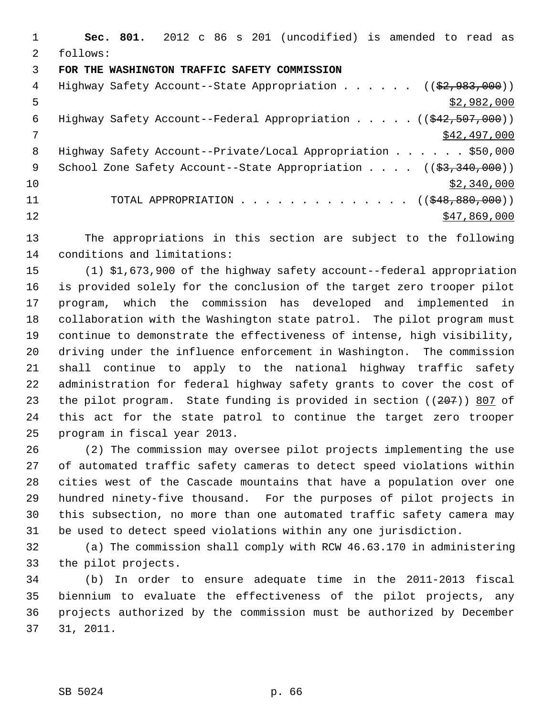1 **Sec. 801.** 2012 c 86 s 201 (uncodified) is amended to read as 2 follows: 3 **FOR THE WASHINGTON TRAFFIC SAFETY COMMISSION** 4 Highway Safety Account--State Appropriation . . . . . ((\$2,983,000))  $\frac{1}{2}$  5 6 Highway Safety Account--Federal Appropriation . . . . . ((\$42,507,000))  $7 \frac{$42,497,000}{9000}$ 8 Highway Safety Account--Private/Local Appropriation . . . . . \$50,000 9 School Zone Safety Account--State Appropriation . . . . ((\$3,340,000))  $\frac{$2,340,000}{ }$ 11 TOTAL APPROPRIATION . . . . . . . . . . . . . . ((\$48,880,000))  $\frac{12}{347,869,000}$ 

13 The appropriations in this section are subject to the following 14 conditions and limitations:

15 (1) \$1,673,900 of the highway safety account--federal appropriation 16 is provided solely for the conclusion of the target zero trooper pilot 17 program, which the commission has developed and implemented in 18 collaboration with the Washington state patrol. The pilot program must 19 continue to demonstrate the effectiveness of intense, high visibility, 20 driving under the influence enforcement in Washington. The commission 21 shall continue to apply to the national highway traffic safety 22 administration for federal highway safety grants to cover the cost of 23 the pilot program. State funding is provided in section ((207)) 807 of 24 this act for the state patrol to continue the target zero trooper 25 program in fiscal year 2013.

26 (2) The commission may oversee pilot projects implementing the use 27 of automated traffic safety cameras to detect speed violations within 28 cities west of the Cascade mountains that have a population over one 29 hundred ninety-five thousand. For the purposes of pilot projects in 30 this subsection, no more than one automated traffic safety camera may 31 be used to detect speed violations within any one jurisdiction.

32 (a) The commission shall comply with RCW 46.63.170 in administering 33 the pilot projects.

34 (b) In order to ensure adequate time in the 2011-2013 fiscal 35 biennium to evaluate the effectiveness of the pilot projects, any 36 projects authorized by the commission must be authorized by December 37 31, 2011.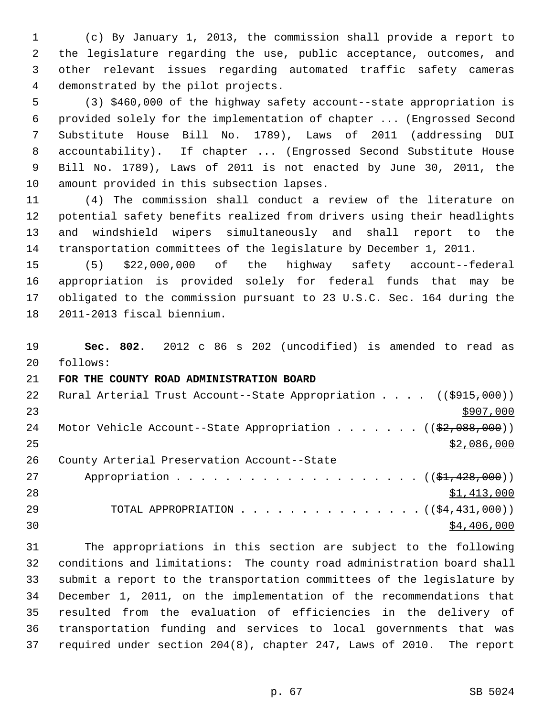1 (c) By January 1, 2013, the commission shall provide a report to 2 the legislature regarding the use, public acceptance, outcomes, and 3 other relevant issues regarding automated traffic safety cameras 4 demonstrated by the pilot projects.

 5 (3) \$460,000 of the highway safety account--state appropriation is 6 provided solely for the implementation of chapter ... (Engrossed Second 7 Substitute House Bill No. 1789), Laws of 2011 (addressing DUI 8 accountability). If chapter ... (Engrossed Second Substitute House 9 Bill No. 1789), Laws of 2011 is not enacted by June 30, 2011, the 10 amount provided in this subsection lapses.

11 (4) The commission shall conduct a review of the literature on 12 potential safety benefits realized from drivers using their headlights 13 and windshield wipers simultaneously and shall report to the 14 transportation committees of the legislature by December 1, 2011.

15 (5) \$22,000,000 of the highway safety account--federal 16 appropriation is provided solely for federal funds that may be 17 obligated to the commission pursuant to 23 U.S.C. Sec. 164 during the 18 2011-2013 fiscal biennium.

19 **Sec. 802.** 2012 c 86 s 202 (uncodified) is amended to read as 20 follows:

### 21 **FOR THE COUNTY ROAD ADMINISTRATION BOARD**

| 22 | Rural Arterial Trust Account--State Appropriation $($ $($ \$915,000) $)$        |
|----|---------------------------------------------------------------------------------|
| 23 | \$907,000                                                                       |
| 24 | Motor Vehicle Account--State Appropriation $($ $($ $\frac{2}{2}, 088, 000)$ $)$ |
| 25 | \$2,086,000                                                                     |
| 26 | County Arterial Preservation Account--State                                     |
| 27 | Appropriation $($ $(\frac{1}{21}, \frac{428}{100})$                             |
| 28 | \$1,413,000                                                                     |
| 29 | TOTAL APPROPRIATION $($ $(\frac{24}{11}, 000) )$                                |
| 30 | \$4,406,000                                                                     |

31 The appropriations in this section are subject to the following 32 conditions and limitations: The county road administration board shall 33 submit a report to the transportation committees of the legislature by 34 December 1, 2011, on the implementation of the recommendations that 35 resulted from the evaluation of efficiencies in the delivery of 36 transportation funding and services to local governments that was 37 required under section 204(8), chapter 247, Laws of 2010. The report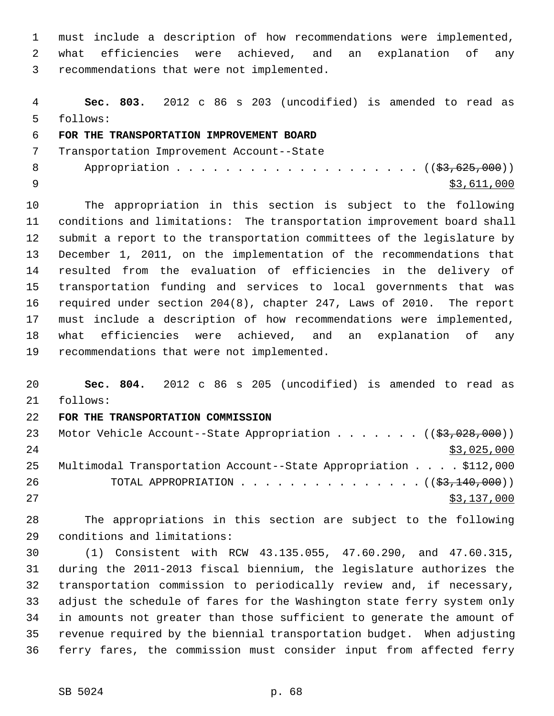1 must include a description of how recommendations were implemented, 2 what efficiencies were achieved, and an explanation of any 3 recommendations that were not implemented.

 4 **Sec. 803.** 2012 c 86 s 203 (uncodified) is amended to read as 5 follows:

### 6 **FOR THE TRANSPORTATION IMPROVEMENT BOARD**

 7 Transportation Improvement Account--State 8 Appropriation . . . . . . . . . . . . . . . . . . (  $(\frac{23}{63}, \frac{625}{600})$  )  $\frac{1}{2}$   $\frac{1}{2}$   $\frac{1}{2}$   $\frac{1}{2}$   $\frac{1}{2}$   $\frac{1}{2}$   $\frac{1}{2}$   $\frac{1}{2}$   $\frac{1}{2}$   $\frac{1}{2}$   $\frac{1}{2}$   $\frac{1}{2}$   $\frac{1}{2}$   $\frac{1}{2}$   $\frac{1}{2}$   $\frac{1}{2}$   $\frac{1}{2}$   $\frac{1}{2}$   $\frac{1}{2}$   $\frac{1}{2}$   $\frac{1}{2}$   $\frac{1}{2}$ 

10 The appropriation in this section is subject to the following 11 conditions and limitations: The transportation improvement board shall 12 submit a report to the transportation committees of the legislature by 13 December 1, 2011, on the implementation of the recommendations that 14 resulted from the evaluation of efficiencies in the delivery of 15 transportation funding and services to local governments that was 16 required under section 204(8), chapter 247, Laws of 2010. The report 17 must include a description of how recommendations were implemented, 18 what efficiencies were achieved, and an explanation of any 19 recommendations that were not implemented.

20 **Sec. 804.** 2012 c 86 s 205 (uncodified) is amended to read as 21 follows:

#### 22 **FOR THE TRANSPORTATION COMMISSION**

| 23 | Motor Vehicle Account--State Appropriation ( $(\frac{27}{53}, 028, 000)$ ) |
|----|----------------------------------------------------------------------------|
| 24 | \$3,025,000                                                                |
| 25 | Multimodal Transportation Account--State Appropriation \$112,000           |
| 26 | TOTAL APPROPRIATION $\ldots$ , ( $(\frac{2}{53}, \frac{140}{100})$ )       |
| 27 | \$3,137,000                                                                |

28 The appropriations in this section are subject to the following 29 conditions and limitations:

30 (1) Consistent with RCW 43.135.055, 47.60.290, and 47.60.315, 31 during the 2011-2013 fiscal biennium, the legislature authorizes the 32 transportation commission to periodically review and, if necessary, 33 adjust the schedule of fares for the Washington state ferry system only 34 in amounts not greater than those sufficient to generate the amount of 35 revenue required by the biennial transportation budget. When adjusting 36 ferry fares, the commission must consider input from affected ferry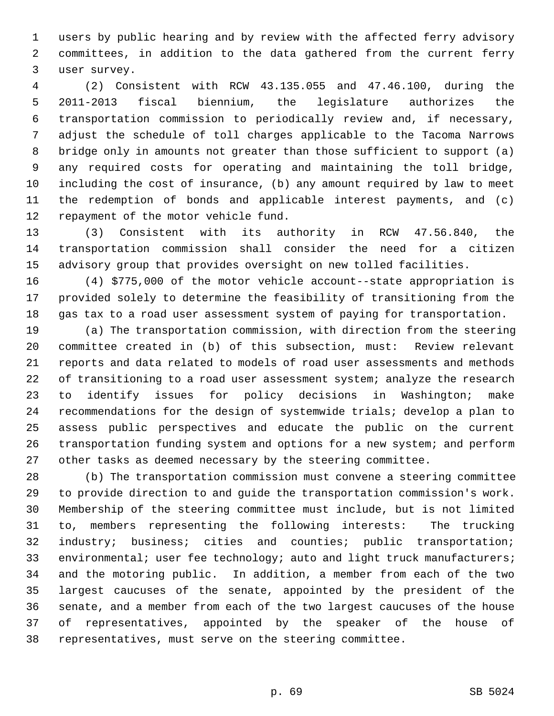1 users by public hearing and by review with the affected ferry advisory 2 committees, in addition to the data gathered from the current ferry 3 user survey.

 4 (2) Consistent with RCW 43.135.055 and 47.46.100, during the 5 2011-2013 fiscal biennium, the legislature authorizes the 6 transportation commission to periodically review and, if necessary, 7 adjust the schedule of toll charges applicable to the Tacoma Narrows 8 bridge only in amounts not greater than those sufficient to support (a) 9 any required costs for operating and maintaining the toll bridge, 10 including the cost of insurance, (b) any amount required by law to meet 11 the redemption of bonds and applicable interest payments, and (c) 12 repayment of the motor vehicle fund.

13 (3) Consistent with its authority in RCW 47.56.840, the 14 transportation commission shall consider the need for a citizen 15 advisory group that provides oversight on new tolled facilities.

16 (4) \$775,000 of the motor vehicle account--state appropriation is 17 provided solely to determine the feasibility of transitioning from the 18 gas tax to a road user assessment system of paying for transportation.

19 (a) The transportation commission, with direction from the steering 20 committee created in (b) of this subsection, must: Review relevant 21 reports and data related to models of road user assessments and methods 22 of transitioning to a road user assessment system; analyze the research 23 to identify issues for policy decisions in Washington; make 24 recommendations for the design of systemwide trials; develop a plan to 25 assess public perspectives and educate the public on the current 26 transportation funding system and options for a new system; and perform 27 other tasks as deemed necessary by the steering committee.

28 (b) The transportation commission must convene a steering committee 29 to provide direction to and guide the transportation commission's work. 30 Membership of the steering committee must include, but is not limited 31 to, members representing the following interests: The trucking 32 industry; business; cities and counties; public transportation; 33 environmental; user fee technology; auto and light truck manufacturers; 34 and the motoring public. In addition, a member from each of the two 35 largest caucuses of the senate, appointed by the president of the 36 senate, and a member from each of the two largest caucuses of the house 37 of representatives, appointed by the speaker of the house of 38 representatives, must serve on the steering committee.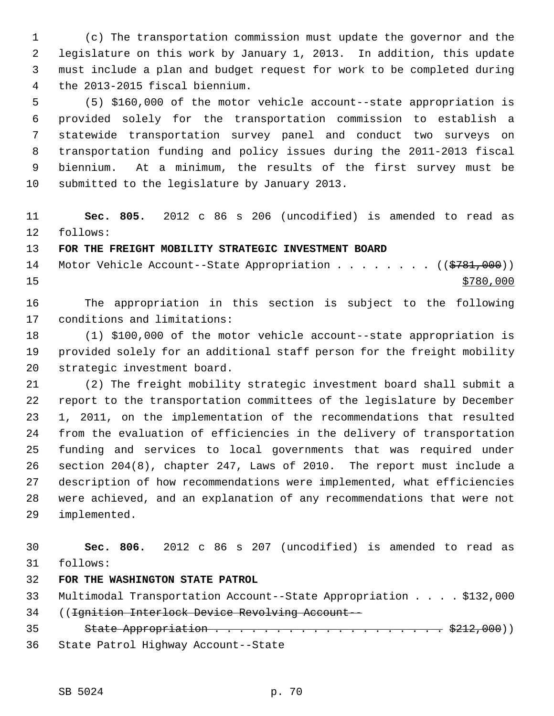1 (c) The transportation commission must update the governor and the 2 legislature on this work by January 1, 2013. In addition, this update 3 must include a plan and budget request for work to be completed during 4 the 2013-2015 fiscal biennium.

 5 (5) \$160,000 of the motor vehicle account--state appropriation is 6 provided solely for the transportation commission to establish a 7 statewide transportation survey panel and conduct two surveys on 8 transportation funding and policy issues during the 2011-2013 fiscal 9 biennium. At a minimum, the results of the first survey must be 10 submitted to the legislature by January 2013.

11 **Sec. 805.** 2012 c 86 s 206 (uncodified) is amended to read as 12 follows:

#### 13 **FOR THE FREIGHT MOBILITY STRATEGIC INVESTMENT BOARD**

14 Motor Vehicle Account--State Appropriation . . . . . . . ((\$781,000))  $15$   $\frac{$780,000}{ }$ 

16 The appropriation in this section is subject to the following 17 conditions and limitations:

18 (1) \$100,000 of the motor vehicle account--state appropriation is 19 provided solely for an additional staff person for the freight mobility 20 strategic investment board.

21 (2) The freight mobility strategic investment board shall submit a 22 report to the transportation committees of the legislature by December 23 1, 2011, on the implementation of the recommendations that resulted 24 from the evaluation of efficiencies in the delivery of transportation 25 funding and services to local governments that was required under 26 section 204(8), chapter 247, Laws of 2010. The report must include a 27 description of how recommendations were implemented, what efficiencies 28 were achieved, and an explanation of any recommendations that were not 29 implemented.

30 **Sec. 806.** 2012 c 86 s 207 (uncodified) is amended to read as 31 follows:

32 **FOR THE WASHINGTON STATE PATROL**

33 Multimodal Transportation Account--State Appropriation . . . . \$132,000 34 ((Ignition Interlock Device Revolving Account--

35 State Appropriation . . . . . . . . . . . . . . . . . . \$212,000)) 36 State Patrol Highway Account--State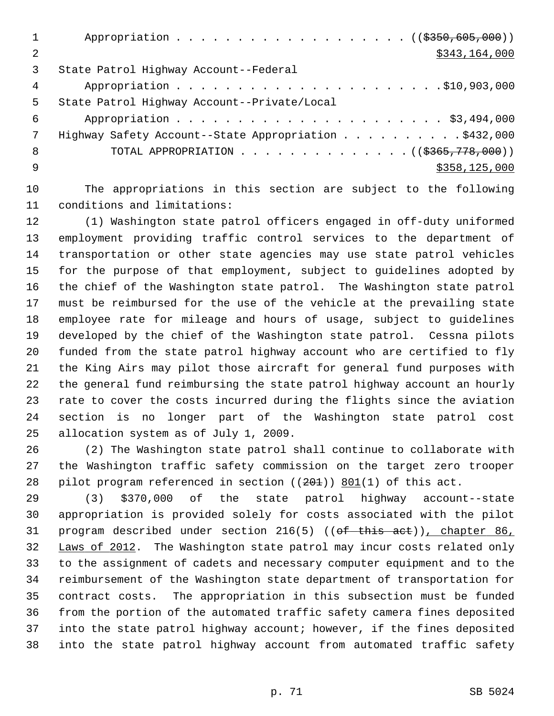|    | Appropriation ((\$350,605,000))                       |
|----|-------------------------------------------------------|
| 2  | \$343,164,000                                         |
| 3  | State Patrol Highway Account--Federal                 |
| 4  |                                                       |
| 5. | State Patrol Highway Account--Private/Local           |
| 6  |                                                       |
| 7  | Highway Safety Account--State Appropriation \$432,000 |
| 8  | TOTAL APPROPRIATION ( $(\frac{2365}{778},000)$ )      |
| q  | \$358,125,000                                         |
|    |                                                       |

10 The appropriations in this section are subject to the following 11 conditions and limitations:

12 (1) Washington state patrol officers engaged in off-duty uniformed 13 employment providing traffic control services to the department of 14 transportation or other state agencies may use state patrol vehicles 15 for the purpose of that employment, subject to guidelines adopted by 16 the chief of the Washington state patrol. The Washington state patrol 17 must be reimbursed for the use of the vehicle at the prevailing state 18 employee rate for mileage and hours of usage, subject to guidelines 19 developed by the chief of the Washington state patrol. Cessna pilots 20 funded from the state patrol highway account who are certified to fly 21 the King Airs may pilot those aircraft for general fund purposes with 22 the general fund reimbursing the state patrol highway account an hourly 23 rate to cover the costs incurred during the flights since the aviation 24 section is no longer part of the Washington state patrol cost 25 allocation system as of July 1, 2009.

26 (2) The Washington state patrol shall continue to collaborate with 27 the Washington traffic safety commission on the target zero trooper 28 pilot program referenced in section  $((201))$  801(1) of this act.

29 (3) \$370,000 of the state patrol highway account--state 30 appropriation is provided solely for costs associated with the pilot 31 program described under section 216(5) ((of this act)), chapter 86, 32 Laws of 2012. The Washington state patrol may incur costs related only 33 to the assignment of cadets and necessary computer equipment and to the 34 reimbursement of the Washington state department of transportation for 35 contract costs. The appropriation in this subsection must be funded 36 from the portion of the automated traffic safety camera fines deposited 37 into the state patrol highway account; however, if the fines deposited 38 into the state patrol highway account from automated traffic safety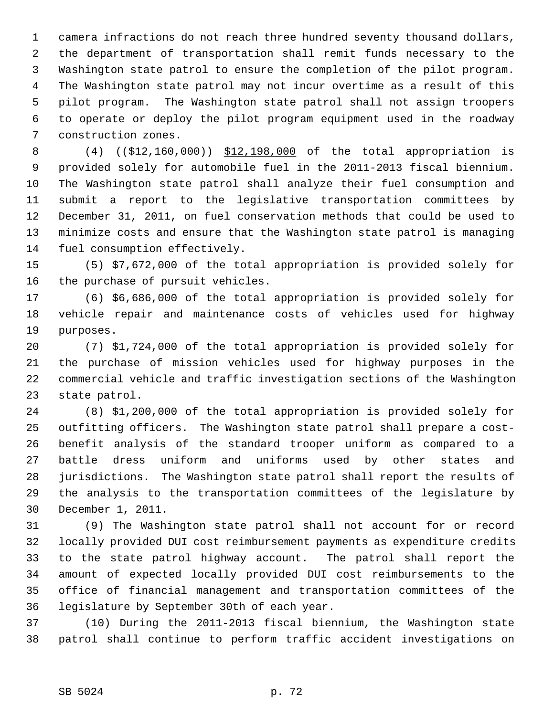1 camera infractions do not reach three hundred seventy thousand dollars, 2 the department of transportation shall remit funds necessary to the 3 Washington state patrol to ensure the completion of the pilot program. 4 The Washington state patrol may not incur overtime as a result of this 5 pilot program. The Washington state patrol shall not assign troopers 6 to operate or deploy the pilot program equipment used in the roadway 7 construction zones.

 8 (4) ((\$12,160,000)) \$12,198,000 of the total appropriation is 9 provided solely for automobile fuel in the 2011-2013 fiscal biennium. 10 The Washington state patrol shall analyze their fuel consumption and 11 submit a report to the legislative transportation committees by 12 December 31, 2011, on fuel conservation methods that could be used to 13 minimize costs and ensure that the Washington state patrol is managing 14 fuel consumption effectively.

15 (5) \$7,672,000 of the total appropriation is provided solely for 16 the purchase of pursuit vehicles.

17 (6) \$6,686,000 of the total appropriation is provided solely for 18 vehicle repair and maintenance costs of vehicles used for highway 19 purposes.

20 (7) \$1,724,000 of the total appropriation is provided solely for 21 the purchase of mission vehicles used for highway purposes in the 22 commercial vehicle and traffic investigation sections of the Washington 23 state patrol.

24 (8) \$1,200,000 of the total appropriation is provided solely for 25 outfitting officers. The Washington state patrol shall prepare a cost-26 benefit analysis of the standard trooper uniform as compared to a 27 battle dress uniform and uniforms used by other states and 28 jurisdictions. The Washington state patrol shall report the results of 29 the analysis to the transportation committees of the legislature by 30 December 1, 2011.

31 (9) The Washington state patrol shall not account for or record 32 locally provided DUI cost reimbursement payments as expenditure credits 33 to the state patrol highway account. The patrol shall report the 34 amount of expected locally provided DUI cost reimbursements to the 35 office of financial management and transportation committees of the 36 legislature by September 30th of each year.

37 (10) During the 2011-2013 fiscal biennium, the Washington state 38 patrol shall continue to perform traffic accident investigations on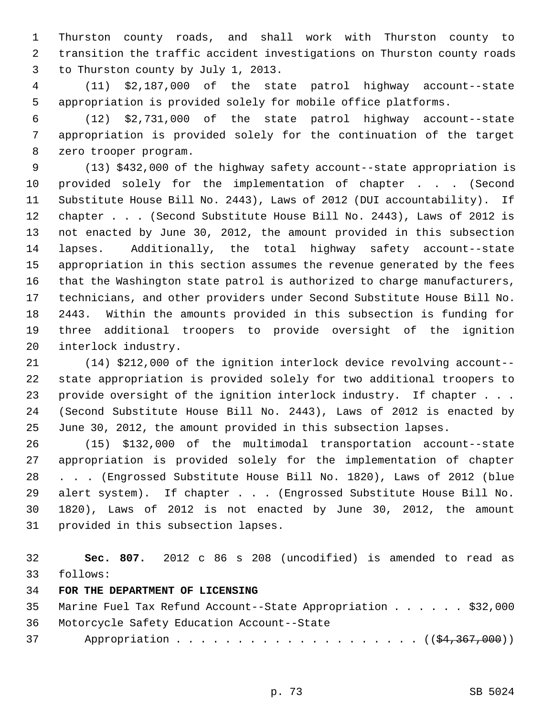1 Thurston county roads, and shall work with Thurston county to 2 transition the traffic accident investigations on Thurston county roads 3 to Thurston county by July 1, 2013.

 4 (11) \$2,187,000 of the state patrol highway account--state 5 appropriation is provided solely for mobile office platforms.

 6 (12) \$2,731,000 of the state patrol highway account--state 7 appropriation is provided solely for the continuation of the target 8 zero trooper program.

 9 (13) \$432,000 of the highway safety account--state appropriation is 10 provided solely for the implementation of chapter . . . (Second 11 Substitute House Bill No. 2443), Laws of 2012 (DUI accountability). If 12 chapter . . . (Second Substitute House Bill No. 2443), Laws of 2012 is 13 not enacted by June 30, 2012, the amount provided in this subsection 14 lapses. Additionally, the total highway safety account--state 15 appropriation in this section assumes the revenue generated by the fees 16 that the Washington state patrol is authorized to charge manufacturers, 17 technicians, and other providers under Second Substitute House Bill No. 18 2443. Within the amounts provided in this subsection is funding for 19 three additional troopers to provide oversight of the ignition 20 interlock industry.

21 (14) \$212,000 of the ignition interlock device revolving account-- 22 state appropriation is provided solely for two additional troopers to 23 provide oversight of the ignition interlock industry. If chapter . . . 24 (Second Substitute House Bill No. 2443), Laws of 2012 is enacted by 25 June 30, 2012, the amount provided in this subsection lapses.

26 (15) \$132,000 of the multimodal transportation account--state 27 appropriation is provided solely for the implementation of chapter 28 . . . (Engrossed Substitute House Bill No. 1820), Laws of 2012 (blue 29 alert system). If chapter . . . (Engrossed Substitute House Bill No. 30 1820), Laws of 2012 is not enacted by June 30, 2012, the amount 31 provided in this subsection lapses.

32 **Sec. 807.** 2012 c 86 s 208 (uncodified) is amended to read as 33 follows:

## 34 **FOR THE DEPARTMENT OF LICENSING**

| 35 Marine Fuel Tax Refund Account--State Appropriation \$32,000 |  |  |  |  |
|-----------------------------------------------------------------|--|--|--|--|
| 36 Motorcycle Safety Education Account--State                   |  |  |  |  |
| 37 Appropriation ( $(\frac{24}{367}, \frac{367}{100})$          |  |  |  |  |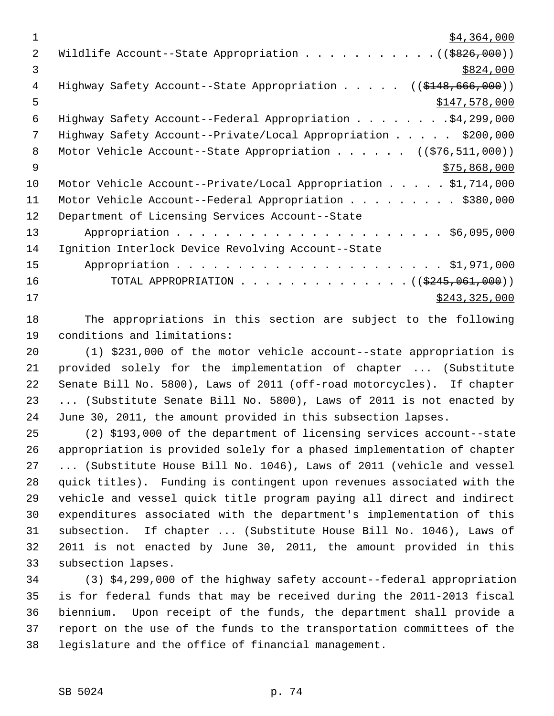$\frac{1}{54}$ , 364, 000 2 Wildlife Account--State Appropriation . . . . . . . . . . . ((\$826,000))  $\frac{$824,000}{ }$ 4 Highway Safety Account--State Appropriation . . . . . ((\$148,666,000))  $$147,578,000$  6 Highway Safety Account--Federal Appropriation . . . . . . . .\$4,299,000 7 Highway Safety Account--Private/Local Appropriation . . . . . \$200,000 8 Motor Vehicle Account--State Appropriation . . . . . . ((\$76,511,000))  $9 \frac{\text{575,868,000}}{9}$ 10 Motor Vehicle Account--Private/Local Appropriation . . . . . \$1,714,000 11 Motor Vehicle Account--Federal Appropriation . . . . . . . . . \$380,000 12 Department of Licensing Services Account--State 13 Appropriation . . . . . . . . . . . . . . . . . . . . . . \$6,095,000 14 Ignition Interlock Device Revolving Account--State 15 Appropriation . . . . . . . . . . . . . . . . . . . . . . \$1,971,000 16 TOTAL APPROPRIATION . . . . . . . . . . . . . . ((\$245,061,000)) 17 \$243,325,000

18 The appropriations in this section are subject to the following 19 conditions and limitations:

20 (1) \$231,000 of the motor vehicle account--state appropriation is 21 provided solely for the implementation of chapter ... (Substitute 22 Senate Bill No. 5800), Laws of 2011 (off-road motorcycles). If chapter 23 ... (Substitute Senate Bill No. 5800), Laws of 2011 is not enacted by 24 June 30, 2011, the amount provided in this subsection lapses.

25 (2) \$193,000 of the department of licensing services account--state 26 appropriation is provided solely for a phased implementation of chapter 27 ... (Substitute House Bill No. 1046), Laws of 2011 (vehicle and vessel 28 quick titles). Funding is contingent upon revenues associated with the 29 vehicle and vessel quick title program paying all direct and indirect 30 expenditures associated with the department's implementation of this 31 subsection. If chapter ... (Substitute House Bill No. 1046), Laws of 32 2011 is not enacted by June 30, 2011, the amount provided in this 33 subsection lapses.

34 (3) \$4,299,000 of the highway safety account--federal appropriation 35 is for federal funds that may be received during the 2011-2013 fiscal 36 biennium. Upon receipt of the funds, the department shall provide a 37 report on the use of the funds to the transportation committees of the 38 legislature and the office of financial management.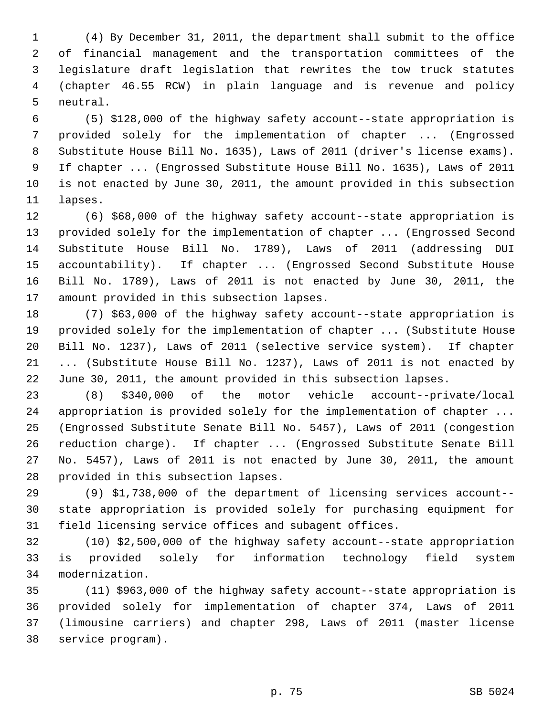1 (4) By December 31, 2011, the department shall submit to the office 2 of financial management and the transportation committees of the 3 legislature draft legislation that rewrites the tow truck statutes 4 (chapter 46.55 RCW) in plain language and is revenue and policy 5 neutral.

 6 (5) \$128,000 of the highway safety account--state appropriation is 7 provided solely for the implementation of chapter ... (Engrossed 8 Substitute House Bill No. 1635), Laws of 2011 (driver's license exams). 9 If chapter ... (Engrossed Substitute House Bill No. 1635), Laws of 2011 10 is not enacted by June 30, 2011, the amount provided in this subsection 11 lapses.

12 (6) \$68,000 of the highway safety account--state appropriation is 13 provided solely for the implementation of chapter ... (Engrossed Second 14 Substitute House Bill No. 1789), Laws of 2011 (addressing DUI 15 accountability). If chapter ... (Engrossed Second Substitute House 16 Bill No. 1789), Laws of 2011 is not enacted by June 30, 2011, the 17 amount provided in this subsection lapses.

18 (7) \$63,000 of the highway safety account--state appropriation is 19 provided solely for the implementation of chapter ... (Substitute House 20 Bill No. 1237), Laws of 2011 (selective service system). If chapter 21 ... (Substitute House Bill No. 1237), Laws of 2011 is not enacted by 22 June 30, 2011, the amount provided in this subsection lapses.

23 (8) \$340,000 of the motor vehicle account--private/local 24 appropriation is provided solely for the implementation of chapter ... 25 (Engrossed Substitute Senate Bill No. 5457), Laws of 2011 (congestion 26 reduction charge). If chapter ... (Engrossed Substitute Senate Bill 27 No. 5457), Laws of 2011 is not enacted by June 30, 2011, the amount 28 provided in this subsection lapses.

29 (9) \$1,738,000 of the department of licensing services account-- 30 state appropriation is provided solely for purchasing equipment for 31 field licensing service offices and subagent offices.

32 (10) \$2,500,000 of the highway safety account--state appropriation 33 is provided solely for information technology field system 34 modernization.

35 (11) \$963,000 of the highway safety account--state appropriation is 36 provided solely for implementation of chapter 374, Laws of 2011 37 (limousine carriers) and chapter 298, Laws of 2011 (master license 38 service program).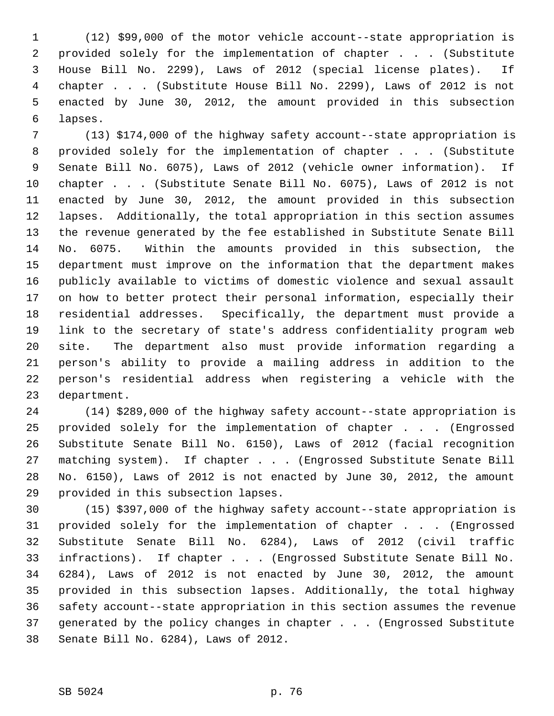1 (12) \$99,000 of the motor vehicle account--state appropriation is 2 provided solely for the implementation of chapter . . . (Substitute 3 House Bill No. 2299), Laws of 2012 (special license plates). If 4 chapter . . . (Substitute House Bill No. 2299), Laws of 2012 is not 5 enacted by June 30, 2012, the amount provided in this subsection 6 lapses.

 7 (13) \$174,000 of the highway safety account--state appropriation is 8 provided solely for the implementation of chapter . . . (Substitute 9 Senate Bill No. 6075), Laws of 2012 (vehicle owner information). If 10 chapter . . . (Substitute Senate Bill No. 6075), Laws of 2012 is not 11 enacted by June 30, 2012, the amount provided in this subsection 12 lapses. Additionally, the total appropriation in this section assumes 13 the revenue generated by the fee established in Substitute Senate Bill 14 No. 6075. Within the amounts provided in this subsection, the 15 department must improve on the information that the department makes 16 publicly available to victims of domestic violence and sexual assault 17 on how to better protect their personal information, especially their 18 residential addresses. Specifically, the department must provide a 19 link to the secretary of state's address confidentiality program web 20 site. The department also must provide information regarding a 21 person's ability to provide a mailing address in addition to the 22 person's residential address when registering a vehicle with the 23 department.

24 (14) \$289,000 of the highway safety account--state appropriation is 25 provided solely for the implementation of chapter . . . (Engrossed 26 Substitute Senate Bill No. 6150), Laws of 2012 (facial recognition 27 matching system). If chapter . . . (Engrossed Substitute Senate Bill 28 No. 6150), Laws of 2012 is not enacted by June 30, 2012, the amount 29 provided in this subsection lapses.

30 (15) \$397,000 of the highway safety account--state appropriation is 31 provided solely for the implementation of chapter . . . (Engrossed 32 Substitute Senate Bill No. 6284), Laws of 2012 (civil traffic 33 infractions). If chapter . . . (Engrossed Substitute Senate Bill No. 34 6284), Laws of 2012 is not enacted by June 30, 2012, the amount 35 provided in this subsection lapses. Additionally, the total highway 36 safety account--state appropriation in this section assumes the revenue 37 generated by the policy changes in chapter . . . (Engrossed Substitute 38 Senate Bill No. 6284), Laws of 2012.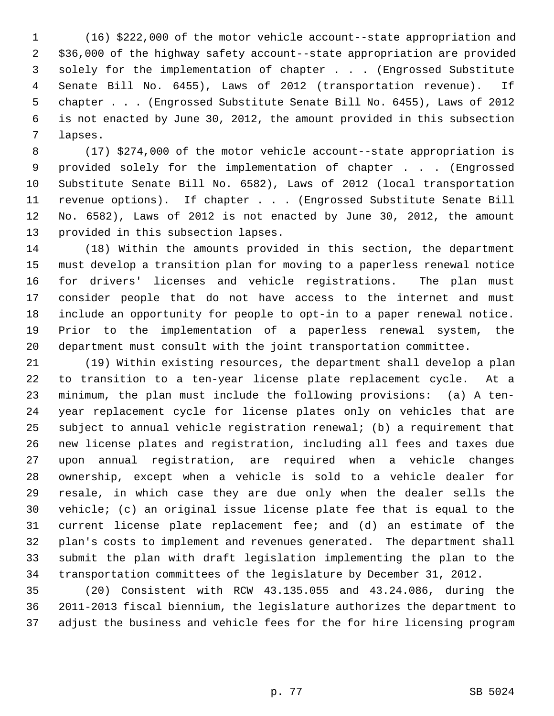1 (16) \$222,000 of the motor vehicle account--state appropriation and 2 \$36,000 of the highway safety account--state appropriation are provided 3 solely for the implementation of chapter . . . (Engrossed Substitute 4 Senate Bill No. 6455), Laws of 2012 (transportation revenue). If 5 chapter . . . (Engrossed Substitute Senate Bill No. 6455), Laws of 2012 6 is not enacted by June 30, 2012, the amount provided in this subsection 7 lapses.

 8 (17) \$274,000 of the motor vehicle account--state appropriation is 9 provided solely for the implementation of chapter . . . (Engrossed 10 Substitute Senate Bill No. 6582), Laws of 2012 (local transportation 11 revenue options). If chapter . . . (Engrossed Substitute Senate Bill 12 No. 6582), Laws of 2012 is not enacted by June 30, 2012, the amount 13 provided in this subsection lapses.

14 (18) Within the amounts provided in this section, the department 15 must develop a transition plan for moving to a paperless renewal notice 16 for drivers' licenses and vehicle registrations. The plan must 17 consider people that do not have access to the internet and must 18 include an opportunity for people to opt-in to a paper renewal notice. 19 Prior to the implementation of a paperless renewal system, the 20 department must consult with the joint transportation committee.

21 (19) Within existing resources, the department shall develop a plan 22 to transition to a ten-year license plate replacement cycle. At a 23 minimum, the plan must include the following provisions: (a) A ten-24 year replacement cycle for license plates only on vehicles that are 25 subject to annual vehicle registration renewal; (b) a requirement that 26 new license plates and registration, including all fees and taxes due 27 upon annual registration, are required when a vehicle changes 28 ownership, except when a vehicle is sold to a vehicle dealer for 29 resale, in which case they are due only when the dealer sells the 30 vehicle; (c) an original issue license plate fee that is equal to the 31 current license plate replacement fee; and (d) an estimate of the 32 plan's costs to implement and revenues generated. The department shall 33 submit the plan with draft legislation implementing the plan to the 34 transportation committees of the legislature by December 31, 2012.

35 (20) Consistent with RCW 43.135.055 and 43.24.086, during the 36 2011-2013 fiscal biennium, the legislature authorizes the department to 37 adjust the business and vehicle fees for the for hire licensing program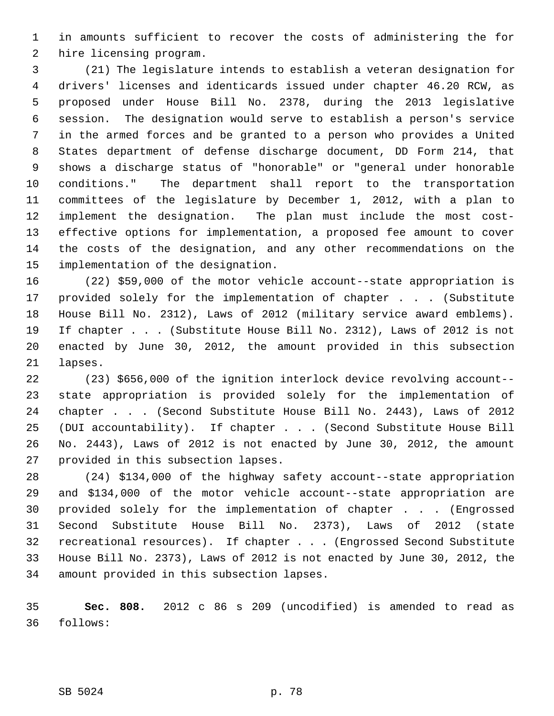1 in amounts sufficient to recover the costs of administering the for 2 hire licensing program.

 3 (21) The legislature intends to establish a veteran designation for 4 drivers' licenses and identicards issued under chapter 46.20 RCW, as 5 proposed under House Bill No. 2378, during the 2013 legislative 6 session. The designation would serve to establish a person's service 7 in the armed forces and be granted to a person who provides a United 8 States department of defense discharge document, DD Form 214, that 9 shows a discharge status of "honorable" or "general under honorable 10 conditions." The department shall report to the transportation 11 committees of the legislature by December 1, 2012, with a plan to 12 implement the designation. The plan must include the most cost-13 effective options for implementation, a proposed fee amount to cover 14 the costs of the designation, and any other recommendations on the 15 implementation of the designation.

16 (22) \$59,000 of the motor vehicle account--state appropriation is 17 provided solely for the implementation of chapter . . . (Substitute 18 House Bill No. 2312), Laws of 2012 (military service award emblems). 19 If chapter . . . (Substitute House Bill No. 2312), Laws of 2012 is not 20 enacted by June 30, 2012, the amount provided in this subsection 21 lapses.

22 (23) \$656,000 of the ignition interlock device revolving account-- 23 state appropriation is provided solely for the implementation of 24 chapter . . . (Second Substitute House Bill No. 2443), Laws of 2012 25 (DUI accountability). If chapter . . . (Second Substitute House Bill 26 No. 2443), Laws of 2012 is not enacted by June 30, 2012, the amount 27 provided in this subsection lapses.

28 (24) \$134,000 of the highway safety account--state appropriation 29 and \$134,000 of the motor vehicle account--state appropriation are 30 provided solely for the implementation of chapter . . . (Engrossed 31 Second Substitute House Bill No. 2373), Laws of 2012 (state 32 recreational resources). If chapter . . . (Engrossed Second Substitute 33 House Bill No. 2373), Laws of 2012 is not enacted by June 30, 2012, the 34 amount provided in this subsection lapses.

35 **Sec. 808.** 2012 c 86 s 209 (uncodified) is amended to read as 36 follows:

SB 5024 p. 78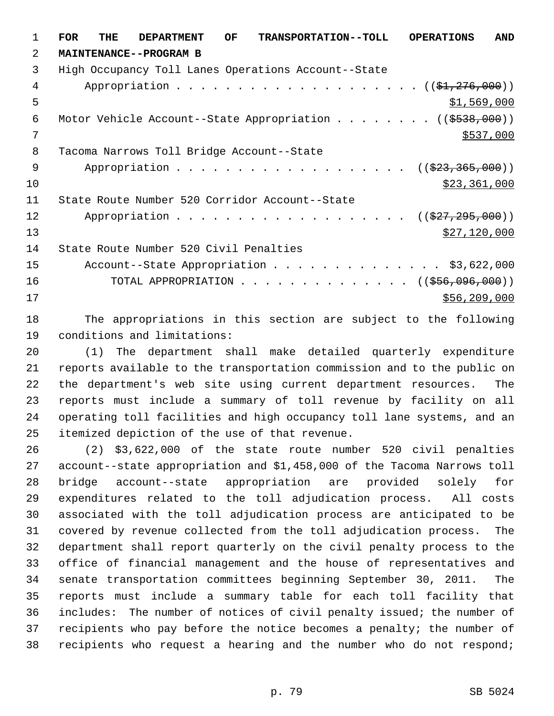1 **FOR THE DEPARTMENT OF TRANSPORTATION--TOLL OPERATIONS AND** 2 **MAINTENANCE--PROGRAM B** 3 High Occupancy Toll Lanes Operations Account--State 4 Appropriation . . . . . . . . . . . . . . . . . . (  $(\frac{1}{21}, \frac{276}{100})$  )  $5 - 5$  \$1,569,000 6 Motor Vehicle Account--State Appropriation . . . . . . . ((\$538,000))  $7$  \$537,000 8 Tacoma Narrows Toll Bridge Account--State 9 Appropriation . . . . . . . . . . . . . . . . . (  $(\frac{23}{23}, \frac{365}{100})$  )  $\frac{10}{223,361,000}$ 11 State Route Number 520 Corridor Account--State 12 Appropriation . . . . . . . . . . . . . . . . . ((<del>\$27,295,000</del>)) 13 \$27,120,000 14 State Route Number 520 Civil Penalties 15 Account--State Appropriation . . . . . . . . . . . . . \$3,622,000 16 TOTAL APPROPRIATION . . . . . . . . . . . . . . ((\$56,096,000)) 17 \$56,209,000

18 The appropriations in this section are subject to the following 19 conditions and limitations:

20 (1) The department shall make detailed quarterly expenditure 21 reports available to the transportation commission and to the public on 22 the department's web site using current department resources. The 23 reports must include a summary of toll revenue by facility on all 24 operating toll facilities and high occupancy toll lane systems, and an 25 itemized depiction of the use of that revenue.

26 (2) \$3,622,000 of the state route number 520 civil penalties 27 account--state appropriation and \$1,458,000 of the Tacoma Narrows toll 28 bridge account--state appropriation are provided solely for 29 expenditures related to the toll adjudication process. All costs 30 associated with the toll adjudication process are anticipated to be 31 covered by revenue collected from the toll adjudication process. The 32 department shall report quarterly on the civil penalty process to the 33 office of financial management and the house of representatives and 34 senate transportation committees beginning September 30, 2011. The 35 reports must include a summary table for each toll facility that 36 includes: The number of notices of civil penalty issued; the number of 37 recipients who pay before the notice becomes a penalty; the number of 38 recipients who request a hearing and the number who do not respond;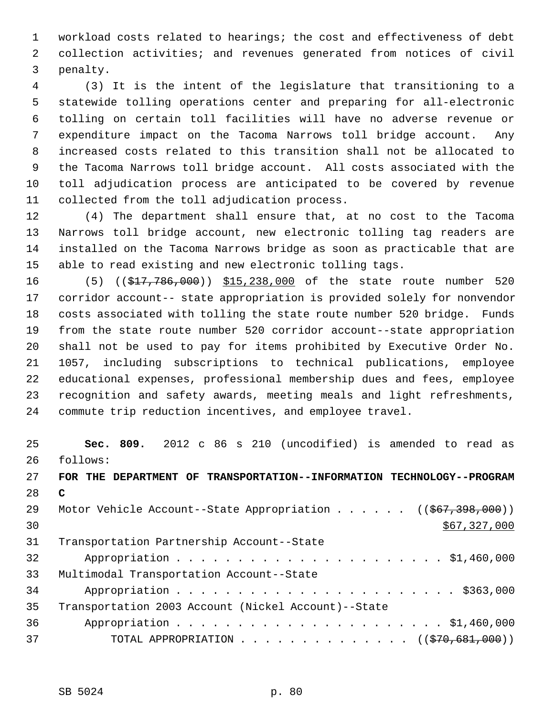1 workload costs related to hearings; the cost and effectiveness of debt 2 collection activities; and revenues generated from notices of civil 3 penalty.

 4 (3) It is the intent of the legislature that transitioning to a 5 statewide tolling operations center and preparing for all-electronic 6 tolling on certain toll facilities will have no adverse revenue or 7 expenditure impact on the Tacoma Narrows toll bridge account. Any 8 increased costs related to this transition shall not be allocated to 9 the Tacoma Narrows toll bridge account. All costs associated with the 10 toll adjudication process are anticipated to be covered by revenue 11 collected from the toll adjudication process.

12 (4) The department shall ensure that, at no cost to the Tacoma 13 Narrows toll bridge account, new electronic tolling tag readers are 14 installed on the Tacoma Narrows bridge as soon as practicable that are 15 able to read existing and new electronic tolling tags.

16 (5) ((\$17,786,000)) \$15,238,000 of the state route number 520 17 corridor account-- state appropriation is provided solely for nonvendor 18 costs associated with tolling the state route number 520 bridge. Funds 19 from the state route number 520 corridor account--state appropriation 20 shall not be used to pay for items prohibited by Executive Order No. 21 1057, including subscriptions to technical publications, employee 22 educational expenses, professional membership dues and fees, employee 23 recognition and safety awards, meeting meals and light refreshments, 24 commute trip reduction incentives, and employee travel.

25 **Sec. 809.** 2012 c 86 s 210 (uncodified) is amended to read as 26 follows:

27 **FOR THE DEPARTMENT OF TRANSPORTATION--INFORMATION TECHNOLOGY--PROGRAM** 28 **C** 29 Motor Vehicle Account--State Appropriation . . . . . ((\$67,398,000))  $\frac{$67,327,000}{$500}$ 31 Transportation Partnership Account--State 32 Appropriation . . . . . . . . . . . . . . . . . . . . . . \$1,460,000 33 Multimodal Transportation Account--State 34 Appropriation . . . . . . . . . . . . . . . . . . . . . . . \$363,000 35 Transportation 2003 Account (Nickel Account)--State 36 Appropriation . . . . . . . . . . . . . . . . . . . . . . \$1,460,000 37 TOTAL APPROPRIATION . . . . . . . . . . . . . . ((\$70,681,000))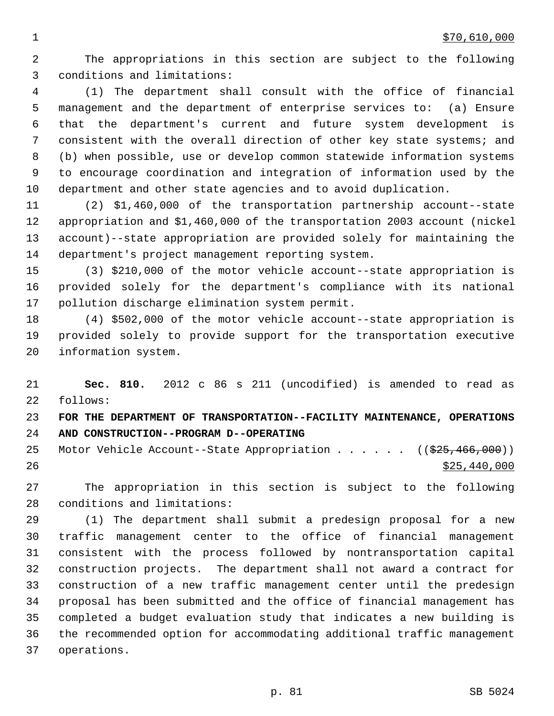2 The appropriations in this section are subject to the following 3 conditions and limitations:

 4 (1) The department shall consult with the office of financial 5 management and the department of enterprise services to: (a) Ensure 6 that the department's current and future system development is 7 consistent with the overall direction of other key state systems; and 8 (b) when possible, use or develop common statewide information systems 9 to encourage coordination and integration of information used by the 10 department and other state agencies and to avoid duplication.

11 (2) \$1,460,000 of the transportation partnership account--state 12 appropriation and \$1,460,000 of the transportation 2003 account (nickel 13 account)--state appropriation are provided solely for maintaining the 14 department's project management reporting system.

15 (3) \$210,000 of the motor vehicle account--state appropriation is 16 provided solely for the department's compliance with its national 17 pollution discharge elimination system permit.

18 (4) \$502,000 of the motor vehicle account--state appropriation is 19 provided solely to provide support for the transportation executive 20 information system.

21 **Sec. 810.** 2012 c 86 s 211 (uncodified) is amended to read as 22 follows:

23 **FOR THE DEPARTMENT OF TRANSPORTATION--FACILITY MAINTENANCE, OPERATIONS** 24 **AND CONSTRUCTION--PROGRAM D--OPERATING**

25 Motor Vehicle Account--State Appropriation . . . . . ((\$25,466,000))  $26$  \$25,440,000

27 The appropriation in this section is subject to the following 28 conditions and limitations:

29 (1) The department shall submit a predesign proposal for a new 30 traffic management center to the office of financial management 31 consistent with the process followed by nontransportation capital 32 construction projects. The department shall not award a contract for 33 construction of a new traffic management center until the predesign 34 proposal has been submitted and the office of financial management has 35 completed a budget evaluation study that indicates a new building is 36 the recommended option for accommodating additional traffic management 37 operations.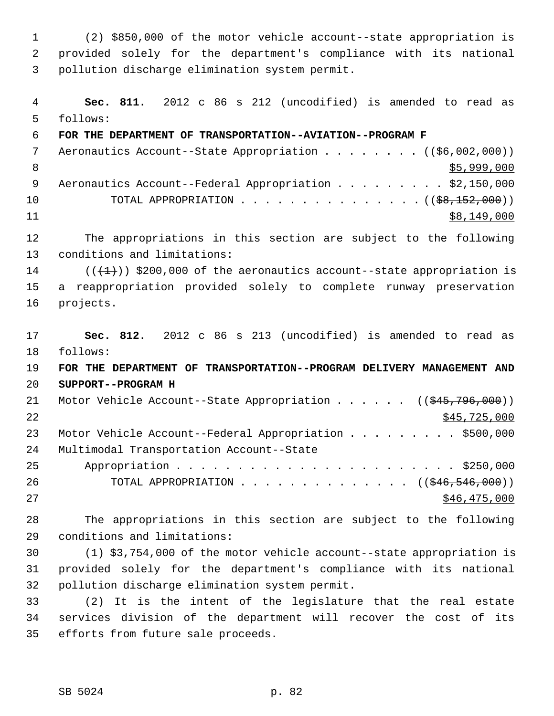1 (2) \$850,000 of the motor vehicle account--state appropriation is 2 provided solely for the department's compliance with its national 3 pollution discharge elimination system permit.

 4 **Sec. 811.** 2012 c 86 s 212 (uncodified) is amended to read as 5 follows: 6 **FOR THE DEPARTMENT OF TRANSPORTATION--AVIATION--PROGRAM F** 7 Aeronautics Account--State Appropriation . . . . . . . ((\$6,002,000)) 8  $\frac{$5,999,000}{ }$ 9 Aeronautics Account--Federal Appropriation . . . . . . . . \$2,150,000 10 TOTAL APPROPRIATION . . . . . . . . . . . . . . ((<del>\$8,152,000</del>))  $11$  \$8,149,000 12 The appropriations in this section are subject to the following 13 conditions and limitations: 14 ( $(\{\pm\})$ ) \$200,000 of the aeronautics account--state appropriation is 15 a reappropriation provided solely to complete runway preservation 16 projects. 17 **Sec. 812.** 2012 c 86 s 213 (uncodified) is amended to read as 18 follows: 19 **FOR THE DEPARTMENT OF TRANSPORTATION--PROGRAM DELIVERY MANAGEMENT AND** 20 **SUPPORT--PROGRAM H** 21 Motor Vehicle Account--State Appropriation . . . . . ((\$45,796,000))  $22$  \$45,725,000 23 Motor Vehicle Account--Federal Appropriation . . . . . . . . \$500,000 24 Multimodal Transportation Account--State 25 Appropriation . . . . . . . . . . . . . . . . . . . . . . . \$250,000 26 TOTAL APPROPRIATION . . . . . . . . . . . . . ((<del>\$46,546,000</del>))  $27$  \$46,475,000 28 The appropriations in this section are subject to the following 29 conditions and limitations: 30 (1) \$3,754,000 of the motor vehicle account--state appropriation is 31 provided solely for the department's compliance with its national 32 pollution discharge elimination system permit. 33 (2) It is the intent of the legislature that the real estate 34 services division of the department will recover the cost of its

35 efforts from future sale proceeds.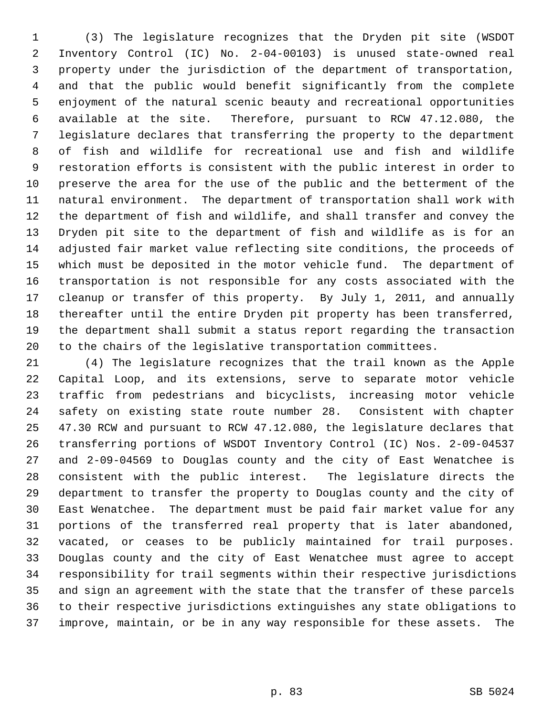1 (3) The legislature recognizes that the Dryden pit site (WSDOT 2 Inventory Control (IC) No. 2-04-00103) is unused state-owned real 3 property under the jurisdiction of the department of transportation, 4 and that the public would benefit significantly from the complete 5 enjoyment of the natural scenic beauty and recreational opportunities 6 available at the site. Therefore, pursuant to RCW 47.12.080, the 7 legislature declares that transferring the property to the department 8 of fish and wildlife for recreational use and fish and wildlife 9 restoration efforts is consistent with the public interest in order to 10 preserve the area for the use of the public and the betterment of the 11 natural environment. The department of transportation shall work with 12 the department of fish and wildlife, and shall transfer and convey the 13 Dryden pit site to the department of fish and wildlife as is for an 14 adjusted fair market value reflecting site conditions, the proceeds of 15 which must be deposited in the motor vehicle fund. The department of 16 transportation is not responsible for any costs associated with the 17 cleanup or transfer of this property. By July 1, 2011, and annually 18 thereafter until the entire Dryden pit property has been transferred, 19 the department shall submit a status report regarding the transaction 20 to the chairs of the legislative transportation committees.

21 (4) The legislature recognizes that the trail known as the Apple 22 Capital Loop, and its extensions, serve to separate motor vehicle 23 traffic from pedestrians and bicyclists, increasing motor vehicle 24 safety on existing state route number 28. Consistent with chapter 25 47.30 RCW and pursuant to RCW 47.12.080, the legislature declares that 26 transferring portions of WSDOT Inventory Control (IC) Nos. 2-09-04537 27 and 2-09-04569 to Douglas county and the city of East Wenatchee is 28 consistent with the public interest. The legislature directs the 29 department to transfer the property to Douglas county and the city of 30 East Wenatchee. The department must be paid fair market value for any 31 portions of the transferred real property that is later abandoned, 32 vacated, or ceases to be publicly maintained for trail purposes. 33 Douglas county and the city of East Wenatchee must agree to accept 34 responsibility for trail segments within their respective jurisdictions 35 and sign an agreement with the state that the transfer of these parcels 36 to their respective jurisdictions extinguishes any state obligations to 37 improve, maintain, or be in any way responsible for these assets. The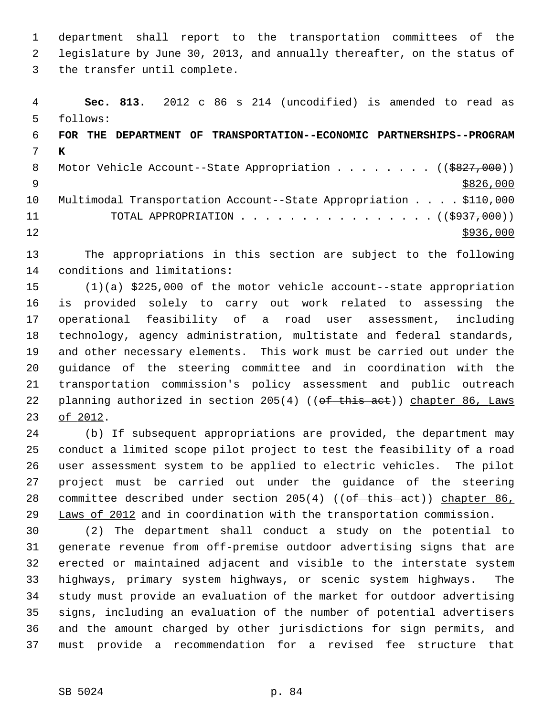1 department shall report to the transportation committees of the 2 legislature by June 30, 2013, and annually thereafter, on the status of 3 the transfer until complete.

 4 **Sec. 813.** 2012 c 86 s 214 (uncodified) is amended to read as 5 follows: 6 **FOR THE DEPARTMENT OF TRANSPORTATION--ECONOMIC PARTNERSHIPS--PROGRAM** 7 **K** 8 Motor Vehicle Account--State Appropriation . . . . . . . ((\$827,000))  $9 \frac{$826,000}{ }$ 10 Multimodal Transportation Account--State Appropriation . . . . \$110,000 11 TOTAL APPROPRIATION . . . . . . . . . . . . . . . ((<del>\$937,000</del>))  $12$   $\frac{$936,000}{ }$ 

13 The appropriations in this section are subject to the following 14 conditions and limitations:

15 (1)(a) \$225,000 of the motor vehicle account--state appropriation 16 is provided solely to carry out work related to assessing the 17 operational feasibility of a road user assessment, including 18 technology, agency administration, multistate and federal standards, 19 and other necessary elements. This work must be carried out under the 20 guidance of the steering committee and in coordination with the 21 transportation commission's policy assessment and public outreach 22 planning authorized in section 205(4) ((of this act)) chapter 86, Laws 23 of 2012.

24 (b) If subsequent appropriations are provided, the department may 25 conduct a limited scope pilot project to test the feasibility of a road 26 user assessment system to be applied to electric vehicles. The pilot 27 project must be carried out under the guidance of the steering 28 committee described under section 205(4) ((of this act)) chapter 86, 29 Laws of 2012 and in coordination with the transportation commission.

30 (2) The department shall conduct a study on the potential to 31 generate revenue from off-premise outdoor advertising signs that are 32 erected or maintained adjacent and visible to the interstate system 33 highways, primary system highways, or scenic system highways. The 34 study must provide an evaluation of the market for outdoor advertising 35 signs, including an evaluation of the number of potential advertisers 36 and the amount charged by other jurisdictions for sign permits, and 37 must provide a recommendation for a revised fee structure that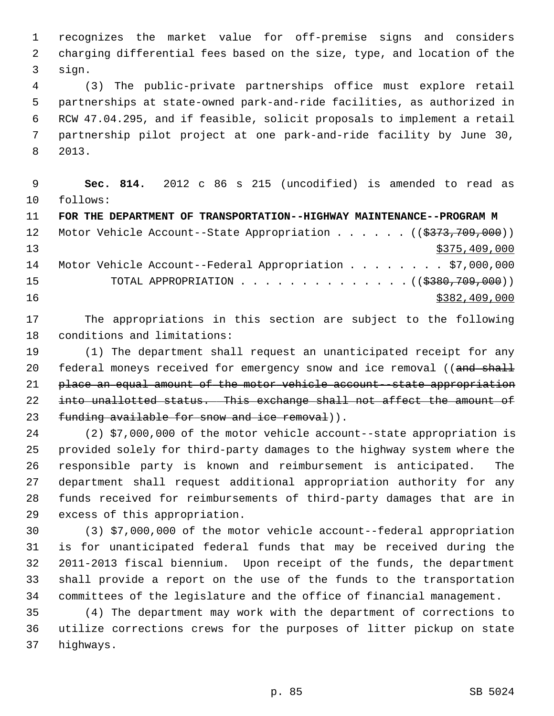1 recognizes the market value for off-premise signs and considers 2 charging differential fees based on the size, type, and location of the 3 sign.

 4 (3) The public-private partnerships office must explore retail 5 partnerships at state-owned park-and-ride facilities, as authorized in 6 RCW 47.04.295, and if feasible, solicit proposals to implement a retail 7 partnership pilot project at one park-and-ride facility by June 30, 8 2013.

 9 **Sec. 814.** 2012 c 86 s 215 (uncodified) is amended to read as 10 follows: 11 **FOR THE DEPARTMENT OF TRANSPORTATION--HIGHWAY MAINTENANCE--PROGRAM M** 12 Motor Vehicle Account--State Appropriation . . . . . . ((\$373,709,000))

13 \$375,409,000 14 Motor Vehicle Account--Federal Appropriation . . . . . . . \$7,000,000 15 TOTAL APPROPRIATION . . . . . . . . . . . . . . ((\$380,709,000)) 16 \$382,409,000

17 The appropriations in this section are subject to the following 18 conditions and limitations:

19 (1) The department shall request an unanticipated receipt for any 20 federal moneys received for emergency snow and ice removal ((and shall 21 place an equal amount of the motor vehicle account--state appropriation 22 into unallotted status. This exchange shall not affect the amount of 23 funding available for snow and ice removal)).

24 (2) \$7,000,000 of the motor vehicle account--state appropriation is 25 provided solely for third-party damages to the highway system where the 26 responsible party is known and reimbursement is anticipated. The 27 department shall request additional appropriation authority for any 28 funds received for reimbursements of third-party damages that are in 29 excess of this appropriation.

30 (3) \$7,000,000 of the motor vehicle account--federal appropriation 31 is for unanticipated federal funds that may be received during the 32 2011-2013 fiscal biennium. Upon receipt of the funds, the department 33 shall provide a report on the use of the funds to the transportation 34 committees of the legislature and the office of financial management.

35 (4) The department may work with the department of corrections to 36 utilize corrections crews for the purposes of litter pickup on state 37 highways.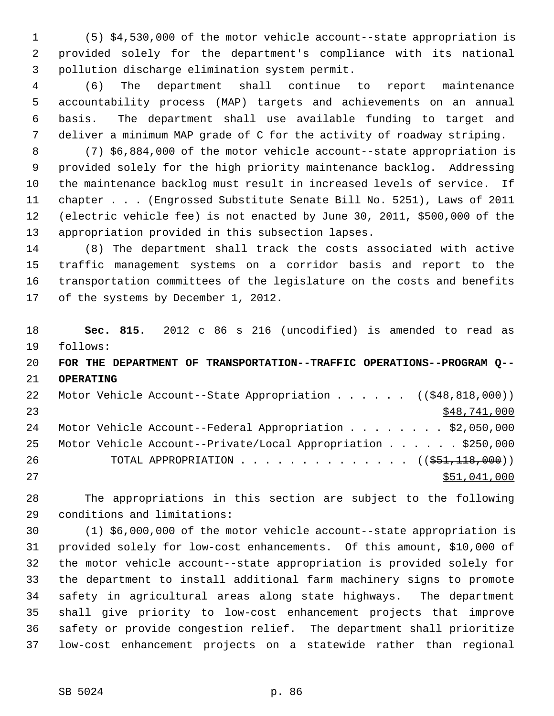1 (5) \$4,530,000 of the motor vehicle account--state appropriation is 2 provided solely for the department's compliance with its national 3 pollution discharge elimination system permit.

 4 (6) The department shall continue to report maintenance 5 accountability process (MAP) targets and achievements on an annual 6 basis. The department shall use available funding to target and 7 deliver a minimum MAP grade of C for the activity of roadway striping.

 8 (7) \$6,884,000 of the motor vehicle account--state appropriation is 9 provided solely for the high priority maintenance backlog. Addressing 10 the maintenance backlog must result in increased levels of service. If 11 chapter . . . (Engrossed Substitute Senate Bill No. 5251), Laws of 2011 12 (electric vehicle fee) is not enacted by June 30, 2011, \$500,000 of the 13 appropriation provided in this subsection lapses.

14 (8) The department shall track the costs associated with active 15 traffic management systems on a corridor basis and report to the 16 transportation committees of the legislature on the costs and benefits 17 of the systems by December 1, 2012.

18 **Sec. 815.** 2012 c 86 s 216 (uncodified) is amended to read as 19 follows: 20 **FOR THE DEPARTMENT OF TRANSPORTATION--TRAFFIC OPERATIONS--PROGRAM Q--** 21 **OPERATING** 22 Motor Vehicle Account--State Appropriation . . . . . ((\$48,818,000)) 23 \$48,741,000 24 Motor Vehicle Account--Federal Appropriation . . . . . . . \$2,050,000 25 Motor Vehicle Account--Private/Local Appropriation . . . . . . \$250,000 26 TOTAL APPROPRIATION . . . . . . . . . . . . . ((\$51,118,000)) 27 \$51,041,000

28 The appropriations in this section are subject to the following 29 conditions and limitations:

30 (1) \$6,000,000 of the motor vehicle account--state appropriation is 31 provided solely for low-cost enhancements. Of this amount, \$10,000 of 32 the motor vehicle account--state appropriation is provided solely for 33 the department to install additional farm machinery signs to promote 34 safety in agricultural areas along state highways. The department 35 shall give priority to low-cost enhancement projects that improve 36 safety or provide congestion relief. The department shall prioritize 37 low-cost enhancement projects on a statewide rather than regional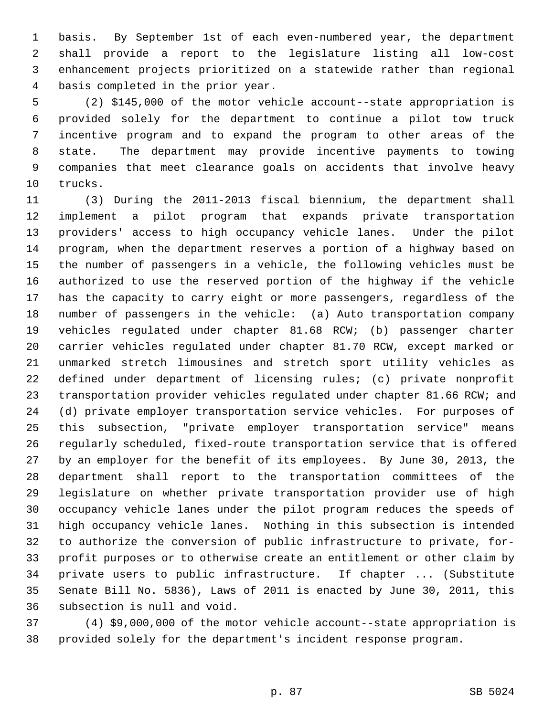1 basis. By September 1st of each even-numbered year, the department 2 shall provide a report to the legislature listing all low-cost 3 enhancement projects prioritized on a statewide rather than regional 4 basis completed in the prior year.

 5 (2) \$145,000 of the motor vehicle account--state appropriation is 6 provided solely for the department to continue a pilot tow truck 7 incentive program and to expand the program to other areas of the 8 state. The department may provide incentive payments to towing 9 companies that meet clearance goals on accidents that involve heavy 10 trucks.

11 (3) During the 2011-2013 fiscal biennium, the department shall 12 implement a pilot program that expands private transportation 13 providers' access to high occupancy vehicle lanes. Under the pilot 14 program, when the department reserves a portion of a highway based on 15 the number of passengers in a vehicle, the following vehicles must be 16 authorized to use the reserved portion of the highway if the vehicle 17 has the capacity to carry eight or more passengers, regardless of the 18 number of passengers in the vehicle: (a) Auto transportation company 19 vehicles regulated under chapter 81.68 RCW; (b) passenger charter 20 carrier vehicles regulated under chapter 81.70 RCW, except marked or 21 unmarked stretch limousines and stretch sport utility vehicles as 22 defined under department of licensing rules; (c) private nonprofit 23 transportation provider vehicles regulated under chapter 81.66 RCW; and 24 (d) private employer transportation service vehicles. For purposes of 25 this subsection, "private employer transportation service" means 26 regularly scheduled, fixed-route transportation service that is offered 27 by an employer for the benefit of its employees. By June 30, 2013, the 28 department shall report to the transportation committees of the 29 legislature on whether private transportation provider use of high 30 occupancy vehicle lanes under the pilot program reduces the speeds of 31 high occupancy vehicle lanes. Nothing in this subsection is intended 32 to authorize the conversion of public infrastructure to private, for-33 profit purposes or to otherwise create an entitlement or other claim by 34 private users to public infrastructure. If chapter ... (Substitute 35 Senate Bill No. 5836), Laws of 2011 is enacted by June 30, 2011, this 36 subsection is null and void.

37 (4) \$9,000,000 of the motor vehicle account--state appropriation is 38 provided solely for the department's incident response program.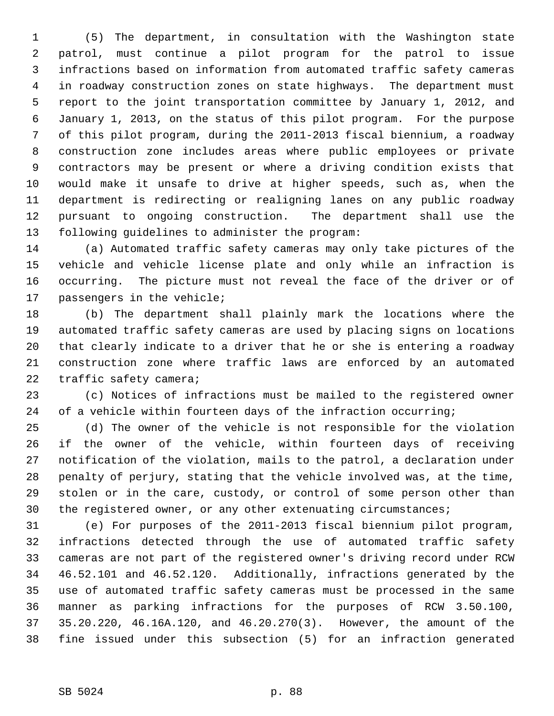1 (5) The department, in consultation with the Washington state 2 patrol, must continue a pilot program for the patrol to issue 3 infractions based on information from automated traffic safety cameras 4 in roadway construction zones on state highways. The department must 5 report to the joint transportation committee by January 1, 2012, and 6 January 1, 2013, on the status of this pilot program. For the purpose 7 of this pilot program, during the 2011-2013 fiscal biennium, a roadway 8 construction zone includes areas where public employees or private 9 contractors may be present or where a driving condition exists that 10 would make it unsafe to drive at higher speeds, such as, when the 11 department is redirecting or realigning lanes on any public roadway 12 pursuant to ongoing construction. The department shall use the 13 following guidelines to administer the program:

14 (a) Automated traffic safety cameras may only take pictures of the 15 vehicle and vehicle license plate and only while an infraction is 16 occurring. The picture must not reveal the face of the driver or of 17 passengers in the vehicle;

18 (b) The department shall plainly mark the locations where the 19 automated traffic safety cameras are used by placing signs on locations 20 that clearly indicate to a driver that he or she is entering a roadway 21 construction zone where traffic laws are enforced by an automated 22 traffic safety camera;

23 (c) Notices of infractions must be mailed to the registered owner 24 of a vehicle within fourteen days of the infraction occurring;

25 (d) The owner of the vehicle is not responsible for the violation 26 if the owner of the vehicle, within fourteen days of receiving 27 notification of the violation, mails to the patrol, a declaration under 28 penalty of perjury, stating that the vehicle involved was, at the time, 29 stolen or in the care, custody, or control of some person other than 30 the registered owner, or any other extenuating circumstances;

31 (e) For purposes of the 2011-2013 fiscal biennium pilot program, 32 infractions detected through the use of automated traffic safety 33 cameras are not part of the registered owner's driving record under RCW 34 46.52.101 and 46.52.120. Additionally, infractions generated by the 35 use of automated traffic safety cameras must be processed in the same 36 manner as parking infractions for the purposes of RCW 3.50.100, 37 35.20.220, 46.16A.120, and 46.20.270(3). However, the amount of the 38 fine issued under this subsection (5) for an infraction generated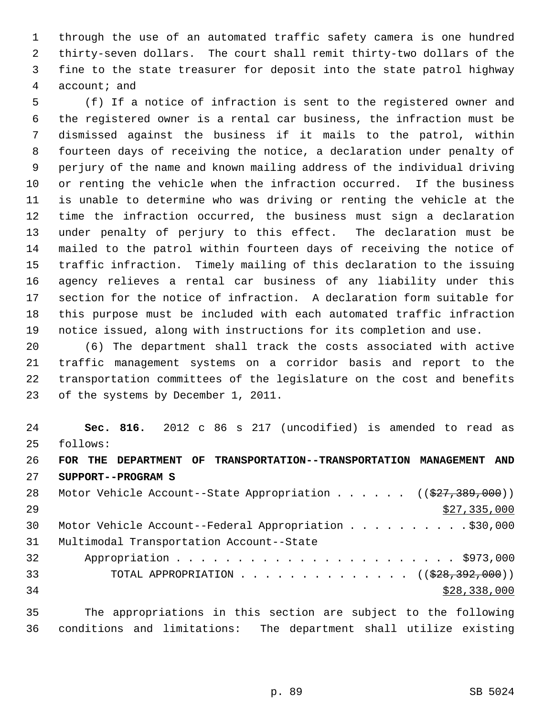1 through the use of an automated traffic safety camera is one hundred 2 thirty-seven dollars. The court shall remit thirty-two dollars of the 3 fine to the state treasurer for deposit into the state patrol highway 4 account; and

 5 (f) If a notice of infraction is sent to the registered owner and 6 the registered owner is a rental car business, the infraction must be 7 dismissed against the business if it mails to the patrol, within 8 fourteen days of receiving the notice, a declaration under penalty of 9 perjury of the name and known mailing address of the individual driving 10 or renting the vehicle when the infraction occurred. If the business 11 is unable to determine who was driving or renting the vehicle at the 12 time the infraction occurred, the business must sign a declaration 13 under penalty of perjury to this effect. The declaration must be 14 mailed to the patrol within fourteen days of receiving the notice of 15 traffic infraction. Timely mailing of this declaration to the issuing 16 agency relieves a rental car business of any liability under this 17 section for the notice of infraction. A declaration form suitable for 18 this purpose must be included with each automated traffic infraction 19 notice issued, along with instructions for its completion and use.

20 (6) The department shall track the costs associated with active 21 traffic management systems on a corridor basis and report to the 22 transportation committees of the legislature on the cost and benefits 23 of the systems by December 1, 2011.

24 **Sec. 816.** 2012 c 86 s 217 (uncodified) is amended to read as 25 follows: 26 **FOR THE DEPARTMENT OF TRANSPORTATION--TRANSPORTATION MANAGEMENT AND** 27 **SUPPORT--PROGRAM S** 28 Motor Vehicle Account--State Appropriation . . . . . ((\$27,389,000))  $29$   $\frac{$27,335,000}{2}$ 30 Motor Vehicle Account--Federal Appropriation . . . . . . . . . . \$30,000 31 Multimodal Transportation Account--State 32 Appropriation . . . . . . . . . . . . . . . . . . . . . . . \$973,000 33 TOTAL APPROPRIATION . . . . . . . . . . . . . ((<del>\$28,392,000</del>))  $34$  \$28,338,000

35 The appropriations in this section are subject to the following 36 conditions and limitations: The department shall utilize existing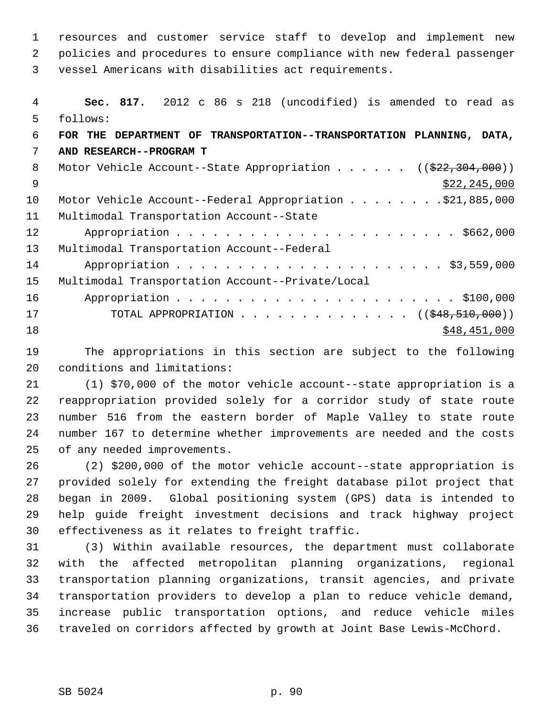1 resources and customer service staff to develop and implement new 2 policies and procedures to ensure compliance with new federal passenger 3 vessel Americans with disabilities act requirements.

 4 **Sec. 817.** 2012 c 86 s 218 (uncodified) is amended to read as 5 follows: 6 **FOR THE DEPARTMENT OF TRANSPORTATION--TRANSPORTATION PLANNING, DATA,** 7 **AND RESEARCH--PROGRAM T** 8 Motor Vehicle Account--State Appropriation . . . . . ((\$22,304,000))  $\frac{$22,245,000}{522,245,000}$ 10 Motor Vehicle Account--Federal Appropriation . . . . . . . \$21,885,000 11 Multimodal Transportation Account--State 12 Appropriation . . . . . . . . . . . . . . . . . . . . . . . \$662,000 13 Multimodal Transportation Account--Federal 14 Appropriation . . . . . . . . . . . . . . . . . . . . . . \$3,559,000 15 Multimodal Transportation Account--Private/Local 16 Appropriation . . . . . . . . . . . . . . . . . . . . . . . \$100,000 17 TOTAL APPROPRIATION . . . . . . . . . . . . . ((<del>\$48,510,000</del>))  $18$  \$48,451,000

19 The appropriations in this section are subject to the following 20 conditions and limitations:

21 (1) \$70,000 of the motor vehicle account--state appropriation is a 22 reappropriation provided solely for a corridor study of state route 23 number 516 from the eastern border of Maple Valley to state route 24 number 167 to determine whether improvements are needed and the costs 25 of any needed improvements.

26 (2) \$200,000 of the motor vehicle account--state appropriation is 27 provided solely for extending the freight database pilot project that 28 began in 2009. Global positioning system (GPS) data is intended to 29 help guide freight investment decisions and track highway project 30 effectiveness as it relates to freight traffic.

31 (3) Within available resources, the department must collaborate 32 with the affected metropolitan planning organizations, regional 33 transportation planning organizations, transit agencies, and private 34 transportation providers to develop a plan to reduce vehicle demand, 35 increase public transportation options, and reduce vehicle miles 36 traveled on corridors affected by growth at Joint Base Lewis-McChord.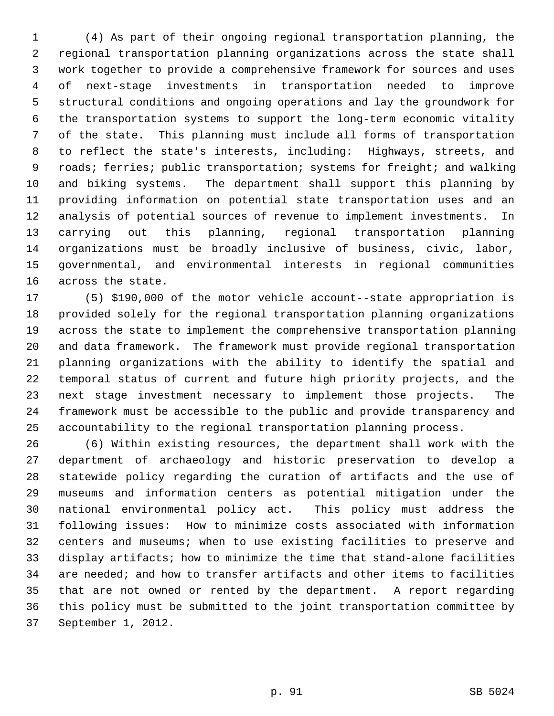1 (4) As part of their ongoing regional transportation planning, the 2 regional transportation planning organizations across the state shall 3 work together to provide a comprehensive framework for sources and uses 4 of next-stage investments in transportation needed to improve 5 structural conditions and ongoing operations and lay the groundwork for 6 the transportation systems to support the long-term economic vitality 7 of the state. This planning must include all forms of transportation 8 to reflect the state's interests, including: Highways, streets, and 9 roads; ferries; public transportation; systems for freight; and walking 10 and biking systems. The department shall support this planning by 11 providing information on potential state transportation uses and an 12 analysis of potential sources of revenue to implement investments. In 13 carrying out this planning, regional transportation planning 14 organizations must be broadly inclusive of business, civic, labor, 15 governmental, and environmental interests in regional communities 16 across the state.

17 (5) \$190,000 of the motor vehicle account--state appropriation is 18 provided solely for the regional transportation planning organizations 19 across the state to implement the comprehensive transportation planning 20 and data framework. The framework must provide regional transportation 21 planning organizations with the ability to identify the spatial and 22 temporal status of current and future high priority projects, and the 23 next stage investment necessary to implement those projects. The 24 framework must be accessible to the public and provide transparency and 25 accountability to the regional transportation planning process.

26 (6) Within existing resources, the department shall work with the 27 department of archaeology and historic preservation to develop a 28 statewide policy regarding the curation of artifacts and the use of 29 museums and information centers as potential mitigation under the 30 national environmental policy act. This policy must address the 31 following issues: How to minimize costs associated with information 32 centers and museums; when to use existing facilities to preserve and 33 display artifacts; how to minimize the time that stand-alone facilities 34 are needed; and how to transfer artifacts and other items to facilities 35 that are not owned or rented by the department. A report regarding 36 this policy must be submitted to the joint transportation committee by 37 September 1, 2012.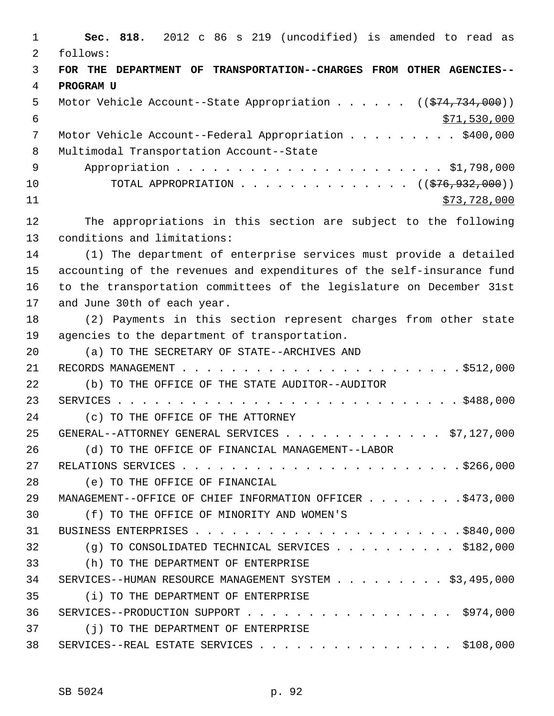1 **Sec. 818.** 2012 c 86 s 219 (uncodified) is amended to read as 2 follows: 3 **FOR THE DEPARTMENT OF TRANSPORTATION--CHARGES FROM OTHER AGENCIES--** 4 **PROGRAM U** 5 Motor Vehicle Account--State Appropriation . . . . . ((\$74,734,000)) 6 \$71,530,000 7 Motor Vehicle Account--Federal Appropriation . . . . . . . . . \$400,000 8 Multimodal Transportation Account--State 9 Appropriation . . . . . . . . . . . . . . . . . . . . . . \$1,798,000 10 TOTAL APPROPRIATION . . . . . . . . . . . . . ((<del>\$76,932,000</del>)) 11 \$73,728,000 12 The appropriations in this section are subject to the following 13 conditions and limitations: 14 (1) The department of enterprise services must provide a detailed 15 accounting of the revenues and expenditures of the self-insurance fund 16 to the transportation committees of the legislature on December 31st 17 and June 30th of each year. 18 (2) Payments in this section represent charges from other state 19 agencies to the department of transportation. 20 (a) TO THE SECRETARY OF STATE--ARCHIVES AND 21 RECORDS MANAGEMENT . . . . . . . . . . . . . . . . . . . . . . . \$512,000 22 (b) TO THE OFFICE OF THE STATE AUDITOR--AUDITOR 23 SERVICES . . . . . . . . . . . . . . . . . . . . . . . . . . . . \$488,000 24 (c) TO THE OFFICE OF THE ATTORNEY 25 GENERAL--ATTORNEY GENERAL SERVICES . . . . . . . . . . . . \$7,127,000 26 (d) TO THE OFFICE OF FINANCIAL MANAGEMENT--LABOR 27 RELATIONS SERVICES . . . . . . . . . . . . . . . . . . . . . . . \$266,000 28 (e) TO THE OFFICE OF FINANCIAL 29 MANAGEMENT--OFFICE OF CHIEF INFORMATION OFFICER . . . . . . . \$473,000 30 (f) TO THE OFFICE OF MINORITY AND WOMEN'S 31 BUSINESS ENTERPRISES . . . . . . . . . . . . . . . . . . . . . . \$840,000 32 (g) TO CONSOLIDATED TECHNICAL SERVICES . . . . . . . . . . \$182,000 33 (h) TO THE DEPARTMENT OF ENTERPRISE 34 SERVICES--HUMAN RESOURCE MANAGEMENT SYSTEM . . . . . . . . . \$3,495,000 35 (i) TO THE DEPARTMENT OF ENTERPRISE 36 SERVICES--PRODUCTION SUPPORT . . . . . . . . . . . . . . . . . \$974,000 37 (j) TO THE DEPARTMENT OF ENTERPRISE 38 SERVICES--REAL ESTATE SERVICES . . . . . . . . . . . . . . . \$108,000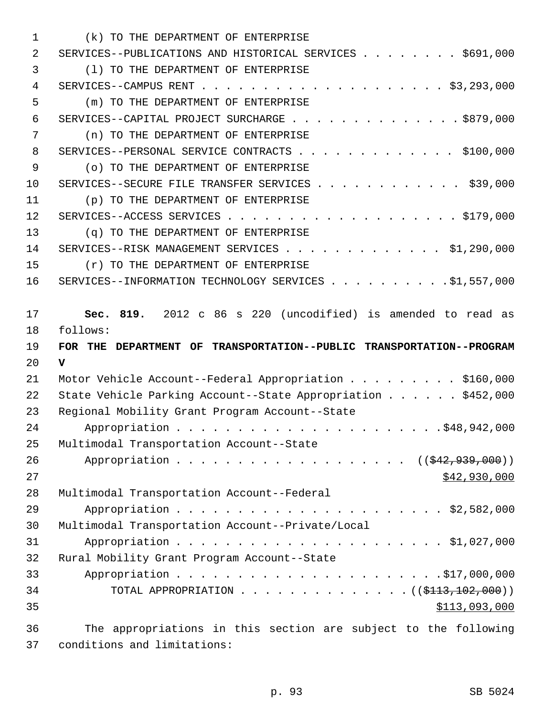| 1        | (k) TO THE DEPARTMENT OF ENTERPRISE                                              |
|----------|----------------------------------------------------------------------------------|
| 2        | SERVICES--PUBLICATIONS AND HISTORICAL SERVICES \$691,000                         |
| 3        | (1) TO THE DEPARTMENT OF ENTERPRISE                                              |
| 4        |                                                                                  |
| 5        | (m) TO THE DEPARTMENT OF ENTERPRISE                                              |
| 6        | SERVICES--CAPITAL PROJECT SURCHARGE \$879,000                                    |
| 7        | (n) TO THE DEPARTMENT OF ENTERPRISE                                              |
| 8        | SERVICES--PERSONAL SERVICE CONTRACTS \$100,000                                   |
| 9        | (o) TO THE DEPARTMENT OF ENTERPRISE                                              |
| 10       | SERVICES--SECURE FILE TRANSFER SERVICES \$39,000                                 |
| 11       | (p) TO THE DEPARTMENT OF ENTERPRISE                                              |
| 12       |                                                                                  |
| 13       | (q) TO THE DEPARTMENT OF ENTERPRISE                                              |
| 14       | SERVICES--RISK MANAGEMENT SERVICES \$1,290,000                                   |
| 15       | (r) TO THE DEPARTMENT OF ENTERPRISE                                              |
| 16       | SERVICES--INFORMATION TECHNOLOGY SERVICES \$1,557,000                            |
|          |                                                                                  |
| 17       | Sec. 819. 2012 c 86 s 220 (uncodified) is amended to read as                     |
|          |                                                                                  |
| 18       | follows:                                                                         |
| 19       | FOR THE DEPARTMENT OF TRANSPORTATION--PUBLIC TRANSPORTATION--PROGRAM             |
| 20       | $\mathbf v$                                                                      |
| 21       | Motor Vehicle Account--Federal Appropriation \$160,000                           |
| 22       | State Vehicle Parking Account--State Appropriation \$452,000                     |
| 23       | Regional Mobility Grant Program Account--State                                   |
| 24       |                                                                                  |
| 25       | Multimodal Transportation Account--State                                         |
| 26       | Appropriation ((\$42,939,000))                                                   |
| 27       | \$42,930,000                                                                     |
| 28       | Multimodal Transportation Account--Federal                                       |
| 29       |                                                                                  |
| 30       | Multimodal Transportation Account--Private/Local                                 |
| 31       |                                                                                  |
| 32       | Rural Mobility Grant Program Account--State                                      |
| 33       |                                                                                  |
| 34       | TOTAL APPROPRIATION ( $(\frac{113}{102}, 000)$ )                                 |
| 35<br>36 | \$113,093,000<br>The appropriations in this section are subject to the following |

37 conditions and limitations: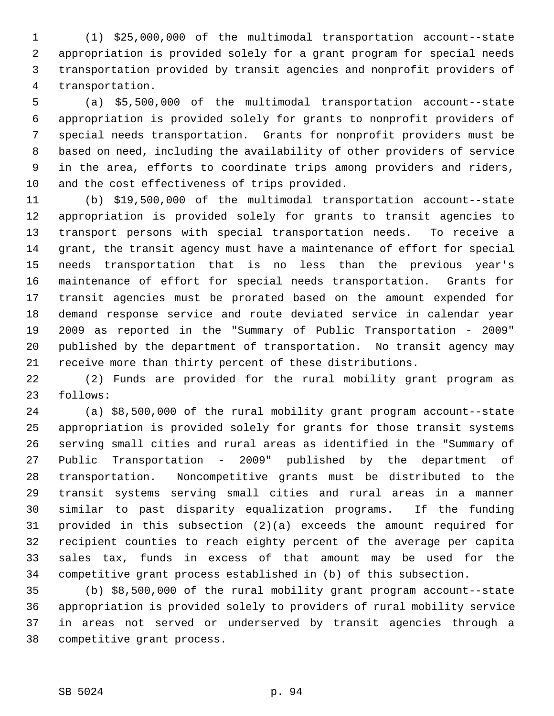1 (1) \$25,000,000 of the multimodal transportation account--state 2 appropriation is provided solely for a grant program for special needs 3 transportation provided by transit agencies and nonprofit providers of 4 transportation.

 5 (a) \$5,500,000 of the multimodal transportation account--state 6 appropriation is provided solely for grants to nonprofit providers of 7 special needs transportation. Grants for nonprofit providers must be 8 based on need, including the availability of other providers of service 9 in the area, efforts to coordinate trips among providers and riders, 10 and the cost effectiveness of trips provided.

11 (b) \$19,500,000 of the multimodal transportation account--state 12 appropriation is provided solely for grants to transit agencies to 13 transport persons with special transportation needs. To receive a 14 grant, the transit agency must have a maintenance of effort for special 15 needs transportation that is no less than the previous year's 16 maintenance of effort for special needs transportation. Grants for 17 transit agencies must be prorated based on the amount expended for 18 demand response service and route deviated service in calendar year 19 2009 as reported in the "Summary of Public Transportation - 2009" 20 published by the department of transportation. No transit agency may 21 receive more than thirty percent of these distributions.

22 (2) Funds are provided for the rural mobility grant program as 23 follows:

24 (a) \$8,500,000 of the rural mobility grant program account--state 25 appropriation is provided solely for grants for those transit systems 26 serving small cities and rural areas as identified in the "Summary of 27 Public Transportation - 2009" published by the department of 28 transportation. Noncompetitive grants must be distributed to the 29 transit systems serving small cities and rural areas in a manner 30 similar to past disparity equalization programs. If the funding 31 provided in this subsection (2)(a) exceeds the amount required for 32 recipient counties to reach eighty percent of the average per capita 33 sales tax, funds in excess of that amount may be used for the 34 competitive grant process established in (b) of this subsection.

35 (b) \$8,500,000 of the rural mobility grant program account--state 36 appropriation is provided solely to providers of rural mobility service 37 in areas not served or underserved by transit agencies through a 38 competitive grant process.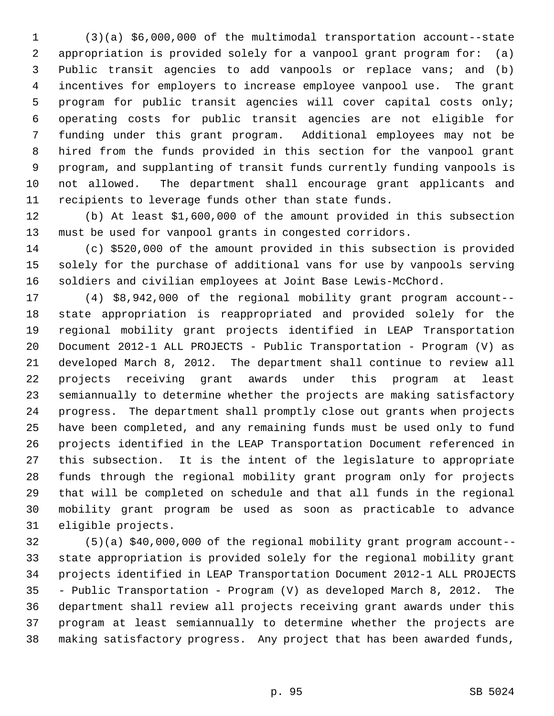1 (3)(a) \$6,000,000 of the multimodal transportation account--state 2 appropriation is provided solely for a vanpool grant program for: (a) 3 Public transit agencies to add vanpools or replace vans; and (b) 4 incentives for employers to increase employee vanpool use. The grant 5 program for public transit agencies will cover capital costs only; 6 operating costs for public transit agencies are not eligible for 7 funding under this grant program. Additional employees may not be 8 hired from the funds provided in this section for the vanpool grant 9 program, and supplanting of transit funds currently funding vanpools is 10 not allowed. The department shall encourage grant applicants and 11 recipients to leverage funds other than state funds.

12 (b) At least \$1,600,000 of the amount provided in this subsection 13 must be used for vanpool grants in congested corridors.

14 (c) \$520,000 of the amount provided in this subsection is provided 15 solely for the purchase of additional vans for use by vanpools serving 16 soldiers and civilian employees at Joint Base Lewis-McChord.

17 (4) \$8,942,000 of the regional mobility grant program account-- 18 state appropriation is reappropriated and provided solely for the 19 regional mobility grant projects identified in LEAP Transportation 20 Document 2012-1 ALL PROJECTS - Public Transportation - Program (V) as 21 developed March 8, 2012. The department shall continue to review all 22 projects receiving grant awards under this program at least 23 semiannually to determine whether the projects are making satisfactory 24 progress. The department shall promptly close out grants when projects 25 have been completed, and any remaining funds must be used only to fund 26 projects identified in the LEAP Transportation Document referenced in 27 this subsection. It is the intent of the legislature to appropriate 28 funds through the regional mobility grant program only for projects 29 that will be completed on schedule and that all funds in the regional 30 mobility grant program be used as soon as practicable to advance 31 eligible projects.

32 (5)(a) \$40,000,000 of the regional mobility grant program account-- 33 state appropriation is provided solely for the regional mobility grant 34 projects identified in LEAP Transportation Document 2012-1 ALL PROJECTS 35 - Public Transportation - Program (V) as developed March 8, 2012. The 36 department shall review all projects receiving grant awards under this 37 program at least semiannually to determine whether the projects are 38 making satisfactory progress. Any project that has been awarded funds,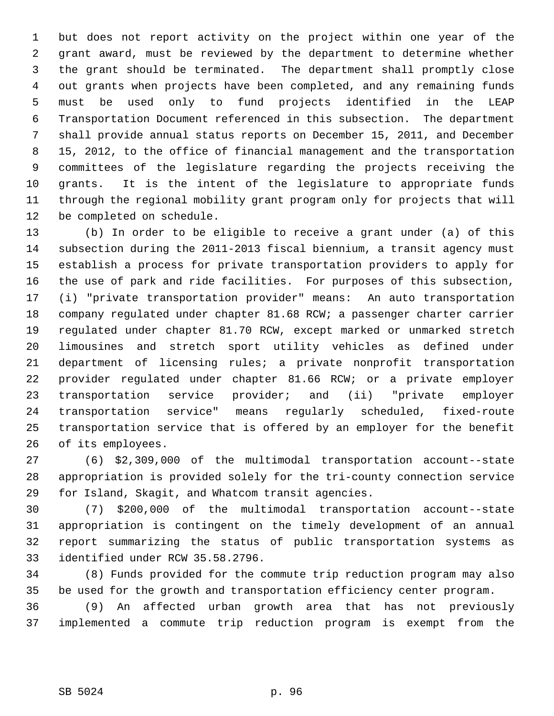1 but does not report activity on the project within one year of the 2 grant award, must be reviewed by the department to determine whether 3 the grant should be terminated. The department shall promptly close 4 out grants when projects have been completed, and any remaining funds 5 must be used only to fund projects identified in the LEAP 6 Transportation Document referenced in this subsection. The department 7 shall provide annual status reports on December 15, 2011, and December 8 15, 2012, to the office of financial management and the transportation 9 committees of the legislature regarding the projects receiving the 10 grants. It is the intent of the legislature to appropriate funds 11 through the regional mobility grant program only for projects that will 12 be completed on schedule.

13 (b) In order to be eligible to receive a grant under (a) of this 14 subsection during the 2011-2013 fiscal biennium, a transit agency must 15 establish a process for private transportation providers to apply for 16 the use of park and ride facilities. For purposes of this subsection, 17 (i) "private transportation provider" means: An auto transportation 18 company regulated under chapter 81.68 RCW; a passenger charter carrier 19 regulated under chapter 81.70 RCW, except marked or unmarked stretch 20 limousines and stretch sport utility vehicles as defined under 21 department of licensing rules; a private nonprofit transportation 22 provider regulated under chapter 81.66 RCW; or a private employer 23 transportation service provider; and (ii) "private employer 24 transportation service" means regularly scheduled, fixed-route 25 transportation service that is offered by an employer for the benefit 26 of its employees.

27 (6) \$2,309,000 of the multimodal transportation account--state 28 appropriation is provided solely for the tri-county connection service 29 for Island, Skagit, and Whatcom transit agencies.

30 (7) \$200,000 of the multimodal transportation account--state 31 appropriation is contingent on the timely development of an annual 32 report summarizing the status of public transportation systems as 33 identified under RCW 35.58.2796.

34 (8) Funds provided for the commute trip reduction program may also 35 be used for the growth and transportation efficiency center program.

36 (9) An affected urban growth area that has not previously 37 implemented a commute trip reduction program is exempt from the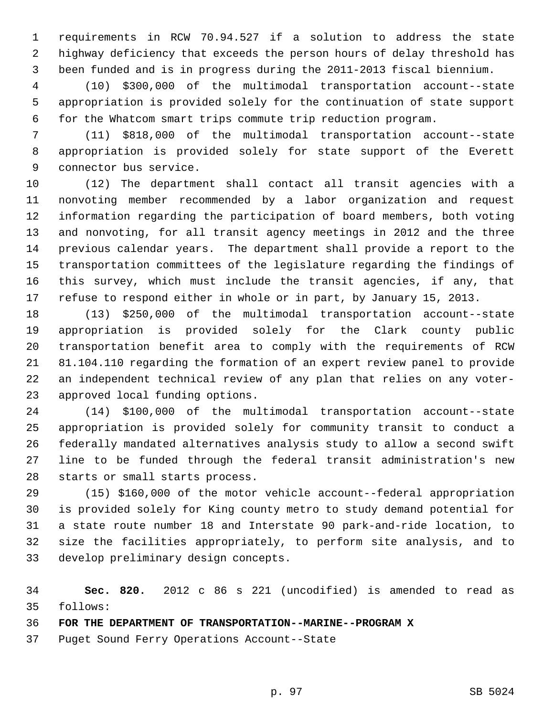1 requirements in RCW 70.94.527 if a solution to address the state 2 highway deficiency that exceeds the person hours of delay threshold has 3 been funded and is in progress during the 2011-2013 fiscal biennium.

 4 (10) \$300,000 of the multimodal transportation account--state 5 appropriation is provided solely for the continuation of state support 6 for the Whatcom smart trips commute trip reduction program.

 7 (11) \$818,000 of the multimodal transportation account--state 8 appropriation is provided solely for state support of the Everett 9 connector bus service.

10 (12) The department shall contact all transit agencies with a 11 nonvoting member recommended by a labor organization and request 12 information regarding the participation of board members, both voting 13 and nonvoting, for all transit agency meetings in 2012 and the three 14 previous calendar years. The department shall provide a report to the 15 transportation committees of the legislature regarding the findings of 16 this survey, which must include the transit agencies, if any, that 17 refuse to respond either in whole or in part, by January 15, 2013.

18 (13) \$250,000 of the multimodal transportation account--state 19 appropriation is provided solely for the Clark county public 20 transportation benefit area to comply with the requirements of RCW 21 81.104.110 regarding the formation of an expert review panel to provide 22 an independent technical review of any plan that relies on any voter-23 approved local funding options.

24 (14) \$100,000 of the multimodal transportation account--state 25 appropriation is provided solely for community transit to conduct a 26 federally mandated alternatives analysis study to allow a second swift 27 line to be funded through the federal transit administration's new 28 starts or small starts process.

29 (15) \$160,000 of the motor vehicle account--federal appropriation 30 is provided solely for King county metro to study demand potential for 31 a state route number 18 and Interstate 90 park-and-ride location, to 32 size the facilities appropriately, to perform site analysis, and to 33 develop preliminary design concepts.

34 **Sec. 820.** 2012 c 86 s 221 (uncodified) is amended to read as 35 follows:

36 **FOR THE DEPARTMENT OF TRANSPORTATION--MARINE--PROGRAM X**

37 Puget Sound Ferry Operations Account--State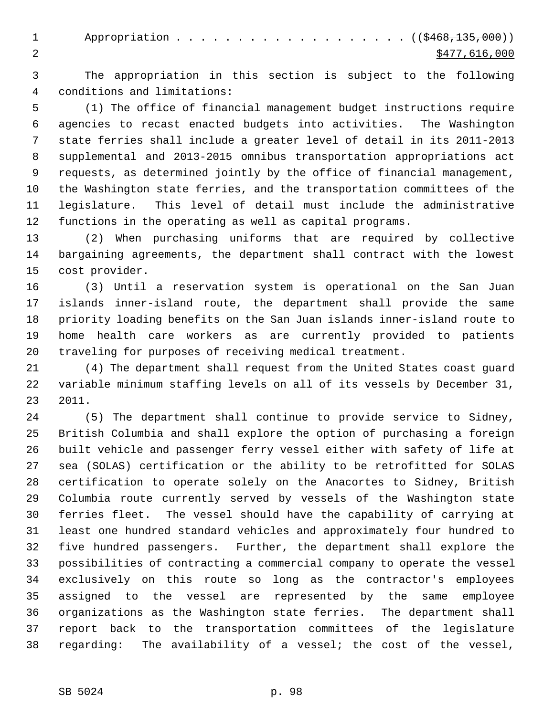1 Appropriation . . . . . . . . . . . . . . . . . (  $(\frac{6468,135,000}{n})$ 2 \$477,616,000

 3 The appropriation in this section is subject to the following 4 conditions and limitations:

 5 (1) The office of financial management budget instructions require 6 agencies to recast enacted budgets into activities. The Washington 7 state ferries shall include a greater level of detail in its 2011-2013 8 supplemental and 2013-2015 omnibus transportation appropriations act 9 requests, as determined jointly by the office of financial management, 10 the Washington state ferries, and the transportation committees of the 11 legislature. This level of detail must include the administrative 12 functions in the operating as well as capital programs.

13 (2) When purchasing uniforms that are required by collective 14 bargaining agreements, the department shall contract with the lowest 15 cost provider.

16 (3) Until a reservation system is operational on the San Juan 17 islands inner-island route, the department shall provide the same 18 priority loading benefits on the San Juan islands inner-island route to 19 home health care workers as are currently provided to patients 20 traveling for purposes of receiving medical treatment.

21 (4) The department shall request from the United States coast guard 22 variable minimum staffing levels on all of its vessels by December 31, 23 2011.

24 (5) The department shall continue to provide service to Sidney, 25 British Columbia and shall explore the option of purchasing a foreign 26 built vehicle and passenger ferry vessel either with safety of life at 27 sea (SOLAS) certification or the ability to be retrofitted for SOLAS 28 certification to operate solely on the Anacortes to Sidney, British 29 Columbia route currently served by vessels of the Washington state 30 ferries fleet. The vessel should have the capability of carrying at 31 least one hundred standard vehicles and approximately four hundred to 32 five hundred passengers. Further, the department shall explore the 33 possibilities of contracting a commercial company to operate the vessel 34 exclusively on this route so long as the contractor's employees 35 assigned to the vessel are represented by the same employee 36 organizations as the Washington state ferries. The department shall 37 report back to the transportation committees of the legislature 38 regarding: The availability of a vessel; the cost of the vessel,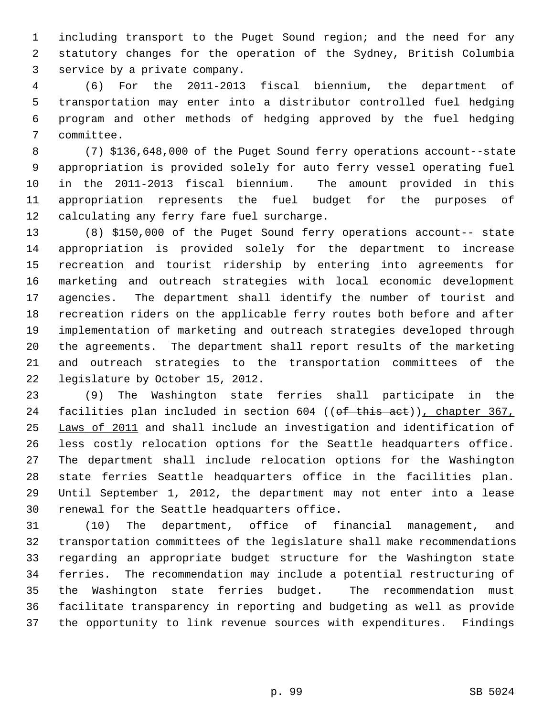1 including transport to the Puget Sound region; and the need for any 2 statutory changes for the operation of the Sydney, British Columbia 3 service by a private company.

 4 (6) For the 2011-2013 fiscal biennium, the department of 5 transportation may enter into a distributor controlled fuel hedging 6 program and other methods of hedging approved by the fuel hedging 7 committee.

 8 (7) \$136,648,000 of the Puget Sound ferry operations account--state 9 appropriation is provided solely for auto ferry vessel operating fuel 10 in the 2011-2013 fiscal biennium. The amount provided in this 11 appropriation represents the fuel budget for the purposes of 12 calculating any ferry fare fuel surcharge.

13 (8) \$150,000 of the Puget Sound ferry operations account-- state 14 appropriation is provided solely for the department to increase 15 recreation and tourist ridership by entering into agreements for 16 marketing and outreach strategies with local economic development 17 agencies. The department shall identify the number of tourist and 18 recreation riders on the applicable ferry routes both before and after 19 implementation of marketing and outreach strategies developed through 20 the agreements. The department shall report results of the marketing 21 and outreach strategies to the transportation committees of the 22 legislature by October 15, 2012.

23 (9) The Washington state ferries shall participate in the 24 facilities plan included in section 604 ((of this act)), chapter 367, 25 Laws of 2011 and shall include an investigation and identification of 26 less costly relocation options for the Seattle headquarters office. 27 The department shall include relocation options for the Washington 28 state ferries Seattle headquarters office in the facilities plan. 29 Until September 1, 2012, the department may not enter into a lease 30 renewal for the Seattle headquarters office.

31 (10) The department, office of financial management, and 32 transportation committees of the legislature shall make recommendations 33 regarding an appropriate budget structure for the Washington state 34 ferries. The recommendation may include a potential restructuring of 35 the Washington state ferries budget. The recommendation must 36 facilitate transparency in reporting and budgeting as well as provide 37 the opportunity to link revenue sources with expenditures. Findings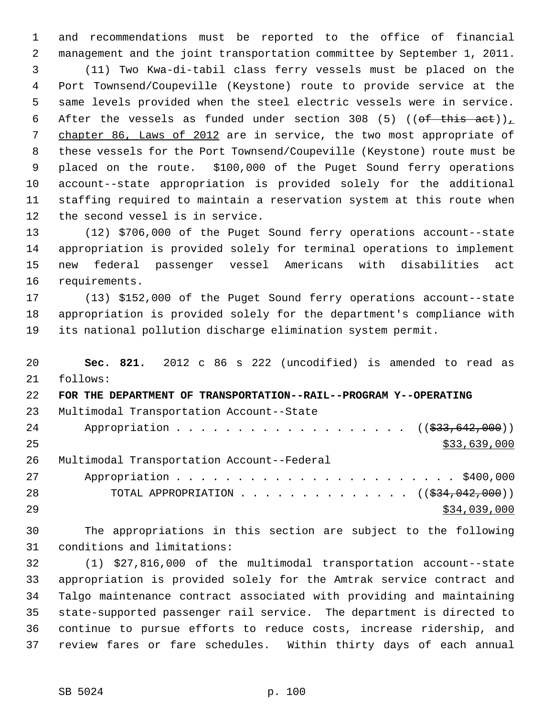1 and recommendations must be reported to the office of financial 2 management and the joint transportation committee by September 1, 2011. 3 (11) Two Kwa-di-tabil class ferry vessels must be placed on the 4 Port Townsend/Coupeville (Keystone) route to provide service at the 5 same levels provided when the steel electric vessels were in service. 6 After the vessels as funded under section 308 (5) ((of this act)), 7 chapter 86, Laws of 2012 are in service, the two most appropriate of 8 these vessels for the Port Townsend/Coupeville (Keystone) route must be 9 placed on the route. \$100,000 of the Puget Sound ferry operations 10 account--state appropriation is provided solely for the additional 11 staffing required to maintain a reservation system at this route when 12 the second vessel is in service.

13 (12) \$706,000 of the Puget Sound ferry operations account--state 14 appropriation is provided solely for terminal operations to implement 15 new federal passenger vessel Americans with disabilities act 16 requirements.

17 (13) \$152,000 of the Puget Sound ferry operations account--state 18 appropriation is provided solely for the department's compliance with 19 its national pollution discharge elimination system permit.

20 **Sec. 821.** 2012 c 86 s 222 (uncodified) is amended to read as 21 follows: 22 **FOR THE DEPARTMENT OF TRANSPORTATION--RAIL--PROGRAM Y--OPERATING** 23 Multimodal Transportation Account--State 24 Appropriation . . . . . . . . . . . . . . . . . (  $(\frac{233,642,000}{2})$  $25$  \$33,639,000 26 Multimodal Transportation Account--Federal 27 Appropriation . . . . . . . . . . . . . . . . . . . . . . . \$400,000 28 TOTAL APPROPRIATION . . . . . . . . . . . . . ((<del>\$34,042,000</del>))  $29$  \$34,039,000

30 The appropriations in this section are subject to the following 31 conditions and limitations:

32 (1) \$27,816,000 of the multimodal transportation account--state 33 appropriation is provided solely for the Amtrak service contract and 34 Talgo maintenance contract associated with providing and maintaining 35 state-supported passenger rail service. The department is directed to 36 continue to pursue efforts to reduce costs, increase ridership, and 37 review fares or fare schedules. Within thirty days of each annual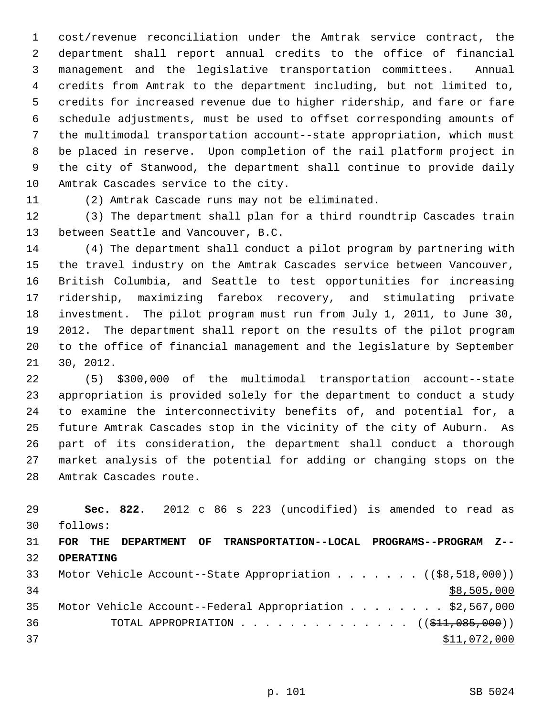1 cost/revenue reconciliation under the Amtrak service contract, the 2 department shall report annual credits to the office of financial 3 management and the legislative transportation committees. Annual 4 credits from Amtrak to the department including, but not limited to, 5 credits for increased revenue due to higher ridership, and fare or fare 6 schedule adjustments, must be used to offset corresponding amounts of 7 the multimodal transportation account--state appropriation, which must 8 be placed in reserve. Upon completion of the rail platform project in 9 the city of Stanwood, the department shall continue to provide daily 10 Amtrak Cascades service to the city.

11 (2) Amtrak Cascade runs may not be eliminated.

12 (3) The department shall plan for a third roundtrip Cascades train 13 between Seattle and Vancouver, B.C.

14 (4) The department shall conduct a pilot program by partnering with 15 the travel industry on the Amtrak Cascades service between Vancouver, 16 British Columbia, and Seattle to test opportunities for increasing 17 ridership, maximizing farebox recovery, and stimulating private 18 investment. The pilot program must run from July 1, 2011, to June 30, 19 2012. The department shall report on the results of the pilot program 20 to the office of financial management and the legislature by September 21 30, 2012.

22 (5) \$300,000 of the multimodal transportation account--state 23 appropriation is provided solely for the department to conduct a study 24 to examine the interconnectivity benefits of, and potential for, a 25 future Amtrak Cascades stop in the vicinity of the city of Auburn. As 26 part of its consideration, the department shall conduct a thorough 27 market analysis of the potential for adding or changing stops on the 28 Amtrak Cascades route.

| 29              |                  |  |  |  | Sec. 822. 2012 c 86 s 223 (uncodified) is amended to read as                         |  |              |             |  |
|-----------------|------------------|--|--|--|--------------------------------------------------------------------------------------|--|--------------|-------------|--|
| 30              | follows:         |  |  |  |                                                                                      |  |              |             |  |
| 31              | FOR THE          |  |  |  | DEPARTMENT OF TRANSPORTATION--LOCAL PROGRAMS--PROGRAM Z--                            |  |              |             |  |
| 32 <sup>2</sup> | <b>OPERATING</b> |  |  |  |                                                                                      |  |              |             |  |
| 33              |                  |  |  |  | Motor Vehicle Account--State Appropriation $($ $($ $\frac{69}{518}, \frac{600}{10})$ |  |              |             |  |
| 34              |                  |  |  |  |                                                                                      |  |              | \$8,505,000 |  |
| 35              |                  |  |  |  | Motor Vehicle Account--Federal Appropriation \$2,567,000                             |  |              |             |  |
| 36              |                  |  |  |  | TOTAL APPROPRIATION ( $(\frac{11}{611}, 085, 000)$ )                                 |  |              |             |  |
| 37              |                  |  |  |  |                                                                                      |  | \$11,072,000 |             |  |
|                 |                  |  |  |  |                                                                                      |  |              |             |  |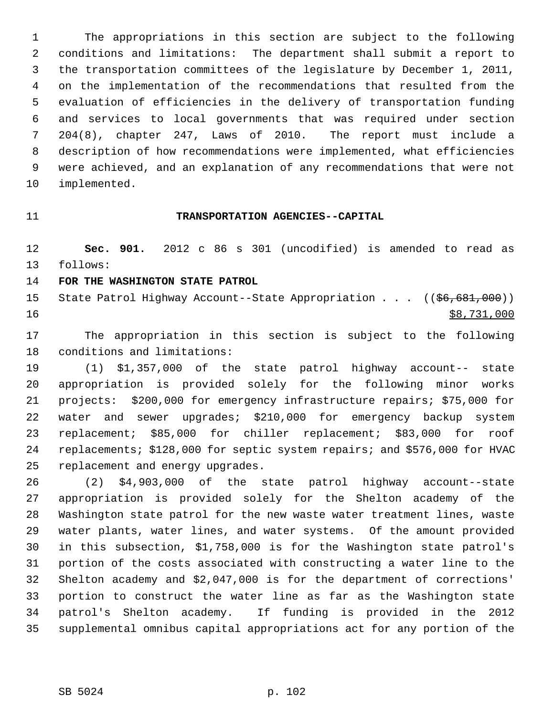1 The appropriations in this section are subject to the following 2 conditions and limitations: The department shall submit a report to 3 the transportation committees of the legislature by December 1, 2011, 4 on the implementation of the recommendations that resulted from the 5 evaluation of efficiencies in the delivery of transportation funding 6 and services to local governments that was required under section 7 204(8), chapter 247, Laws of 2010. The report must include a 8 description of how recommendations were implemented, what efficiencies 9 were achieved, and an explanation of any recommendations that were not 10 implemented.

### 11 **TRANSPORTATION AGENCIES--CAPITAL**

12 **Sec. 901.** 2012 c 86 s 301 (uncodified) is amended to read as 13 follows:

# 14 **FOR THE WASHINGTON STATE PATROL**

15 State Patrol Highway Account--State Appropriation . . . ((\$6,681,000)) 16 \$8,731,000

17 The appropriation in this section is subject to the following 18 conditions and limitations:

19 (1) \$1,357,000 of the state patrol highway account-- state 20 appropriation is provided solely for the following minor works 21 projects: \$200,000 for emergency infrastructure repairs; \$75,000 for 22 water and sewer upgrades; \$210,000 for emergency backup system 23 replacement; \$85,000 for chiller replacement; \$83,000 for roof 24 replacements; \$128,000 for septic system repairs; and \$576,000 for HVAC 25 replacement and energy upgrades.

26 (2) \$4,903,000 of the state patrol highway account--state 27 appropriation is provided solely for the Shelton academy of the 28 Washington state patrol for the new waste water treatment lines, waste 29 water plants, water lines, and water systems. Of the amount provided 30 in this subsection, \$1,758,000 is for the Washington state patrol's 31 portion of the costs associated with constructing a water line to the 32 Shelton academy and \$2,047,000 is for the department of corrections' 33 portion to construct the water line as far as the Washington state 34 patrol's Shelton academy. If funding is provided in the 2012 35 supplemental omnibus capital appropriations act for any portion of the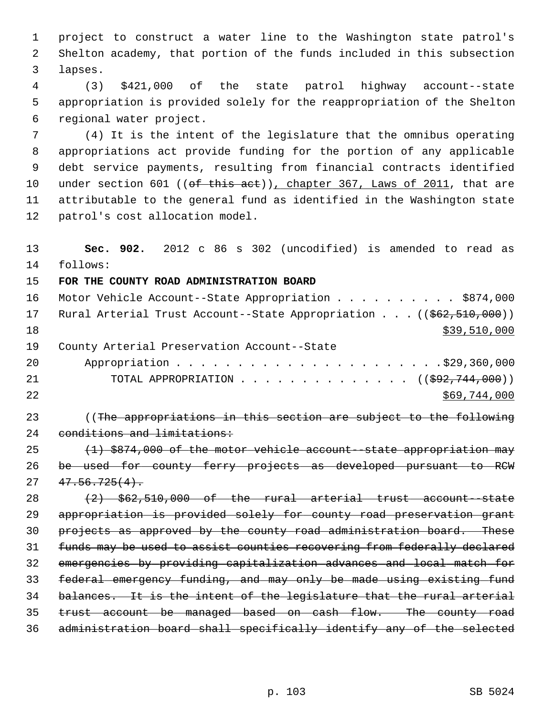1 project to construct a water line to the Washington state patrol's 2 Shelton academy, that portion of the funds included in this subsection 3 lapses.

 4 (3) \$421,000 of the state patrol highway account--state 5 appropriation is provided solely for the reappropriation of the Shelton 6 regional water project.

 7 (4) It is the intent of the legislature that the omnibus operating 8 appropriations act provide funding for the portion of any applicable 9 debt service payments, resulting from financial contracts identified 10 under section 601 ((of this act)), chapter 367, Laws of 2011, that are 11 attributable to the general fund as identified in the Washington state 12 patrol's cost allocation model.

 **Sec. 902.** 2012 c 86 s 302 (uncodified) is amended to read as 14 follows: **FOR THE COUNTY ROAD ADMINISTRATION BOARD** 16 Motor Vehicle Account--State Appropriation . . . . . . . . . \$874,000 17 Rural Arterial Trust Account--State Appropriation . . . ((\$62,510,000)) \$39,510,000 19 County Arterial Preservation Account--State 20 Appropriation . . . . . . . . . . . . . . . . . . . . . .\$29,360,000 21 TOTAL APPROPRIATION . . . . . . . . . . . . . ((<del>\$92,744,000</del>)) \$69,744,000 23 ((The appropriations in this section are subject to the following 24 conditions and limitations:  $(1)$  \$874,000 of the motor vehicle account--state appropriation may be used for county ferry projects as developed pursuant to RCW  $27 \quad 47.56.725(4)$ .  $(2)$   $\frac{1}{2}$   $\frac{1}{2}$   $\frac{1}{2}$   $\frac{1}{2}$   $\frac{1}{2}$   $\frac{1}{2}$   $\frac{1}{2}$   $\frac{1}{2}$   $\frac{1}{2}$   $\frac{1}{2}$   $\frac{1}{2}$   $\frac{1}{2}$   $\frac{1}{2}$   $\frac{1}{2}$   $\frac{1}{2}$   $\frac{1}{2}$   $\frac{1}{2}$   $\frac{1}{2}$   $\frac{1}{2}$   $\frac{1}{2}$   $\frac{1}{2}$   $\$  appropriation is provided solely for county road preservation grant projects as approved by the county road administration board. These funds may be used to assist counties recovering from federally declared emergencies by providing capitalization advances and local match for federal emergency funding, and may only be made using existing fund balances. It is the intent of the legislature that the rural arterial trust account be managed based on cash flow. The county road administration board shall specifically identify any of the selected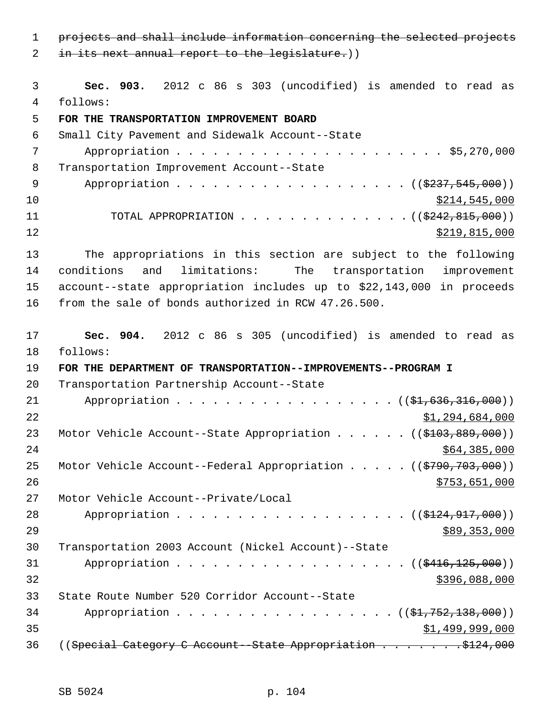1 projects and shall include information concerning the selected projects

2 in its next annual report to the legislature.))

 3 **Sec. 903.** 2012 c 86 s 303 (uncodified) is amended to read as 4 follows:

# 5 **FOR THE TRANSPORTATION IMPROVEMENT BOARD**

 6 Small City Pavement and Sidewalk Account--State 7 Appropriation . . . . . . . . . . . . . . . . . . . . . . \$5,270,000 8 Transportation Improvement Account--State 9 Appropriation . . . . . . . . . . . . . . . . . (  $(\frac{2337,545,000}{2})$  $10$  \$214,545,000 11 TOTAL APPROPRIATION . . . . . . . . . . . . . ((<del>\$242,815,000</del>)) 12 \$219,815,000

13 The appropriations in this section are subject to the following 14 conditions and limitations: The transportation improvement 15 account--state appropriation includes up to \$22,143,000 in proceeds 16 from the sale of bonds authorized in RCW 47.26.500.

17 **Sec. 904.** 2012 c 86 s 305 (uncodified) is amended to read as 18 follows: 19 **FOR THE DEPARTMENT OF TRANSPORTATION--IMPROVEMENTS--PROGRAM I** 20 Transportation Partnership Account--State 21 Appropriation . . . . . . . . . . . . . . . . (  $(\frac{1}{21}, 636, 316, 000)$  ) 22 \$1,294,684,000 23 Motor Vehicle Account--State Appropriation . . . . . ((\$103,889,000))  $24$  \$64,385,000 25 Motor Vehicle Account--Federal Appropriation . . . . ((\$790,703,000)) 26 \$753,651,000 27 Motor Vehicle Account--Private/Local 28 Appropriation . . . . . . . . . . . . . . . . . (  $(\frac{2124,917,000}{s})$  $29$   $589,353,000$ 30 Transportation 2003 Account (Nickel Account)--State 31 Appropriation . . . . . . . . . . . . . . . . . (  $(\frac{2416,125,000}{1})$  $32$   $$396,088,000$ 33 State Route Number 520 Corridor Account--State 34 Appropriation . . . . . . . . . . . . . . . ((<del>\$1,752,138,000</del>))  $35$  \$1,499,999,000

36 ((Special Category C Account--State Appropriation . . . . . . . \$124,000)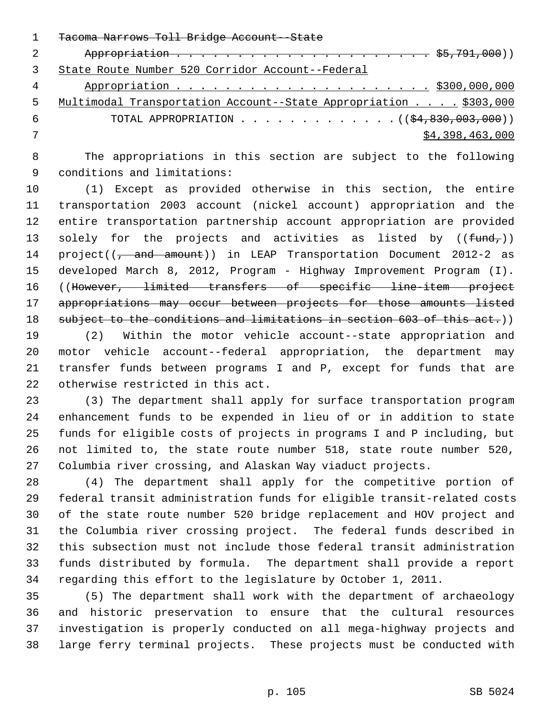|               | Tacoma Narrows Toll Bridge Account--State                        |
|---------------|------------------------------------------------------------------|
| $\mathcal{L}$ |                                                                  |
|               | State Route Number 520 Corridor Account--Federal                 |
| 4             |                                                                  |
| 5.            | Multimodal Transportation Account--State Appropriation \$303,000 |
| 6             | TOTAL APPROPRIATION $\ldots$ , ( $(\frac{24}{2000}, 003, 000)$ ) |
|               | \$4,398,463,000                                                  |
|               |                                                                  |

 8 The appropriations in this section are subject to the following 9 conditions and limitations:

10 (1) Except as provided otherwise in this section, the entire 11 transportation 2003 account (nickel account) appropriation and the 12 entire transportation partnership account appropriation are provided 13 solely for the projects and activities as listed by  $((fund<sub>r</sub>))$ 14 project((<del>, and amount</del>)) in LEAP Transportation Document 2012-2 as 15 developed March 8, 2012, Program - Highway Improvement Program (I). 16 ((However, limited transfers of specific line-item project 17 appropriations may occur between projects for those amounts listed 18 subject to the conditions and limitations in section 603 of this act.))

19 (2) Within the motor vehicle account--state appropriation and 20 motor vehicle account--federal appropriation, the department may 21 transfer funds between programs I and P, except for funds that are 22 otherwise restricted in this act.

23 (3) The department shall apply for surface transportation program 24 enhancement funds to be expended in lieu of or in addition to state 25 funds for eligible costs of projects in programs I and P including, but 26 not limited to, the state route number 518, state route number 520, 27 Columbia river crossing, and Alaskan Way viaduct projects.

28 (4) The department shall apply for the competitive portion of 29 federal transit administration funds for eligible transit-related costs 30 of the state route number 520 bridge replacement and HOV project and 31 the Columbia river crossing project. The federal funds described in 32 this subsection must not include those federal transit administration 33 funds distributed by formula. The department shall provide a report 34 regarding this effort to the legislature by October 1, 2011.

35 (5) The department shall work with the department of archaeology 36 and historic preservation to ensure that the cultural resources 37 investigation is properly conducted on all mega-highway projects and 38 large ferry terminal projects. These projects must be conducted with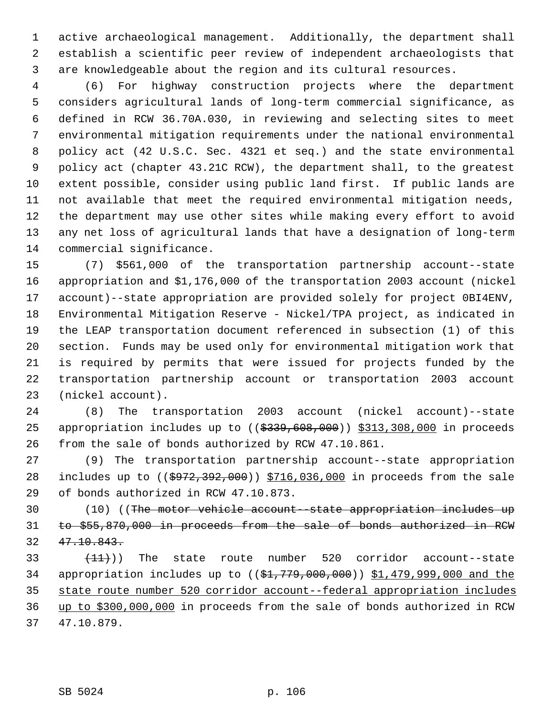1 active archaeological management. Additionally, the department shall 2 establish a scientific peer review of independent archaeologists that 3 are knowledgeable about the region and its cultural resources.

 4 (6) For highway construction projects where the department 5 considers agricultural lands of long-term commercial significance, as 6 defined in RCW 36.70A.030, in reviewing and selecting sites to meet 7 environmental mitigation requirements under the national environmental 8 policy act (42 U.S.C. Sec. 4321 et seq.) and the state environmental 9 policy act (chapter 43.21C RCW), the department shall, to the greatest 10 extent possible, consider using public land first. If public lands are 11 not available that meet the required environmental mitigation needs, 12 the department may use other sites while making every effort to avoid 13 any net loss of agricultural lands that have a designation of long-term 14 commercial significance.

15 (7) \$561,000 of the transportation partnership account--state 16 appropriation and \$1,176,000 of the transportation 2003 account (nickel 17 account)--state appropriation are provided solely for project 0BI4ENV, 18 Environmental Mitigation Reserve - Nickel/TPA project, as indicated in 19 the LEAP transportation document referenced in subsection (1) of this 20 section. Funds may be used only for environmental mitigation work that 21 is required by permits that were issued for projects funded by the 22 transportation partnership account or transportation 2003 account 23 (nickel account).

24 (8) The transportation 2003 account (nickel account)--state 25 appropriation includes up to  $($  $$339,608,000$ ) \$313,308,000 in proceeds 26 from the sale of bonds authorized by RCW 47.10.861.

27 (9) The transportation partnership account--state appropriation 28 includes up to ((\$972,392,000)) \$716,036,000 in proceeds from the sale 29 of bonds authorized in RCW 47.10.873.

30 (10) ((The motor vehicle account--state appropriation includes up 31 to \$55,870,000 in proceeds from the sale of bonds authorized in RCW 32 47.10.843.

33  $(11)$ ) The state route number 520 corridor account--state 34 appropriation includes up to ((\$1,779,000,000)) \$1,479,999,000 and the 35 state route number 520 corridor account--federal appropriation includes 36 up to \$300,000,000 in proceeds from the sale of bonds authorized in RCW 37 47.10.879.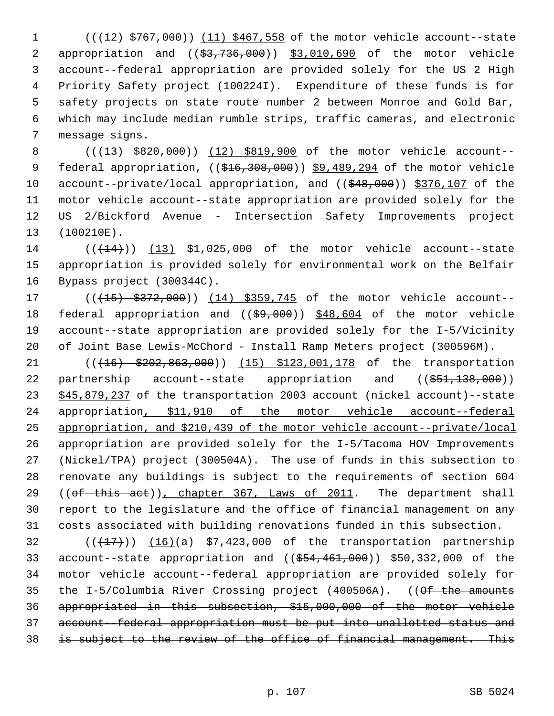1 (( $\left(\frac{12}{5767},000\right)$ ) (11) \$467,558 of the motor vehicle account--state 2 appropriation and ((\$3,736,000)) \$3,010,690 of the motor vehicle 3 account--federal appropriation are provided solely for the US 2 High 4 Priority Safety project (100224I). Expenditure of these funds is for 5 safety projects on state route number 2 between Monroe and Gold Bar, 6 which may include median rumble strips, traffic cameras, and electronic 7 message signs.

8 (( $\left(\frac{13}{5820},000\right)$ ) (12) \$819,900 of the motor vehicle account--9 federal appropriation, ((\$16,308,000)) \$9,489,294 of the motor vehicle 10 account--private/local appropriation, and ((\$48,000)) \$376,107 of the 11 motor vehicle account--state appropriation are provided solely for the 12 US 2/Bickford Avenue - Intersection Safety Improvements project 13 (100210E).

14 (( $(14)$ )) (13) \$1,025,000 of the motor vehicle account--state 15 appropriation is provided solely for environmental work on the Belfair 16 Bypass project (300344C).

17 (( $(15)$  \$372,000)) (14) \$359,745 of the motor vehicle account--18 federal appropriation and ((\$9,000)) \$48,604 of the motor vehicle 19 account--state appropriation are provided solely for the I-5/Vicinity 20 of Joint Base Lewis-McChord - Install Ramp Meters project (300596M).

21 (( $\left(16\right)$   $\left(202,863,000\right)$ ) (15) \$123,001,178 of the transportation 22 partnership account--state appropriation and ((\$51,138,000)) 23 \$45,879,237 of the transportation 2003 account (nickel account)--state 24 appropriation, \$11,910 of the motor vehicle account--federal 25 appropriation, and \$210,439 of the motor vehicle account--private/local 26 appropriation are provided solely for the I-5/Tacoma HOV Improvements 27 (Nickel/TPA) project (300504A). The use of funds in this subsection to 28 renovate any buildings is subject to the requirements of section 604 29 ((of this act)), chapter 367, Laws of 2011. The department shall 30 report to the legislature and the office of financial management on any 31 costs associated with building renovations funded in this subsection.

 $(1)(17)$ ) (16)(a) \$7,423,000 of the transportation partnership 33 account--state appropriation and ((\$54,461,000)) \$50,332,000 of the 34 motor vehicle account--federal appropriation are provided solely for 35 the I-5/Columbia River Crossing project (400506A). ((Of the amounts 36 appropriated in this subsection, \$15,000,000 of the motor vehicle 37 account--federal appropriation must be put into unallotted status and 38 is subject to the review of the office of financial management. This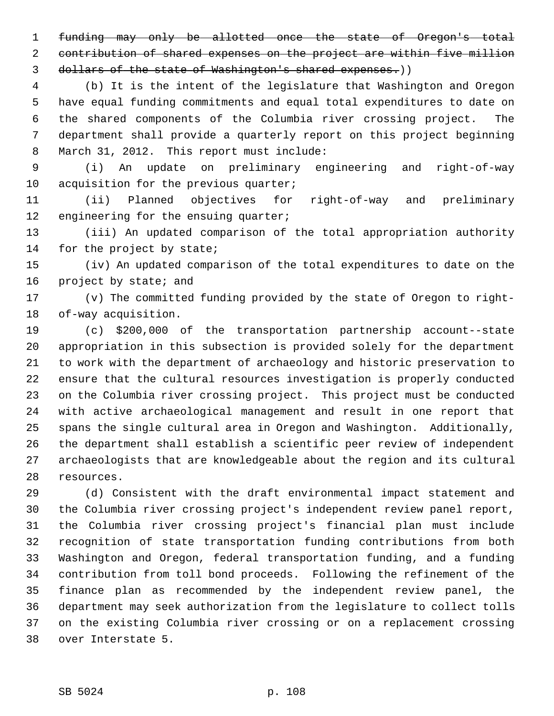1 funding may only be allotted once the state of Oregon's total 2 contribution of shared expenses on the project are within five million 3 dollars of the state of Washington's shared expenses.))

 4 (b) It is the intent of the legislature that Washington and Oregon 5 have equal funding commitments and equal total expenditures to date on 6 the shared components of the Columbia river crossing project. The 7 department shall provide a quarterly report on this project beginning 8 March 31, 2012. This report must include:

 9 (i) An update on preliminary engineering and right-of-way 10 acquisition for the previous quarter;

11 (ii) Planned objectives for right-of-way and preliminary 12 engineering for the ensuing quarter;

13 (iii) An updated comparison of the total appropriation authority 14 for the project by state;

15 (iv) An updated comparison of the total expenditures to date on the 16 project by state; and

17 (v) The committed funding provided by the state of Oregon to right-18 of-way acquisition.

19 (c) \$200,000 of the transportation partnership account--state 20 appropriation in this subsection is provided solely for the department 21 to work with the department of archaeology and historic preservation to 22 ensure that the cultural resources investigation is properly conducted 23 on the Columbia river crossing project. This project must be conducted 24 with active archaeological management and result in one report that 25 spans the single cultural area in Oregon and Washington. Additionally, 26 the department shall establish a scientific peer review of independent 27 archaeologists that are knowledgeable about the region and its cultural 28 resources.

29 (d) Consistent with the draft environmental impact statement and 30 the Columbia river crossing project's independent review panel report, 31 the Columbia river crossing project's financial plan must include 32 recognition of state transportation funding contributions from both 33 Washington and Oregon, federal transportation funding, and a funding 34 contribution from toll bond proceeds. Following the refinement of the 35 finance plan as recommended by the independent review panel, the 36 department may seek authorization from the legislature to collect tolls 37 on the existing Columbia river crossing or on a replacement crossing 38 over Interstate 5.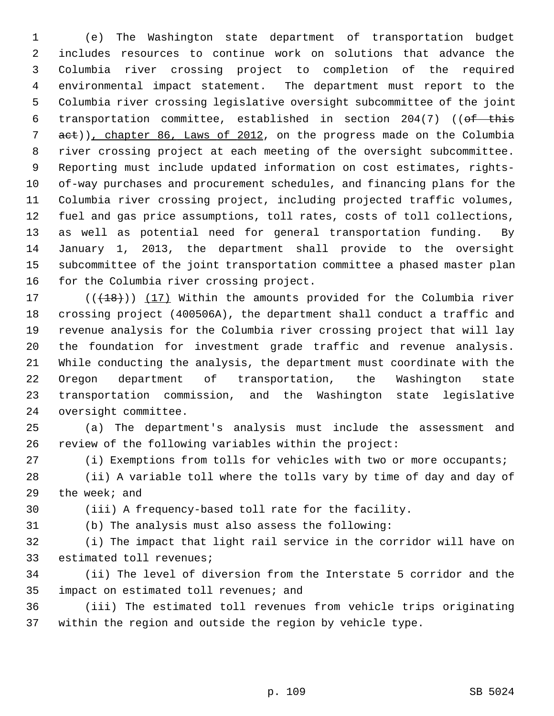1 (e) The Washington state department of transportation budget 2 includes resources to continue work on solutions that advance the 3 Columbia river crossing project to completion of the required 4 environmental impact statement. The department must report to the 5 Columbia river crossing legislative oversight subcommittee of the joint 6 transportation committee, established in section 204(7) ((of this 7 act)), chapter 86, Laws of 2012, on the progress made on the Columbia 8 river crossing project at each meeting of the oversight subcommittee. 9 Reporting must include updated information on cost estimates, rights-10 of-way purchases and procurement schedules, and financing plans for the 11 Columbia river crossing project, including projected traffic volumes, 12 fuel and gas price assumptions, toll rates, costs of toll collections, 13 as well as potential need for general transportation funding. By 14 January 1, 2013, the department shall provide to the oversight 15 subcommittee of the joint transportation committee a phased master plan 16 for the Columbia river crossing project.

17  $((+18))$   $(17)$  Within the amounts provided for the Columbia river 18 crossing project (400506A), the department shall conduct a traffic and 19 revenue analysis for the Columbia river crossing project that will lay 20 the foundation for investment grade traffic and revenue analysis. 21 While conducting the analysis, the department must coordinate with the 22 Oregon department of transportation, the Washington state 23 transportation commission, and the Washington state legislative 24 oversight committee.

25 (a) The department's analysis must include the assessment and 26 review of the following variables within the project:

27 (i) Exemptions from tolls for vehicles with two or more occupants;

28 (ii) A variable toll where the tolls vary by time of day and day of 29 the week; and

30 (iii) A frequency-based toll rate for the facility.

31 (b) The analysis must also assess the following:

32 (i) The impact that light rail service in the corridor will have on 33 estimated toll revenues;

34 (ii) The level of diversion from the Interstate 5 corridor and the 35 impact on estimated toll revenues; and

36 (iii) The estimated toll revenues from vehicle trips originating 37 within the region and outside the region by vehicle type.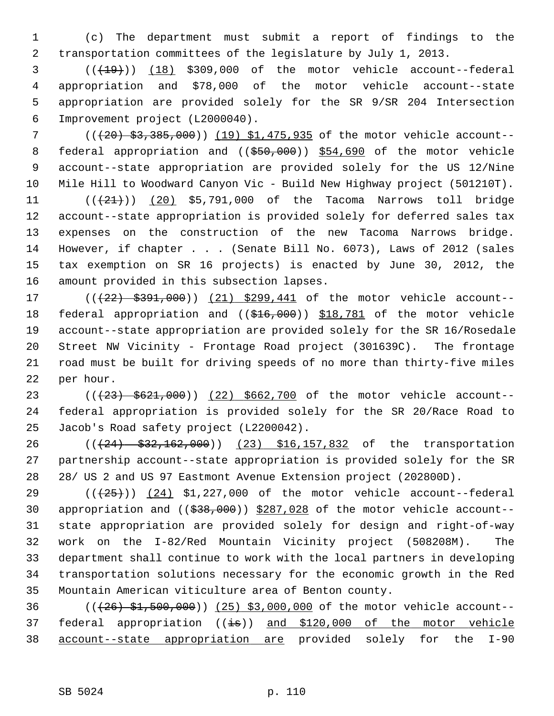1 (c) The department must submit a report of findings to the 2 transportation committees of the legislature by July 1, 2013.

 $3$   $((+19))$   $(18)$  \$309,000 of the motor vehicle account--federal 4 appropriation and \$78,000 of the motor vehicle account--state 5 appropriation are provided solely for the SR 9/SR 204 Intersection 6 Improvement project (L2000040).

7 ( $($ ( $(20)$   $$3,385,000$ )) (19) \$1,475,935 of the motor vehicle account--8 federal appropriation and ((\$50,000)) \$54,690 of the motor vehicle 9 account--state appropriation are provided solely for the US 12/Nine 10 Mile Hill to Woodward Canyon Vic - Build New Highway project (501210T).

11  $((21))$   $(20)$  \$5,791,000 of the Tacoma Narrows toll bridge 12 account--state appropriation is provided solely for deferred sales tax 13 expenses on the construction of the new Tacoma Narrows bridge. 14 However, if chapter . . . (Senate Bill No. 6073), Laws of 2012 (sales 15 tax exemption on SR 16 projects) is enacted by June 30, 2012, the 16 amount provided in this subsection lapses.

17 (( $(22)$  \$391,000)) (21) \$299,441 of the motor vehicle account--18 federal appropriation and ((\$16,000)) \$18,781 of the motor vehicle 19 account--state appropriation are provided solely for the SR 16/Rosedale 20 Street NW Vicinity - Frontage Road project (301639C). The frontage 21 road must be built for driving speeds of no more than thirty-five miles 22 per hour.

23 (( $(23)$  \$621,000)) (22) \$662,700 of the motor vehicle account--24 federal appropriation is provided solely for the SR 20/Race Road to 25 Jacob's Road safety project (L2200042).

26 (( $\left(\frac{24}{32}, \frac{252}{162}, \frac{162}{000}\right)$ ) (23) \$16,157,832 of the transportation 27 partnership account--state appropriation is provided solely for the SR 28 28/ US 2 and US 97 Eastmont Avenue Extension project (202800D).

29  $((+25))$   $(24)$  \$1,227,000 of the motor vehicle account--federal 30 appropriation and  $((\$38,000))$   $\$287,028$  of the motor vehicle account--31 state appropriation are provided solely for design and right-of-way 32 work on the I-82/Red Mountain Vicinity project (508208M). The 33 department shall continue to work with the local partners in developing 34 transportation solutions necessary for the economic growth in the Red 35 Mountain American viticulture area of Benton county.

36 (((26) \$1,500,000)) (25) \$3,000,000 of the motor vehicle account-- 37 federal appropriation  $((\frac{1}{15}))$  and \$120,000 of the motor vehicle 38 account--state appropriation are provided solely for the I-90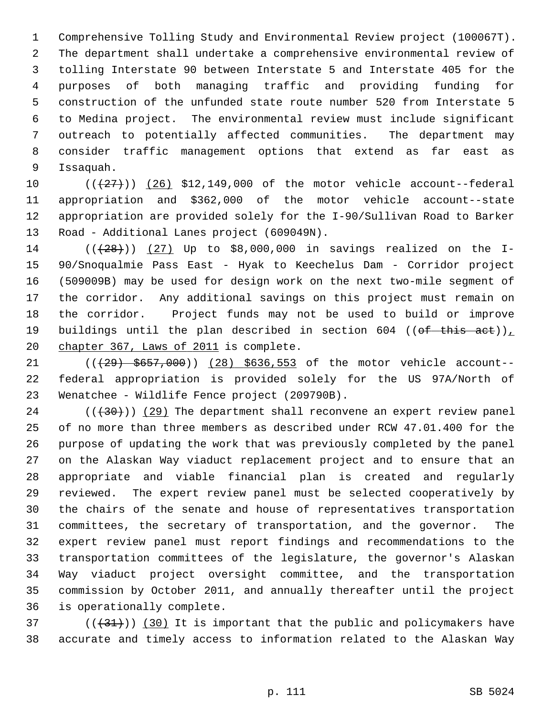1 Comprehensive Tolling Study and Environmental Review project (100067T). 2 The department shall undertake a comprehensive environmental review of 3 tolling Interstate 90 between Interstate 5 and Interstate 405 for the 4 purposes of both managing traffic and providing funding for 5 construction of the unfunded state route number 520 from Interstate 5 6 to Medina project. The environmental review must include significant 7 outreach to potentially affected communities. The department may 8 consider traffic management options that extend as far east as 9 Issaquah.

10  $((+27))$   $(26)$  \$12,149,000 of the motor vehicle account--federal 11 appropriation and \$362,000 of the motor vehicle account--state 12 appropriation are provided solely for the I-90/Sullivan Road to Barker 13 Road - Additional Lanes project (609049N).

14 ( $(28)$ )) (27) Up to \$8,000,000 in savings realized on the I-15 90/Snoqualmie Pass East - Hyak to Keechelus Dam - Corridor project 16 (509009B) may be used for design work on the next two-mile segment of 17 the corridor. Any additional savings on this project must remain on 18 the corridor. Project funds may not be used to build or improve 19 buildings until the plan described in section 604 (( $\theta$ f this act)), 20 chapter 367, Laws of 2011 is complete.

21 (( $(29)$  \$657,000)) (28) \$636,553 of the motor vehicle account--22 federal appropriation is provided solely for the US 97A/North of 23 Wenatchee - Wildlife Fence project (209790B).

 $(1/30)(29)$  The department shall reconvene an expert review panel 25 of no more than three members as described under RCW 47.01.400 for the 26 purpose of updating the work that was previously completed by the panel 27 on the Alaskan Way viaduct replacement project and to ensure that an 28 appropriate and viable financial plan is created and regularly 29 reviewed. The expert review panel must be selected cooperatively by 30 the chairs of the senate and house of representatives transportation 31 committees, the secretary of transportation, and the governor. The 32 expert review panel must report findings and recommendations to the 33 transportation committees of the legislature, the governor's Alaskan 34 Way viaduct project oversight committee, and the transportation 35 commission by October 2011, and annually thereafter until the project 36 is operationally complete.

 $(1)(31)$  (((431))) (30) It is important that the public and policymakers have 38 accurate and timely access to information related to the Alaskan Way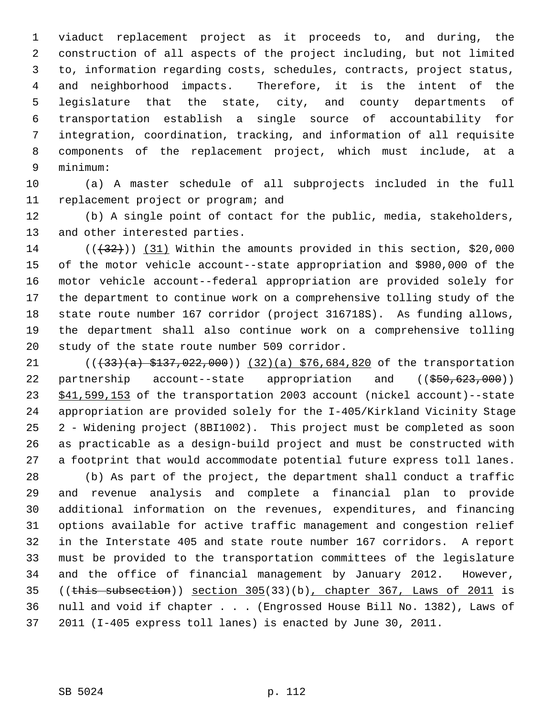1 viaduct replacement project as it proceeds to, and during, the 2 construction of all aspects of the project including, but not limited 3 to, information regarding costs, schedules, contracts, project status, 4 and neighborhood impacts. Therefore, it is the intent of the 5 legislature that the state, city, and county departments of 6 transportation establish a single source of accountability for 7 integration, coordination, tracking, and information of all requisite 8 components of the replacement project, which must include, at a 9 minimum:

10 (a) A master schedule of all subprojects included in the full 11 replacement project or program; and

12 (b) A single point of contact for the public, media, stakeholders, 13 and other interested parties.

14  $((+32))$  (31) Within the amounts provided in this section, \$20,000 15 of the motor vehicle account--state appropriation and \$980,000 of the 16 motor vehicle account--federal appropriation are provided solely for 17 the department to continue work on a comprehensive tolling study of the 18 state route number 167 corridor (project 316718S). As funding allows, 19 the department shall also continue work on a comprehensive tolling 20 study of the state route number 509 corridor.

21 (( $\left(\frac{33}{a} + \frac{137}{a} + \frac{22}{a} + \frac{000}{b}\right)$ ) (32)(a) \$76,684,820 of the transportation 22 partnership account--state appropriation and ((\$50,623,000)) 23 \$41,599,153 of the transportation 2003 account (nickel account)--state 24 appropriation are provided solely for the I-405/Kirkland Vicinity Stage 25 2 - Widening project (8BI1002). This project must be completed as soon 26 as practicable as a design-build project and must be constructed with 27 a footprint that would accommodate potential future express toll lanes.

28 (b) As part of the project, the department shall conduct a traffic 29 and revenue analysis and complete a financial plan to provide 30 additional information on the revenues, expenditures, and financing 31 options available for active traffic management and congestion relief 32 in the Interstate 405 and state route number 167 corridors. A report 33 must be provided to the transportation committees of the legislature 34 and the office of financial management by January 2012. However, 35 ((this subsection)) section 305(33)(b), chapter 367, Laws of 2011 is 36 null and void if chapter . . . (Engrossed House Bill No. 1382), Laws of 37 2011 (I-405 express toll lanes) is enacted by June 30, 2011.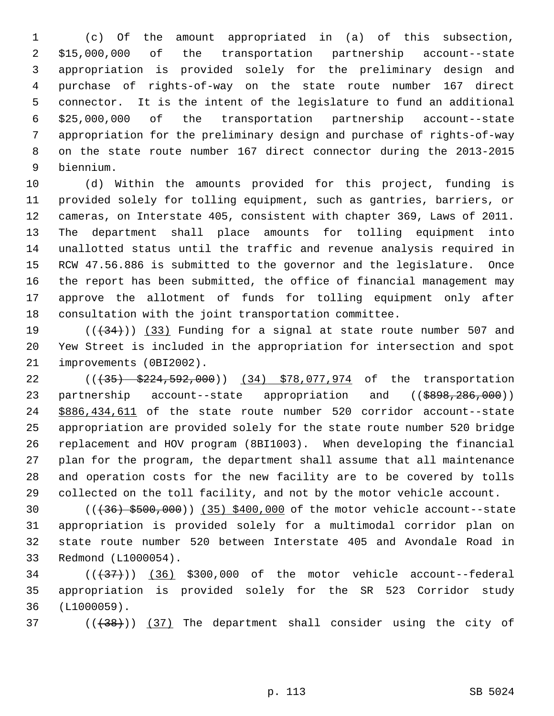1 (c) Of the amount appropriated in (a) of this subsection, 2 \$15,000,000 of the transportation partnership account--state 3 appropriation is provided solely for the preliminary design and 4 purchase of rights-of-way on the state route number 167 direct 5 connector. It is the intent of the legislature to fund an additional 6 \$25,000,000 of the transportation partnership account--state 7 appropriation for the preliminary design and purchase of rights-of-way 8 on the state route number 167 direct connector during the 2013-2015 9 biennium.

10 (d) Within the amounts provided for this project, funding is 11 provided solely for tolling equipment, such as gantries, barriers, or 12 cameras, on Interstate 405, consistent with chapter 369, Laws of 2011. 13 The department shall place amounts for tolling equipment into 14 unallotted status until the traffic and revenue analysis required in 15 RCW 47.56.886 is submitted to the governor and the legislature. Once 16 the report has been submitted, the office of financial management may 17 approve the allotment of funds for tolling equipment only after 18 consultation with the joint transportation committee.

19  $((+34))$   $(33)$  Funding for a signal at state route number 507 and 20 Yew Street is included in the appropriation for intersection and spot 21 improvements (0BI2002).

22 ((+35) \$224,592,000)) (34) \$78,077,974 of the transportation 23 partnership account--state appropriation and ((\$898,286,000)) 24 \$886,434,611 of the state route number 520 corridor account--state 25 appropriation are provided solely for the state route number 520 bridge 26 replacement and HOV program (8BI1003). When developing the financial 27 plan for the program, the department shall assume that all maintenance 28 and operation costs for the new facility are to be covered by tolls 29 collected on the toll facility, and not by the motor vehicle account.

30 (((36) \$500,000)) (35) \$400,000 of the motor vehicle account--state 31 appropriation is provided solely for a multimodal corridor plan on 32 state route number 520 between Interstate 405 and Avondale Road in 33 Redmond (L1000054).

 $34$  ( $(\frac{37}{1})$ ) (36) \$300,000 of the motor vehicle account--federal 35 appropriation is provided solely for the SR 523 Corridor study 36 (L1000059).

 $37$  ( $(\overline{38})$ ) (37) The department shall consider using the city of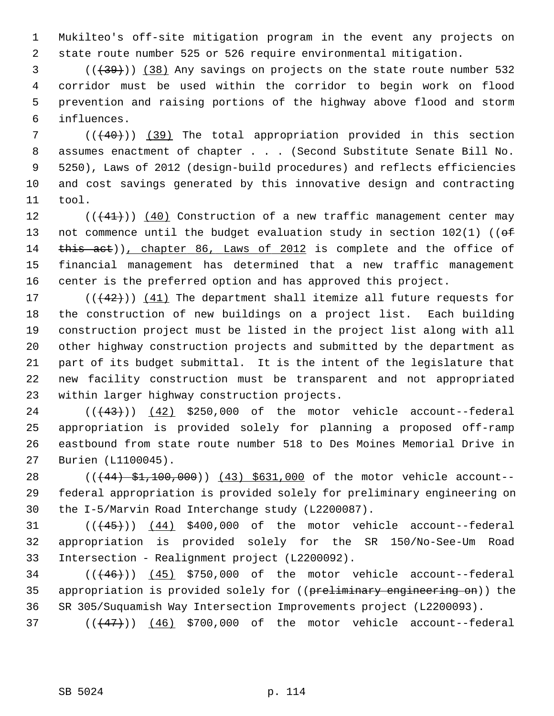1 Mukilteo's off-site mitigation program in the event any projects on 2 state route number 525 or 526 require environmental mitigation.

 $(1,39)$  (( $(38)$ ) Any savings on projects on the state route number 532 4 corridor must be used within the corridor to begin work on flood 5 prevention and raising portions of the highway above flood and storm 6 influences.

 $7$  ( $(40)$ ) (39) The total appropriation provided in this section 8 assumes enactment of chapter . . . (Second Substitute Senate Bill No. 9 5250), Laws of 2012 (design-build procedures) and reflects efficiencies 10 and cost savings generated by this innovative design and contracting 11 tool.

12  $((+41))$   $(40)$  Construction of a new traffic management center may 13 not commence until the budget evaluation study in section  $102(1)$  (( $\theta$ f) 14 this act)), chapter 86, Laws of 2012 is complete and the office of 15 financial management has determined that a new traffic management 16 center is the preferred option and has approved this project.

17  $((+42))$   $(41)$  The department shall itemize all future requests for 18 the construction of new buildings on a project list. Each building 19 construction project must be listed in the project list along with all 20 other highway construction projects and submitted by the department as 21 part of its budget submittal. It is the intent of the legislature that 22 new facility construction must be transparent and not appropriated 23 within larger highway construction projects.

24  $((+43))$   $(42)$  \$250,000 of the motor vehicle account--federal 25 appropriation is provided solely for planning a proposed off-ramp 26 eastbound from state route number 518 to Des Moines Memorial Drive in 27 Burien (L1100045).

28 (( $(44)$  \$1,100,000)) (43) \$631,000 of the motor vehicle account--29 federal appropriation is provided solely for preliminary engineering on 30 the I-5/Marvin Road Interchange study (L2200087).

31  $((45))$   $(44)$  \$400,000 of the motor vehicle account--federal 32 appropriation is provided solely for the SR 150/No-See-Um Road 33 Intersection - Realignment project (L2200092).

 $34$  ( $(46)$ ) (45) \$750,000 of the motor vehicle account--federal 35 appropriation is provided solely for ((preliminary engineering on)) the 36 SR 305/Suquamish Way Intersection Improvements project (L2200093).

37  $((47)$ ) (46) \$700,000 of the motor vehicle account--federal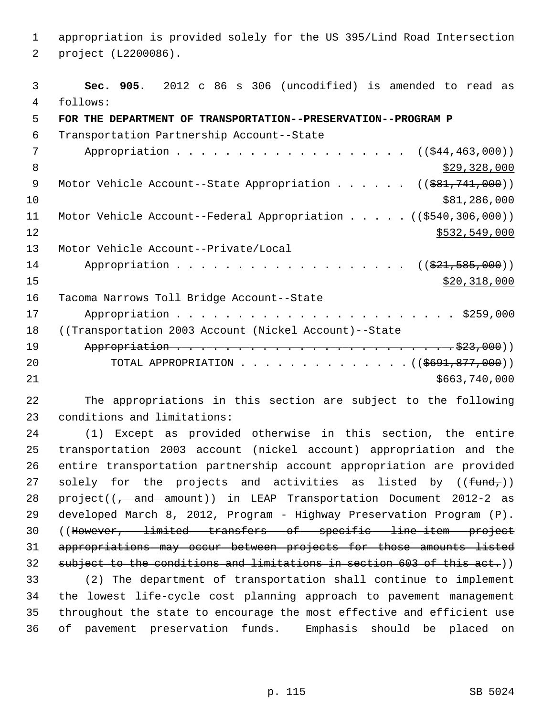1 appropriation is provided solely for the US 395/Lind Road Intersection 2 project (L2200086).

 3 **Sec. 905.** 2012 c 86 s 306 (uncodified) is amended to read as 4 follows: 5 **FOR THE DEPARTMENT OF TRANSPORTATION--PRESERVATION--PROGRAM P** 6 Transportation Partnership Account--State 7 Appropriation . . . . . . . . . . . . . . . . . (  $(\frac{244,463,000}{10})$ 8  $\frac{$29,328,000}{ }$ 9 Motor Vehicle Account--State Appropriation . . . . . ((\$81,741,000)) 10 \$81,286,000 11 Motor Vehicle Account--Federal Appropriation . . . . . ((\$540,306,000))  $\frac{12}{3532,549,000}$ 13 Motor Vehicle Account--Private/Local 14 Appropriation . . . . . . . . . . . . . . . . . ((\$21,585,000))  $\frac{$20,318,000}{$20,318,000}$ 16 Tacoma Narrows Toll Bridge Account--State 17 Appropriation . . . . . . . . . . . . . . . . . . . . . . . \$259,000 18 ((Transportation 2003 Account (Nickel Account)--State 19 Appropriation . . . . . . . . . . . . . . . . . . . . . . . \$23,000)) 20 TOTAL APPROPRIATION . . . . . . . . . . . . . . ((\$691,877,000)) 21 \$663,740,000

22 The appropriations in this section are subject to the following 23 conditions and limitations:

24 (1) Except as provided otherwise in this section, the entire 25 transportation 2003 account (nickel account) appropriation and the 26 entire transportation partnership account appropriation are provided 27 solely for the projects and activities as listed by  $((fund<sub>r</sub>))$ 28 project((<del>, and amount</del>)) in LEAP Transportation Document 2012-2 as 29 developed March 8, 2012, Program - Highway Preservation Program (P). 30 ((However, limited transfers of specific line-item project 31 appropriations may occur between projects for those amounts listed 32 subject to the conditions and limitations in section 603 of this act.)) 33 (2) The department of transportation shall continue to implement 34 the lowest life-cycle cost planning approach to pavement management 35 throughout the state to encourage the most effective and efficient use 36 of pavement preservation funds. Emphasis should be placed on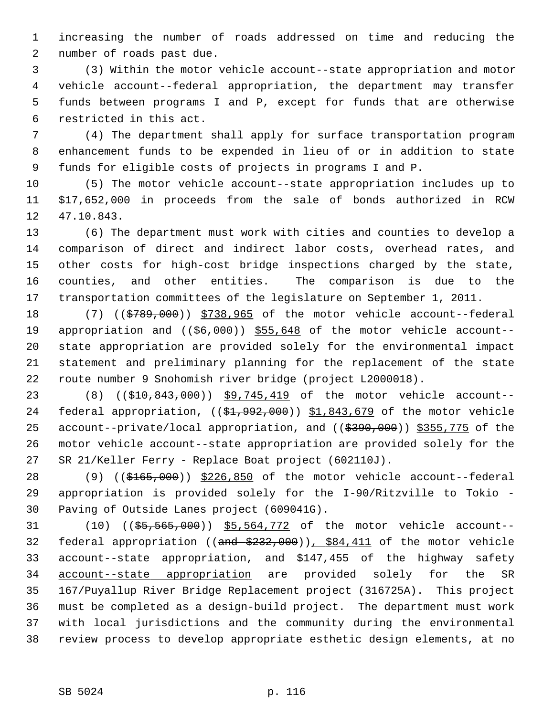1 increasing the number of roads addressed on time and reducing the 2 number of roads past due.

 3 (3) Within the motor vehicle account--state appropriation and motor 4 vehicle account--federal appropriation, the department may transfer 5 funds between programs I and P, except for funds that are otherwise 6 restricted in this act.

 7 (4) The department shall apply for surface transportation program 8 enhancement funds to be expended in lieu of or in addition to state 9 funds for eligible costs of projects in programs I and P.

10 (5) The motor vehicle account--state appropriation includes up to 11 \$17,652,000 in proceeds from the sale of bonds authorized in RCW 12 47.10.843.

13 (6) The department must work with cities and counties to develop a 14 comparison of direct and indirect labor costs, overhead rates, and 15 other costs for high-cost bridge inspections charged by the state, 16 counties, and other entities. The comparison is due to the 17 transportation committees of the legislature on September 1, 2011.

18 (7) ((\$789,000)) \$738,965 of the motor vehicle account--federal 19 appropriation and ((\$6,000)) \$55,648 of the motor vehicle account--20 state appropriation are provided solely for the environmental impact 21 statement and preliminary planning for the replacement of the state 22 route number 9 Snohomish river bridge (project L2000018).

23 (8) ((\$10,843,000)) \$9,745,419 of the motor vehicle account--24 federal appropriation, ((\$1,992,000)) \$1,843,679 of the motor vehicle 25 account--private/local appropriation, and ((\$390,000)) \$355,775 of the 26 motor vehicle account--state appropriation are provided solely for the 27 SR 21/Keller Ferry - Replace Boat project (602110J).

28 (9) ((\$165,000)) \$226,850 of the motor vehicle account--federal 29 appropriation is provided solely for the I-90/Ritzville to Tokio - 30 Paving of Outside Lanes project (609041G).

31 (10) ((\$5,565,000)) \$5,564,772 of the motor vehicle account-- 32 federal appropriation ((and \$232,000)), \$84,411 of the motor vehicle 33 account--state appropriation, and \$147,455 of the highway safety 34 account--state appropriation are provided solely for the SR 35 167/Puyallup River Bridge Replacement project (316725A). This project 36 must be completed as a design-build project. The department must work 37 with local jurisdictions and the community during the environmental 38 review process to develop appropriate esthetic design elements, at no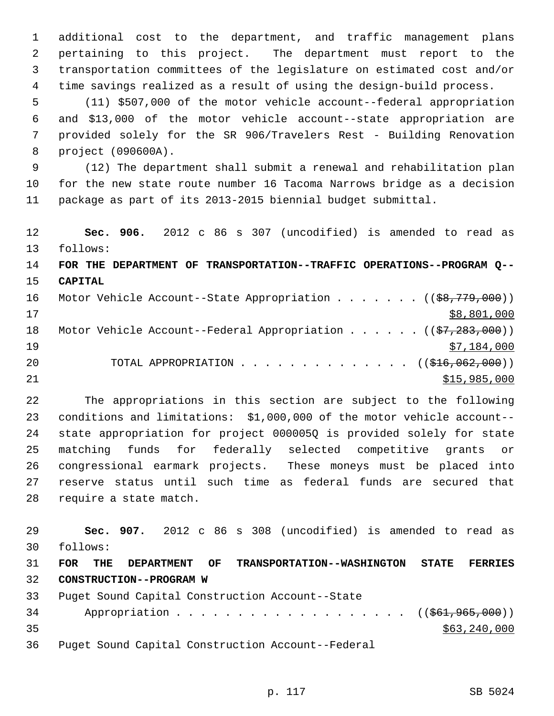1 additional cost to the department, and traffic management plans 2 pertaining to this project. The department must report to the 3 transportation committees of the legislature on estimated cost and/or 4 time savings realized as a result of using the design-build process.

 5 (11) \$507,000 of the motor vehicle account--federal appropriation 6 and \$13,000 of the motor vehicle account--state appropriation are 7 provided solely for the SR 906/Travelers Rest - Building Renovation 8 project (090600A).

 9 (12) The department shall submit a renewal and rehabilitation plan 10 for the new state route number 16 Tacoma Narrows bridge as a decision 11 package as part of its 2013-2015 biennial budget submittal.

12 **Sec. 906.** 2012 c 86 s 307 (uncodified) is amended to read as 13 follows:

14 **FOR THE DEPARTMENT OF TRANSPORTATION--TRAFFIC OPERATIONS--PROGRAM Q--** 15 **CAPITAL**

| 16 |  | Motor Vehicle Account--State Appropriation ( $(\frac{28}{779}, 000)$ ) |  |  |              |
|----|--|------------------------------------------------------------------------|--|--|--------------|
| 17 |  |                                                                        |  |  | \$8,801,000  |
| 18 |  | Motor Vehicle Account--Federal Appropriation $(37,283,000)$            |  |  |              |
| 19 |  |                                                                        |  |  | \$7,184,000  |
| 20 |  | TOTAL APPROPRIATION $\ldots$ , ( $(\frac{1}{216}, 062, 000)$ )         |  |  |              |
| 21 |  |                                                                        |  |  | \$15,985,000 |

22 The appropriations in this section are subject to the following 23 conditions and limitations: \$1,000,000 of the motor vehicle account-- 24 state appropriation for project 000005Q is provided solely for state 25 matching funds for federally selected competitive grants or 26 congressional earmark projects. These moneys must be placed into 27 reserve status until such time as federal funds are secured that 28 require a state match.

29 **Sec. 907.** 2012 c 86 s 308 (uncodified) is amended to read as 30 follows: 31 **FOR THE DEPARTMENT OF TRANSPORTATION--WASHINGTON STATE FERRIES** 32 **CONSTRUCTION--PROGRAM W** 33 Puget Sound Capital Construction Account--State 34 Appropriation . . . . . . . . . . . . . . . . . ((\$61,965,000))  $35$  \$63,240,000

36 Puget Sound Capital Construction Account--Federal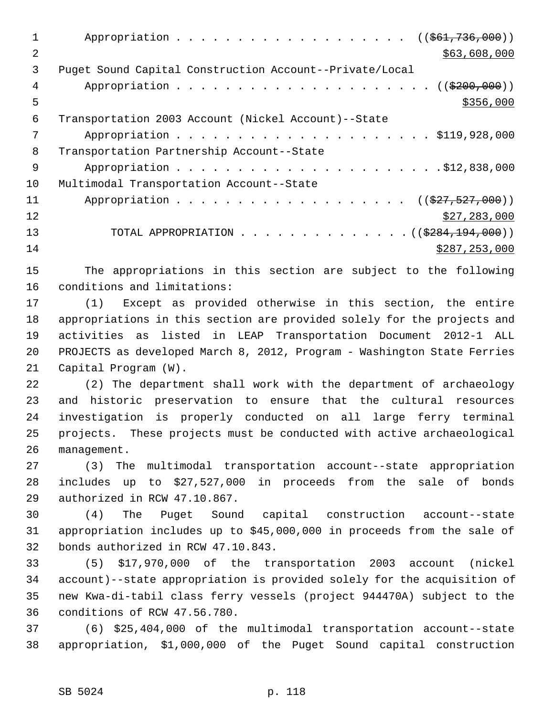| 1              | $((\$61,736,000))$                                                      |
|----------------|-------------------------------------------------------------------------|
| $\overline{2}$ | \$63,608,000                                                            |
| 3              | Puget Sound Capital Construction Account--Private/Local                 |
| 4              |                                                                         |
| 5              | \$356,000                                                               |
| 6              | Transportation 2003 Account (Nickel Account)--State                     |
| 7              |                                                                         |
| 8              | Transportation Partnership Account--State                               |
| 9              |                                                                         |
| 10             | Multimodal Transportation Account--State                                |
| 11             | $((\$27, 527, 000))$                                                    |
| 12             | \$27,283,000                                                            |
| 13             | TOTAL APPROPRIATION ( $(\frac{2884,194,000}{s})$ )                      |
| 14             | \$287, 253, 000                                                         |
| 15             | The appropriations in this section are subject to the following         |
| 16             | conditions and limitations:                                             |
| 17             | (1) Except as provided otherwise in this section, the entire            |
| 18             | appropriations in this section are provided solely for the projects and |
| 19             | activities as listed in LEAP Transportation Document 2012-1<br>ALL      |

21 Capital Program (W). 22 (2) The department shall work with the department of archaeology 23 and historic preservation to ensure that the cultural resources

20 PROJECTS as developed March 8, 2012, Program - Washington State Ferries

24 investigation is properly conducted on all large ferry terminal 25 projects. These projects must be conducted with active archaeological 26 management.

27 (3) The multimodal transportation account--state appropriation 28 includes up to \$27,527,000 in proceeds from the sale of bonds 29 authorized in RCW 47.10.867.

30 (4) The Puget Sound capital construction account--state 31 appropriation includes up to \$45,000,000 in proceeds from the sale of 32 bonds authorized in RCW 47.10.843.

33 (5) \$17,970,000 of the transportation 2003 account (nickel 34 account)--state appropriation is provided solely for the acquisition of 35 new Kwa-di-tabil class ferry vessels (project 944470A) subject to the 36 conditions of RCW 47.56.780.

37 (6) \$25,404,000 of the multimodal transportation account--state 38 appropriation, \$1,000,000 of the Puget Sound capital construction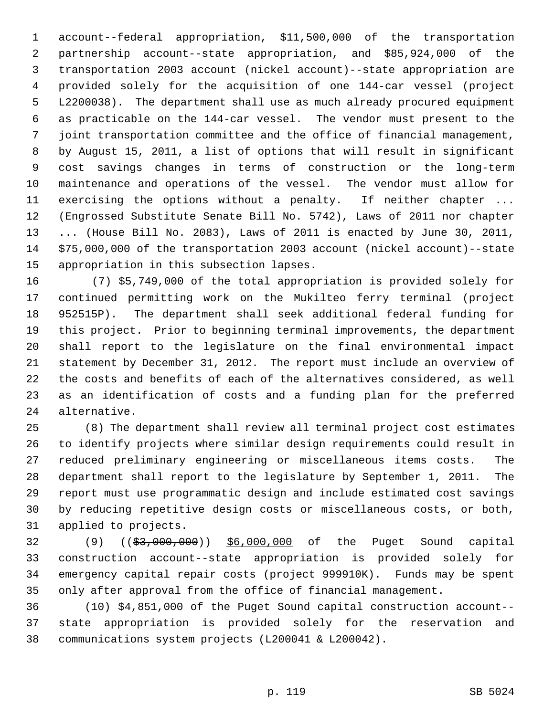1 account--federal appropriation, \$11,500,000 of the transportation 2 partnership account--state appropriation, and \$85,924,000 of the 3 transportation 2003 account (nickel account)--state appropriation are 4 provided solely for the acquisition of one 144-car vessel (project 5 L2200038). The department shall use as much already procured equipment 6 as practicable on the 144-car vessel. The vendor must present to the 7 joint transportation committee and the office of financial management, 8 by August 15, 2011, a list of options that will result in significant 9 cost savings changes in terms of construction or the long-term 10 maintenance and operations of the vessel. The vendor must allow for 11 exercising the options without a penalty. If neither chapter ... 12 (Engrossed Substitute Senate Bill No. 5742), Laws of 2011 nor chapter 13 ... (House Bill No. 2083), Laws of 2011 is enacted by June 30, 2011, 14 \$75,000,000 of the transportation 2003 account (nickel account)--state 15 appropriation in this subsection lapses.

16 (7) \$5,749,000 of the total appropriation is provided solely for 17 continued permitting work on the Mukilteo ferry terminal (project 18 952515P). The department shall seek additional federal funding for 19 this project. Prior to beginning terminal improvements, the department 20 shall report to the legislature on the final environmental impact 21 statement by December 31, 2012. The report must include an overview of 22 the costs and benefits of each of the alternatives considered, as well 23 as an identification of costs and a funding plan for the preferred 24 alternative.

25 (8) The department shall review all terminal project cost estimates 26 to identify projects where similar design requirements could result in 27 reduced preliminary engineering or miscellaneous items costs. The 28 department shall report to the legislature by September 1, 2011. The 29 report must use programmatic design and include estimated cost savings 30 by reducing repetitive design costs or miscellaneous costs, or both, 31 applied to projects.

32 (9) ((\$3,000,000)) \$6,000,000 of the Puget Sound capital 33 construction account--state appropriation is provided solely for 34 emergency capital repair costs (project 999910K). Funds may be spent 35 only after approval from the office of financial management.

36 (10) \$4,851,000 of the Puget Sound capital construction account-- 37 state appropriation is provided solely for the reservation and 38 communications system projects (L200041 & L200042).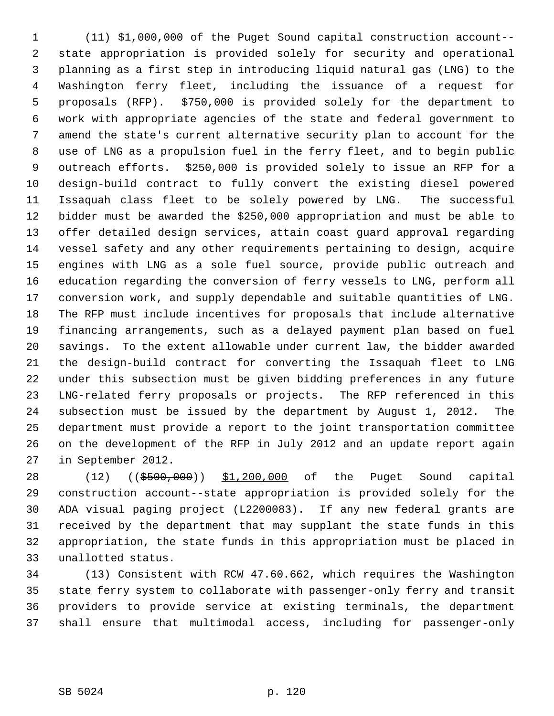1 (11) \$1,000,000 of the Puget Sound capital construction account-- 2 state appropriation is provided solely for security and operational 3 planning as a first step in introducing liquid natural gas (LNG) to the 4 Washington ferry fleet, including the issuance of a request for 5 proposals (RFP). \$750,000 is provided solely for the department to 6 work with appropriate agencies of the state and federal government to 7 amend the state's current alternative security plan to account for the 8 use of LNG as a propulsion fuel in the ferry fleet, and to begin public 9 outreach efforts. \$250,000 is provided solely to issue an RFP for a 10 design-build contract to fully convert the existing diesel powered 11 Issaquah class fleet to be solely powered by LNG. The successful 12 bidder must be awarded the \$250,000 appropriation and must be able to 13 offer detailed design services, attain coast guard approval regarding 14 vessel safety and any other requirements pertaining to design, acquire 15 engines with LNG as a sole fuel source, provide public outreach and 16 education regarding the conversion of ferry vessels to LNG, perform all 17 conversion work, and supply dependable and suitable quantities of LNG. 18 The RFP must include incentives for proposals that include alternative 19 financing arrangements, such as a delayed payment plan based on fuel 20 savings. To the extent allowable under current law, the bidder awarded 21 the design-build contract for converting the Issaquah fleet to LNG 22 under this subsection must be given bidding preferences in any future 23 LNG-related ferry proposals or projects. The RFP referenced in this 24 subsection must be issued by the department by August 1, 2012. The 25 department must provide a report to the joint transportation committee 26 on the development of the RFP in July 2012 and an update report again 27 in September 2012.

28 (12) ((\$500,000)) \$1,200,000 of the Puget Sound capital 29 construction account--state appropriation is provided solely for the 30 ADA visual paging project (L2200083). If any new federal grants are 31 received by the department that may supplant the state funds in this 32 appropriation, the state funds in this appropriation must be placed in 33 unallotted status.

34 (13) Consistent with RCW 47.60.662, which requires the Washington 35 state ferry system to collaborate with passenger-only ferry and transit 36 providers to provide service at existing terminals, the department 37 shall ensure that multimodal access, including for passenger-only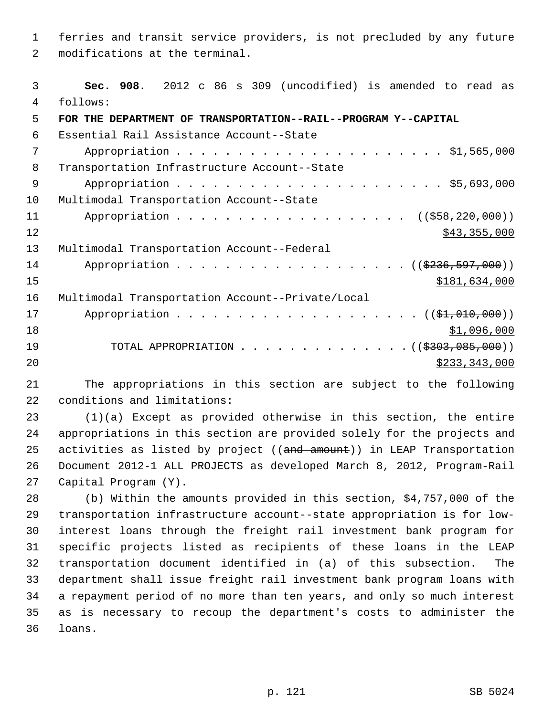1 ferries and transit service providers, is not precluded by any future 2 modifications at the terminal.

 3 **Sec. 908.** 2012 c 86 s 309 (uncodified) is amended to read as 4 follows: 5 **FOR THE DEPARTMENT OF TRANSPORTATION--RAIL--PROGRAM Y--CAPITAL** 6 Essential Rail Assistance Account--State 7 Appropriation . . . . . . . . . . . . . . . . . . . . . . \$1,565,000 8 Transportation Infrastructure Account--State 9 Appropriation . . . . . . . . . . . . . . . . . . . . . . \$5,693,000 10 Multimodal Transportation Account--State 11 Appropriation . . . . . . . . . . . . . . . . . ((\$58,220,000))  $\frac{$43,355,000}{ }$ 13 Multimodal Transportation Account--Federal 14 Appropriation . . . . . . . . . . . . . . . . . (  $(\frac{2236,597,000}{2})$ 15 \$181,634,000 16 Multimodal Transportation Account--Private/Local 17 Appropriation . . . . . . . . . . . . . . . . . . (  $(\frac{21}{2000})$  )

 $18$  \$1,096,000 19 TOTAL APPROPRIATION . . . . . . . . . . . . . . ((\$303,085,000)) 20 \$233,343,000

21 The appropriations in this section are subject to the following 22 conditions and limitations:

23 (1)(a) Except as provided otherwise in this section, the entire 24 appropriations in this section are provided solely for the projects and 25 activities as listed by project ((and amount)) in LEAP Transportation 26 Document 2012-1 ALL PROJECTS as developed March 8, 2012, Program-Rail 27 Capital Program (Y).

28 (b) Within the amounts provided in this section, \$4,757,000 of the 29 transportation infrastructure account--state appropriation is for low-30 interest loans through the freight rail investment bank program for 31 specific projects listed as recipients of these loans in the LEAP 32 transportation document identified in (a) of this subsection. The 33 department shall issue freight rail investment bank program loans with 34 a repayment period of no more than ten years, and only so much interest 35 as is necessary to recoup the department's costs to administer the 36 loans.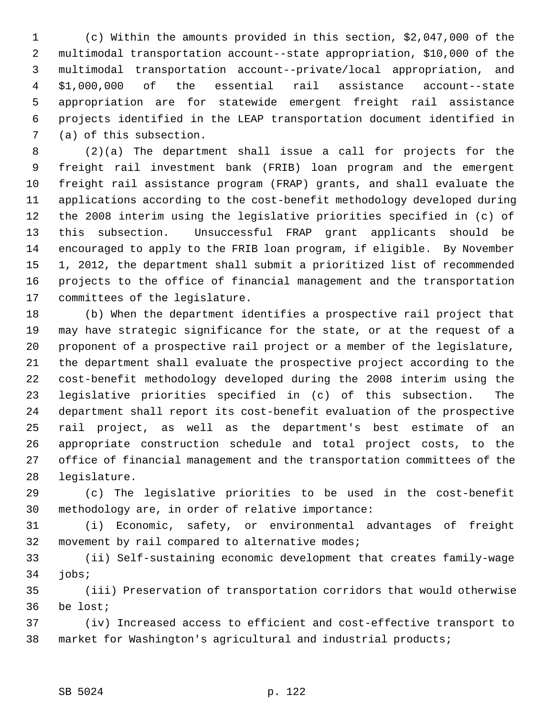1 (c) Within the amounts provided in this section, \$2,047,000 of the 2 multimodal transportation account--state appropriation, \$10,000 of the 3 multimodal transportation account--private/local appropriation, and 4 \$1,000,000 of the essential rail assistance account--state 5 appropriation are for statewide emergent freight rail assistance 6 projects identified in the LEAP transportation document identified in 7 (a) of this subsection.

 8 (2)(a) The department shall issue a call for projects for the 9 freight rail investment bank (FRIB) loan program and the emergent 10 freight rail assistance program (FRAP) grants, and shall evaluate the 11 applications according to the cost-benefit methodology developed during 12 the 2008 interim using the legislative priorities specified in (c) of 13 this subsection. Unsuccessful FRAP grant applicants should be 14 encouraged to apply to the FRIB loan program, if eligible. By November 15 1, 2012, the department shall submit a prioritized list of recommended 16 projects to the office of financial management and the transportation 17 committees of the legislature.

18 (b) When the department identifies a prospective rail project that 19 may have strategic significance for the state, or at the request of a 20 proponent of a prospective rail project or a member of the legislature, 21 the department shall evaluate the prospective project according to the 22 cost-benefit methodology developed during the 2008 interim using the 23 legislative priorities specified in (c) of this subsection. The 24 department shall report its cost-benefit evaluation of the prospective 25 rail project, as well as the department's best estimate of an 26 appropriate construction schedule and total project costs, to the 27 office of financial management and the transportation committees of the 28 legislature.

29 (c) The legislative priorities to be used in the cost-benefit 30 methodology are, in order of relative importance:

31 (i) Economic, safety, or environmental advantages of freight 32 movement by rail compared to alternative modes;

33 (ii) Self-sustaining economic development that creates family-wage 34 jobs;

35 (iii) Preservation of transportation corridors that would otherwise 36 be lost;

37 (iv) Increased access to efficient and cost-effective transport to 38 market for Washington's agricultural and industrial products;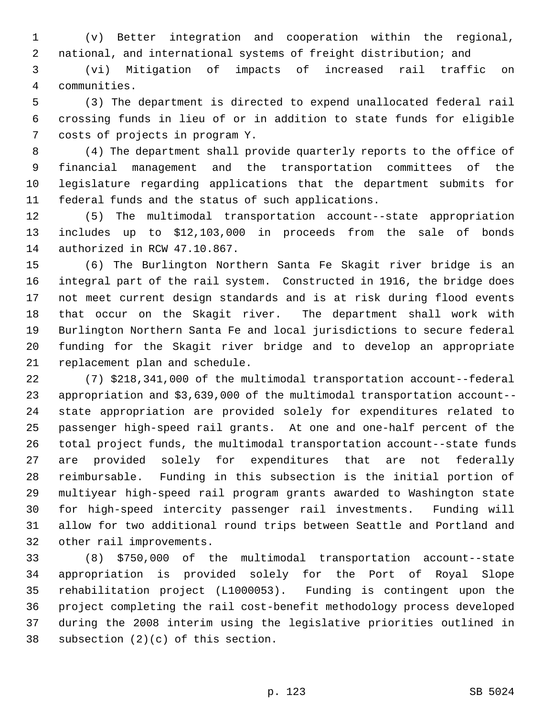1 (v) Better integration and cooperation within the regional, 2 national, and international systems of freight distribution; and

 3 (vi) Mitigation of impacts of increased rail traffic on 4 communities.

 5 (3) The department is directed to expend unallocated federal rail 6 crossing funds in lieu of or in addition to state funds for eligible 7 costs of projects in program Y.

 8 (4) The department shall provide quarterly reports to the office of 9 financial management and the transportation committees of the 10 legislature regarding applications that the department submits for 11 federal funds and the status of such applications.

12 (5) The multimodal transportation account--state appropriation 13 includes up to \$12,103,000 in proceeds from the sale of bonds 14 authorized in RCW 47.10.867.

15 (6) The Burlington Northern Santa Fe Skagit river bridge is an 16 integral part of the rail system. Constructed in 1916, the bridge does 17 not meet current design standards and is at risk during flood events 18 that occur on the Skagit river. The department shall work with 19 Burlington Northern Santa Fe and local jurisdictions to secure federal 20 funding for the Skagit river bridge and to develop an appropriate 21 replacement plan and schedule.

22 (7) \$218,341,000 of the multimodal transportation account--federal 23 appropriation and \$3,639,000 of the multimodal transportation account-- 24 state appropriation are provided solely for expenditures related to 25 passenger high-speed rail grants. At one and one-half percent of the 26 total project funds, the multimodal transportation account--state funds 27 are provided solely for expenditures that are not federally 28 reimbursable. Funding in this subsection is the initial portion of 29 multiyear high-speed rail program grants awarded to Washington state 30 for high-speed intercity passenger rail investments. Funding will 31 allow for two additional round trips between Seattle and Portland and 32 other rail improvements.

33 (8) \$750,000 of the multimodal transportation account--state 34 appropriation is provided solely for the Port of Royal Slope 35 rehabilitation project (L1000053). Funding is contingent upon the 36 project completing the rail cost-benefit methodology process developed 37 during the 2008 interim using the legislative priorities outlined in 38 subsection (2)(c) of this section.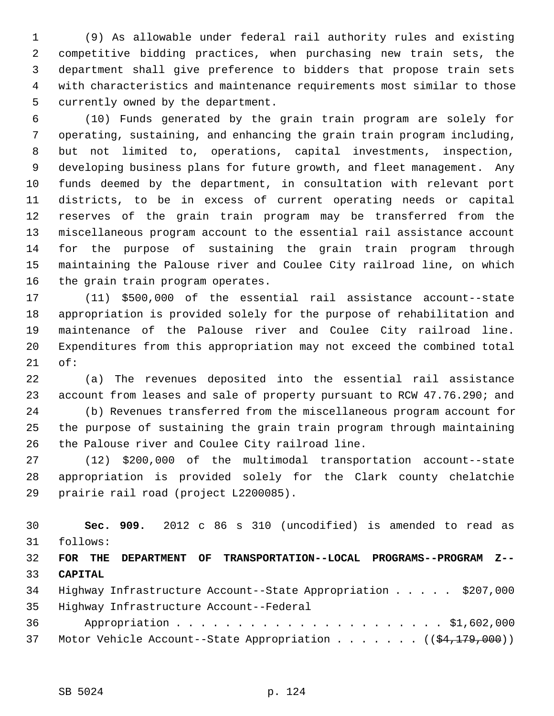1 (9) As allowable under federal rail authority rules and existing 2 competitive bidding practices, when purchasing new train sets, the 3 department shall give preference to bidders that propose train sets 4 with characteristics and maintenance requirements most similar to those 5 currently owned by the department.

 6 (10) Funds generated by the grain train program are solely for 7 operating, sustaining, and enhancing the grain train program including, 8 but not limited to, operations, capital investments, inspection, 9 developing business plans for future growth, and fleet management. Any 10 funds deemed by the department, in consultation with relevant port 11 districts, to be in excess of current operating needs or capital 12 reserves of the grain train program may be transferred from the 13 miscellaneous program account to the essential rail assistance account 14 for the purpose of sustaining the grain train program through 15 maintaining the Palouse river and Coulee City railroad line, on which 16 the grain train program operates.

17 (11) \$500,000 of the essential rail assistance account--state 18 appropriation is provided solely for the purpose of rehabilitation and 19 maintenance of the Palouse river and Coulee City railroad line. 20 Expenditures from this appropriation may not exceed the combined total 21 of:

22 (a) The revenues deposited into the essential rail assistance 23 account from leases and sale of property pursuant to RCW 47.76.290; and

24 (b) Revenues transferred from the miscellaneous program account for 25 the purpose of sustaining the grain train program through maintaining 26 the Palouse river and Coulee City railroad line.

27 (12) \$200,000 of the multimodal transportation account--state 28 appropriation is provided solely for the Clark county chelatchie 29 prairie rail road (project L2200085).

30 **Sec. 909.** 2012 c 86 s 310 (uncodified) is amended to read as 31 follows:

32 **FOR THE DEPARTMENT OF TRANSPORTATION--LOCAL PROGRAMS--PROGRAM Z--** 33 **CAPITAL**

|        | 34 Highway Infrastructure Account--State Appropriation \$207,000 |  |  |  |  |  |
|--------|------------------------------------------------------------------|--|--|--|--|--|
|        | 35 Highway Infrastructure Account--Federal                       |  |  |  |  |  |
| 36 — 1 |                                                                  |  |  |  |  |  |

37 Motor Vehicle Account--State Appropriation . . . . . . ((\$4,179,000))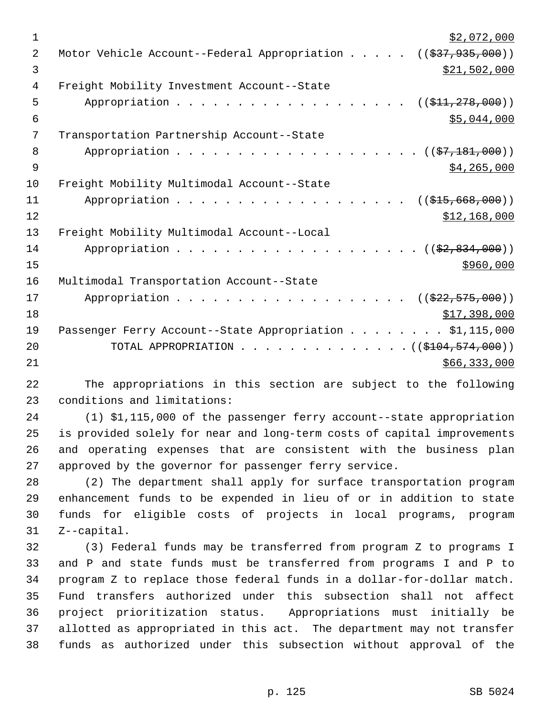| 1              | \$2,072,000                                                                           |
|----------------|---------------------------------------------------------------------------------------|
| $\overline{2}$ | Motor Vehicle Account--Federal Appropriation<br>$((\frac{2537}{7}, \frac{935}{900}))$ |
| 3              | \$21,502,000                                                                          |
| 4              | Freight Mobility Investment Account--State                                            |
| 5              | Appropriation<br>((\$41, 278, 000))                                                   |
| 6              | \$5,044,000                                                                           |
| 7              | Transportation Partnership Account--State                                             |
| 8              | Appropriation<br>$((\frac{27}{27}, \frac{181}{2}, 000))$                              |
| 9              | \$4,265,000                                                                           |
| 10             | Freight Mobility Multimodal Account--State                                            |
| 11             | Appropriation<br>((\$15,668,000))                                                     |
| 12             | \$12,168,000                                                                          |
| 13             | Freight Mobility Multimodal Account--Local                                            |
| 14             | Appropriation<br>$((\$2, 834, 000))$                                                  |
| 15             | \$960,000                                                                             |
| 16             | Multimodal Transportation Account--State                                              |
| 17             | Appropriation<br>((\$22,575,000))                                                     |
| 18             | \$17,398,000                                                                          |
| 19             | Passenger Ferry Account--State Appropriation \$1,115,000                              |
| 20             | TOTAL APPROPRIATION<br>$\ldots$ , $((\frac{1}{2104}, \frac{574}{600}))$               |
| 21             | \$66,333,000                                                                          |

22 The appropriations in this section are subject to the following 23 conditions and limitations:

24 (1) \$1,115,000 of the passenger ferry account--state appropriation 25 is provided solely for near and long-term costs of capital improvements 26 and operating expenses that are consistent with the business plan 27 approved by the governor for passenger ferry service.

28 (2) The department shall apply for surface transportation program 29 enhancement funds to be expended in lieu of or in addition to state 30 funds for eligible costs of projects in local programs, program 31 Z--capital.

32 (3) Federal funds may be transferred from program Z to programs I 33 and P and state funds must be transferred from programs I and P to 34 program Z to replace those federal funds in a dollar-for-dollar match. 35 Fund transfers authorized under this subsection shall not affect 36 project prioritization status. Appropriations must initially be 37 allotted as appropriated in this act. The department may not transfer 38 funds as authorized under this subsection without approval of the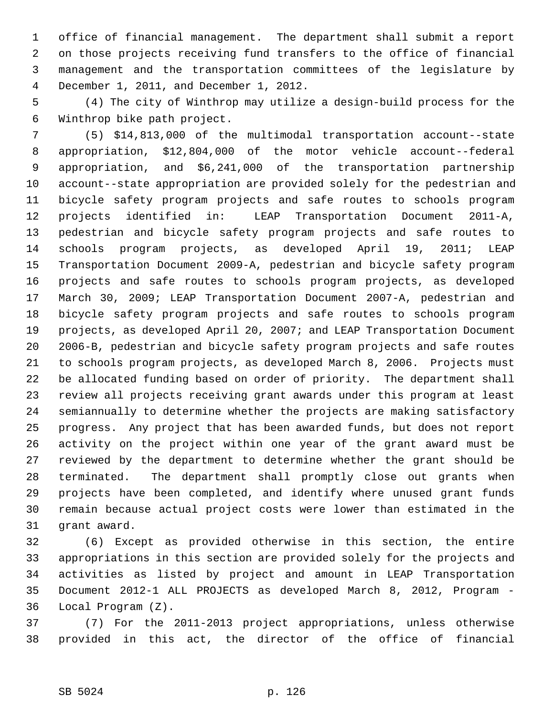1 office of financial management. The department shall submit a report 2 on those projects receiving fund transfers to the office of financial 3 management and the transportation committees of the legislature by 4 December 1, 2011, and December 1, 2012.

 5 (4) The city of Winthrop may utilize a design-build process for the 6 Winthrop bike path project.

 7 (5) \$14,813,000 of the multimodal transportation account--state 8 appropriation, \$12,804,000 of the motor vehicle account--federal 9 appropriation, and \$6,241,000 of the transportation partnership 10 account--state appropriation are provided solely for the pedestrian and 11 bicycle safety program projects and safe routes to schools program 12 projects identified in: LEAP Transportation Document 2011-A, 13 pedestrian and bicycle safety program projects and safe routes to 14 schools program projects, as developed April 19, 2011; LEAP 15 Transportation Document 2009-A, pedestrian and bicycle safety program 16 projects and safe routes to schools program projects, as developed 17 March 30, 2009; LEAP Transportation Document 2007-A, pedestrian and 18 bicycle safety program projects and safe routes to schools program 19 projects, as developed April 20, 2007; and LEAP Transportation Document 20 2006-B, pedestrian and bicycle safety program projects and safe routes 21 to schools program projects, as developed March 8, 2006. Projects must 22 be allocated funding based on order of priority. The department shall 23 review all projects receiving grant awards under this program at least 24 semiannually to determine whether the projects are making satisfactory 25 progress. Any project that has been awarded funds, but does not report 26 activity on the project within one year of the grant award must be 27 reviewed by the department to determine whether the grant should be 28 terminated. The department shall promptly close out grants when 29 projects have been completed, and identify where unused grant funds 30 remain because actual project costs were lower than estimated in the 31 grant award.

32 (6) Except as provided otherwise in this section, the entire 33 appropriations in this section are provided solely for the projects and 34 activities as listed by project and amount in LEAP Transportation 35 Document 2012-1 ALL PROJECTS as developed March 8, 2012, Program - 36 Local Program (Z).

37 (7) For the 2011-2013 project appropriations, unless otherwise 38 provided in this act, the director of the office of financial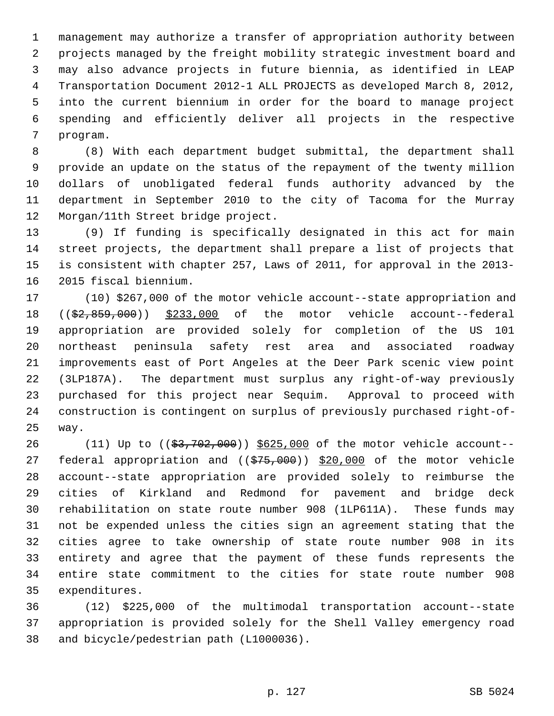1 management may authorize a transfer of appropriation authority between 2 projects managed by the freight mobility strategic investment board and 3 may also advance projects in future biennia, as identified in LEAP 4 Transportation Document 2012-1 ALL PROJECTS as developed March 8, 2012, 5 into the current biennium in order for the board to manage project 6 spending and efficiently deliver all projects in the respective 7 program.

 8 (8) With each department budget submittal, the department shall 9 provide an update on the status of the repayment of the twenty million 10 dollars of unobligated federal funds authority advanced by the 11 department in September 2010 to the city of Tacoma for the Murray 12 Morgan/11th Street bridge project.

13 (9) If funding is specifically designated in this act for main 14 street projects, the department shall prepare a list of projects that 15 is consistent with chapter 257, Laws of 2011, for approval in the 2013- 16 2015 fiscal biennium.

17 (10) \$267,000 of the motor vehicle account--state appropriation and 18 ((\$2,859,000)) \$233,000 of the motor vehicle account--federal 19 appropriation are provided solely for completion of the US 101 20 northeast peninsula safety rest area and associated roadway 21 improvements east of Port Angeles at the Deer Park scenic view point 22 (3LP187A). The department must surplus any right-of-way previously 23 purchased for this project near Sequim. Approval to proceed with 24 construction is contingent on surplus of previously purchased right-of-25 way.

26 (11) Up to ((\$3,702,000)) \$625,000 of the motor vehicle account--27 federal appropriation and ((\$75,000)) \$20,000 of the motor vehicle 28 account--state appropriation are provided solely to reimburse the 29 cities of Kirkland and Redmond for pavement and bridge deck 30 rehabilitation on state route number 908 (1LP611A). These funds may 31 not be expended unless the cities sign an agreement stating that the 32 cities agree to take ownership of state route number 908 in its 33 entirety and agree that the payment of these funds represents the 34 entire state commitment to the cities for state route number 908 35 expenditures.

36 (12) \$225,000 of the multimodal transportation account--state 37 appropriation is provided solely for the Shell Valley emergency road 38 and bicycle/pedestrian path (L1000036).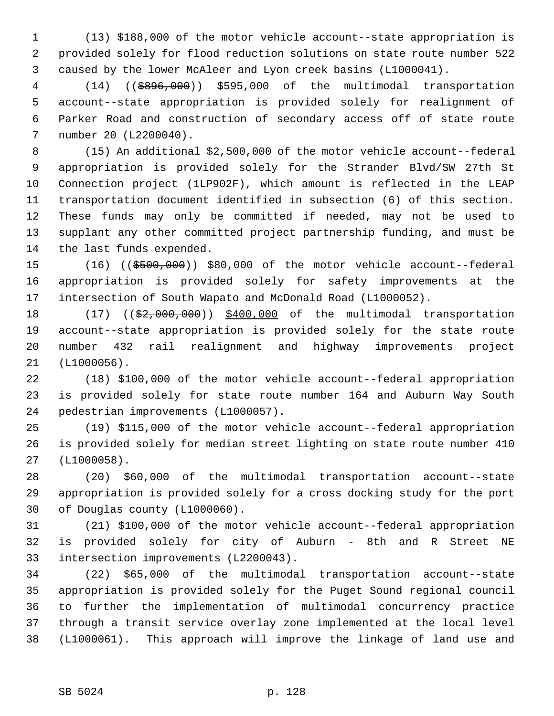1 (13) \$188,000 of the motor vehicle account--state appropriation is 2 provided solely for flood reduction solutions on state route number 522 3 caused by the lower McAleer and Lyon creek basins (L1000041).

 4 (14) ((\$896,000)) \$595,000 of the multimodal transportation 5 account--state appropriation is provided solely for realignment of 6 Parker Road and construction of secondary access off of state route 7 number 20 (L2200040).

 8 (15) An additional \$2,500,000 of the motor vehicle account--federal 9 appropriation is provided solely for the Strander Blvd/SW 27th St 10 Connection project (1LP902F), which amount is reflected in the LEAP 11 transportation document identified in subsection (6) of this section. 12 These funds may only be committed if needed, may not be used to 13 supplant any other committed project partnership funding, and must be 14 the last funds expended.

15 (16) ((\$500,000)) \$80,000 of the motor vehicle account--federal 16 appropriation is provided solely for safety improvements at the 17 intersection of South Wapato and McDonald Road (L1000052).

18 (17) (( $\frac{2}{52,000,000}$ ) \$400,000 of the multimodal transportation 19 account--state appropriation is provided solely for the state route 20 number 432 rail realignment and highway improvements project 21 (L1000056).

22 (18) \$100,000 of the motor vehicle account--federal appropriation 23 is provided solely for state route number 164 and Auburn Way South 24 pedestrian improvements (L1000057).

25 (19) \$115,000 of the motor vehicle account--federal appropriation 26 is provided solely for median street lighting on state route number 410 27 (L1000058).

28 (20) \$60,000 of the multimodal transportation account--state 29 appropriation is provided solely for a cross docking study for the port 30 of Douglas county (L1000060).

31 (21) \$100,000 of the motor vehicle account--federal appropriation 32 is provided solely for city of Auburn - 8th and R Street NE 33 intersection improvements (L2200043).

34 (22) \$65,000 of the multimodal transportation account--state 35 appropriation is provided solely for the Puget Sound regional council 36 to further the implementation of multimodal concurrency practice 37 through a transit service overlay zone implemented at the local level 38 (L1000061). This approach will improve the linkage of land use and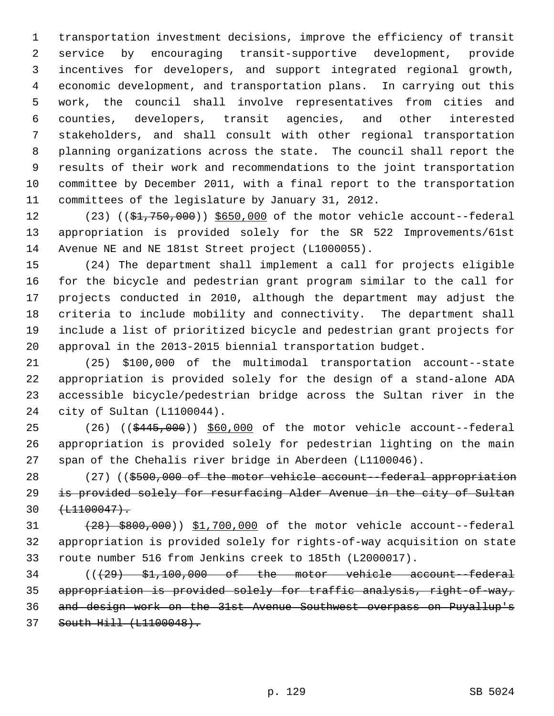1 transportation investment decisions, improve the efficiency of transit 2 service by encouraging transit-supportive development, provide 3 incentives for developers, and support integrated regional growth, 4 economic development, and transportation plans. In carrying out this 5 work, the council shall involve representatives from cities and 6 counties, developers, transit agencies, and other interested 7 stakeholders, and shall consult with other regional transportation 8 planning organizations across the state. The council shall report the 9 results of their work and recommendations to the joint transportation 10 committee by December 2011, with a final report to the transportation 11 committees of the legislature by January 31, 2012.

12 (23) ((\$1,750,000)) \$650,000 of the motor vehicle account--federal 13 appropriation is provided solely for the SR 522 Improvements/61st 14 Avenue NE and NE 181st Street project (L1000055).

15 (24) The department shall implement a call for projects eligible 16 for the bicycle and pedestrian grant program similar to the call for 17 projects conducted in 2010, although the department may adjust the 18 criteria to include mobility and connectivity. The department shall 19 include a list of prioritized bicycle and pedestrian grant projects for 20 approval in the 2013-2015 biennial transportation budget.

21 (25) \$100,000 of the multimodal transportation account--state 22 appropriation is provided solely for the design of a stand-alone ADA 23 accessible bicycle/pedestrian bridge across the Sultan river in the 24 city of Sultan (L1100044).

25 (26) ((\$445,000)) \$60,000 of the motor vehicle account--federal 26 appropriation is provided solely for pedestrian lighting on the main 27 span of the Chehalis river bridge in Aberdeen (L1100046).

28 (27) ((\$500,000 of the motor vehicle account--federal appropriation 29 is provided solely for resurfacing Alder Avenue in the city of Sultan  $30 + 1100047$ .

31 (28) \$800,000)) \$1,700,000 of the motor vehicle account--federal 32 appropriation is provided solely for rights-of-way acquisition on state 33 route number 516 from Jenkins creek to 185th (L2000017).

 ( $(\overline{29}$ )  $\overline{51,100,000}$  of the motor vehicle account-federal appropriation is provided solely for traffic analysis, right-of-way, and design work on the 31st Avenue Southwest overpass on Puyallup's South Hill (L1100048).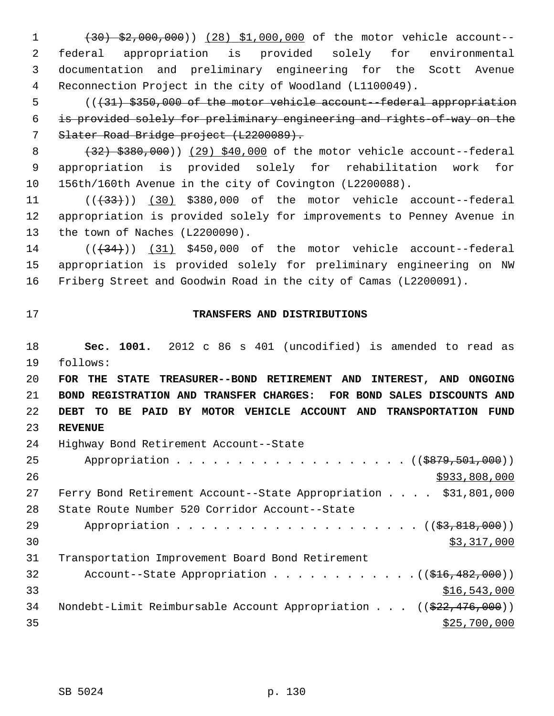1 (30) \$2,000,000)) (28) \$1,000,000 of the motor vehicle account-- 2 federal appropriation is provided solely for environmental 3 documentation and preliminary engineering for the Scott Avenue 4 Reconnection Project in the city of Woodland (L1100049).

 5 (((31) \$350,000 of the motor vehicle account--federal appropriation 6 is provided solely for preliminary engineering and rights-of-way on the 7 Slater Road Bridge project (L2200089).

8 (32) \$380,000)) (29) \$40,000 of the motor vehicle account--federal 9 appropriation is provided solely for rehabilitation work for 10 156th/160th Avenue in the city of Covington (L2200088).

11  $((+33))$  (30) \$380,000 of the motor vehicle account--federal 12 appropriation is provided solely for improvements to Penney Avenue in 13 the town of Naches (L2200090).

 $14$  ( $(\overline{34})$ ) (31) \$450,000 of the motor vehicle account--federal 15 appropriation is provided solely for preliminary engineering on NW 16 Friberg Street and Goodwin Road in the city of Camas (L2200091).

## 17 **TRANSFERS AND DISTRIBUTIONS**

18 **Sec. 1001.** 2012 c 86 s 401 (uncodified) is amended to read as 19 follows:

 **FOR THE STATE TREASURER--BOND RETIREMENT AND INTEREST, AND ONGOING BOND REGISTRATION AND TRANSFER CHARGES: FOR BOND SALES DISCOUNTS AND DEBT TO BE PAID BY MOTOR VEHICLE ACCOUNT AND TRANSPORTATION FUND** 23 **REVENUE**

| 24 | Highway Bond Retirement Account--State                                                  |
|----|-----------------------------------------------------------------------------------------|
| 25 | Appropriation ( $(\frac{2879}{501},000)$ )                                              |
| 26 | \$933,808,000                                                                           |
| 27 | Ferry Bond Retirement Account--State Appropriation $\ldots$ \$31,801,000                |
| 28 | State Route Number 520 Corridor Account--State                                          |
| 29 |                                                                                         |
| 30 | \$3,317,000                                                                             |
| 31 | Transportation Improvement Board Bond Retirement                                        |
| 32 | Account--State Appropriation $($ $\frac{1}{216,482,000})$                               |
| 33 | \$16,543,000                                                                            |
| 34 | Nondebt-Limit Reimbursable Account Appropriation $((\frac{222}{746}, \frac{476}{900}))$ |
| 35 | \$25,700,000                                                                            |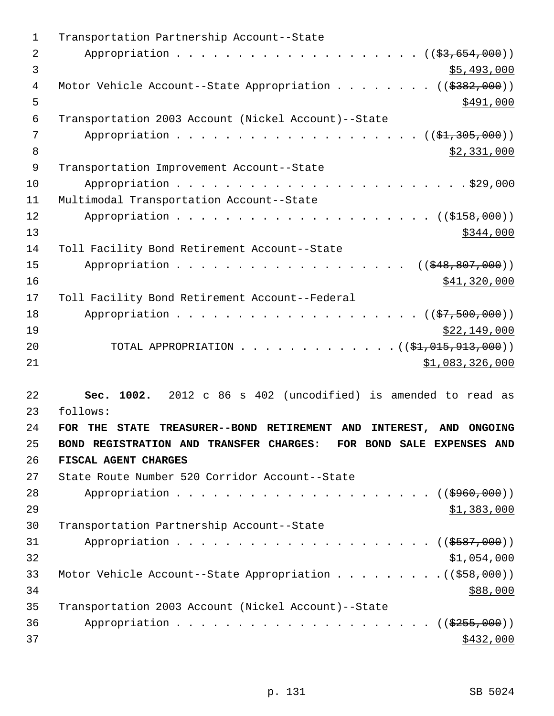| 1              | Transportation Partnership Account--State                                          |
|----------------|------------------------------------------------------------------------------------|
| $\overline{2}$ |                                                                                    |
| 3              | \$5,493,000                                                                        |
| 4              | Motor Vehicle Account--State Appropriation ( $(\frac{2382}{100})$ )                |
| 5              | \$491,000                                                                          |
| 6              | Transportation 2003 Account (Nickel Account)--State                                |
| 7              | (( <del>\$1,305,000</del> ))                                                       |
| 8              | \$2,331,000                                                                        |
| $\mathsf 9$    | Transportation Improvement Account--State                                          |
| 10             |                                                                                    |
| 11             | Multimodal Transportation Account--State                                           |
| 12             |                                                                                    |
| 13             | \$344,000                                                                          |
| 14             | Toll Facility Bond Retirement Account--State                                       |
| 15             | ((\$48,807,000))<br>Appropriation                                                  |
| 16             | \$41,320,000                                                                       |
| 17             | Toll Facility Bond Retirement Account--Federal                                     |
| 18             |                                                                                    |
| 19             | \$22,149,000                                                                       |
| 20             | TOTAL APPROPRIATION $($ $($ \$1,015,913,000) $)$                                   |
| 21             | \$1,083,326,000                                                                    |
|                |                                                                                    |
| 22             | Sec. 1002.<br>2012 c 86 s 402 (uncodified) is amended to read as                   |
| 23             | follows:                                                                           |
| 24             | FOR THE<br><b>STATE</b><br>TREASURER--BOND RETIREMENT AND<br>INTEREST, AND ONGOING |
| 25             | BOND REGISTRATION AND TRANSFER CHARGES: FOR BOND SALE EXPENSES AND                 |
| 26             | FISCAL AGENT CHARGES                                                               |
| 27             | State Route Number 520 Corridor Account--State                                     |
| 28             |                                                                                    |
| 29             | \$1,383,000                                                                        |
| 30             | Transportation Partnership Account--State                                          |
| 31             |                                                                                    |
| 32             | \$1,054,000                                                                        |
| 33             |                                                                                    |
| 34             | \$88,000                                                                           |
| 35             | Transportation 2003 Account (Nickel Account)--State                                |
| 36             |                                                                                    |
| 37             | \$432,000                                                                          |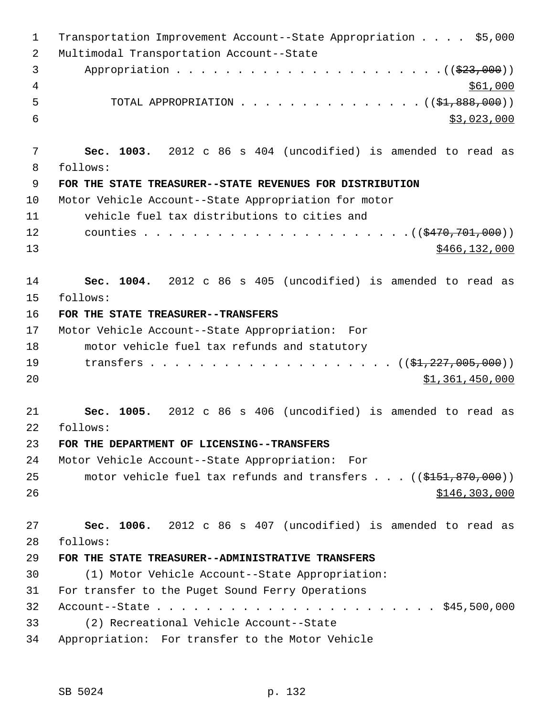| $\mathbf 1$ | Transportation Improvement Account--State Appropriation \$5,000              |
|-------------|------------------------------------------------------------------------------|
| 2           | Multimodal Transportation Account--State                                     |
| 3           |                                                                              |
| 4           | \$61,000                                                                     |
| 5           | TOTAL APPROPRIATION ( $(\frac{1}{2}, 888, 000)$ )                            |
| 6           | \$3,023,000                                                                  |
| 7           | Sec. 1003. 2012 c 86 s 404 (uncodified) is amended to read as                |
| 8           | follows:                                                                     |
| $\mathsf 9$ | FOR THE STATE TREASURER--STATE REVENUES FOR DISTRIBUTION                     |
| 10          | Motor Vehicle Account--State Appropriation for motor                         |
| 11          | vehicle fuel tax distributions to cities and                                 |
| 12          |                                                                              |
| 13          | \$466, 132, 000                                                              |
| 14          | Sec. 1004. 2012 c 86 s 405 (uncodified) is amended to read as                |
| 15          | follows:                                                                     |
| 16          | FOR THE STATE TREASURER--TRANSFERS                                           |
| 17          | Motor Vehicle Account--State Appropriation: For                              |
| 18          | motor vehicle fuel tax refunds and statutory                                 |
| 19          |                                                                              |
| 20          | \$1,361,450,000                                                              |
| 21          | Sec. 1005. 2012 c 86 s 406 (uncodified) is amended to read as                |
| 22          | follows:                                                                     |
| 23          | FOR THE DEPARTMENT OF LICENSING--TRANSFERS                                   |
| 24          | Motor Vehicle Account--State Appropriation: For                              |
| 25          | motor vehicle fuel tax refunds and transfers $((\frac{151}{151}, 870, 000))$ |
| 26          | \$146,303,000                                                                |
| 27          | Sec. 1006. 2012 c 86 s 407 (uncodified) is amended to read as                |
| 28          | follows:                                                                     |
| 29          | FOR THE STATE TREASURER--ADMINISTRATIVE TRANSFERS                            |
| 30          | (1) Motor Vehicle Account--State Appropriation:                              |
| 31          | For transfer to the Puget Sound Ferry Operations                             |
| 32          |                                                                              |
| 33          | (2) Recreational Vehicle Account--State                                      |
| 34          | Appropriation: For transfer to the Motor Vehicle                             |
|             |                                                                              |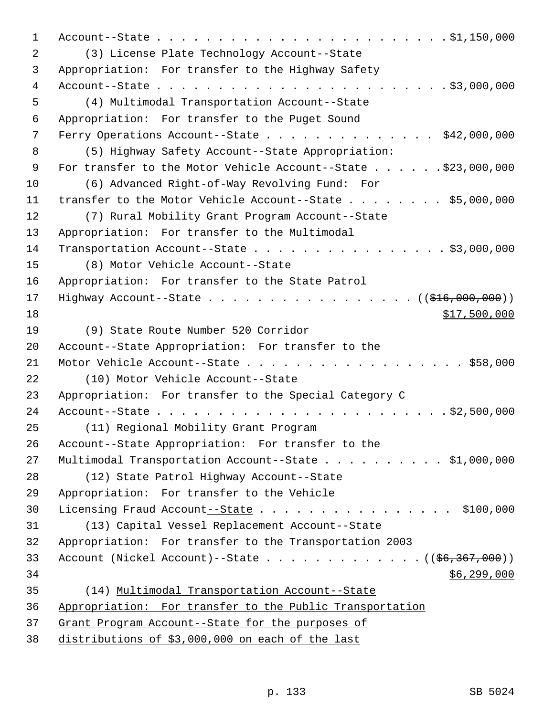1 Account--State . . . . . . . . . . . . . . . . . . . . . . . . \$1,150,000 2 (3) License Plate Technology Account--State 3 Appropriation: For transfer to the Highway Safety 4 Account--State . . . . . . . . . . . . . . . . . . . . . . . . \$3,000,000 5 (4) Multimodal Transportation Account--State 6 Appropriation: For transfer to the Puget Sound 7 Ferry Operations Account--State . . . . . . . . . . . . . . \$42,000,000 8 (5) Highway Safety Account--State Appropriation: 9 For transfer to the Motor Vehicle Account--State . . . . . . \$23,000,000 10 (6) Advanced Right-of-Way Revolving Fund: For 11 transfer to the Motor Vehicle Account--State . . . . . . . \$5,000,000 12 (7) Rural Mobility Grant Program Account--State 13 Appropriation: For transfer to the Multimodal 14 Transportation Account--State . . . . . . . . . . . . . . . . \$3,000,000 15 (8) Motor Vehicle Account--State 16 Appropriation: For transfer to the State Patrol 17 Highway Account--State . . . . . . . . . . . . . . . . . (  $(\frac{1616,000,000}{100,000}))$  $18$   $517,500,000$ 19 (9) State Route Number 520 Corridor 20 Account--State Appropriation: For transfer to the 21 Motor Vehicle Account--State . . . . . . . . . . . . . . . . . \$58,000 22 (10) Motor Vehicle Account--State 23 Appropriation: For transfer to the Special Category C 24 Account--State . . . . . . . . . . . . . . . . . . . . . . . . \$2,500,000 25 (11) Regional Mobility Grant Program 26 Account--State Appropriation: For transfer to the 27 Multimodal Transportation Account--State . . . . . . . . . . \$1,000,000 28 (12) State Patrol Highway Account--State 29 Appropriation: For transfer to the Vehicle 30 Licensing Fraud Account--State . . . . . . . . . . . . . . . \$100,000 31 (13) Capital Vessel Replacement Account--State 32 Appropriation: For transfer to the Transportation 2003 33 Account (Nickel Account)--State . . . . . . . . . . . . ( $(\frac{1}{56}, \frac{367}{100})$ )  $34$  \$6,299,000 35 (14) Multimodal Transportation Account--State 36 Appropriation: For transfer to the Public Transportation 37 Grant Program Account--State for the purposes of 38 distributions of \$3,000,000 on each of the last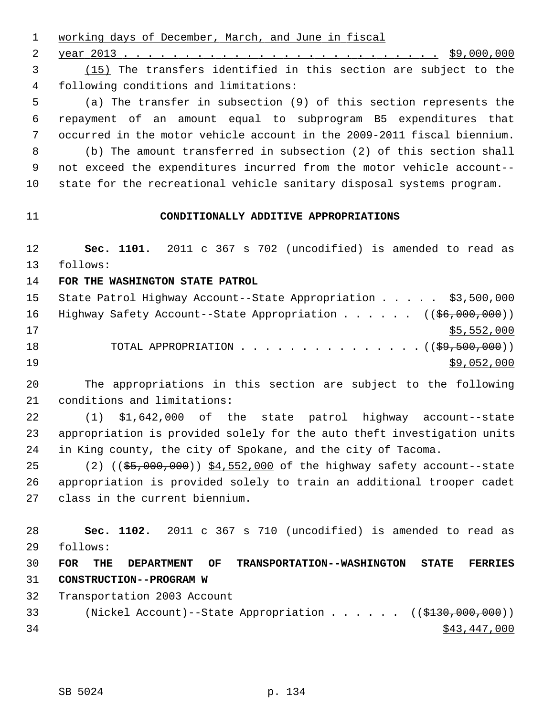1 working days of December, March, and June in fiscal 2 year 2013 . . . . . . . . . . . . . . . . . . . . . . . . . . \$9,000,000 3 (15) The transfers identified in this section are subject to the 4 following conditions and limitations: 5 (a) The transfer in subsection (9) of this section represents the 6 repayment of an amount equal to subprogram B5 expenditures that 7 occurred in the motor vehicle account in the 2009-2011 fiscal biennium. 8 (b) The amount transferred in subsection (2) of this section shall 9 not exceed the expenditures incurred from the motor vehicle account-- 10 state for the recreational vehicle sanitary disposal systems program. 11 **CONDITIONALLY ADDITIVE APPROPRIATIONS** 12 **Sec. 1101.** 2011 c 367 s 702 (uncodified) is amended to read as 13 follows: 14 **FOR THE WASHINGTON STATE PATROL** 15 State Patrol Highway Account--State Appropriation . . . . . \$3,500,000 16 Highway Safety Account--State Appropriation . . . . . ((\$6,000,000))  $17$  \$5,552,000 18 TOTAL APPROPRIATION . . . . . . . . . . . . . . . ((\$9,500,000))  $19$   $\frac{$9,052,000}{ }$ 20 The appropriations in this section are subject to the following 21 conditions and limitations: 22 (1) \$1,642,000 of the state patrol highway account--state 23 appropriation is provided solely for the auto theft investigation units 24 in King county, the city of Spokane, and the city of Tacoma. 25 (2) ((\$5,000,000)) \$4,552,000 of the highway safety account--state 26 appropriation is provided solely to train an additional trooper cadet 27 class in the current biennium. 28 **Sec. 1102.** 2011 c 367 s 710 (uncodified) is amended to read as 29 follows: 30 **FOR THE DEPARTMENT OF TRANSPORTATION--WASHINGTON STATE FERRIES** 31 **CONSTRUCTION--PROGRAM W** 32 Transportation 2003 Account 33 (Nickel Account)--State Appropriation . . . . . ((\$130,000,000))  $34$  \$43,447,000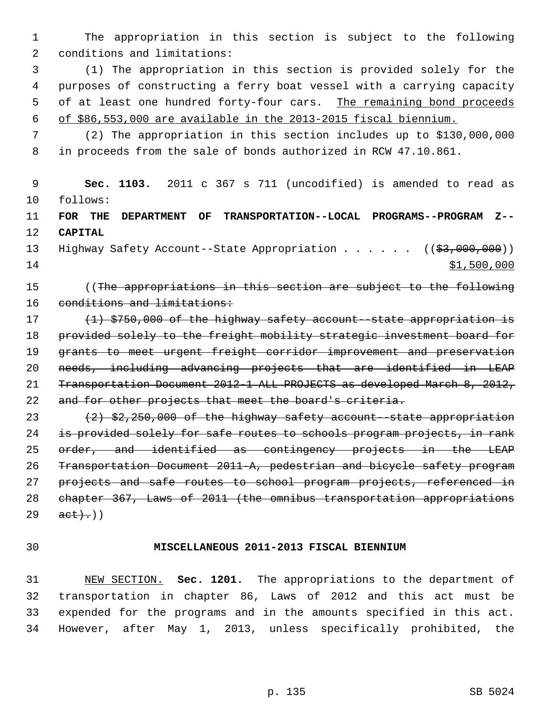1 The appropriation in this section is subject to the following 2 conditions and limitations:

 3 (1) The appropriation in this section is provided solely for the 4 purposes of constructing a ferry boat vessel with a carrying capacity 5 of at least one hundred forty-four cars. The remaining bond proceeds 6 of \$86,553,000 are available in the 2013-2015 fiscal biennium.

 7 (2) The appropriation in this section includes up to \$130,000,000 8 in proceeds from the sale of bonds authorized in RCW 47.10.861.

 9 **Sec. 1103.** 2011 c 367 s 711 (uncodified) is amended to read as 10 follows: 11 **FOR THE DEPARTMENT OF TRANSPORTATION--LOCAL PROGRAMS--PROGRAM Z--** 12 **CAPITAL** 13 Highway Safety Account--State Appropriation . . . . . ((\$3,000,000))  $14$  \$1,500,000 15 ((The appropriations in this section are subject to the following 16 conditions and limitations: 17 (1) \$750,000 of the highway safety account--state appropriation is 18 provided solely to the freight mobility strategic investment board for 19 grants to meet urgent freight corridor improvement and preservation 20 needs, including advancing projects that are identified in LEAP 21 Transportation Document 2012-1 ALL PROJECTS as developed March 8, 2012, 22 and for other projects that meet the board's criteria. 23  $(2)$  \$2,250,000 of the highway safety account--state appropriation 24 is provided solely for safe routes to schools program projects, in rank 25 order, and identified as contingency projects in the LEAP 26 Transportation Document 2011-A, pedestrian and bicycle safety program 27 projects and safe routes to school program projects, referenced in 28 chapter 367, Laws of 2011 (the omnibus transportation appropriations  $29 \quad \frac{\text{act}}{\text{act}})$ 

## 30 **MISCELLANEOUS 2011-2013 FISCAL BIENNIUM**

31 NEW SECTION. **Sec. 1201.** The appropriations to the department of 32 transportation in chapter 86, Laws of 2012 and this act must be 33 expended for the programs and in the amounts specified in this act. 34 However, after May 1, 2013, unless specifically prohibited, the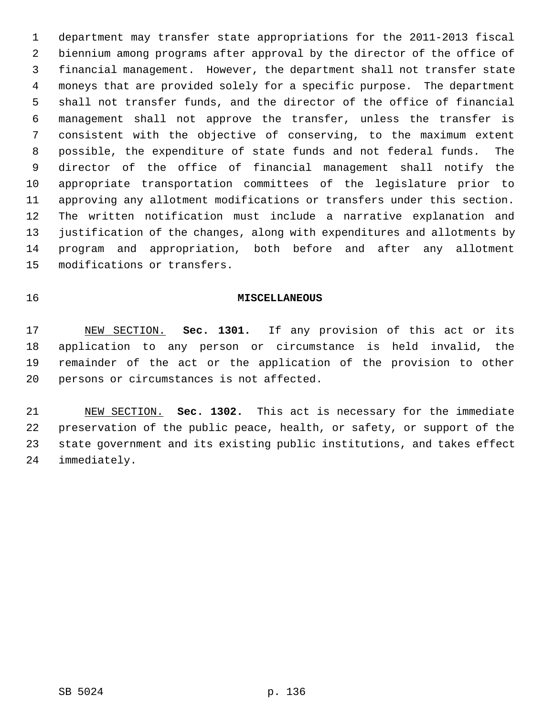1 department may transfer state appropriations for the 2011-2013 fiscal 2 biennium among programs after approval by the director of the office of 3 financial management. However, the department shall not transfer state 4 moneys that are provided solely for a specific purpose. The department 5 shall not transfer funds, and the director of the office of financial 6 management shall not approve the transfer, unless the transfer is 7 consistent with the objective of conserving, to the maximum extent 8 possible, the expenditure of state funds and not federal funds. The 9 director of the office of financial management shall notify the 10 appropriate transportation committees of the legislature prior to 11 approving any allotment modifications or transfers under this section. 12 The written notification must include a narrative explanation and 13 justification of the changes, along with expenditures and allotments by 14 program and appropriation, both before and after any allotment 15 modifications or transfers.

## 16 **MISCELLANEOUS**

17 NEW SECTION. **Sec. 1301.** If any provision of this act or its 18 application to any person or circumstance is held invalid, the 19 remainder of the act or the application of the provision to other 20 persons or circumstances is not affected.

21 NEW SECTION. **Sec. 1302.** This act is necessary for the immediate 22 preservation of the public peace, health, or safety, or support of the 23 state government and its existing public institutions, and takes effect 24 immediately.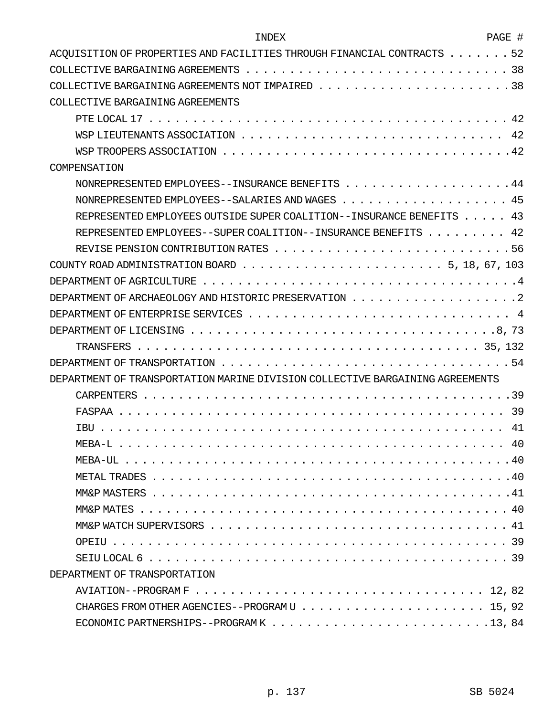| <b>TNDEX</b>                                                                                                      | PAGE # |
|-------------------------------------------------------------------------------------------------------------------|--------|
| ACOUISITION OF PROPERTIES AND FACILITIES THROUGH FINANCIAL CONTRACTS $\dots \dots$                                | 52     |
|                                                                                                                   |        |
|                                                                                                                   |        |
| COLLECTIVE BARGAINING AGREEMENTS                                                                                  |        |
|                                                                                                                   |        |
|                                                                                                                   |        |
|                                                                                                                   |        |
| COMPENSATION                                                                                                      |        |
| NONREPRESENTED EMPLOYEES--INSURANCE BENEFITS 44                                                                   |        |
| NONREPRESENTED EMPLOYEES--SALARIES AND WAGES 45                                                                   |        |
| REPRESENTED EMPLOYEES OUTSIDE SUPER COALITION--INSURANCE BENEFITS 43                                              |        |
| REPRESENTED EMPLOYEES--SUPER COALITION--INSURANCE BENEFITS 42                                                     |        |
|                                                                                                                   |        |
| COUNTY ROAD ADMINISTRATION BOARD $\ldots \ldots \ldots \ldots \ldots \ldots \ldots \ldots \ldots 5$ , 18, 67, 103 |        |
|                                                                                                                   |        |
|                                                                                                                   |        |
| DEPARTMENT OF ENTERPRISE SERVICES $\ldots \ldots \ldots \ldots \ldots \ldots \ldots \ldots \ldots \ldots$         |        |
|                                                                                                                   |        |
|                                                                                                                   |        |
|                                                                                                                   |        |
| DEPARTMENT OF TRANSPORTATION MARINE DIVISION COLLECTIVE BARGAINING AGREEMENTS                                     |        |
|                                                                                                                   |        |
|                                                                                                                   | -39    |
| <b>TBU</b>                                                                                                        | 41     |
|                                                                                                                   |        |
|                                                                                                                   |        |
|                                                                                                                   |        |
|                                                                                                                   |        |
|                                                                                                                   |        |
|                                                                                                                   |        |
|                                                                                                                   |        |
|                                                                                                                   |        |
| DEPARTMENT OF TRANSPORTATION                                                                                      |        |
|                                                                                                                   |        |
|                                                                                                                   |        |
|                                                                                                                   |        |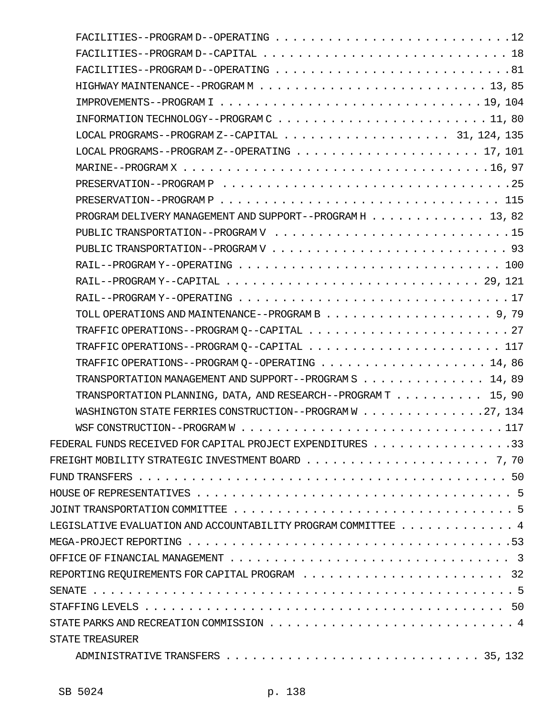| $FACILITIES--PROGRAM D--OPERATING 12$                                                                                   |
|-------------------------------------------------------------------------------------------------------------------------|
|                                                                                                                         |
|                                                                                                                         |
|                                                                                                                         |
|                                                                                                                         |
|                                                                                                                         |
|                                                                                                                         |
|                                                                                                                         |
|                                                                                                                         |
|                                                                                                                         |
|                                                                                                                         |
| PROGRAM DELIVERY MANAGEMENT AND SUPPORT--PROGRAM H 13, 82                                                               |
|                                                                                                                         |
|                                                                                                                         |
|                                                                                                                         |
| RAIL--PROGRAM Y--CAPITAL $\ldots \ldots \ldots \ldots \ldots \ldots \ldots \ldots \ldots \ldots \ldots \ldots 29$ , 121 |
|                                                                                                                         |
|                                                                                                                         |
|                                                                                                                         |
|                                                                                                                         |
|                                                                                                                         |
| TRANSPORTATION MANAGEMENT AND SUPPORT--PROGRAM S 14, 89                                                                 |
| TRANSPORTATION PLANNING, DATA, AND RESEARCH--PROGRAM $T$ 15, 90                                                         |
| WASHINGTON STATE FERRIES CONSTRUCTION--PROGRAM W 27, 134                                                                |
|                                                                                                                         |
| FEDERAL FUNDS RECEIVED FOR CAPITAL PROJECT EXPENDITURES 33                                                              |
|                                                                                                                         |
|                                                                                                                         |
|                                                                                                                         |
|                                                                                                                         |
| LEGISLATIVE EVALUATION AND ACCOUNTABILITY PROGRAM COMMITTEE $\ldots$ ,  4                                               |
|                                                                                                                         |
|                                                                                                                         |
|                                                                                                                         |
|                                                                                                                         |
|                                                                                                                         |
|                                                                                                                         |
| STATE TREASURER                                                                                                         |
|                                                                                                                         |